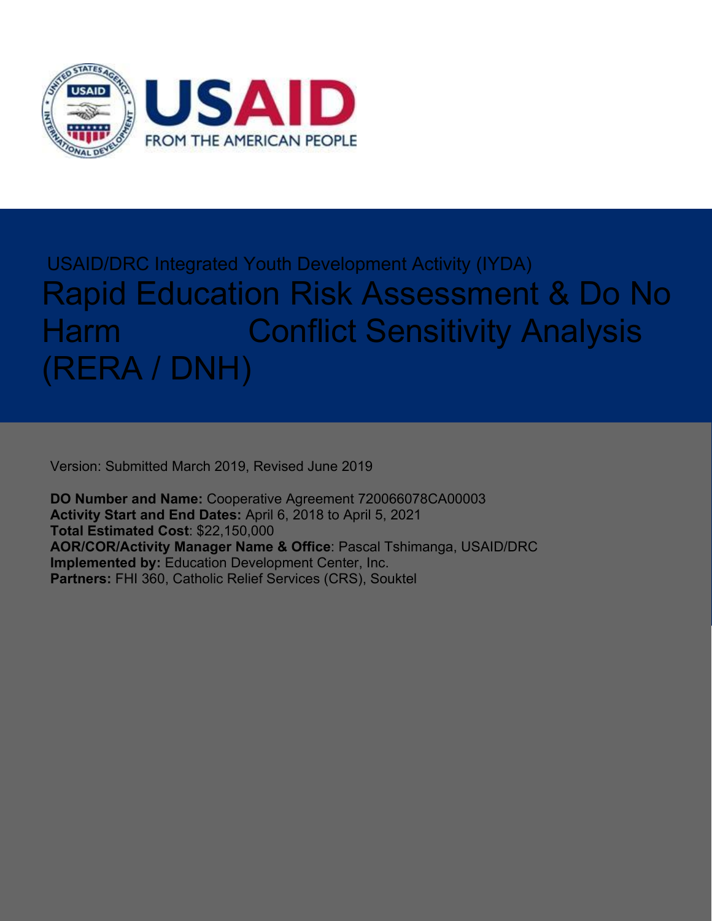

# USAID/DRC Integrated Youth Development Activity (IYDA) Rapid Education Risk Assessment & Do No Harm **Conflict Sensitivity Analysis** (RERA / DNH)

Version: Submitted March 2019, Revised June 2019

**DO Number and Name:** Cooperative Agreement 720066078CA00003 **Activity Start and End Dates:** April 6, 2018 to April 5, 2021 **Total Estimated Cost**: \$22,150,000 **AOR/COR/Activity Manager Name & Office**: Pascal Tshimanga, USAID/DRC **Implemented by:** Education Development Center, Inc. **Partners:** FHI 360, Catholic Relief Services (CRS), Souktel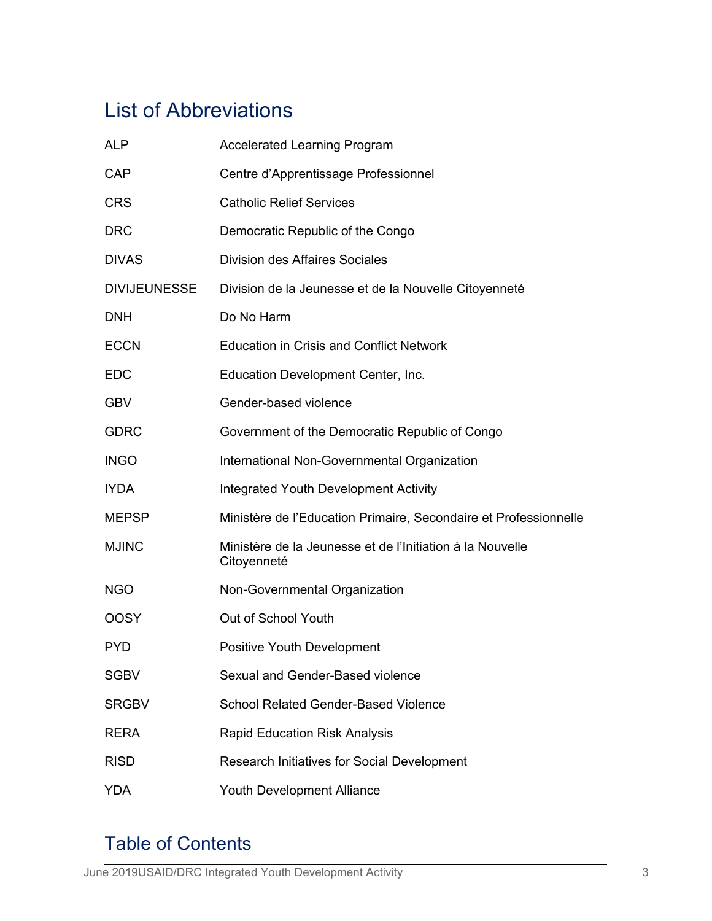# List of Abbreviations

| ALP                 | <b>Accelerated Learning Program</b>                                      |
|---------------------|--------------------------------------------------------------------------|
| <b>CAP</b>          | Centre d'Apprentissage Professionnel                                     |
| <b>CRS</b>          | <b>Catholic Relief Services</b>                                          |
| <b>DRC</b>          | Democratic Republic of the Congo                                         |
| <b>DIVAS</b>        | <b>Division des Affaires Sociales</b>                                    |
| <b>DIVIJEUNESSE</b> | Division de la Jeunesse et de la Nouvelle Citoyenneté                    |
| <b>DNH</b>          | Do No Harm                                                               |
| <b>ECCN</b>         | <b>Education in Crisis and Conflict Network</b>                          |
| <b>EDC</b>          | Education Development Center, Inc.                                       |
| <b>GBV</b>          | Gender-based violence                                                    |
| <b>GDRC</b>         | Government of the Democratic Republic of Congo                           |
| <b>INGO</b>         | International Non-Governmental Organization                              |
| <b>IYDA</b>         | Integrated Youth Development Activity                                    |
| <b>MEPSP</b>        | Ministère de l'Education Primaire, Secondaire et Professionnelle         |
| <b>MJINC</b>        | Ministère de la Jeunesse et de l'Initiation à la Nouvelle<br>Citoyenneté |
| <b>NGO</b>          | Non-Governmental Organization                                            |
| <b>OOSY</b>         | Out of School Youth                                                      |
| <b>PYD</b>          | Positive Youth Development                                               |
| <b>SGBV</b>         | Sexual and Gender-Based violence                                         |
| <b>SRGBV</b>        | <b>School Related Gender-Based Violence</b>                              |
| <b>RERA</b>         | <b>Rapid Education Risk Analysis</b>                                     |
| <b>RISD</b>         | Research Initiatives for Social Development                              |
| <b>YDA</b>          | <b>Youth Development Alliance</b>                                        |

# Table of Contents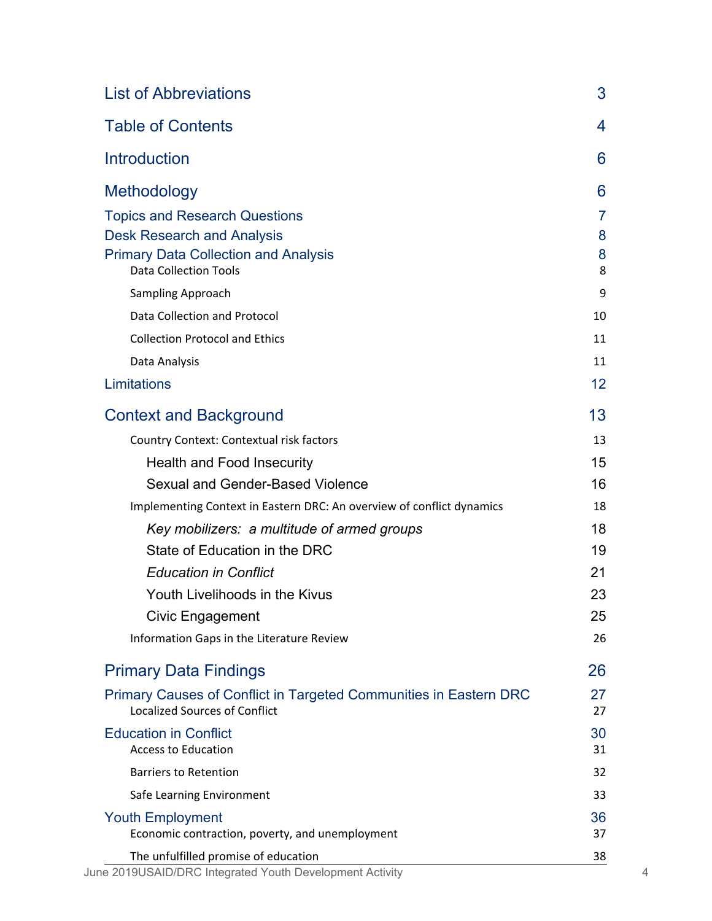| <b>List of Abbreviations</b>                                                                              | 3        |  |
|-----------------------------------------------------------------------------------------------------------|----------|--|
| <b>Table of Contents</b>                                                                                  | 4        |  |
| <b>Introduction</b>                                                                                       | 6        |  |
| Methodology                                                                                               | 6        |  |
| <b>Topics and Research Questions</b>                                                                      | 7        |  |
| <b>Desk Research and Analysis</b>                                                                         | 8        |  |
| <b>Primary Data Collection and Analysis</b><br><b>Data Collection Tools</b>                               | 8<br>8   |  |
| Sampling Approach                                                                                         | 9        |  |
| Data Collection and Protocol                                                                              | 10       |  |
| <b>Collection Protocol and Ethics</b>                                                                     | 11       |  |
| Data Analysis                                                                                             | 11       |  |
| Limitations                                                                                               | 12       |  |
| <b>Context and Background</b>                                                                             | 13       |  |
| Country Context: Contextual risk factors                                                                  | 13       |  |
| Health and Food Insecurity                                                                                | 15       |  |
| Sexual and Gender-Based Violence                                                                          | 16       |  |
| Implementing Context in Eastern DRC: An overview of conflict dynamics                                     | 18       |  |
| Key mobilizers: a multitude of armed groups                                                               | 18       |  |
| State of Education in the DRC                                                                             | 19       |  |
| <b>Education in Conflict</b>                                                                              | 21       |  |
| Youth Livelihoods in the Kivus                                                                            | 23       |  |
| <b>Civic Engagement</b>                                                                                   | 25       |  |
| Information Gaps in the Literature Review                                                                 | 26       |  |
| <b>Primary Data Findings</b>                                                                              | 26       |  |
| Primary Causes of Conflict in Targeted Communities in Eastern DRC<br><b>Localized Sources of Conflict</b> | 27<br>27 |  |
| <b>Education in Conflict</b><br><b>Access to Education</b>                                                | 30<br>31 |  |
| <b>Barriers to Retention</b>                                                                              | 32       |  |
| Safe Learning Environment                                                                                 | 33       |  |
| <b>Youth Employment</b><br>Economic contraction, poverty, and unemployment                                | 36<br>37 |  |
| The unfulfilled promise of education                                                                      | 38       |  |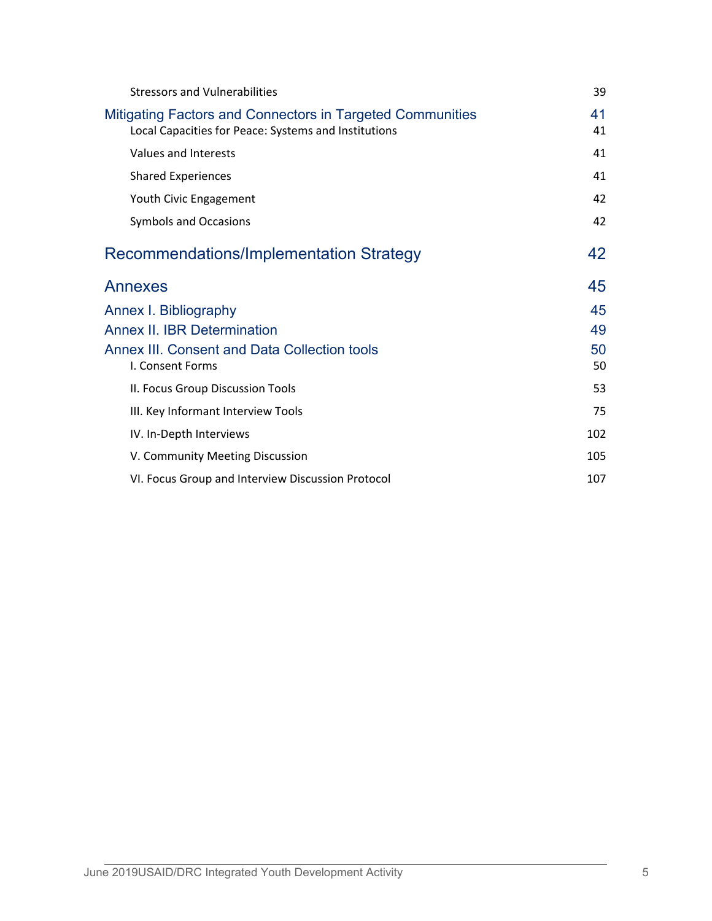| <b>Stressors and Vulnerabilities</b>                                                                              | 39       |  |
|-------------------------------------------------------------------------------------------------------------------|----------|--|
| Mitigating Factors and Connectors in Targeted Communities<br>Local Capacities for Peace: Systems and Institutions | 41<br>41 |  |
| Values and Interests                                                                                              | 41       |  |
| <b>Shared Experiences</b>                                                                                         | 41       |  |
| Youth Civic Engagement                                                                                            | 42       |  |
| <b>Symbols and Occasions</b>                                                                                      | 42       |  |
| Recommendations/Implementation Strategy                                                                           | 42       |  |
| Annexes                                                                                                           | 45       |  |
| Annex I. Bibliography                                                                                             | 45       |  |
| <b>Annex II. IBR Determination</b>                                                                                | 49       |  |
| Annex III. Consent and Data Collection tools<br>I. Consent Forms                                                  | 50<br>50 |  |
| II. Focus Group Discussion Tools                                                                                  | 53       |  |
| III. Key Informant Interview Tools                                                                                | 75       |  |
| IV. In-Depth Interviews                                                                                           | 102      |  |
| V. Community Meeting Discussion                                                                                   | 105      |  |
| VI. Focus Group and Interview Discussion Protocol                                                                 | 107      |  |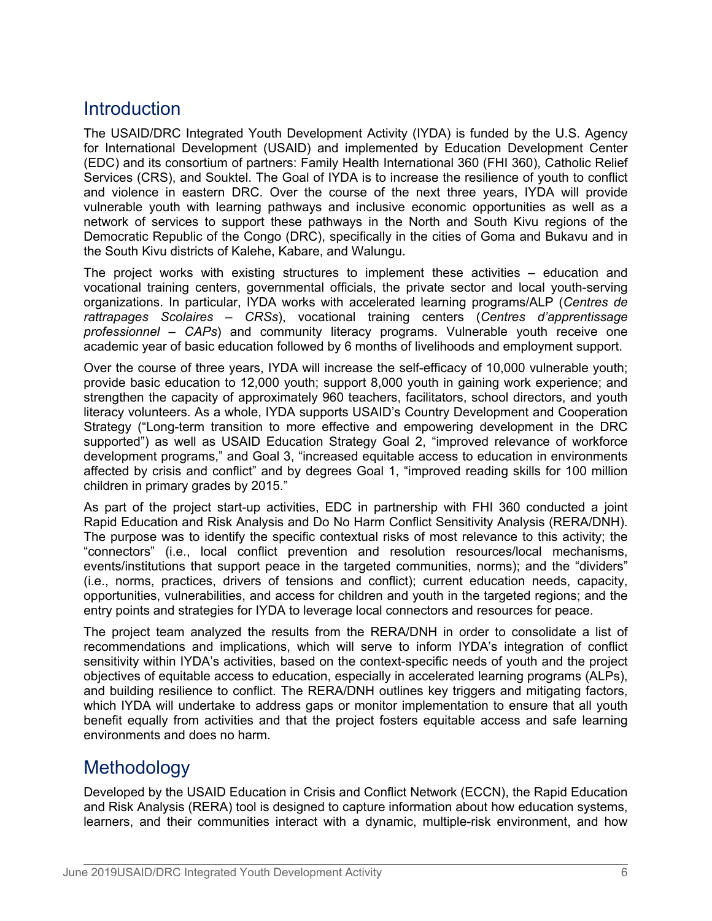# **Introduction**

The USAID/DRC Integrated Youth Development Activity (IYDA) is funded by the U.S. Agency for International Development (USAID) and implemented by Education Development Center (EDC) and its consortium of partners: Family Health International 360 (FHI 360), Catholic Relief Services (CRS), and Souktel. The Goal of IYDA is to increase the resilience of youth to conflict and violence in eastern DRC. Over the course of the next three years, IYDA will provide vulnerable youth with learning pathways and inclusive economic opportunities as well as a network of services to support these pathways in the North and South Kivu regions of the Democratic Republic of the Congo (DRC), specifically in the cities of Goma and Bukavu and in the South Kivu districts of Kalehe, Kabare, and Walungu.

The project works with existing structures to implement these activities – education and vocational training centers, governmental officials, the private sector and local youth-serving organizations. In particular, IYDA works with accelerated learning programs/ALP (*Centres de rattrapages Scolaires – CRSs*), vocational training centers (*Centres d'apprentissage professionnel – CAPs*) and community literacy programs. Vulnerable youth receive one academic year of basic education followed by 6 months of livelihoods and employment support.

Over the course of three years, IYDA will increase the self-efficacy of 10,000 vulnerable youth; provide basic education to 12,000 youth; support 8,000 youth in gaining work experience; and strengthen the capacity of approximately 960 teachers, facilitators, school directors, and youth literacy volunteers. As a whole, IYDA supports USAID's Country Development and Cooperation Strategy ("Long-term transition to more effective and empowering development in the DRC supported") as well as USAID Education Strategy Goal 2, "improved relevance of workforce development programs," and Goal 3, "increased equitable access to education in environments affected by crisis and conflict" and by degrees Goal 1, "improved reading skills for 100 million children in primary grades by 2015."

As part of the project start-up activities, EDC in partnership with FHI 360 conducted a joint Rapid Education and Risk Analysis and Do No Harm Conflict Sensitivity Analysis (RERA/DNH). The purpose was to identify the specific contextual risks of most relevance to this activity; the "connectors" (i.e., local conflict prevention and resolution resources/local mechanisms, events/institutions that support peace in the targeted communities, norms); and the "dividers" (i.e., norms, practices, drivers of tensions and conflict); current education needs, capacity, opportunities, vulnerabilities, and access for children and youth in the targeted regions; and the entry points and strategies for IYDA to leverage local connectors and resources for peace.

The project team analyzed the results from the RERA/DNH in order to consolidate a list of recommendations and implications, which will serve to inform IYDA's integration of conflict sensitivity within IYDA's activities, based on the context-specific needs of youth and the project objectives of equitable access to education, especially in accelerated learning programs (ALPs), and building resilience to conflict. The RERA/DNH outlines key triggers and mitigating factors, which IYDA will undertake to address gaps or monitor implementation to ensure that all youth benefit equally from activities and that the project fosters equitable access and safe learning environments and does no harm.

# **Methodology**

Developed by the USAID Education in Crisis and Conflict Network (ECCN), the Rapid Education and Risk Analysis (RERA) tool is designed to capture information about how education systems, learners, and their communities interact with a dynamic, multiple-risk environment, and how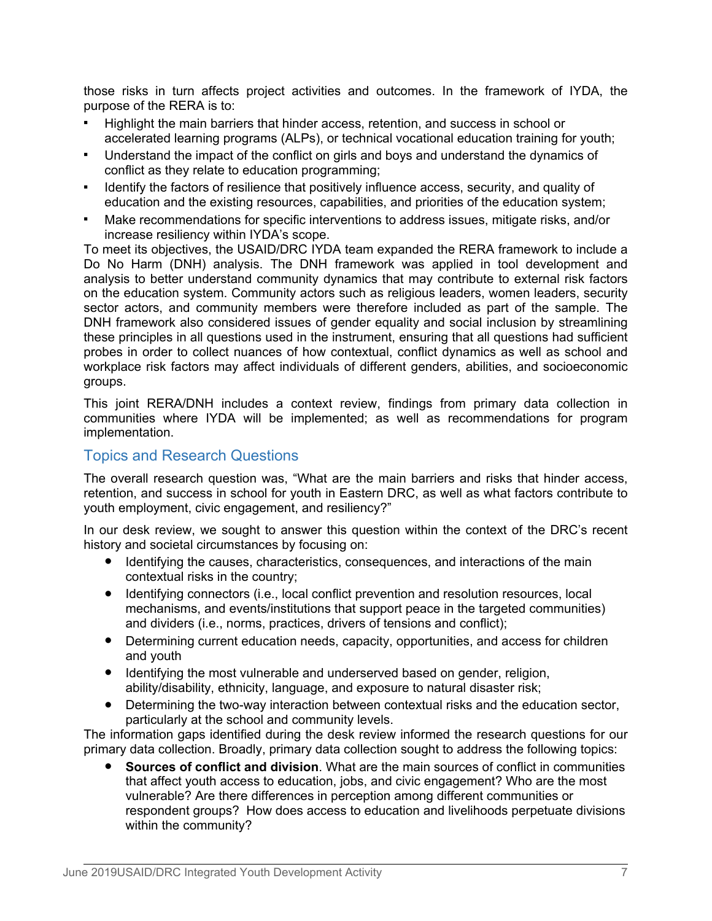those risks in turn affects project activities and outcomes. In the framework of IYDA, the purpose of the RERA is to:

- Highlight the main barriers that hinder access, retention, and success in school or accelerated learning programs (ALPs), or technical vocational education training for youth;
- Understand the impact of the conflict on girls and boys and understand the dynamics of conflict as they relate to education programming;
- Identify the factors of resilience that positively influence access, security, and quality of education and the existing resources, capabilities, and priorities of the education system;
- Make recommendations for specific interventions to address issues, mitigate risks, and/or increase resiliency within IYDA's scope.

To meet its objectives, the USAID/DRC IYDA team expanded the RERA framework to include a Do No Harm (DNH) analysis. The DNH framework was applied in tool development and analysis to better understand community dynamics that may contribute to external risk factors on the education system. Community actors such as religious leaders, women leaders, security sector actors, and community members were therefore included as part of the sample. The DNH framework also considered issues of gender equality and social inclusion by streamlining these principles in all questions used in the instrument, ensuring that all questions had sufficient probes in order to collect nuances of how contextual, conflict dynamics as well as school and workplace risk factors may affect individuals of different genders, abilities, and socioeconomic groups.

This joint RERA/DNH includes a context review, findings from primary data collection in communities where IYDA will be implemented; as well as recommendations for program implementation.

# Topics and Research Questions

The overall research question was, "What are the main barriers and risks that hinder access, retention, and success in school for youth in Eastern DRC, as well as what factors contribute to youth employment, civic engagement, and resiliency?"

In our desk review, we sought to answer this question within the context of the DRC's recent history and societal circumstances by focusing on:

- Identifying the causes, characteristics, consequences, and interactions of the main contextual risks in the country;
- Identifying connectors (i.e., local conflict prevention and resolution resources, local mechanisms, and events/institutions that support peace in the targeted communities) and dividers (i.e., norms, practices, drivers of tensions and conflict);
- Determining current education needs, capacity, opportunities, and access for children and youth
- Identifying the most vulnerable and underserved based on gender, religion, ability/disability, ethnicity, language, and exposure to natural disaster risk;
- Determining the two-way interaction between contextual risks and the education sector, particularly at the school and community levels.

The information gaps identified during the desk review informed the research questions for our primary data collection. Broadly, primary data collection sought to address the following topics:

● **Sources of conflict and division**. What are the main sources of conflict in communities that affect youth access to education, jobs, and civic engagement? Who are the most vulnerable? Are there differences in perception among different communities or respondent groups? How does access to education and livelihoods perpetuate divisions within the community?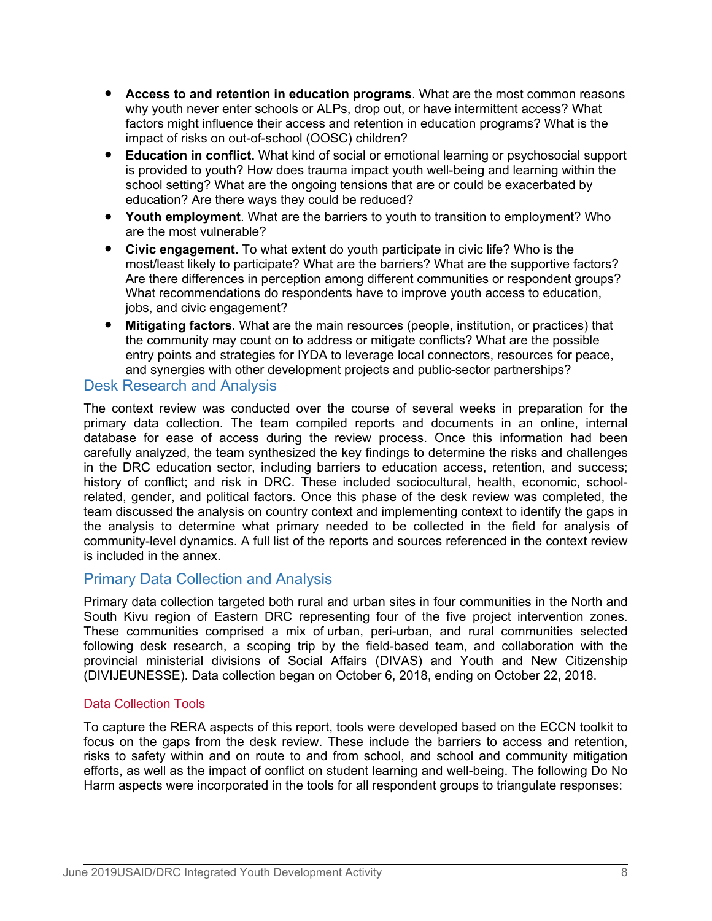- **Access to and retention in education programs**. What are the most common reasons why youth never enter schools or ALPs, drop out, or have intermittent access? What factors might influence their access and retention in education programs? What is the impact of risks on out-of-school (OOSC) children?
- **Education in conflict.** What kind of social or emotional learning or psychosocial support is provided to youth? How does trauma impact youth well-being and learning within the school setting? What are the ongoing tensions that are or could be exacerbated by education? Are there ways they could be reduced?
- **Youth employment**. What are the barriers to youth to transition to employment? Who are the most vulnerable?
- **Civic engagement.** To what extent do youth participate in civic life? Who is the most/least likely to participate? What are the barriers? What are the supportive factors? Are there differences in perception among different communities or respondent groups? What recommendations do respondents have to improve youth access to education, jobs, and civic engagement?
- **Mitigating factors**. What are the main resources (people, institution, or practices) that the community may count on to address or mitigate conflicts? What are the possible entry points and strategies for IYDA to leverage local connectors, resources for peace, and synergies with other development projects and public-sector partnerships?

# Desk Research and Analysis

The context review was conducted over the course of several weeks in preparation for the primary data collection. The team compiled reports and documents in an online, internal database for ease of access during the review process. Once this information had been carefully analyzed, the team synthesized the key findings to determine the risks and challenges in the DRC education sector, including barriers to education access, retention, and success; history of conflict; and risk in DRC. These included sociocultural, health, economic, schoolrelated, gender, and political factors. Once this phase of the desk review was completed, the team discussed the analysis on country context and implementing context to identify the gaps in the analysis to determine what primary needed to be collected in the field for analysis of community-level dynamics. A full list of the reports and sources referenced in the context review is included in the annex.

# Primary Data Collection and Analysis

Primary data collection targeted both rural and urban sites in four communities in the North and South Kivu region of Eastern DRC representing four of the five project intervention zones. These communities comprised a mix of urban, peri-urban, and rural communities selected following desk research, a scoping trip by the field-based team, and collaboration with the provincial ministerial divisions of Social Affairs (DIVAS) and Youth and New Citizenship (DIVIJEUNESSE). Data collection began on October 6, 2018, ending on October 22, 2018.

#### Data Collection Tools

To capture the RERA aspects of this report, tools were developed based on the ECCN toolkit to focus on the gaps from the desk review. These include the barriers to access and retention, risks to safety within and on route to and from school, and school and community mitigation efforts, as well as the impact of conflict on student learning and well-being. The following Do No Harm aspects were incorporated in the tools for all respondent groups to triangulate responses: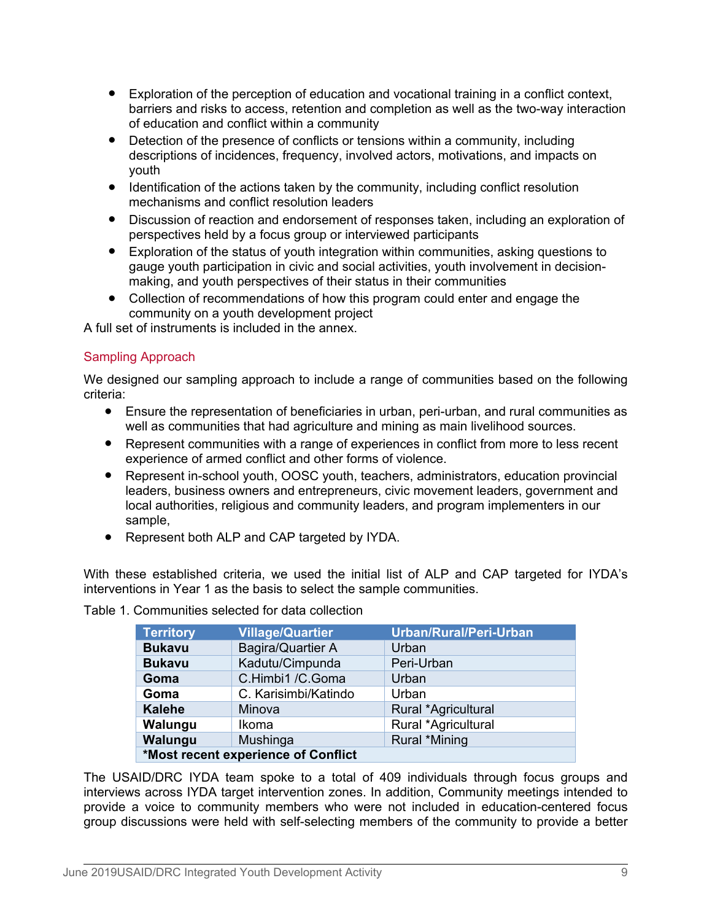- Exploration of the perception of education and vocational training in a conflict context, barriers and risks to access, retention and completion as well as the two-way interaction of education and conflict within a community
- Detection of the presence of conflicts or tensions within a community, including descriptions of incidences, frequency, involved actors, motivations, and impacts on youth
- Identification of the actions taken by the community, including conflict resolution mechanisms and conflict resolution leaders
- Discussion of reaction and endorsement of responses taken, including an exploration of perspectives held by a focus group or interviewed participants
- Exploration of the status of youth integration within communities, asking questions to gauge youth participation in civic and social activities, youth involvement in decisionmaking, and youth perspectives of their status in their communities
- Collection of recommendations of how this program could enter and engage the community on a youth development project

A full set of instruments is included in the annex.

#### Sampling Approach

We designed our sampling approach to include a range of communities based on the following criteria:

- Ensure the representation of beneficiaries in urban, peri-urban, and rural communities as well as communities that had agriculture and mining as main livelihood sources.
- Represent communities with a range of experiences in conflict from more to less recent experience of armed conflict and other forms of violence.
- Represent in-school youth, OOSC youth, teachers, administrators, education provincial leaders, business owners and entrepreneurs, civic movement leaders, government and local authorities, religious and community leaders, and program implementers in our sample,
- Represent both ALP and CAP targeted by IYDA.

With these established criteria, we used the initial list of ALP and CAP targeted for IYDA's interventions in Year 1 as the basis to select the sample communities.

| <b>Territory</b>                    | <b>Village/Quartier</b> | Urban/Rural/Peri-Urban |
|-------------------------------------|-------------------------|------------------------|
| <b>Bukavu</b>                       | Bagira/Quartier A       | Urban                  |
| <b>Bukavu</b>                       | Kadutu/Cimpunda         | Peri-Urban             |
| Goma                                | C.Himbi1 /C.Goma        | Urban                  |
| Goma                                | C. Karisimbi/Katindo    | Urban                  |
| <b>Kalehe</b>                       | Minova                  | Rural *Agricultural    |
| Walungu                             | Ikoma                   | Rural *Agricultural    |
| Walungu                             | Mushinga                | Rural *Mining          |
| *Most recent experience of Conflict |                         |                        |

Table 1. Communities selected for data collection

The USAID/DRC IYDA team spoke to a total of 409 individuals through focus groups and interviews across IYDA target intervention zones. In addition, Community meetings intended to provide a voice to community members who were not included in education-centered focus group discussions were held with self-selecting members of the community to provide a better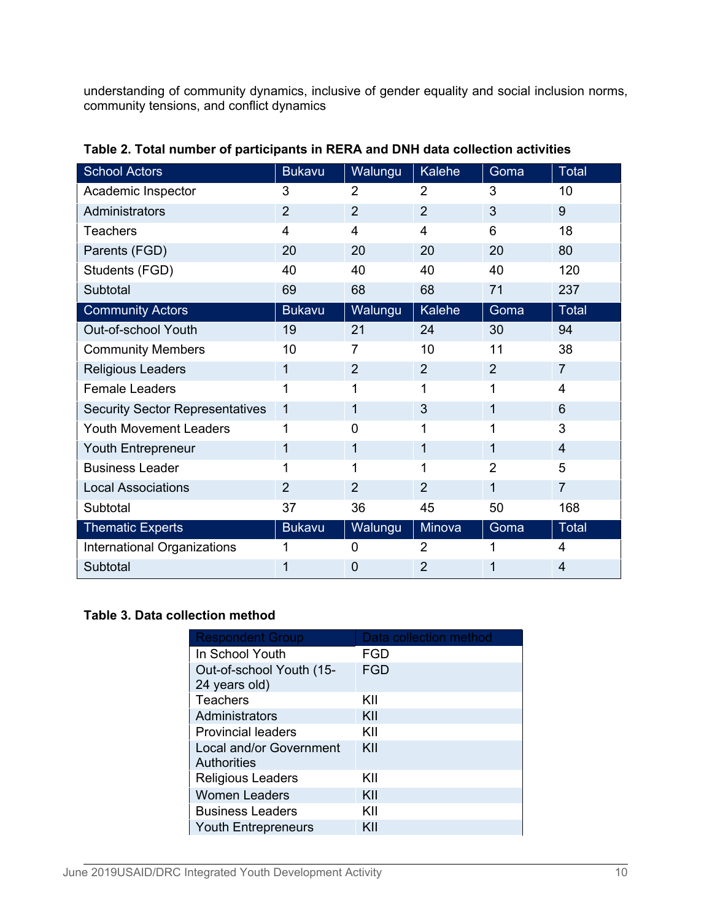understanding of community dynamics, inclusive of gender equality and social inclusion norms, community tensions, and conflict dynamics

| <b>School Actors</b>                   | <b>Bukavu</b>           | Walungu                 | Kalehe         | Goma           | Total          |
|----------------------------------------|-------------------------|-------------------------|----------------|----------------|----------------|
| Academic Inspector                     | 3                       | $\overline{2}$          | $\overline{2}$ | 3              | 10             |
| Administrators                         | $\overline{2}$          | $\overline{2}$          | $\overline{2}$ | 3              | 9              |
| <b>Teachers</b>                        | $\overline{\mathbf{4}}$ | $\overline{\mathbf{4}}$ | 4              | 6              | 18             |
| Parents (FGD)                          | 20                      | 20                      | 20             | 20             | 80             |
| Students (FGD)                         | 40                      | 40                      | 40             | 40             | 120            |
| Subtotal                               | 69                      | 68                      | 68             | 71             | 237            |
| <b>Community Actors</b>                | <b>Bukavu</b>           | Walungu                 | Kalehe         | Goma           | Total          |
| Out-of-school Youth                    | 19                      | 21                      | 24             | 30             | 94             |
| <b>Community Members</b>               | 10                      | 7                       | 10             | 11             | 38             |
| Religious Leaders                      | $\mathbf{1}$            | 2                       | $\overline{2}$ | 2              | $\overline{7}$ |
| <b>Female Leaders</b>                  | 1                       | 1                       | 1              | 1              | 4              |
| <b>Security Sector Representatives</b> | $\mathbf{1}$            | 1                       | 3              | 1              | 6              |
| Youth Movement Leaders                 | 1                       | $\mathbf 0$             | 1              | 1              | 3              |
| Youth Entrepreneur                     | 1                       | 1                       | 1              | 1              | $\overline{4}$ |
| <b>Business Leader</b>                 | 1                       | 1                       | 1              | $\overline{2}$ | 5              |
| <b>Local Associations</b>              | $\overline{2}$          | $\overline{2}$          | $\overline{2}$ | 1              | $\overline{7}$ |
| Subtotal                               | 37                      | 36                      | 45             | 50             | 168            |
| <b>Thematic Experts</b>                | <b>Bukavu</b>           | Walungu                 | Minova         | Goma           | Total          |
| International Organizations            | 1                       | $\mathbf 0$             | $\overline{2}$ |                | 4              |
| Subtotal                               | 1                       | 0                       | 2              | 1              | 4              |

**Table 2. Total number of participants in RERA and DNH data collection activities**

# **Table 3. Data collection method**

| <b>Respondent Group</b>                       | Data collection method |
|-----------------------------------------------|------------------------|
| In School Youth                               | FGD                    |
| Out-of-school Youth (15-<br>24 years old)     | FGD                    |
| Teachers                                      | KII                    |
| Administrators                                | KII                    |
| <b>Provincial leaders</b>                     | KII                    |
| Local and/or Government<br><b>Authorities</b> | KII                    |
| <b>Religious Leaders</b>                      | KII                    |
| <b>Women Leaders</b>                          | KII                    |
| <b>Business Leaders</b>                       | KII                    |
| <b>Youth Entrepreneurs</b>                    | KII                    |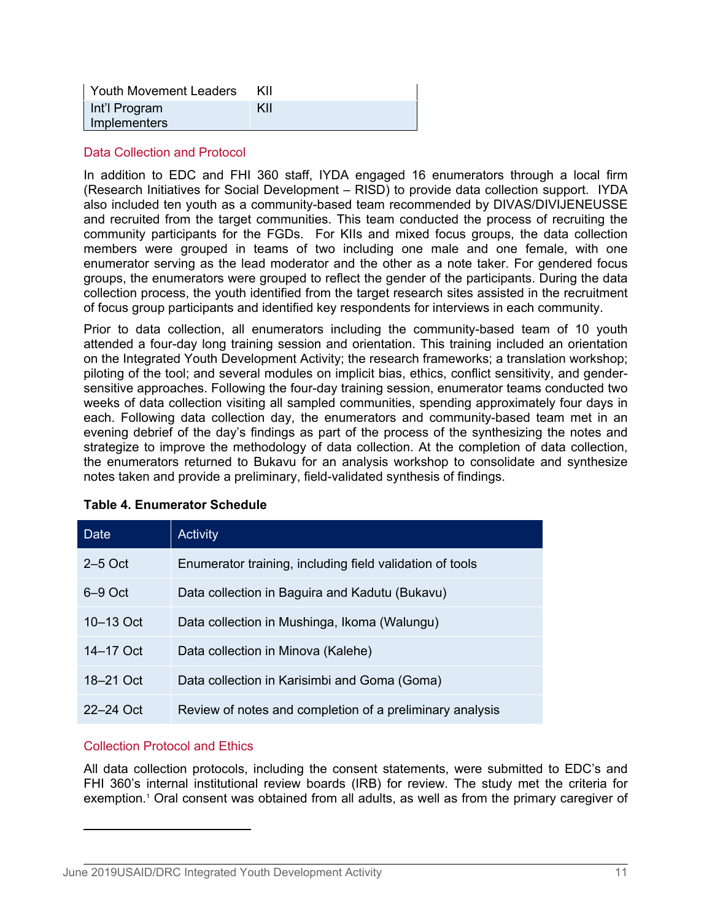| Youth Movement Leaders        | KII |
|-------------------------------|-----|
| Int'l Program<br>Implementers | KII |

#### Data Collection and Protocol

In addition to EDC and FHI 360 staff, IYDA engaged 16 enumerators through a local firm (Research Initiatives for Social Development – RISD) to provide data collection support. IYDA also included ten youth as a community-based team recommended by DIVAS/DIVIJENEUSSE and recruited from the target communities. This team conducted the process of recruiting the community participants for the FGDs. For KIIs and mixed focus groups, the data collection members were grouped in teams of two including one male and one female, with one enumerator serving as the lead moderator and the other as a note taker. For gendered focus groups, the enumerators were grouped to reflect the gender of the participants. During the data collection process, the youth identified from the target research sites assisted in the recruitment of focus group participants and identified key respondents for interviews in each community.

Prior to data collection, all enumerators including the community-based team of 10 youth attended a four-day long training session and orientation. This training included an orientation on the Integrated Youth Development Activity; the research frameworks; a translation workshop; piloting of the tool; and several modules on implicit bias, ethics, conflict sensitivity, and gendersensitive approaches. Following the four-day training session, enumerator teams conducted two weeks of data collection visiting all sampled communities, spending approximately four days in each. Following data collection day, the enumerators and community-based team met in an evening debrief of the day's findings as part of the process of the synthesizing the notes and strategize to improve the methodology of data collection. At the completion of data collection, the enumerators returned to Bukavu for an analysis workshop to consolidate and synthesize notes taken and provide a preliminary, field-validated synthesis of findings.

| <b>Date</b>   | <b>Activity</b>                                          |
|---------------|----------------------------------------------------------|
| $2-5$ Oct     | Enumerator training, including field validation of tools |
| 6–9 Oct       | Data collection in Baguira and Kadutu (Bukavu)           |
| $10 - 13$ Oct | Data collection in Mushinga, Ikoma (Walungu)             |
| 14–17 Oct     | Data collection in Minova (Kalehe)                       |
| 18–21 Oct     | Data collection in Karisimbi and Goma (Goma)             |
| 22–24 Oct     | Review of notes and completion of a preliminary analysis |

#### **Table 4. Enumerator Schedule**

#### Collection Protocol and Ethics

All data collection protocols, including the consent statements, were submitted to EDC's and FHI 360's internal institutional review boards (IRB) for review. The study met the criteria for exemption.<sup>1</sup> Oral consent was obtained from all adults, as well as from the primary caregiver of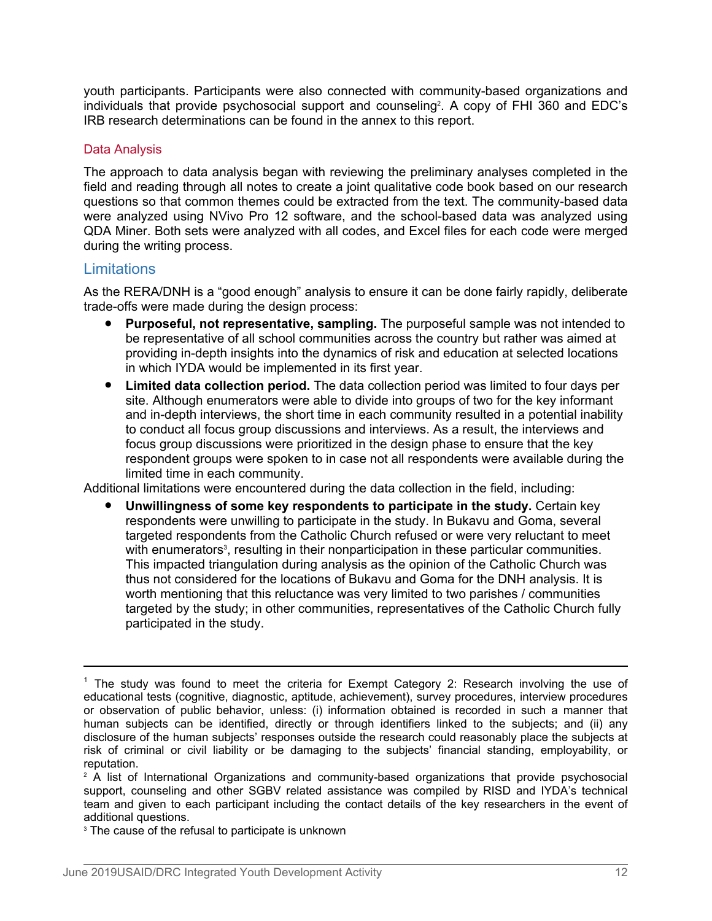youth participants. Participants were also connected with community-based organizations and individuals that provide psychosocial support and counseling<sup>2</sup>. A copy of FHI 360 and EDC's IRB research determinations can be found in the annex to this report.

#### Data Analysis

The approach to data analysis began with reviewing the preliminary analyses completed in the field and reading through all notes to create a joint qualitative code book based on our research questions so that common themes could be extracted from the text. The community-based data were analyzed using NVivo Pro 12 software, and the school-based data was analyzed using QDA Miner. Both sets were analyzed with all codes, and Excel files for each code were merged during the writing process.

# **Limitations**

As the RERA/DNH is a "good enough" analysis to ensure it can be done fairly rapidly, deliberate trade-offs were made during the design process:

- **Purposeful, not representative, sampling.** The purposeful sample was not intended to be representative of all school communities across the country but rather was aimed at providing in-depth insights into the dynamics of risk and education at selected locations in which IYDA would be implemented in its first year.
- **Limited data collection period.** The data collection period was limited to four days per site. Although enumerators were able to divide into groups of two for the key informant and in-depth interviews, the short time in each community resulted in a potential inability to conduct all focus group discussions and interviews. As a result, the interviews and focus group discussions were prioritized in the design phase to ensure that the key respondent groups were spoken to in case not all respondents were available during the limited time in each community.

Additional limitations were encountered during the data collection in the field, including:

**Unwillingness of some key respondents to participate in the study.** Certain key respondents were unwilling to participate in the study. In Bukavu and Goma, several targeted respondents from the Catholic Church refused or were very reluctant to meet with enumerators<sup>3</sup>, resulting in their nonparticipation in these particular communities. This impacted triangulation during analysis as the opinion of the Catholic Church was thus not considered for the locations of Bukavu and Goma for the DNH analysis. It is worth mentioning that this reluctance was very limited to two parishes / communities targeted by the study; in other communities, representatives of the Catholic Church fully participated in the study.

 $1$  The study was found to meet the criteria for Exempt Category 2: Research involving the use of educational tests (cognitive, diagnostic, aptitude, achievement), survey procedures, interview procedures or observation of public behavior, unless: (i) information obtained is recorded in such a manner that human subjects can be identified, directly or through identifiers linked to the subjects; and (ii) any disclosure of the human subjects' responses outside the research could reasonably place the subjects at risk of criminal or civil liability or be damaging to the subjects' financial standing, employability, or reputation.

 $2$  A list of International Organizations and community-based organizations that provide psychosocial support, counseling and other SGBV related assistance was compiled by RISD and IYDA's technical team and given to each participant including the contact details of the key researchers in the event of additional questions.

<sup>&</sup>lt;sup>3</sup> The cause of the refusal to participate is unknown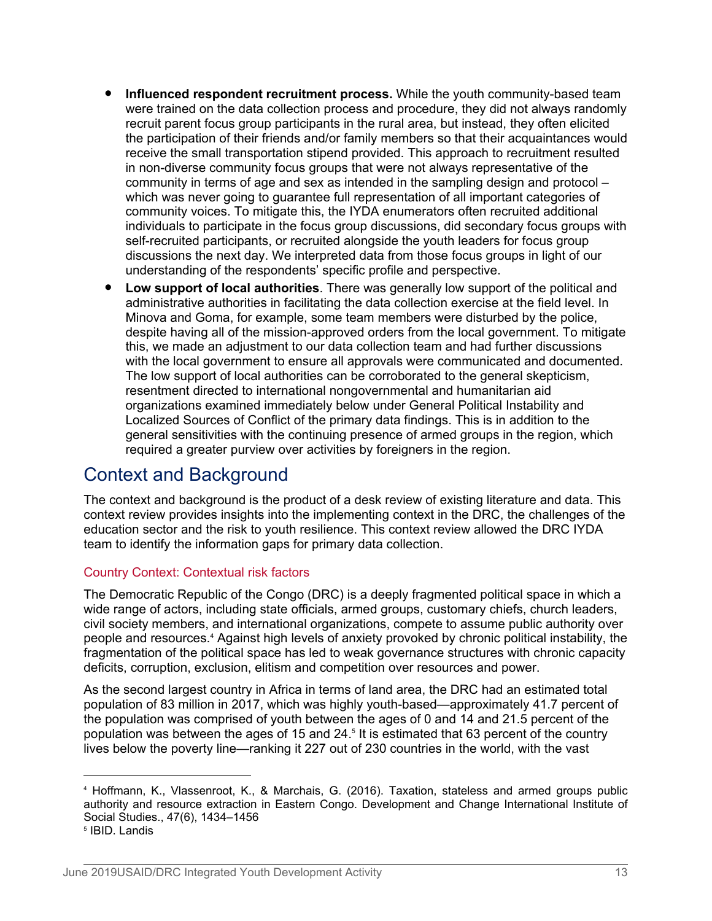- **Influenced respondent recruitment process.** While the youth community-based team were trained on the data collection process and procedure, they did not always randomly recruit parent focus group participants in the rural area, but instead, they often elicited the participation of their friends and/or family members so that their acquaintances would receive the small transportation stipend provided. This approach to recruitment resulted in non-diverse community focus groups that were not always representative of the community in terms of age and sex as intended in the sampling design and protocol – which was never going to guarantee full representation of all important categories of community voices. To mitigate this, the IYDA enumerators often recruited additional individuals to participate in the focus group discussions, did secondary focus groups with self-recruited participants, or recruited alongside the youth leaders for focus group discussions the next day. We interpreted data from those focus groups in light of our understanding of the respondents' specific profile and perspective.
- **Low support of local authorities**. There was generally low support of the political and administrative authorities in facilitating the data collection exercise at the field level. In Minova and Goma, for example, some team members were disturbed by the police, despite having all of the mission-approved orders from the local government. To mitigate this, we made an adjustment to our data collection team and had further discussions with the local government to ensure all approvals were communicated and documented. The low support of local authorities can be corroborated to the general skepticism, resentment directed to international nongovernmental and humanitarian aid organizations examined immediately below under General Political Instability and Localized Sources of Conflict of the primary data findings. This is in addition to the general sensitivities with the continuing presence of armed groups in the region, which required a greater purview over activities by foreigners in the region.

# Context and Background

The context and background is the product of a desk review of existing literature and data. This context review provides insights into the implementing context in the DRC, the challenges of the education sector and the risk to youth resilience. This context review allowed the DRC IYDA team to identify the information gaps for primary data collection.

# Country Context: Contextual risk factors

The Democratic Republic of the Congo (DRC) is a deeply fragmented political space in which a wide range of actors, including state officials, armed groups, customary chiefs, church leaders, civil society members, and international organizations, compete to assume public authority over people and resources.<sup>4</sup> Against high levels of anxiety provoked by chronic political instability, the fragmentation of the political space has led to weak governance structures with chronic capacity deficits, corruption, exclusion, elitism and competition over resources and power.

As the second largest country in Africa in terms of land area, the DRC had an estimated total population of 83 million in 2017, which was highly youth-based—approximately 41.7 percent of the population was comprised of youth between the ages of 0 and 14 and 21.5 percent of the population was between the ages of 15 and 24.<sup>5</sup> It is estimated that 63 percent of the country lives below the poverty line—ranking it 227 out of 230 countries in the world, with the vast

<sup>4</sup> Hoffmann, K., Vlassenroot, K., & Marchais, G. (2016). Taxation, stateless and armed groups public authority and resource extraction in Eastern Congo. Development and Change International Institute of Social Studies., 47(6), 1434–1456

<sup>5</sup> IBID. Landis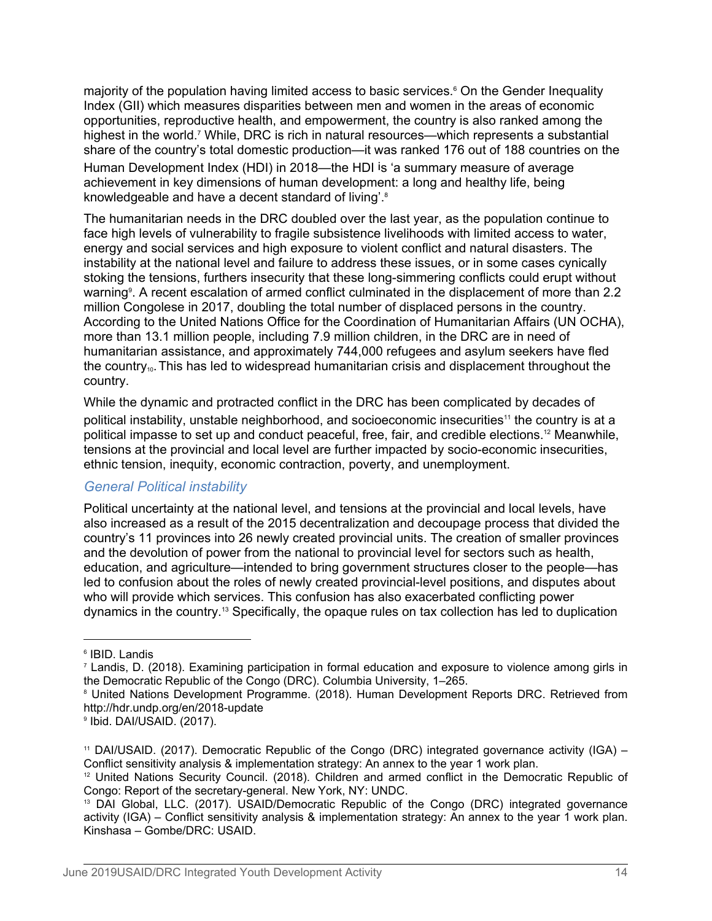majority of the population having limited access to basic services.<sup>6</sup> On the Gender Inequality Index (GII) which measures disparities between men and women in the areas of economic opportunities, reproductive health, and empowerment, the country is also ranked among the highest in the world.<sup>7</sup> While, DRC is rich in natural resources—which represents a substantial share of the country's total domestic production—it was ranked 176 out of 188 countries on the Human Development Index (HDI) in 2018—the HDI is 'a summary measure of average achievement in key dimensions of human development: a long and healthy life, being knowledgeable and have a decent standard of living'.<sup>8</sup>

The humanitarian needs in the DRC doubled over the last year, as the population continue to face high levels of vulnerability to fragile subsistence livelihoods with limited access to water, energy and social services and high exposure to violent conflict and natural disasters. The instability at the national level and failure to address these issues, or in some cases cynically stoking the tensions, furthers insecurity that these long-simmering conflicts could erupt without warning<sup>9</sup>. A recent escalation of armed conflict culminated in the displacement of more than 2.2 million Congolese in 2017, doubling the total number of displaced persons in the country. According to the United Nations Office for the Coordination of Humanitarian Affairs (UN OCHA), more than 13.1 million people, including 7.9 million children, in the DRC are in need of humanitarian assistance, and approximately 744,000 refugees and asylum seekers have fled the country<sub>10</sub>. This has led to widespread humanitarian crisis and displacement throughout the country.

While the dynamic and protracted conflict in the DRC has been complicated by decades of political instability, unstable neighborhood, and socioeconomic insecurities<sup>11</sup> the country is at a political impasse to set up and conduct peaceful, free, fair, and credible elections.12 Meanwhile, tensions at the provincial and local level are further impacted by socio-economic insecurities, ethnic tension, inequity, economic contraction, poverty, and unemployment.

#### *General Political instability*

Political uncertainty at the national level, and tensions at the provincial and local levels, have also increased as a result of the 2015 decentralization and decoupage process that divided the country's 11 provinces into 26 newly created provincial units. The creation of smaller provinces and the devolution of power from the national to provincial level for sectors such as health, education, and agriculture—intended to bring government structures closer to the people—has led to confusion about the roles of newly created provincial-level positions, and disputes about who will provide which services. This confusion has also exacerbated conflicting power dynamics in the country.13 Specifically, the opaque rules on tax collection has led to duplication

<sup>6</sup> IBID. Landis

<sup>7</sup> Landis, D. (2018). Examining participation in formal education and exposure to violence among girls in the Democratic Republic of the Congo (DRC). Columbia University, 1–265.

<sup>8</sup> United Nations Development Programme. (2018). Human Development Reports DRC. Retrieved from http://hdr.undp.org/en/2018-update

<sup>9</sup> Ibid. DAI/USAID. (2017).

<sup>&</sup>lt;sup>11</sup> DAI/USAID. (2017). Democratic Republic of the Congo (DRC) integrated governance activity (IGA) – Conflict sensitivity analysis & implementation strategy: An annex to the year 1 work plan.

 $12$  United Nations Security Council. (2018). Children and armed conflict in the Democratic Republic of Congo: Report of the secretary-general. New York, NY: UNDC.

<sup>&</sup>lt;sup>13</sup> DAI Global, LLC. (2017). USAID/Democratic Republic of the Congo (DRC) integrated governance activity (IGA) – Conflict sensitivity analysis & implementation strategy: An annex to the year 1 work plan. Kinshasa – Gombe/DRC: USAID.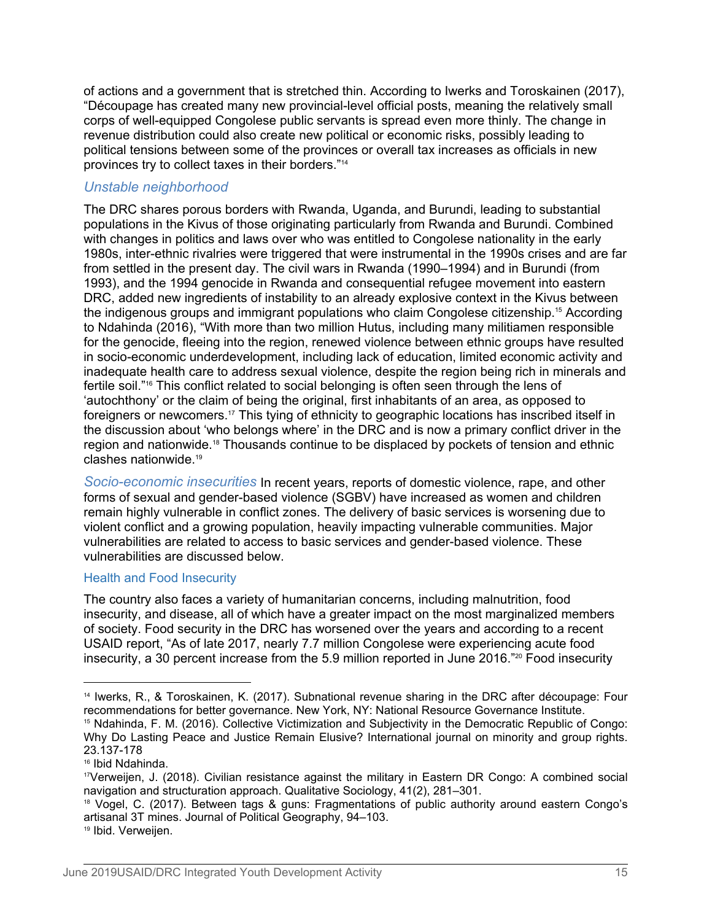of actions and a government that is stretched thin. According to Iwerks and Toroskainen (2017), "Découpage has created many new provincial-level official posts, meaning the relatively small corps of well-equipped Congolese public servants is spread even more thinly. The change in revenue distribution could also create new political or economic risks, possibly leading to political tensions between some of the provinces or overall tax increases as officials in new provinces try to collect taxes in their borders."<sup>14</sup>

### *Unstable neighborhood*

The DRC shares porous borders with Rwanda, Uganda, and Burundi, leading to substantial populations in the Kivus of those originating particularly from Rwanda and Burundi. Combined with changes in politics and laws over who was entitled to Congolese nationality in the early 1980s, inter-ethnic rivalries were triggered that were instrumental in the 1990s crises and are far from settled in the present day. The civil wars in Rwanda (1990–1994) and in Burundi (from 1993), and the 1994 genocide in Rwanda and consequential refugee movement into eastern DRC, added new ingredients of instability to an already explosive context in the Kivus between the indigenous groups and immigrant populations who claim Congolese citizenship.15 According to Ndahinda (2016), "With more than two million Hutus, including many militiamen responsible for the genocide, fleeing into the region, renewed violence between ethnic groups have resulted in socio-economic underdevelopment, including lack of education, limited economic activity and inadequate health care to address sexual violence, despite the region being rich in minerals and fertile soil."16 This conflict related to social belonging is often seen through the lens of 'autochthony' or the claim of being the original, first inhabitants of an area, as opposed to foreigners or newcomers.17 This tying of ethnicity to geographic locations has inscribed itself in the discussion about 'who belongs where' in the DRC and is now a primary conflict driver in the region and nationwide.18 Thousands continue to be displaced by pockets of tension and ethnic clashes nationwide.<sup>19</sup>

*Socio-economic insecurities* In recent years, reports of domestic violence, rape, and other forms of sexual and gender-based violence (SGBV) have increased as women and children remain highly vulnerable in conflict zones. The delivery of basic services is worsening due to violent conflict and a growing population, heavily impacting vulnerable communities. Major vulnerabilities are related to access to basic services and gender-based violence. These vulnerabilities are discussed below.

#### Health and Food Insecurity

The country also faces a variety of humanitarian concerns, including malnutrition, food insecurity, and disease, all of which have a greater impact on the most marginalized members of society. Food security in the DRC has worsened over the years and according to a recent USAID report, "As of late 2017, nearly 7.7 million Congolese were experiencing acute food insecurity, a 30 percent increase from the 5.9 million reported in June 2016.<sup>"20</sup> Food insecurity

<sup>14</sup> Iwerks, R., & Toroskainen, K. (2017). Subnational revenue sharing in the DRC after découpage: Four recommendations for better governance. New York, NY: National Resource Governance Institute. <sup>15</sup> Ndahinda, F. M. (2016). Collective Victimization and Subjectivity in the Democratic Republic of Congo: Why Do Lasting Peace and Justice Remain Elusive? International journal on minority and group rights. 23.137-178

<sup>16</sup> Ibid Ndahinda.

<sup>17</sup>Verweijen, J. (2018). Civilian resistance against the military in Eastern DR Congo: A combined social navigation and structuration approach. Qualitative Sociology, 41(2), 281–301.

<sup>&</sup>lt;sup>18</sup> Vogel, C. (2017). Between tags & guns: Fragmentations of public authority around eastern Congo's artisanal 3T mines. Journal of Political Geography, 94–103.

<sup>19</sup> Ibid. Verweijen.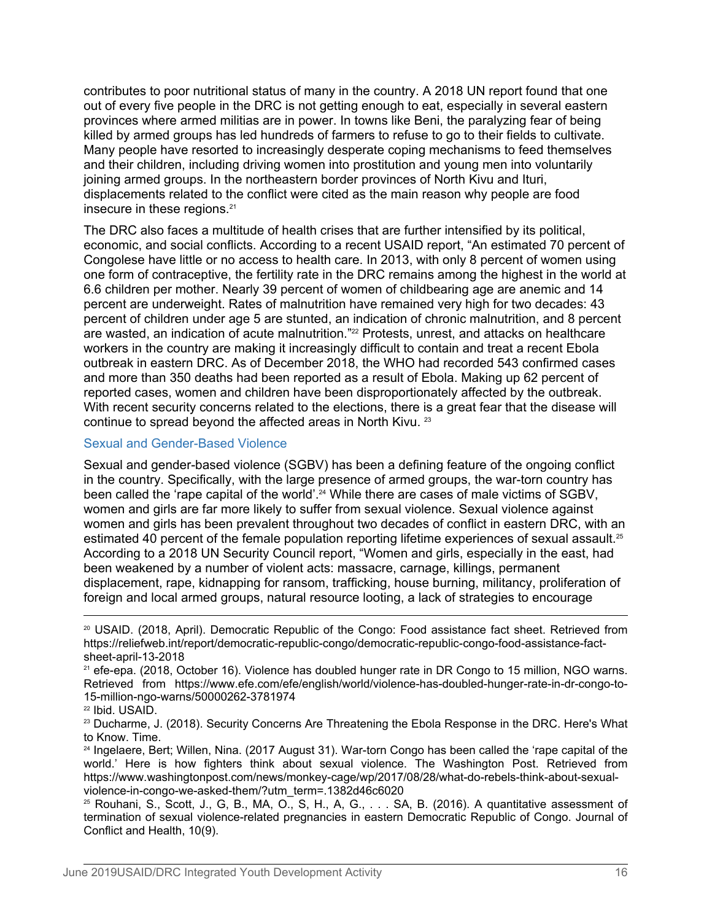contributes to poor nutritional status of many in the country. A 2018 UN report found that one out of every five people in the DRC is not getting enough to eat, especially in several eastern provinces where armed militias are in power. In towns like Beni, the paralyzing fear of being killed by armed groups has led hundreds of farmers to refuse to go to their fields to cultivate. Many people have resorted to increasingly desperate coping mechanisms to feed themselves and their children, including driving women into prostitution and young men into voluntarily joining armed groups. In the northeastern border provinces of North Kivu and Ituri, displacements related to the conflict were cited as the main reason why people are food insecure in these regions.<sup>21</sup>

The DRC also faces a multitude of health crises that are further intensified by its political, economic, and social conflicts. According to a recent USAID report, "An estimated 70 percent of Congolese have little or no access to health care. In 2013, with only 8 percent of women using one form of contraceptive, the fertility rate in the DRC remains among the highest in the world at 6.6 children per mother. Nearly 39 percent of women of childbearing age are anemic and 14 percent are underweight. Rates of malnutrition have remained very high for two decades: 43 percent of children under age 5 are stunted, an indication of chronic malnutrition, and 8 percent are wasted, an indication of acute malnutrition."<sup>22</sup> Protests, unrest, and attacks on healthcare workers in the country are making it increasingly difficult to contain and treat a recent Ebola outbreak in eastern DRC. As of December 2018, the WHO had recorded 543 confirmed cases and more than 350 deaths had been reported as a result of Ebola. Making up 62 percent of reported cases, women and children have been disproportionately affected by the outbreak. With recent security concerns related to the elections, there is a great fear that the disease will continue to spread beyond the affected areas in North Kivu.<sup>23</sup>

#### Sexual and Gender-Based Violence

Sexual and gender-based violence (SGBV) has been a defining feature of the ongoing conflict in the country. Specifically, with the large presence of armed groups, the war-torn country has been called the 'rape capital of the world'.<sup>24</sup> While there are cases of male victims of SGBV, women and girls are far more likely to suffer from sexual violence. Sexual violence against women and girls has been prevalent throughout two decades of conflict in eastern DRC, with an estimated 40 percent of the female population reporting lifetime experiences of sexual assault.<sup>25</sup> According to a 2018 UN Security Council report, "Women and girls, especially in the east, had been weakened by a number of violent acts: massacre, carnage, killings, permanent displacement, rape, kidnapping for ransom, trafficking, house burning, militancy, proliferation of foreign and local armed groups, natural resource looting, a lack of strategies to encourage

<sup>20</sup> USAID. (2018, April). Democratic Republic of the Congo: Food assistance fact sheet. Retrieved from https://reliefweb.int/report/democratic-republic-congo/democratic-republic-congo-food-assistance-factsheet-april-13-2018

<sup>&</sup>lt;sup>21</sup> efe-epa. (2018, October 16). Violence has doubled hunger rate in DR Congo to 15 million, NGO warns. Retrieved from https://www.efe.com/efe/english/world/violence-has-doubled-hunger-rate-in-dr-congo-to-15-million-ngo-warns/50000262-3781974

<sup>22</sup> Ibid. USAID.

<sup>&</sup>lt;sup>23</sup> Ducharme, J. (2018). Security Concerns Are Threatening the Ebola Response in the DRC. Here's What to Know. Time.

<sup>24</sup> Ingelaere, Bert; Willen, Nina. (2017 August 31). War-torn Congo has been called the 'rape capital of the world.' Here is how fighters think about sexual violence. The Washington Post. Retrieved from https://www.washingtonpost.com/news/monkey-cage/wp/2017/08/28/what-do-rebels-think-about-sexualviolence-in-congo-we-asked-them/?utm\_term=.1382d46c6020

<sup>25</sup> Rouhani, S., Scott, J., G, B., MA, O., S, H., A, G., . . . SA, B. (2016). A quantitative assessment of termination of sexual violence-related pregnancies in eastern Democratic Republic of Congo. Journal of Conflict and Health, 10(9).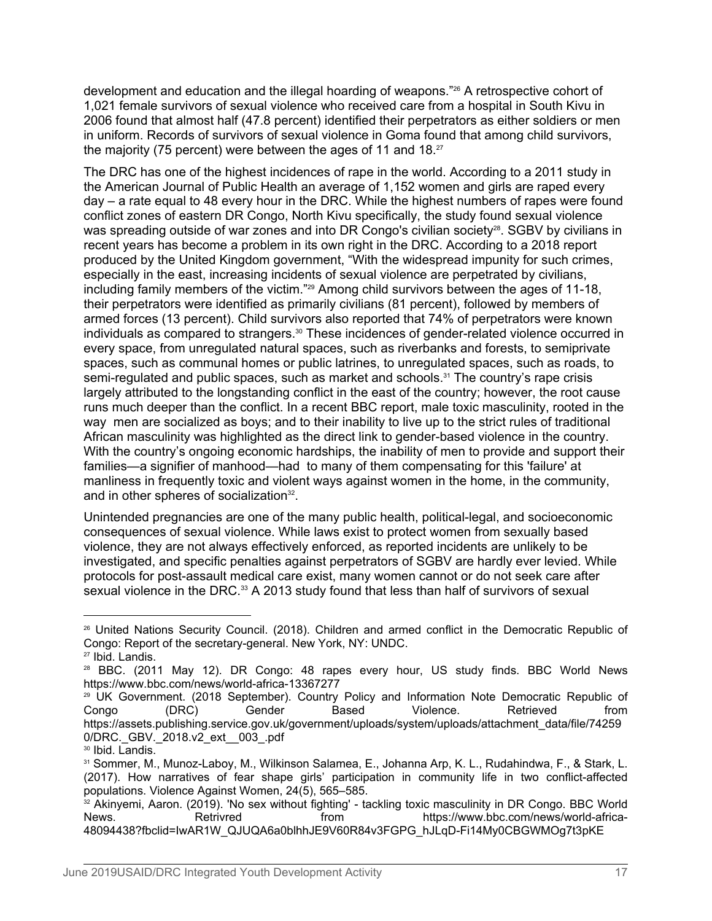development and education and the illegal hoarding of weapons."26 A retrospective cohort of 1,021 female survivors of sexual violence who received care from a hospital in South Kivu in 2006 found that almost half (47.8 percent) identified their perpetrators as either soldiers or men in uniform. Records of survivors of sexual violence in Goma found that among child survivors, the majority (75 percent) were between the ages of 11 and 18.<sup>27</sup>

The DRC has one of the highest incidences of rape in the world. According to a 2011 study in the American Journal of Public Health an average of 1,152 women and girls are raped every day – a rate equal to 48 every hour in the DRC. While the highest numbers of rapes were found conflict zones of eastern DR Congo, North Kivu specifically, the study found sexual violence was spreading outside of war zones and into DR Congo's civilian society<sup>28</sup>. SGBV by civilians in recent years has become a problem in its own right in the DRC. According to a 2018 report produced by the United Kingdom government, "With the widespread impunity for such crimes, especially in the east, increasing incidents of sexual violence are perpetrated by civilians, including family members of the victim."<sup>29</sup> Among child survivors between the ages of 11-18, their perpetrators were identified as primarily civilians (81 percent), followed by members of armed forces (13 percent). Child survivors also reported that 74% of perpetrators were known individuals as compared to strangers.<sup>30</sup> These incidences of gender-related violence occurred in every space, from unregulated natural spaces, such as riverbanks and forests, to semiprivate spaces, such as communal homes or public latrines, to unregulated spaces, such as roads, to semi-regulated and public spaces, such as market and schools.<sup>31</sup> The country's rape crisis largely attributed to the longstanding conflict in the east of the country; however, the root cause runs much deeper than the conflict. In a recent BBC report, male toxic masculinity, rooted in the way men are socialized as boys; and to their inability to live up to the strict rules of traditional African masculinity was highlighted as the direct link to gender-based violence in the country. With the country's ongoing economic hardships, the inability of men to provide and support their families—a signifier of manhood—had to many of them compensating for this 'failure' at manliness in frequently toxic and violent ways against women in the home, in the community, and in other spheres of socialization<sup>32</sup>. .

Unintended pregnancies are one of the many public health, political-legal, and socioeconomic consequences of sexual violence. While laws exist to protect women from sexually based violence, they are not always effectively enforced, as reported incidents are unlikely to be investigated, and specific penalties against perpetrators of SGBV are hardly ever levied. While protocols for post-assault medical care exist, many women cannot or do not seek care after sexual violence in the DRC.<sup>33</sup> A 2013 study found that less than half of survivors of sexual

<sup>26</sup> United Nations Security Council. (2018). Children and armed conflict in the Democratic Republic of Congo: Report of the secretary-general. New York, NY: UNDC. <sup>27</sup> Ibid. Landis.

<sup>28</sup> BBC. (2011 May 12). DR Congo: 48 rapes every hour, US study finds. BBC World News https://www.bbc.com/news/world-africa-13367277

<sup>&</sup>lt;sup>29</sup> UK Government. (2018 September). Country Policy and Information Note Democratic Republic of Congo (DRC) Gender Based Violence. Retrieved from https://assets.publishing.service.gov.uk/government/uploads/system/uploads/attachment\_data/file/74259 0/DRC.\_GBV.\_2018.v2\_ext\_\_003\_.pdf

<sup>&</sup>lt;sup>30</sup> Ibid. Landis.

<sup>31</sup> Sommer, M., Munoz-Laboy, M., Wilkinson Salamea, E., Johanna Arp, K. L., Rudahindwa, F., & Stark, L. (2017). How narratives of fear shape girls' participation in community life in two conflict-affected populations. Violence Against Women, 24(5), 565–585.

<sup>32</sup> Akinyemi, Aaron. (2019). 'No sex without fighting' - tackling toxic masculinity in DR Congo. BBC World News. Retrivred from https://www.bbc.com/news/world-africa-48094438?fbclid=IwAR1W\_QJUQA6a0blhhJE9V60R84v3FGPG\_hJLqD-Fi14My0CBGWMOg7t3pKE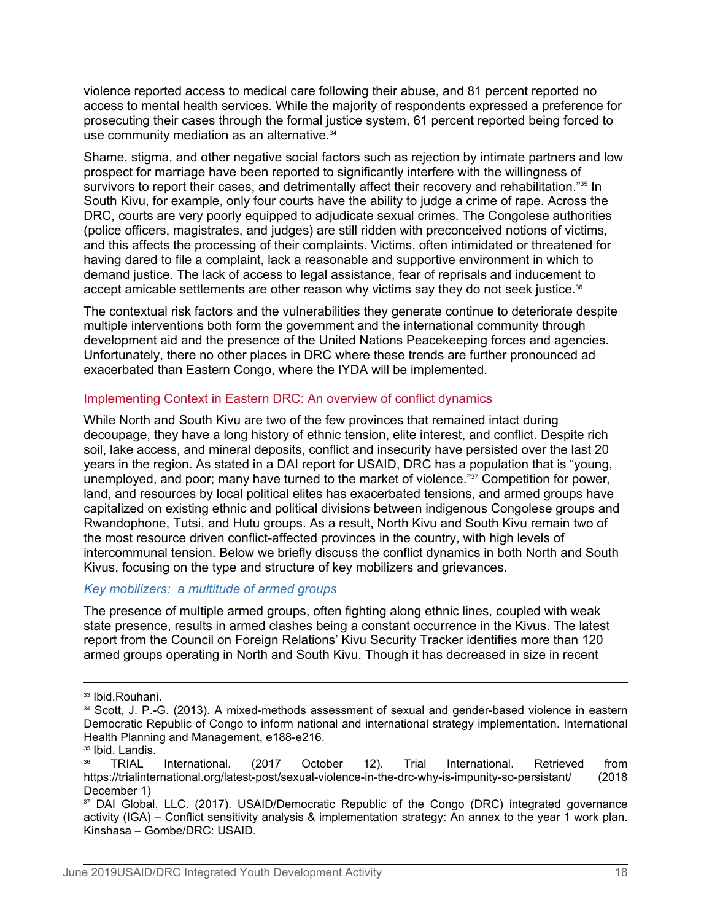violence reported access to medical care following their abuse, and 81 percent reported no access to mental health services. While the majority of respondents expressed a preference for prosecuting their cases through the formal justice system, 61 percent reported being forced to use community mediation as an alternative.<sup>34</sup>

Shame, stigma, and other negative social factors such as rejection by intimate partners and low prospect for marriage have been reported to significantly interfere with the willingness of survivors to report their cases, and detrimentally affect their recovery and rehabilitation."35 In South Kivu, for example, only four courts have the ability to judge a crime of rape. Across the DRC, courts are very poorly equipped to adjudicate sexual crimes. The Congolese authorities (police officers, magistrates, and judges) are still ridden with preconceived notions of victims, and this affects the processing of their complaints. Victims, often intimidated or threatened for having dared to file a complaint, lack a reasonable and supportive environment in which to demand justice. The lack of access to legal assistance, fear of reprisals and inducement to accept amicable settlements are other reason why victims say they do not seek justice.<sup>36</sup>

The contextual risk factors and the vulnerabilities they generate continue to deteriorate despite multiple interventions both form the government and the international community through development aid and the presence of the United Nations Peacekeeping forces and agencies. Unfortunately, there no other places in DRC where these trends are further pronounced ad exacerbated than Eastern Congo, where the IYDA will be implemented.

#### Implementing Context in Eastern DRC: An overview of conflict dynamics

While North and South Kivu are two of the few provinces that remained intact during decoupage, they have a long history of ethnic tension, elite interest, and conflict. Despite rich soil, lake access, and mineral deposits, conflict and insecurity have persisted over the last 20 years in the region. As stated in a DAI report for USAID, DRC has a population that is "young, unemployed, and poor; many have turned to the market of violence."37 Competition for power, land, and resources by local political elites has exacerbated tensions, and armed groups have capitalized on existing ethnic and political divisions between indigenous Congolese groups and Rwandophone, Tutsi, and Hutu groups. As a result, North Kivu and South Kivu remain two of the most resource driven conflict-affected provinces in the country, with high levels of intercommunal tension. Below we briefly discuss the conflict dynamics in both North and South Kivus, focusing on the type and structure of key mobilizers and grievances.

#### *Key mobilizers: a multitude of armed groups*

The presence of multiple armed groups, often fighting along ethnic lines, coupled with weak state presence, results in armed clashes being a constant occurrence in the Kivus. The latest report from the Council on Foreign Relations' Kivu Security Tracker identifies more than 120 armed groups operating in North and South Kivu. Though it has decreased in size in recent

<sup>33</sup> Ibid.Rouhani.

<sup>34</sup> Scott, J. P.-G. (2013). A mixed-methods assessment of sexual and gender-based violence in eastern Democratic Republic of Congo to inform national and international strategy implementation. International Health Planning and Management, e188-e216.

<sup>&</sup>lt;sup>35</sup> Ibid. Landis.

<sup>36</sup> TRIAL International. (2017 October 12). Trial International. Retrieved from https://trialinternational.org/latest-post/sexual-violence-in-the-drc-why-is-impunity-so-persistant/ (2018 December 1)

<sup>&</sup>lt;sup>37</sup> DAI Global, LLC. (2017). USAID/Democratic Republic of the Congo (DRC) integrated governance activity (IGA) – Conflict sensitivity analysis & implementation strategy: An annex to the year 1 work plan. Kinshasa – Gombe/DRC: USAID.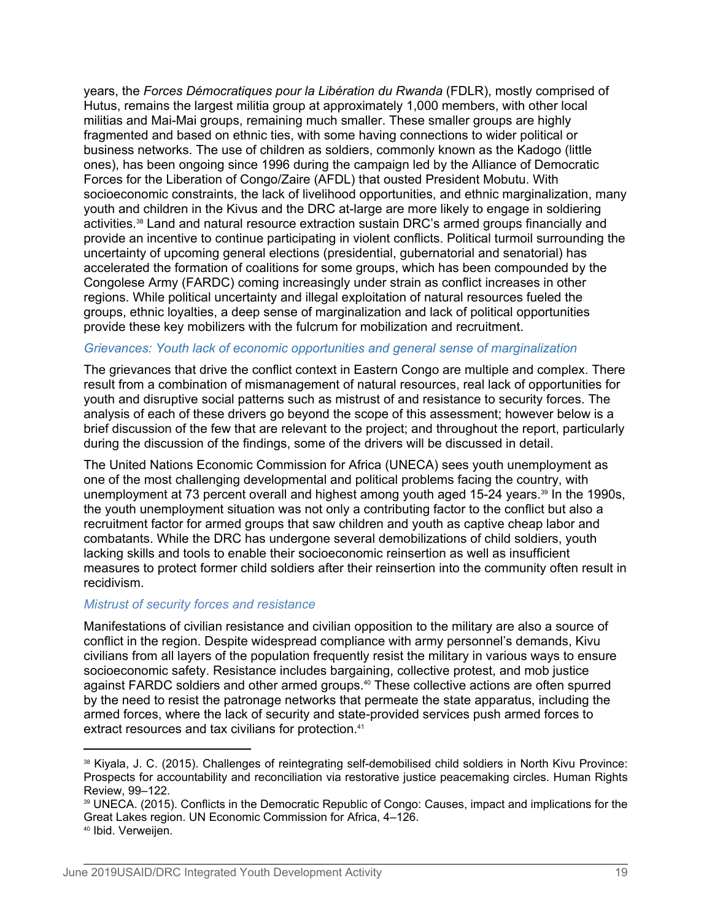years, the *Forces Démocratiques pour la Libération du Rwanda* (FDLR), mostly comprised of Hutus, remains the largest militia group at approximately 1,000 members, with other local militias and Mai-Mai groups, remaining much smaller. These smaller groups are highly fragmented and based on ethnic ties, with some having connections to wider political or business networks. The use of children as soldiers, commonly known as the Kadogo (little ones), has been ongoing since 1996 during the campaign led by the Alliance of Democratic Forces for the Liberation of Congo/Zaire (AFDL) that ousted President Mobutu. With socioeconomic constraints, the lack of livelihood opportunities, and ethnic marginalization, many youth and children in the Kivus and the DRC at-large are more likely to engage in soldiering activities.38 Land and natural resource extraction sustain DRC's armed groups financially and provide an incentive to continue participating in violent conflicts. Political turmoil surrounding the uncertainty of upcoming general elections (presidential, gubernatorial and senatorial) has accelerated the formation of coalitions for some groups, which has been compounded by the Congolese Army (FARDC) coming increasingly under strain as conflict increases in other regions. While political uncertainty and illegal exploitation of natural resources fueled the groups, ethnic loyalties, a deep sense of marginalization and lack of political opportunities provide these key mobilizers with the fulcrum for mobilization and recruitment.

#### *Grievances: Youth lack of economic opportunities and general sense of marginalization*

The grievances that drive the conflict context in Eastern Congo are multiple and complex. There result from a combination of mismanagement of natural resources, real lack of opportunities for youth and disruptive social patterns such as mistrust of and resistance to security forces. The analysis of each of these drivers go beyond the scope of this assessment; however below is a brief discussion of the few that are relevant to the project; and throughout the report, particularly during the discussion of the findings, some of the drivers will be discussed in detail.

The United Nations Economic Commission for Africa (UNECA) sees youth unemployment as one of the most challenging developmental and political problems facing the country, with unemployment at 73 percent overall and highest among youth aged 15-24 years.<sup>39</sup> In the 1990s, the youth unemployment situation was not only a contributing factor to the conflict but also a recruitment factor for armed groups that saw children and youth as captive cheap labor and combatants. While the DRC has undergone several demobilizations of child soldiers, youth lacking skills and tools to enable their socioeconomic reinsertion as well as insufficient measures to protect former child soldiers after their reinsertion into the community often result in recidivism.

#### *Mistrust of security forces and resistance*

Manifestations of civilian resistance and civilian opposition to the military are also a source of conflict in the region. Despite widespread compliance with army personnel's demands, Kivu civilians from all layers of the population frequently resist the military in various ways to ensure socioeconomic safety. Resistance includes bargaining, collective protest, and mob justice against FARDC soldiers and other armed groups.<sup>40</sup> These collective actions are often spurred by the need to resist the patronage networks that permeate the state apparatus, including the armed forces, where the lack of security and state-provided services push armed forces to extract resources and tax civilians for protection.<sup>41</sup>

<sup>38</sup> Kiyala, J. C. (2015). Challenges of reintegrating self-demobilised child soldiers in North Kivu Province: Prospects for accountability and reconciliation via restorative justice peacemaking circles. Human Rights Review, 99–122.

<sup>39</sup> UNECA. (2015). Conflicts in the Democratic Republic of Congo: Causes, impact and implications for the Great Lakes region. UN Economic Commission for Africa, 4–126.

<sup>40</sup> Ibid. Verweijen.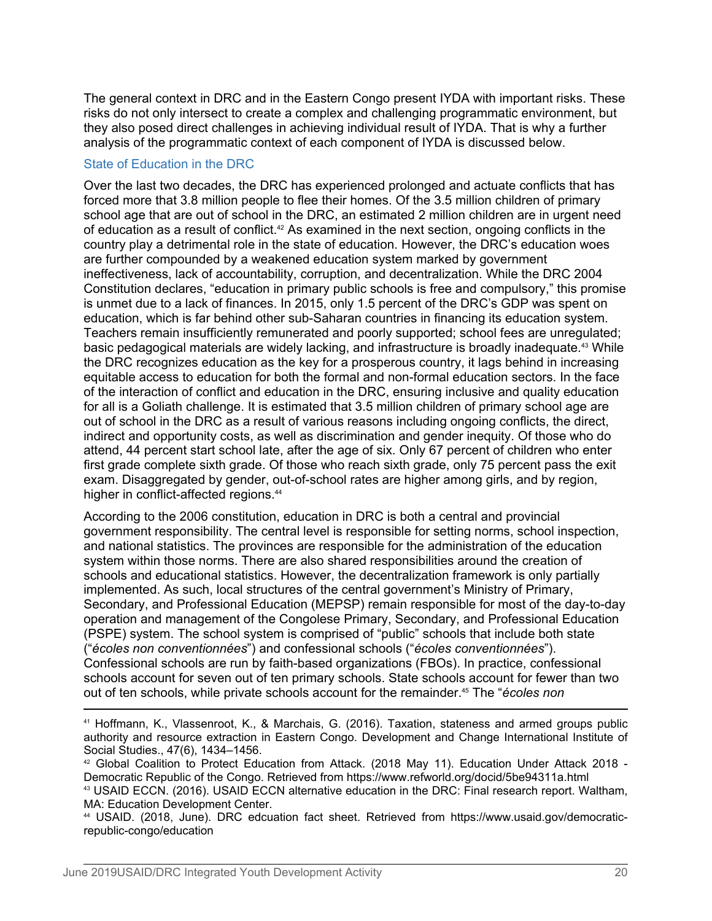The general context in DRC and in the Eastern Congo present IYDA with important risks. These risks do not only intersect to create a complex and challenging programmatic environment, but they also posed direct challenges in achieving individual result of IYDA. That is why a further analysis of the programmatic context of each component of IYDA is discussed below.

#### State of Education in the DRC

Over the last two decades, the DRC has experienced prolonged and actuate conflicts that has forced more that 3.8 million people to flee their homes. Of the 3.5 million children of primary school age that are out of school in the DRC, an estimated 2 million children are in urgent need of education as a result of conflict.<sup>42</sup> As examined in the next section, ongoing conflicts in the country play a detrimental role in the state of education. However, the DRC's education woes are further compounded by a weakened education system marked by government ineffectiveness, lack of accountability, corruption, and decentralization. While the DRC 2004 Constitution declares, "education in primary public schools is free and compulsory," this promise is unmet due to a lack of finances. In 2015, only 1.5 percent of the DRC's GDP was spent on education, which is far behind other sub-Saharan countries in financing its education system. Teachers remain insufficiently remunerated and poorly supported; school fees are unregulated; basic pedagogical materials are widely lacking, and infrastructure is broadly inadequate.43 While the DRC recognizes education as the key for a prosperous country, it lags behind in increasing equitable access to education for both the formal and non-formal education sectors. In the face of the interaction of conflict and education in the DRC, ensuring inclusive and quality education for all is a Goliath challenge. It is estimated that 3.5 million children of primary school age are out of school in the DRC as a result of various reasons including ongoing conflicts, the direct, indirect and opportunity costs, as well as discrimination and gender inequity. Of those who do attend, 44 percent start school late, after the age of six. Only 67 percent of children who enter first grade complete sixth grade. Of those who reach sixth grade, only 75 percent pass the exit exam. Disaggregated by gender, out-of-school rates are higher among girls, and by region, higher in conflict-affected regions.<sup>44</sup>

According to the 2006 constitution, education in DRC is both a central and provincial government responsibility. The central level is responsible for setting norms, school inspection, and national statistics. The provinces are responsible for the administration of the education system within those norms. There are also shared responsibilities around the creation of schools and educational statistics. However, the decentralization framework is only partially implemented. As such, local structures of the central government's Ministry of Primary, Secondary, and Professional Education (MEPSP) remain responsible for most of the day-to-day operation and management of the Congolese Primary, Secondary, and Professional Education (PSPE) system. The school system is comprised of "public" schools that include both state ("*écoles non conventionnées*") and confessional schools ("*écoles conventionnées*"). Confessional schools are run by faith-based organizations (FBOs). In practice, confessional schools account for seven out of ten primary schools. State schools account for fewer than two out of ten schools, while private schools account for the remainder.45 The "*écoles non* 

<sup>41</sup> Hoffmann, K., Vlassenroot, K., & Marchais, G. (2016). Taxation, stateness and armed groups public authority and resource extraction in Eastern Congo. Development and Change International Institute of Social Studies., 47(6), 1434–1456.

<sup>&</sup>lt;sup>42</sup> Global Coalition to Protect Education from Attack. (2018 May 11). Education Under Attack 2018 - Democratic Republic of the Congo. Retrieved from https://www.refworld.org/docid/5be94311a.html <sup>43</sup> USAID ECCN. (2016). USAID ECCN alternative education in the DRC: Final research report. Waltham, MA: Education Development Center.

<sup>44</sup> USAID. (2018, June). DRC edcuation fact sheet. Retrieved from https://www.usaid.gov/democraticrepublic-congo/education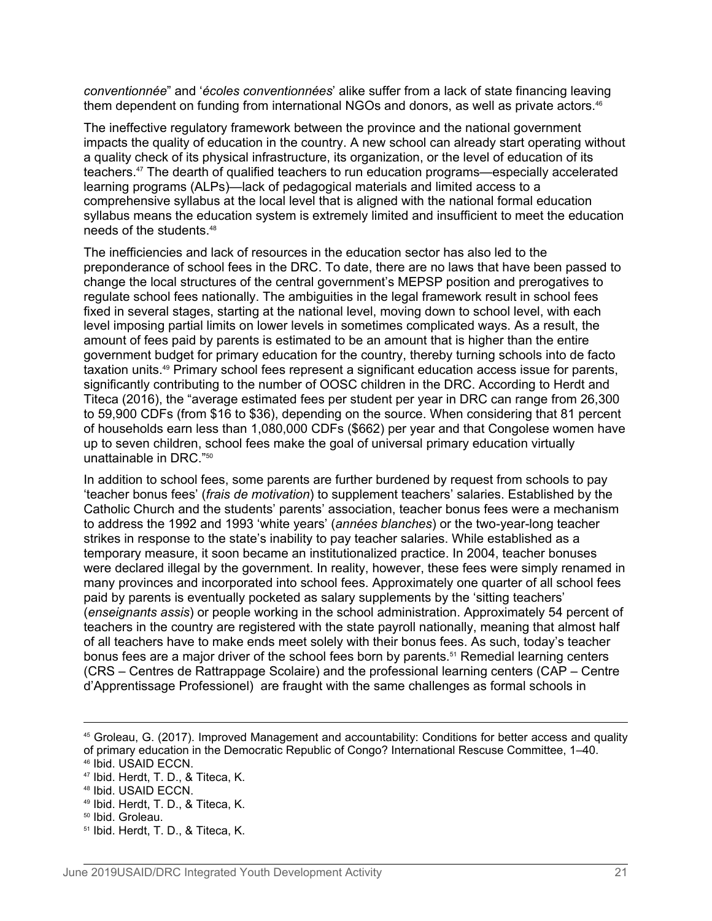*conventionnée*" and '*écoles conventionnées*' alike suffer from a lack of state financing leaving them dependent on funding from international NGOs and donors, as well as private actors.<sup>46</sup>

The ineffective regulatory framework between the province and the national government impacts the quality of education in the country. A new school can already start operating without a quality check of its physical infrastructure, its organization, or the level of education of its teachers.47 The dearth of qualified teachers to run education programs—especially accelerated learning programs (ALPs)—lack of pedagogical materials and limited access to a comprehensive syllabus at the local level that is aligned with the national formal education syllabus means the education system is extremely limited and insufficient to meet the education needs of the students.<sup>48</sup>

The inefficiencies and lack of resources in the education sector has also led to the preponderance of school fees in the DRC. To date, there are no laws that have been passed to change the local structures of the central government's MEPSP position and prerogatives to regulate school fees nationally. The ambiguities in the legal framework result in school fees fixed in several stages, starting at the national level, moving down to school level, with each level imposing partial limits on lower levels in sometimes complicated ways. As a result, the amount of fees paid by parents is estimated to be an amount that is higher than the entire government budget for primary education for the country, thereby turning schools into de facto taxation units.<sup>49</sup> Primary school fees represent a significant education access issue for parents, significantly contributing to the number of OOSC children in the DRC. According to Herdt and Titeca (2016), the "average estimated fees per student per year in DRC can range from 26,300 to 59,900 CDFs (from \$16 to \$36), depending on the source. When considering that 81 percent of households earn less than 1,080,000 CDFs (\$662) per year and that Congolese women have up to seven children, school fees make the goal of universal primary education virtually unattainable in DRC."<sup>50</sup>

In addition to school fees, some parents are further burdened by request from schools to pay 'teacher bonus fees' (*frais de motivation*) to supplement teachers' salaries. Established by the Catholic Church and the students' parents' association, teacher bonus fees were a mechanism to address the 1992 and 1993 'white years' (*années blanches*) or the two-year-long teacher strikes in response to the state's inability to pay teacher salaries. While established as a temporary measure, it soon became an institutionalized practice. In 2004, teacher bonuses were declared illegal by the government. In reality, however, these fees were simply renamed in many provinces and incorporated into school fees. Approximately one quarter of all school fees paid by parents is eventually pocketed as salary supplements by the 'sitting teachers' (*enseignants assis*) or people working in the school administration. Approximately 54 percent of teachers in the country are registered with the state payroll nationally, meaning that almost half of all teachers have to make ends meet solely with their bonus fees. As such, today's teacher bonus fees are a major driver of the school fees born by parents.<sup>51</sup> Remedial learning centers (CRS – Centres de Rattrappage Scolaire) and the professional learning centers (CAP – Centre d'Apprentissage Professionel) are fraught with the same challenges as formal schools in

<sup>45</sup> Groleau, G. (2017). Improved Management and accountability: Conditions for better access and quality of primary education in the Democratic Republic of Congo? International Rescuse Committee, 1–40. <sup>46</sup> Ibid. USAID ECCN.

<sup>47</sup> Ibid. Herdt, T. D., & Titeca, K.

<sup>48</sup> Ibid. USAID ECCN.

<sup>49</sup> Ibid. Herdt, T. D., & Titeca, K.

<sup>50</sup> Ibid. Groleau.

<sup>51</sup> Ibid. Herdt, T. D., & Titeca, K.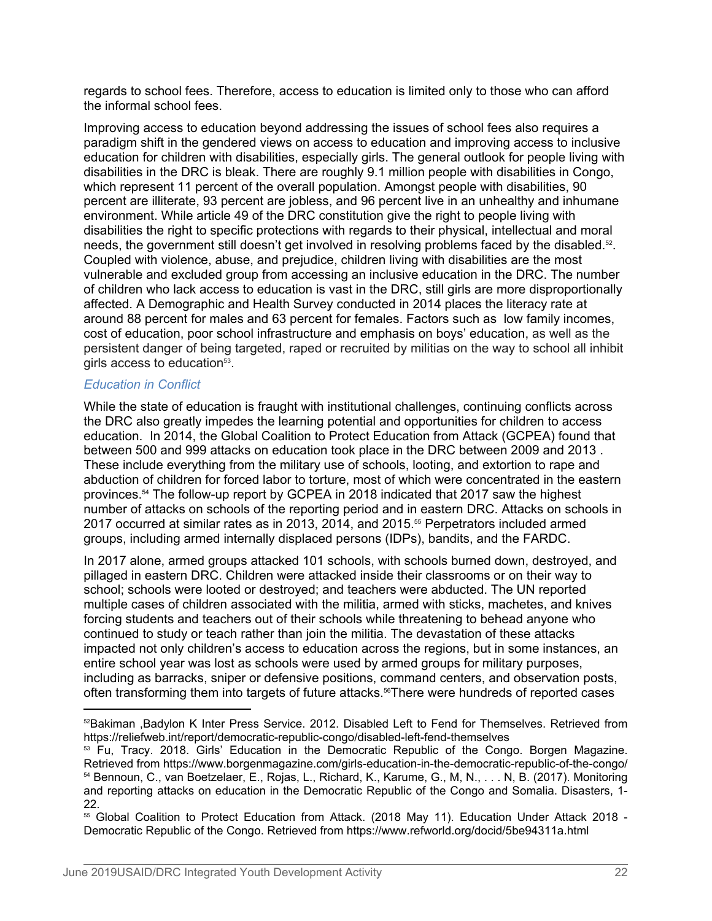regards to school fees. Therefore, access to education is limited only to those who can afford the informal school fees.

Improving access to education beyond addressing the issues of school fees also requires a paradigm shift in the gendered views on access to education and improving access to inclusive education for children with disabilities, especially girls. The general outlook for people living with disabilities in the DRC is bleak. There are roughly 9.1 million people with disabilities in Congo, which represent 11 percent of the overall population. Amongst people with disabilities, 90 percent are illiterate, 93 percent are jobless, and 96 percent live in an unhealthy and inhumane environment. While article 49 of the DRC constitution give the right to people living with disabilities the right to specific protections with regards to their physical, intellectual and moral needs, the government still doesn't get involved in resolving problems faced by the disabled.<sup>52</sup>. . Coupled with violence, abuse, and prejudice, children living with disabilities are the most vulnerable and excluded group from accessing an inclusive education in the DRC. The number of children who lack access to education is vast in the DRC, still girls are more disproportionally affected. A Demographic and Health Survey conducted in 2014 places the literacy rate at around 88 percent for males and 63 percent for females. Factors such as low family incomes, cost of education, poor school infrastructure and emphasis on boys' education, as well as the persistent danger of being targeted, raped or recruited by militias on the way to school all inhibit girls access to education<sup>53</sup>. .

#### *Education in Conflict*

While the state of education is fraught with institutional challenges, continuing conflicts across the DRC also greatly impedes the learning potential and opportunities for children to access education. In 2014, the Global Coalition to Protect Education from Attack (GCPEA) found that between 500 and 999 attacks on education took place in the DRC between 2009 and 2013 . These include everything from the military use of schools, looting, and extortion to rape and abduction of children for forced labor to torture, most of which were concentrated in the eastern provinces.54 The follow-up report by GCPEA in 2018 indicated that 2017 saw the highest number of attacks on schools of the reporting period and in eastern DRC. Attacks on schools in 2017 occurred at similar rates as in 2013, 2014, and 2015.55 Perpetrators included armed groups, including armed internally displaced persons (IDPs), bandits, and the FARDC.

In 2017 alone, armed groups attacked 101 schools, with schools burned down, destroyed, and pillaged in eastern DRC. Children were attacked inside their classrooms or on their way to school; schools were looted or destroyed; and teachers were abducted. The UN reported multiple cases of children associated with the militia, armed with sticks, machetes, and knives forcing students and teachers out of their schools while threatening to behead anyone who continued to study or teach rather than join the militia. The devastation of these attacks impacted not only children's access to education across the regions, but in some instances, an entire school year was lost as schools were used by armed groups for military purposes, including as barracks, sniper or defensive positions, command centers, and observation posts, often transforming them into targets of future attacks.<sup>56</sup>There were hundreds of reported cases

<sup>55</sup> Global Coalition to Protect Education from Attack. (2018 May 11). Education Under Attack 2018 - Democratic Republic of the Congo. Retrieved from https://www.refworld.org/docid/5be94311a.html

<sup>&</sup>lt;sup>52</sup>Bakiman ,Badylon K Inter Press Service. 2012. Disabled Left to Fend for Themselves. Retrieved from https://reliefweb.int/report/democratic-republic-congo/disabled-left-fend-themselves

<sup>&</sup>lt;sup>53</sup> Fu, Tracy. 2018. Girls' Education in the Democratic Republic of the Congo. Borgen Magazine. Retrieved from https://www.borgenmagazine.com/girls-education-in-the-democratic-republic-of-the-congo/ <sup>54</sup> Bennoun, C., van Boetzelaer, E., Rojas, L., Richard, K., Karume, G., M, N., . . . N, B. (2017). Monitoring and reporting attacks on education in the Democratic Republic of the Congo and Somalia. Disasters, 1- 22.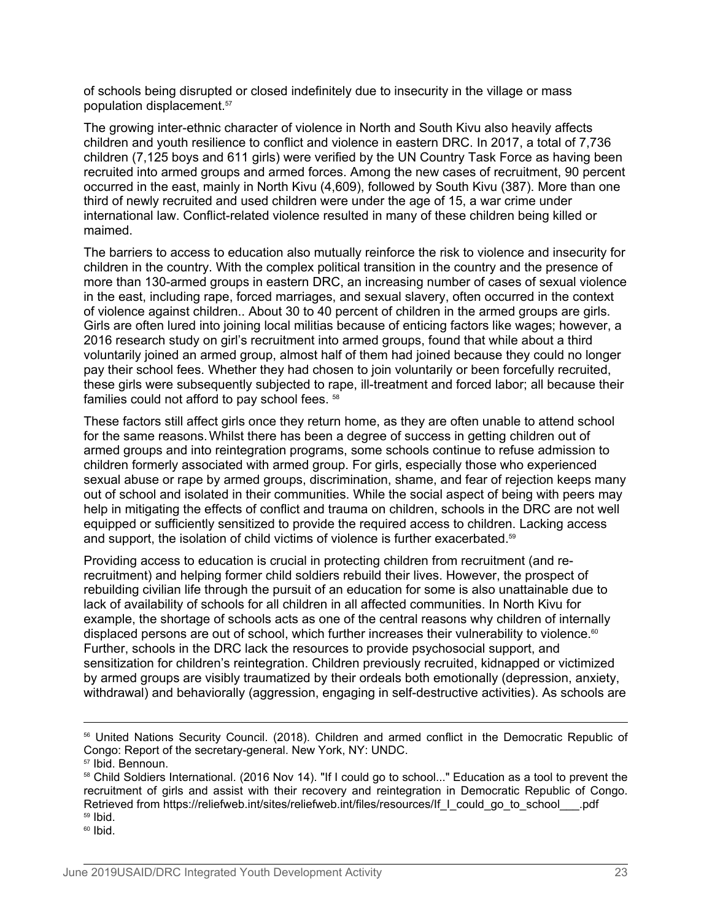of schools being disrupted or closed indefinitely due to insecurity in the village or mass population displacement.<sup>57</sup>

 The growing inter-ethnic character of violence in North and South Kivu also heavily affects children and youth resilience to conflict and violence in eastern DRC. In 2017, a total of 7,736 children (7,125 boys and 611 girls) were verified by the UN Country Task Force as having been recruited into armed groups and armed forces. Among the new cases of recruitment, 90 percent occurred in the east, mainly in North Kivu (4,609), followed by South Kivu (387). More than one third of newly recruited and used children were under the age of 15, a war crime under international law. Conflict-related violence resulted in many of these children being killed or maimed.

The barriers to access to education also mutually reinforce the risk to violence and insecurity for children in the country. With the complex political transition in the country and the presence of more than 130-armed groups in eastern DRC, an increasing number of cases of sexual violence in the east, including rape, forced marriages, and sexual slavery, often occurred in the context of violence against children.. About 30 to 40 percent of children in the armed groups are girls. Girls are often lured into joining local militias because of enticing factors like wages; however, a 2016 research study on girl's recruitment into armed groups, found that while about a third voluntarily joined an armed group, almost half of them had joined because they could no longer pay their school fees. Whether they had chosen to join voluntarily or been forcefully recruited, these girls were subsequently subjected to rape, ill-treatment and forced labor; all because their families could not afford to pay school fees. <sup>58</sup>

These factors still affect girls once they return home, as they are often unable to attend school for the same reasons.Whilst there has been a degree of success in getting children out of armed groups and into reintegration programs, some schools continue to refuse admission to children formerly associated with armed group. For girls, especially those who experienced sexual abuse or rape by armed groups, discrimination, shame, and fear of rejection keeps many out of school and isolated in their communities. While the social aspect of being with peers may help in mitigating the effects of conflict and trauma on children, schools in the DRC are not well equipped or sufficiently sensitized to provide the required access to children. Lacking access and support, the isolation of child victims of violence is further exacerbated.<sup>59</sup>

Providing access to education is crucial in protecting children from recruitment (and rerecruitment) and helping former child soldiers rebuild their lives. However, the prospect of rebuilding civilian life through the pursuit of an education for some is also unattainable due to lack of availability of schools for all children in all affected communities. In North Kivu for example, the shortage of schools acts as one of the central reasons why children of internally displaced persons are out of school, which further increases their vulnerability to violence.<sup>60</sup> Further, schools in the DRC lack the resources to provide psychosocial support, and sensitization for children's reintegration. Children previously recruited, kidnapped or victimized by armed groups are visibly traumatized by their ordeals both emotionally (depression, anxiety, withdrawal) and behaviorally (aggression, engaging in self-destructive activities). As schools are

 $60$  Ibid.

<sup>56</sup> United Nations Security Council. (2018). Children and armed conflict in the Democratic Republic of Congo: Report of the secretary-general. New York, NY: UNDC.

<sup>57</sup> Ibid. Bennoun.

<sup>58</sup> Child Soldiers International. (2016 Nov 14). "If I could go to school..." Education as a tool to prevent the recruitment of girls and assist with their recovery and reintegration in Democratic Republic of Congo. Retrieved from https://reliefweb.int/sites/reliefweb.int/files/resources/If I could go to school .pdf  $59$  Ibid.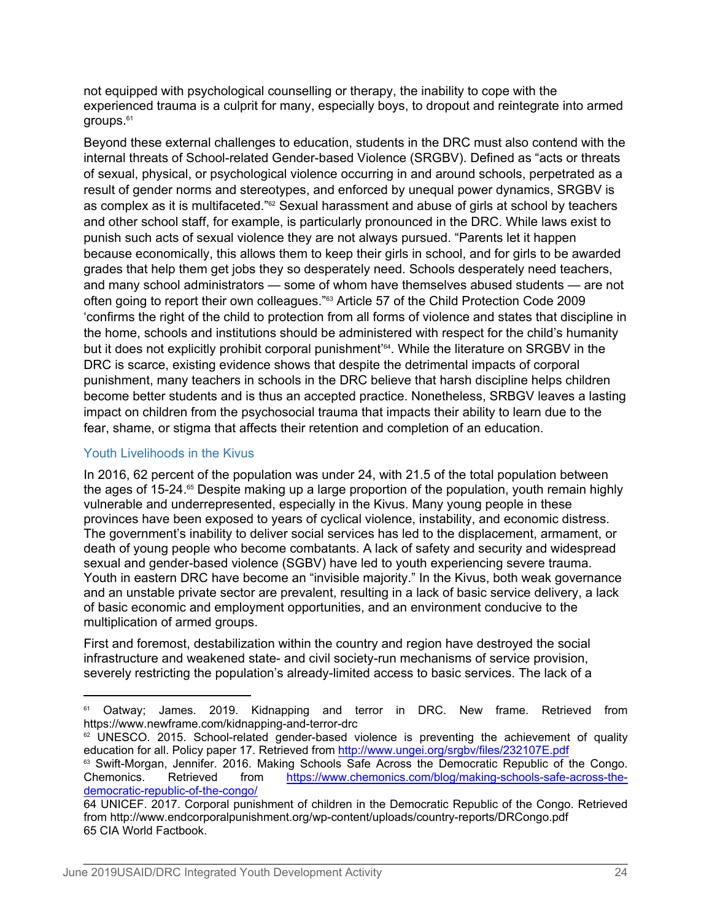not equipped with psychological counselling or therapy, the inability to cope with the experienced trauma is a culprit for many, especially boys, to dropout and reintegrate into armed groups.<sup>61</sup>

Beyond these external challenges to education, students in the DRC must also contend with the internal threats of School-related Gender-based Violence (SRGBV). Defined as "acts or threats of sexual, physical, or psychological violence occurring in and around schools, perpetrated as a result of gender norms and stereotypes, and enforced by unequal power dynamics, SRGBV is as complex as it is multifaceted."<sup>62</sup> Sexual harassment and abuse of girls at school by teachers and other school staff, for example, is particularly pronounced in the DRC. While laws exist to punish such acts of sexual violence they are not always pursued. "Parents let it happen because economically, this allows them to keep their girls in school, and for girls to be awarded grades that help them get jobs they so desperately need. Schools desperately need teachers, and many school administrators — some of whom have themselves abused students — are not often going to report their own colleagues."63 Article 57 of the Child Protection Code 2009 'confirms the right of the child to protection from all forms of violence and states that discipline in the home, schools and institutions should be administered with respect for the child's humanity but it does not explicitly prohibit corporal punishment'64. While the literature on SRGBV in the DRC is scarce, existing evidence shows that despite the detrimental impacts of corporal punishment, many teachers in schools in the DRC believe that harsh discipline helps children become better students and is thus an accepted practice. Nonetheless, SRBGV leaves a lasting impact on children from the psychosocial trauma that impacts their ability to learn due to the fear, shame, or stigma that affects their retention and completion of an education.

# Youth Livelihoods in the Kivus

In 2016, 62 percent of the population was under 24, with 21.5 of the total population between the ages of 15-24. $\epsilon$ <sup>6</sup> Despite making up a large proportion of the population, youth remain highly vulnerable and underrepresented, especially in the Kivus. Many young people in these provinces have been exposed to years of cyclical violence, instability, and economic distress. The government's inability to deliver social services has led to the displacement, armament, or death of young people who become combatants. A lack of safety and security and widespread sexual and gender-based violence (SGBV) have led to youth experiencing severe trauma. Youth in eastern DRC have become an "invisible majority." In the Kivus, both weak governance and an unstable private sector are prevalent, resulting in a lack of basic service delivery, a lack of basic economic and employment opportunities, and an environment conducive to the multiplication of armed groups.

First and foremost, destabilization within the country and region have destroyed the social infrastructure and weakened state- and civil society-run mechanisms of service provision, severely restricting the population's already-limited access to basic services. The lack of a

<sup>&</sup>lt;sup>61</sup> Oatway; James. 2019. Kidnapping and terror in DRC. New frame. Retrieved from https://www.newframe.com/kidnapping-and-terror-drc

<sup>&</sup>lt;sup>62</sup> UNESCO. 2015. School-related gender-based violence is preventing the achievement of quality education for all. Policy paper 17. Retrieved from <http://www.ungei.org/srgbv/files/232107E.pdf>

<sup>63</sup> Swift-Morgan, Jennifer. 2016. Making Schools Safe Across the Democratic Republic of the Congo. Chemonics. Retrieved from [https://www.chemonics.com/blog/making-schools-safe-across-the](https://www.chemonics.com/blog/making-schools-safe-across-the-democratic-republic-of-the-congo/)[democratic-republic-of-the-congo/](https://www.chemonics.com/blog/making-schools-safe-across-the-democratic-republic-of-the-congo/)

<sup>64</sup> UNICEF. 2017. Corporal punishment of children in the Democratic Republic of the Congo. Retrieved from http://www.endcorporalpunishment.org/wp-content/uploads/country-reports/DRCongo.pdf 65 CIA World Factbook.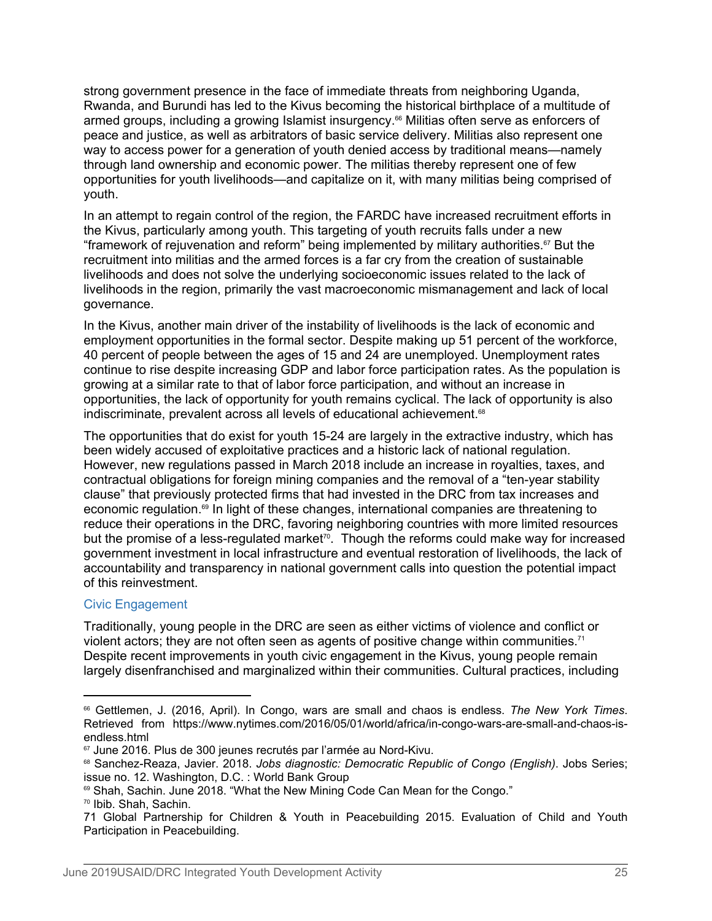strong government presence in the face of immediate threats from neighboring Uganda, Rwanda, and Burundi has led to the Kivus becoming the historical birthplace of a multitude of armed groups, including a growing Islamist insurgency.<sup>66</sup> Militias often serve as enforcers of peace and justice, as well as arbitrators of basic service delivery. Militias also represent one way to access power for a generation of youth denied access by traditional means—namely through land ownership and economic power. The militias thereby represent one of few opportunities for youth livelihoods—and capitalize on it, with many militias being comprised of youth.

In an attempt to regain control of the region, the FARDC have increased recruitment efforts in the Kivus, particularly among youth. This targeting of youth recruits falls under a new "framework of rejuvenation and reform" being implemented by military authorities.67 But the recruitment into militias and the armed forces is a far cry from the creation of sustainable livelihoods and does not solve the underlying socioeconomic issues related to the lack of livelihoods in the region, primarily the vast macroeconomic mismanagement and lack of local governance.

In the Kivus, another main driver of the instability of livelihoods is the lack of economic and employment opportunities in the formal sector. Despite making up 51 percent of the workforce, 40 percent of people between the ages of 15 and 24 are unemployed. Unemployment rates continue to rise despite increasing GDP and labor force participation rates. As the population is growing at a similar rate to that of labor force participation, and without an increase in opportunities, the lack of opportunity for youth remains cyclical. The lack of opportunity is also indiscriminate, prevalent across all levels of educational achievement.<sup>68</sup>

The opportunities that do exist for youth 15-24 are largely in the extractive industry, which has been widely accused of exploitative practices and a historic lack of national regulation. However, new regulations passed in March 2018 include an increase in royalties, taxes, and contractual obligations for foreign mining companies and the removal of a "ten-year stability clause" that previously protected firms that had invested in the DRC from tax increases and economic regulation.69 In light of these changes, international companies are threatening to reduce their operations in the DRC, favoring neighboring countries with more limited resources but the promise of a less-regulated market<sup>70</sup>. Though the reforms could make way for increased government investment in local infrastructure and eventual restoration of livelihoods, the lack of accountability and transparency in national government calls into question the potential impact of this reinvestment.

# Civic Engagement

Traditionally, young people in the DRC are seen as either victims of violence and conflict or violent actors; they are not often seen as agents of positive change within communities.<sup>71</sup> Despite recent improvements in youth civic engagement in the Kivus, young people remain largely disenfranchised and marginalized within their communities. Cultural practices, including

<sup>&</sup>lt;sup>66</sup> Gettlemen, J. (2016, April). In Congo, wars are small and chaos is endless. *The New York Times*.<br>Retrieved from https://www.nytimes.com/2016/05/01/world/africa/in-congo-wars-are-small-and-chaos-isendless.html

<sup>&</sup>lt;sup>67</sup> June 2016. Plus de 300 jeunes recrutés par l'armée au Nord-Kivu.

<sup>68</sup> Sanchez-Reaza, Javier. 2018. *Jobs diagnostic: Democratic Republic of Congo (English)*. Jobs Series; issue no. 12. Washington, D.C. : World Bank Group

<sup>69</sup> Shah, Sachin. June 2018. "What the New Mining Code Can Mean for the Congo."

<sup>70</sup> Ibib. Shah, Sachin.

<sup>71</sup> Global Partnership for Children & Youth in Peacebuilding 2015. Evaluation of Child and Youth Participation in Peacebuilding.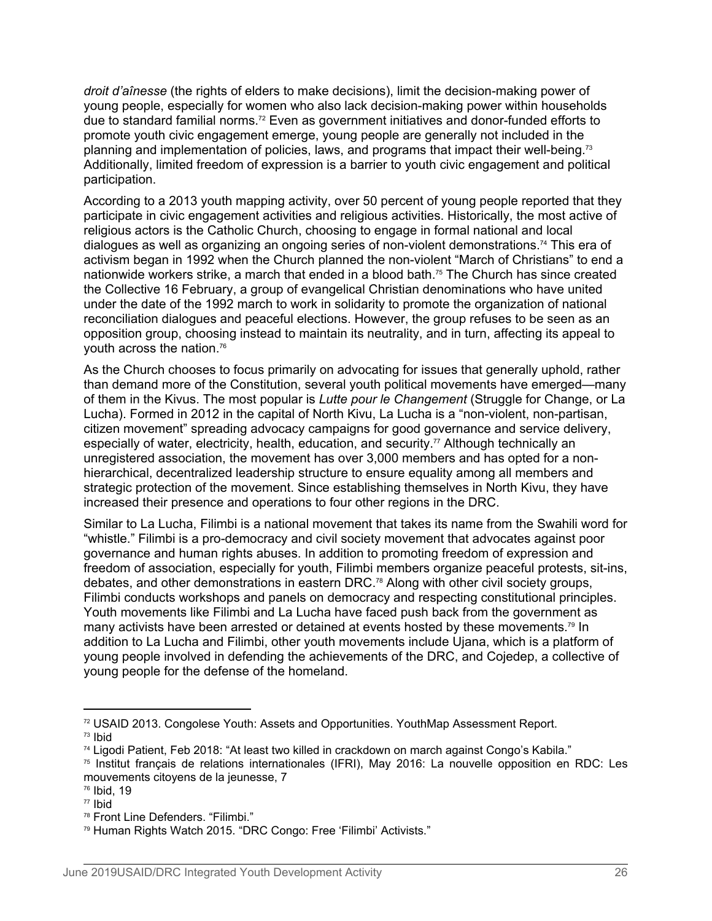*droit d'aînesse* (the rights of elders to make decisions), limit the decision-making power of young people, especially for women who also lack decision-making power within households due to standard familial norms.72 Even as government initiatives and donor-funded efforts to promote youth civic engagement emerge, young people are generally not included in the planning and implementation of policies, laws, and programs that impact their well-being.<sup>73</sup> Additionally, limited freedom of expression is a barrier to youth civic engagement and political participation.

According to a 2013 youth mapping activity, over 50 percent of young people reported that they participate in civic engagement activities and religious activities. Historically, the most active of religious actors is the Catholic Church, choosing to engage in formal national and local dialogues as well as organizing an ongoing series of non-violent demonstrations.74 This era of activism began in 1992 when the Church planned the non-violent "March of Christians" to end a nationwide workers strike, a march that ended in a blood bath.<sup>75</sup> The Church has since created the Collective 16 February, a group of evangelical Christian denominations who have united under the date of the 1992 march to work in solidarity to promote the organization of national reconciliation dialogues and peaceful elections. However, the group refuses to be seen as an opposition group, choosing instead to maintain its neutrality, and in turn, affecting its appeal to youth across the nation.<sup>76</sup>

As the Church chooses to focus primarily on advocating for issues that generally uphold, rather than demand more of the Constitution, several youth political movements have emerged—many of them in the Kivus. The most popular is *Lutte pour le Changement* (Struggle for Change, or La Lucha). Formed in 2012 in the capital of North Kivu, La Lucha is a "non-violent, non-partisan, citizen movement" spreading advocacy campaigns for good governance and service delivery, especially of water, electricity, health, education, and security.<sup>77</sup> Although technically an unregistered association, the movement has over 3,000 members and has opted for a nonhierarchical, decentralized leadership structure to ensure equality among all members and strategic protection of the movement. Since establishing themselves in North Kivu, they have increased their presence and operations to four other regions in the DRC.

Similar to La Lucha, Filimbi is a national movement that takes its name from the Swahili word for "whistle." Filimbi is a pro-democracy and civil society movement that advocates against poor governance and human rights abuses. In addition to promoting freedom of expression and freedom of association, especially for youth, Filimbi members organize peaceful protests, sit-ins, debates, and other demonstrations in eastern DRC.<sup>78</sup> Along with other civil society groups, Filimbi conducts workshops and panels on democracy and respecting constitutional principles. Youth movements like Filimbi and La Lucha have faced push back from the government as many activists have been arrested or detained at events hosted by these movements.<sup>79</sup> In addition to La Lucha and Filimbi, other youth movements include Ujana, which is a platform of young people involved in defending the achievements of the DRC, and Cojedep, a collective of young people for the defense of the homeland.

 $72$  USAID 2013. Congolese Youth: Assets and Opportunities. YouthMap Assessment Report.  $73$  Ibid

<sup>74</sup> Ligodi Patient, Feb 2018: "At least two killed in crackdown on march against Congo's Kabila."

<sup>75</sup> Institut français de relations internationales (IFRI), May 2016: La nouvelle opposition en RDC: Les mouvements citoyens de la jeunesse, 7

<sup>76</sup> Ibid, 19

<sup>77</sup> Ibid

<sup>78</sup> Front Line Defenders. "Filimbi."

<sup>79</sup> Human Rights Watch 2015. "DRC Congo: Free 'Filimbi' Activists."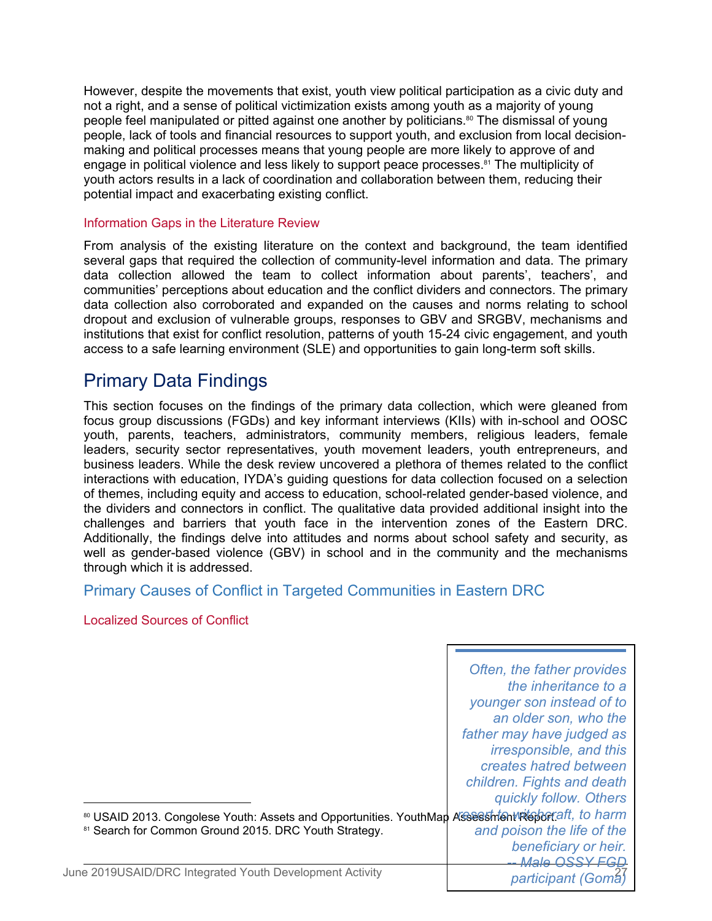However, despite the movements that exist, youth view political participation as a civic duty and not a right, and a sense of political victimization exists among youth as a majority of young people feel manipulated or pitted against one another by politicians.<sup>80</sup> The dismissal of young people, lack of tools and financial resources to support youth, and exclusion from local decisionmaking and political processes means that young people are more likely to approve of and engage in political violence and less likely to support peace processes.<sup>81</sup> The multiplicity of youth actors results in a lack of coordination and collaboration between them, reducing their potential impact and exacerbating existing conflict.

#### Information Gaps in the Literature Review

From analysis of the existing literature on the context and background, the team identified several gaps that required the collection of community-level information and data. The primary data collection allowed the team to collect information about parents', teachers', and communities' perceptions about education and the conflict dividers and connectors. The primary data collection also corroborated and expanded on the causes and norms relating to school dropout and exclusion of vulnerable groups, responses to GBV and SRGBV, mechanisms and institutions that exist for conflict resolution, patterns of youth 15-24 civic engagement, and youth access to a safe learning environment (SLE) and opportunities to gain long-term soft skills.

# Primary Data Findings

This section focuses on the findings of the primary data collection, which were gleaned from focus group discussions (FGDs) and key informant interviews (KIIs) with in-school and OOSC youth, parents, teachers, administrators, community members, religious leaders, female leaders, security sector representatives, youth movement leaders, youth entrepreneurs, and business leaders. While the desk review uncovered a plethora of themes related to the conflict interactions with education, IYDA's guiding questions for data collection focused on a selection of themes, including equity and access to education, school-related gender-based violence, and the dividers and connectors in conflict. The qualitative data provided additional insight into the challenges and barriers that youth face in the intervention zones of the Eastern DRC. Additionally, the findings delve into attitudes and norms about school safety and security, as well as gender-based violence (GBV) in school and in the community and the mechanisms through which it is addressed.

# Primary Causes of Conflict in Targeted Communities in Eastern DRC

Localized Sources of Conflict

|                                                                                                       | Often, the father provides |
|-------------------------------------------------------------------------------------------------------|----------------------------|
|                                                                                                       | the inheritance to a       |
|                                                                                                       | younger son instead of to  |
|                                                                                                       | an older son, who the      |
|                                                                                                       | father may have judged as  |
|                                                                                                       | irresponsible, and this    |
|                                                                                                       | creates hatred between     |
|                                                                                                       | children. Fights and death |
|                                                                                                       | quickly follow. Others     |
| 80 USAID 2013. Congolese Youth: Assets and Opportunities. YouthMap Assess Intentifie benefit, to harm |                            |
| <sup>81</sup> Search for Common Ground 2015. DRC Youth Strategy.                                      | and poison the life of the |
|                                                                                                       | beneficiary or heir.       |
|                                                                                                       | <b>Male OSSY FGD</b>       |
| June 2019USAID/DRC Integrated Youth Development Activity                                              | participant (Gomá)         |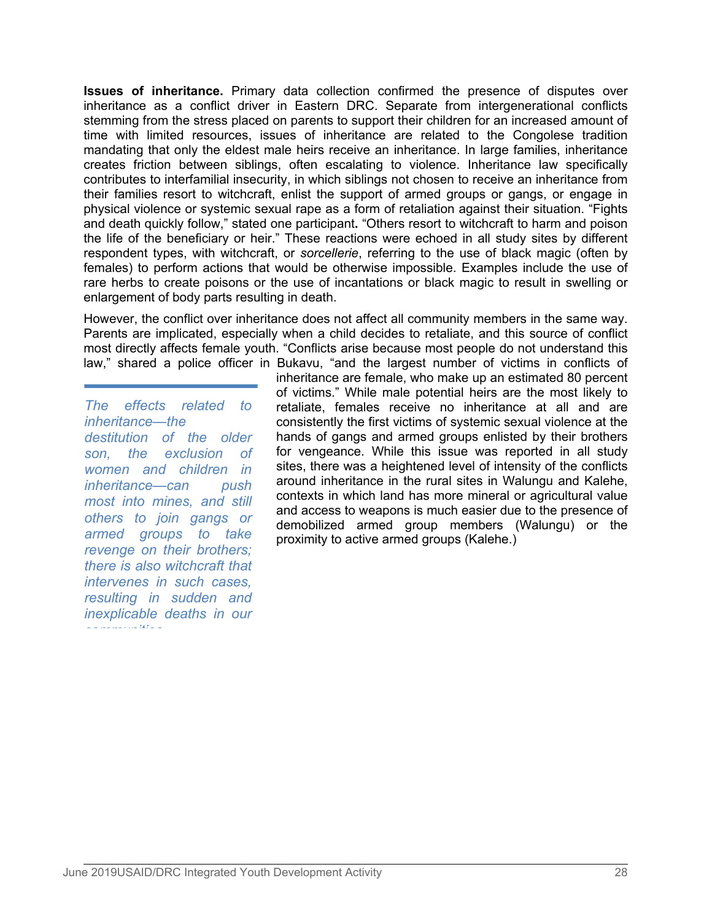**Issues of inheritance.** Primary data collection confirmed the presence of disputes over inheritance as a conflict driver in Eastern DRC. Separate from intergenerational conflicts stemming from the stress placed on parents to support their children for an increased amount of time with limited resources, issues of inheritance are related to the Congolese tradition mandating that only the eldest male heirs receive an inheritance. In large families, inheritance creates friction between siblings, often escalating to violence. Inheritance law specifically contributes to interfamilial insecurity, in which siblings not chosen to receive an inheritance from their families resort to witchcraft, enlist the support of armed groups or gangs, or engage in physical violence or systemic sexual rape as a form of retaliation against their situation. "Fights and death quickly follow," stated one participant**.** "Others resort to witchcraft to harm and poison the life of the beneficiary or heir." These reactions were echoed in all study sites by different respondent types, with witchcraft, or *sorcellerie*, referring to the use of black magic (often by females) to perform actions that would be otherwise impossible. Examples include the use of rare herbs to create poisons or the use of incantations or black magic to result in swelling or enlargement of body parts resulting in death.

However, the conflict over inheritance does not affect all community members in the same way. Parents are implicated, especially when a child decides to retaliate, and this source of conflict most directly affects female youth. "Conflicts arise because most people do not understand this law," shared a police officer in Bukavu, "and the largest number of victims in conflicts of

*The effects related to inheritance—the destitution of the older son, the exclusion of women and children in inheritance—can push most into mines, and still others to join gangs or armed groups to take revenge on their brothers; there is also witchcraft that intervenes in such cases, resulting in sudden and inexplicable deaths in our communities* 

inheritance are female, who make up an estimated 80 percent of victims." While male potential heirs are the most likely to retaliate, females receive no inheritance at all and are consistently the first victims of systemic sexual violence at the hands of gangs and armed groups enlisted by their brothers for vengeance. While this issue was reported in all study sites, there was a heightened level of intensity of the conflicts around inheritance in the rural sites in Walungu and Kalehe, contexts in which land has more mineral or agricultural value and access to weapons is much easier due to the presence of demobilized armed group members (Walungu) or the proximity to active armed groups (Kalehe.)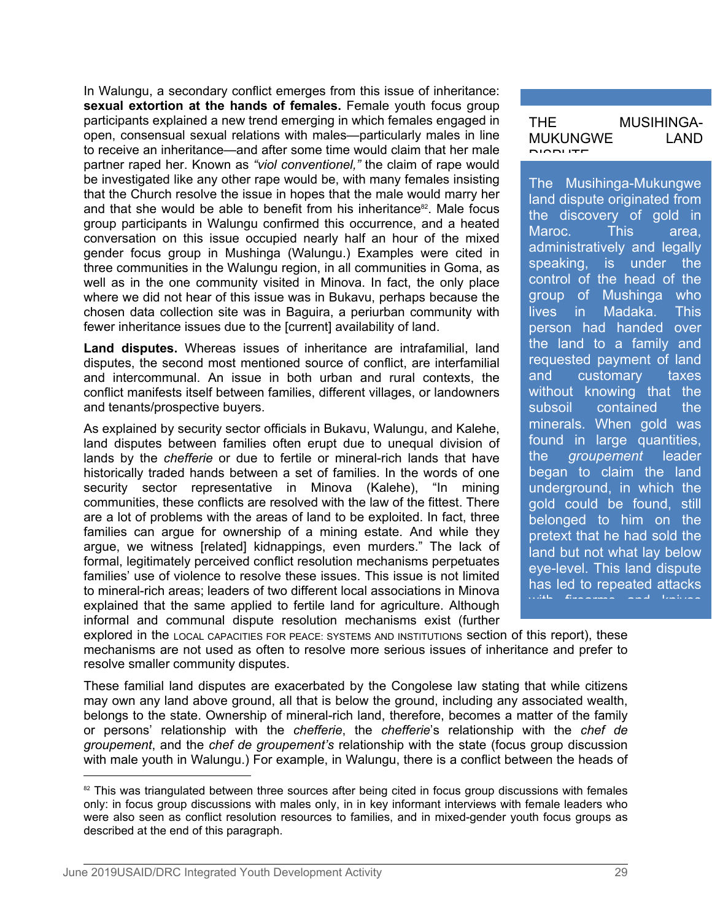In Walungu, a secondary conflict emerges from this issue of inheritance: **sexual extortion at the hands of females.** Female youth focus group participants explained a new trend emerging in which females engaged in open, consensual sexual relations with males—particularly males in line to receive an inheritance—and after some time would claim that her male partner raped her. Known as *"viol conventionel,"* the claim of rape would be investigated like any other rape would be, with many females insisting that the Church resolve the issue in hopes that the male would marry her and that she would be able to benefit from his inheritance<sup>82</sup>. Male focus  $\begin{bmatrix} 1 & 0 \\ 0 & 1 \end{bmatrix}$ group participants in Walungu confirmed this occurrence, and a heated conversation on this issue occupied nearly half an hour of the mixed gender focus group in Mushinga (Walungu.) Examples were cited in all durinistrated in the Walungu region in all communities in Goma as speaking. three communities in the Walungu region, in all communities in Goma, as well as in the one community visited in Minova. In fact, the only place where we did not hear of this issue was in Bukavu, perhaps because the chosen data collection site was in Baguira, a periurban community with fewer inheritance issues due to the [current] availability of land.

**Land disputes.** Whereas issues of inheritance are intrafamilial, land disputes, the second most mentioned source of conflict, are interfamilial and intercommunal. An issue in both urban and rural contexts, the and and intercommunal. An issue in both urban and rural contexts, the conflict manifests itself between families, different villages, or landowners and tenants/prospective buyers.

As explained by security sector officials in Bukavu, Walungu, and Kalehe, land disputes between families often erupt due to unequal division of the lands by the chefferie or due to fertile or mineral-rich lands that have lands by the *chefferie* or due to fertile or mineral-rich lands that have historically traded hands between a set of families. In the words of one security sector representative in Minova (Kalehe), "In mining communities, these conflicts are resolved with the law of the fittest. There are a lot of problems with the areas of land to be exploited. In fact, three families can argue for ownership of a mining estate. And while they argue, we witness [related] kidnappings, even murders." The lack of formal, legitimately perceived conflict resolution mechanisms perpetuates families' use of violence to resolve these issues. This issue is not limited to mineral-rich areas; leaders of two different local associations in Minova explained that the same applied to fertile land for agriculture. Although informal and communal dispute resolution mechanisms exist (further

| THF.            | <b>MUSIHINGA-</b> |
|-----------------|-------------------|
| <b>MUKUNGWE</b> | I AND             |
| DIODI ITE       |                   |

The Musihinga-Mukungwe land dispute originated from the discovery of gold in Maroc. This area, administratively and legally is under the control of the head of the group of Mushinga who in Madaka. This person had handed over the land to a family and requested payment of land customary taxes without knowing that the subsoil contained the minerals. When gold was found in large quantities, groupement leader began to claim the land underground, in which the gold could be found, still belonged to him on the pretext that he had sold the land but not what lay below eye-level. This land dispute has led to repeated attacks

explored in the LOCAL CAPACITIES FOR PEACE: SYSTEMS AND INSTITUTIONS section of this report), these mechanisms are not used as often to resolve more serious issues of inheritance and prefer to resolve smaller community disputes.

These familial land disputes are exacerbated by the Congolese law stating that while citizens may own any land above ground, all that is below the ground, including any associated wealth, belongs to the state. Ownership of mineral-rich land, therefore, becomes a matter of the family or persons' relationship with the *chefferie*, the *chefferie*'s relationship with the *chef de groupement*, and the *chef de groupement's* relationship with the state (focus group discussion with male youth in Walungu.) For example, in Walungu, there is a conflict between the heads of

<sup>&</sup>lt;sup>82</sup> This was triangulated between three sources after being cited in focus group discussions with females only: in focus group discussions with males only, in in key informant interviews with female leaders who were also seen as conflict resolution resources to families, and in mixed-gender youth focus groups as described at the end of this paragraph.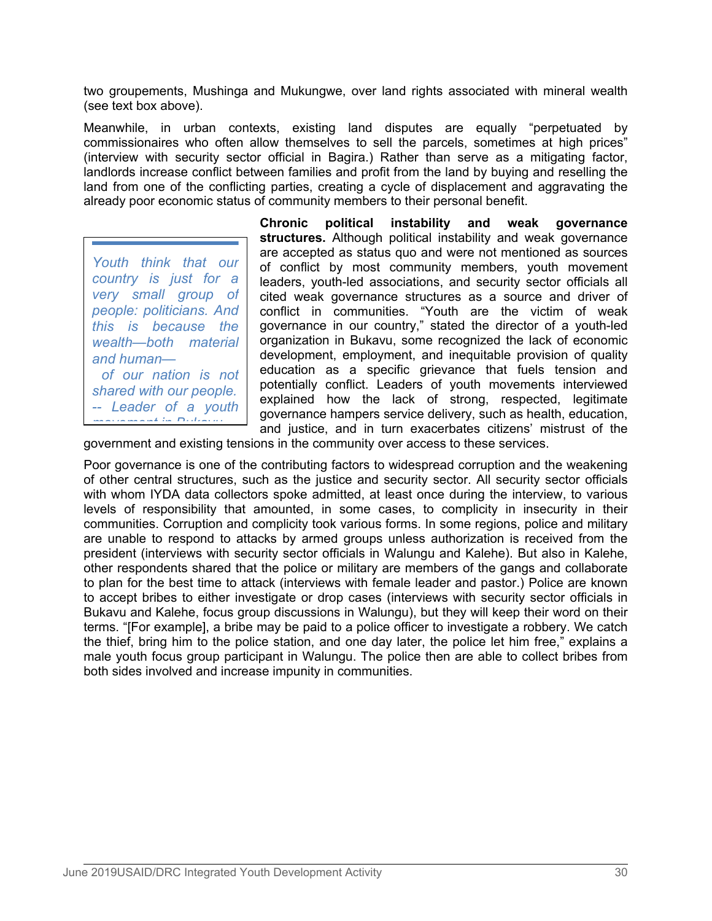two groupements, Mushinga and Mukungwe, over land rights associated with mineral wealth (see text box above).

Meanwhile, in urban contexts, existing land disputes are equally "perpetuated by commissionaires who often allow themselves to sell the parcels, sometimes at high prices" (interview with security sector official in Bagira.) Rather than serve as a mitigating factor, landlords increase conflict between families and profit from the land by buying and reselling the land from one of the conflicting parties, creating a cycle of displacement and aggravating the already poor economic status of community members to their personal benefit.

*Youth think that our country is just for a very small group of people: politicians. And this is because the wealth—both material of our nation is not shared with our people. -- Leader of a youth movement in Bukavu*

**Chronic political instability and weak governance structures.** Although political instability and weak governance are accepted as status quo and were not mentioned as sources of conflict by most community members, youth movement leaders, youth-led associations, and security sector officials all cited weak governance structures as a source and driver of conflict in communities. "Youth are the victim of weak governance in our country," stated the director of a youth-led organization in Bukavu, some recognized the lack of economic and human—**And included** development, employment, and inequitable provision of quality education as a specific grievance that fuels tension and potentially conflict. Leaders of youth movements interviewed explained how the lack of strong, respected, legitimate governance hampers service delivery, such as health, education, and justice, and in turn exacerbates citizens' mistrust of the

government and existing tensions in the community over access to these services.

Poor governance is one of the contributing factors to widespread corruption and the weakening of other central structures, such as the justice and security sector. All security sector officials with whom IYDA data collectors spoke admitted, at least once during the interview, to various levels of responsibility that amounted, in some cases, to complicity in insecurity in their communities. Corruption and complicity took various forms. In some regions, police and military are unable to respond to attacks by armed groups unless authorization is received from the president (interviews with security sector officials in Walungu and Kalehe). But also in Kalehe, other respondents shared that the police or military are members of the gangs and collaborate to plan for the best time to attack (interviews with female leader and pastor.) Police are known to accept bribes to either investigate or drop cases (interviews with security sector officials in Bukavu and Kalehe, focus group discussions in Walungu), but they will keep their word on their terms. "[For example], a bribe may be paid to a police officer to investigate a robbery. We catch the thief, bring him to the police station, and one day later, the police let him free," explains a male youth focus group participant in Walungu. The police then are able to collect bribes from both sides involved and increase impunity in communities.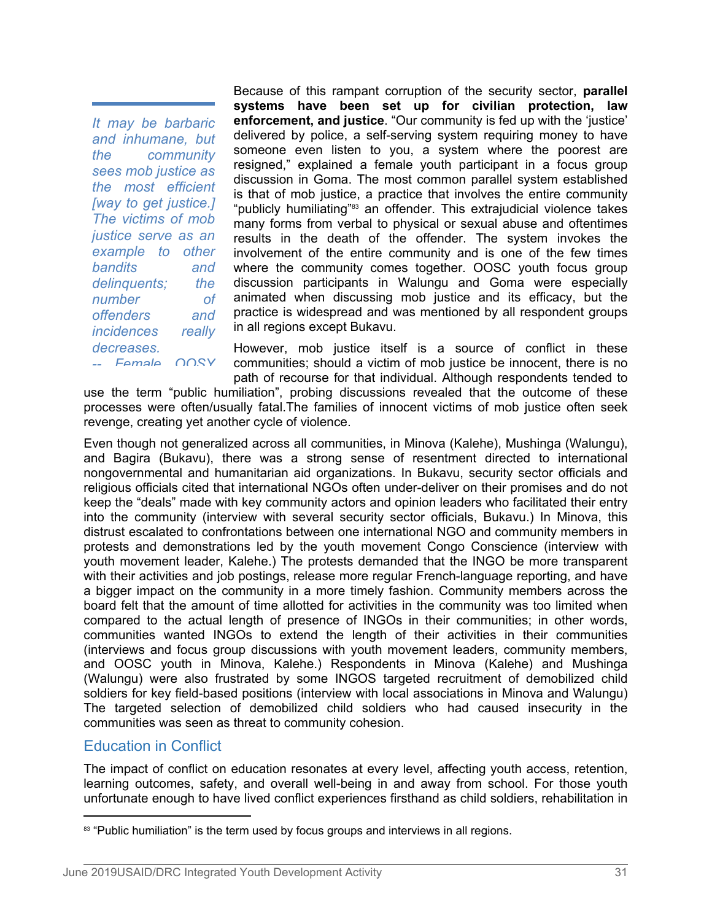*It may be barbaric and inhumane, but the community sees mob justice as the most efficient [way to get justice.] The victims of mob example to other delinquents; the number of offenders and incidences really decreases. -- Female OOSY*

Because of this rampant corruption of the security sector, **parallel systems have been set up for civilian protection, law enforcement, and justice**. "Our community is fed up with the 'justice' delivered by police, a self-serving system requiring money to have someone even listen to you, a system where the poorest are resigned," explained a female youth participant in a focus group discussion in Goma. The most common parallel system established is that of mob justice, a practice that involves the entire community "publicly humiliating"<sup>83</sup> an offender. This extrajudicial violence takes many forms from verbal to physical or sexual abuse and oftentimes *justice serve as an* results in the death of the offender. The system invokes the involvement of the entire community and is one of the few times bandits and where the community comes together. OOSC youth focus group discussion participants in Walungu and Goma were especially animated when discussing mob justice and its efficacy, but the practice is widespread and was mentioned by all respondent groups in all regions except Bukavu.

> However, mob justice itself is a source of conflict in these communities; should a victim of mob justice be innocent, there is no path of recourse for that individual. Although respondents tended to

use the term "public humiliation", probing discussions revealed that the outcome of these processes were often/usually fatal.The families of innocent victims of mob justice often seek revenge, creating yet another cycle of violence.

Even though not generalized across all communities, in Minova (Kalehe), Mushinga (Walungu), and Bagira (Bukavu), there was a strong sense of resentment directed to international nongovernmental and humanitarian aid organizations. In Bukavu, security sector officials and religious officials cited that international NGOs often under-deliver on their promises and do not keep the "deals" made with key community actors and opinion leaders who facilitated their entry into the community (interview with several security sector officials, Bukavu.) In Minova, this distrust escalated to confrontations between one international NGO and community members in protests and demonstrations led by the youth movement Congo Conscience (interview with youth movement leader, Kalehe.) The protests demanded that the INGO be more transparent with their activities and job postings, release more regular French-language reporting, and have a bigger impact on the community in a more timely fashion. Community members across the board felt that the amount of time allotted for activities in the community was too limited when compared to the actual length of presence of INGOs in their communities; in other words, communities wanted INGOs to extend the length of their activities in their communities (interviews and focus group discussions with youth movement leaders, community members, and OOSC youth in Minova, Kalehe.) Respondents in Minova (Kalehe) and Mushinga (Walungu) were also frustrated by some INGOS targeted recruitment of demobilized child soldiers for key field-based positions (interview with local associations in Minova and Walungu) The targeted selection of demobilized child soldiers who had caused insecurity in the communities was seen as threat to community cohesion.

# Education in Conflict

The impact of conflict on education resonates at every level, affecting youth access, retention, learning outcomes, safety, and overall well-being in and away from school. For those youth unfortunate enough to have lived conflict experiences firsthand as child soldiers, rehabilitation in

<sup>83 &</sup>quot;Public humiliation" is the term used by focus groups and interviews in all regions.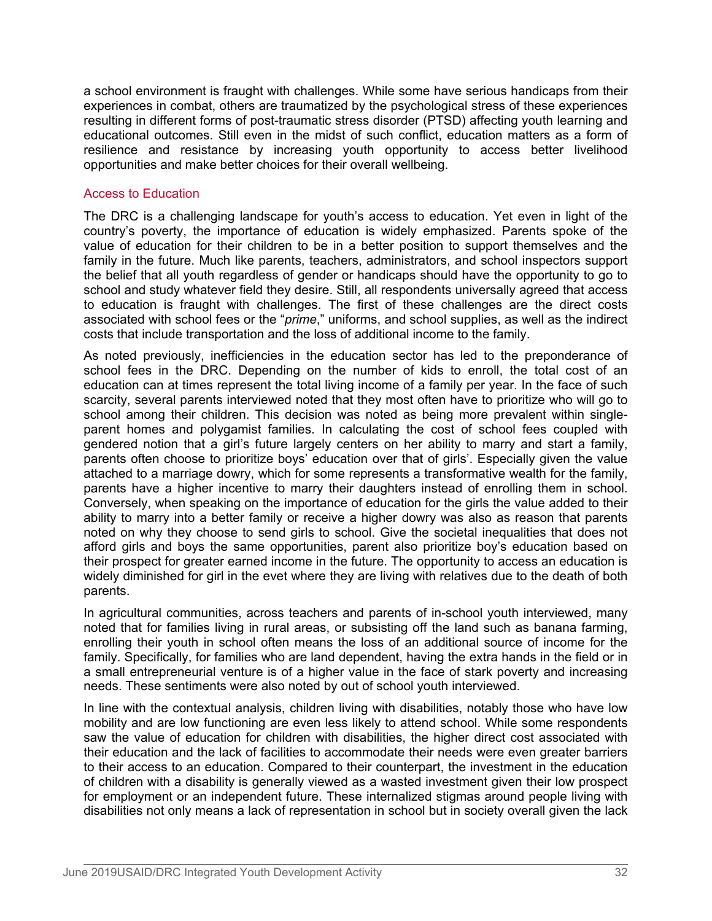a school environment is fraught with challenges. While some have serious handicaps from their experiences in combat, others are traumatized by the psychological stress of these experiences resulting in different forms of post-traumatic stress disorder (PTSD) affecting youth learning and educational outcomes. Still even in the midst of such conflict, education matters as a form of resilience and resistance by increasing youth opportunity to access better livelihood opportunities and make better choices for their overall wellbeing.

#### Access to Education

The DRC is a challenging landscape for youth's access to education. Yet even in light of the country's poverty, the importance of education is widely emphasized. Parents spoke of the value of education for their children to be in a better position to support themselves and the family in the future. Much like parents, teachers, administrators, and school inspectors support the belief that all youth regardless of gender or handicaps should have the opportunity to go to school and study whatever field they desire. Still, all respondents universally agreed that access to education is fraught with challenges. The first of these challenges are the direct costs associated with school fees or the "*prime*," uniforms, and school supplies, as well as the indirect costs that include transportation and the loss of additional income to the family.

As noted previously, inefficiencies in the education sector has led to the preponderance of school fees in the DRC. Depending on the number of kids to enroll, the total cost of an education can at times represent the total living income of a family per year. In the face of such scarcity, several parents interviewed noted that they most often have to prioritize who will go to school among their children. This decision was noted as being more prevalent within singleparent homes and polygamist families. In calculating the cost of school fees coupled with gendered notion that a girl's future largely centers on her ability to marry and start a family, parents often choose to prioritize boys' education over that of girls'. Especially given the value attached to a marriage dowry, which for some represents a transformative wealth for the family, parents have a higher incentive to marry their daughters instead of enrolling them in school. Conversely, when speaking on the importance of education for the girls the value added to their ability to marry into a better family or receive a higher dowry was also as reason that parents noted on why they choose to send girls to school. Give the societal inequalities that does not afford girls and boys the same opportunities, parent also prioritize boy's education based on their prospect for greater earned income in the future. The opportunity to access an education is widely diminished for girl in the evet where they are living with relatives due to the death of both parents.

In agricultural communities, across teachers and parents of in-school youth interviewed, many noted that for families living in rural areas, or subsisting off the land such as banana farming, enrolling their youth in school often means the loss of an additional source of income for the family. Specifically, for families who are land dependent, having the extra hands in the field or in a small entrepreneurial venture is of a higher value in the face of stark poverty and increasing needs. These sentiments were also noted by out of school youth interviewed.

In line with the contextual analysis, children living with disabilities, notably those who have low mobility and are low functioning are even less likely to attend school. While some respondents saw the value of education for children with disabilities, the higher direct cost associated with their education and the lack of facilities to accommodate their needs were even greater barriers to their access to an education. Compared to their counterpart, the investment in the education of children with a disability is generally viewed as a wasted investment given their low prospect for employment or an independent future. These internalized stigmas around people living with disabilities not only means a lack of representation in school but in society overall given the lack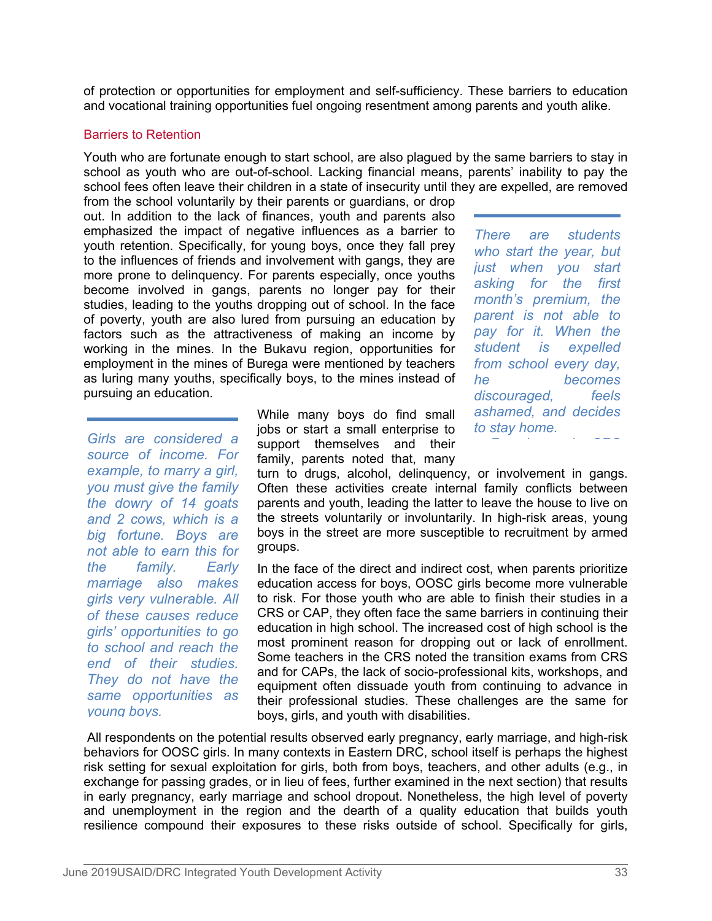of protection or opportunities for employment and self-sufficiency. These barriers to education and vocational training opportunities fuel ongoing resentment among parents and youth alike.

#### Barriers to Retention

Youth who are fortunate enough to start school, are also plagued by the same barriers to stay in school as youth who are out-of-school. Lacking financial means, parents' inability to pay the school fees often leave their children in a state of insecurity until they are expelled, are removed

from the school voluntarily by their parents or guardians, or drop out. In addition to the lack of finances, youth and parents also emphasized the impact of negative influences as a barrier to  $There$ youth retention. Specifically, for young boys, once they fall prey to the influences of friends and involvement with gangs, they are more prone to delinquency. For parents especially, once youths become involved in gangs, parents no longer pay for their studies, leading to the youths dropping out of school. In the face of poverty, youth are also lured from pursuing an education by factors such as the attractiveness of making an income by working in the mines. In the Bukavu region, opportunities for employment in the mines of Burega were mentioned by teachers as luring many youths, specifically boys, to the mines instead of  $he$ pursuing an education.

*source of income. For example, to marry a girl, you must give the family the dowry of 14 goats and 2 cows, which is a big fortune. Boys are not able to earn this for marriage also makes girls very vulnerable. All of these causes reduce girls' opportunities to go to school and reach the end of their studies. They do not have the same opportunities as young boys.* 

While many boys do find small jobs or start a small enterprise to to stay home. *support themselves* and their *discription are considered a* support themselves and their family, parents noted that, many

*There are students who start the year, but just when you start asking for the first month's premium, the parent is not able to pay for it. When the student is expelled from school every day, he becomes discouraged, feels ashamed, and decides* 

turn to drugs, alcohol, delinquency, or involvement in gangs. Often these activities create internal family conflicts between parents and youth, leading the latter to leave the house to live on the streets voluntarily or involuntarily. In high-risk areas, young boys in the street are more susceptible to recruitment by armed groups.

*the* family. Early In the face of the direct and indirect cost, when parents prioritize education access for boys, OOSC girls become more vulnerable to risk. For those youth who are able to finish their studies in a CRS or CAP, they often face the same barriers in continuing their education in high school. The increased cost of high school is the most prominent reason for dropping out or lack of enrollment. Some teachers in the CRS noted the transition exams from CRS and for CAPs, the lack of socio-professional kits, workshops, and equipment often dissuade youth from continuing to advance in their professional studies. These challenges are the same for boys, girls, and youth with disabilities.

All respondents on the potential results observed early pregnancy, early marriage, and high-risk behaviors for OOSC girls. In many contexts in Eastern DRC, school itself is perhaps the highest risk setting for sexual exploitation for girls, both from boys, teachers, and other adults (e.g., in exchange for passing grades, or in lieu of fees, further examined in the next section) that results in early pregnancy, early marriage and school dropout. Nonetheless, the high level of poverty and unemployment in the region and the dearth of a quality education that builds youth resilience compound their exposures to these risks outside of school. Specifically for girls,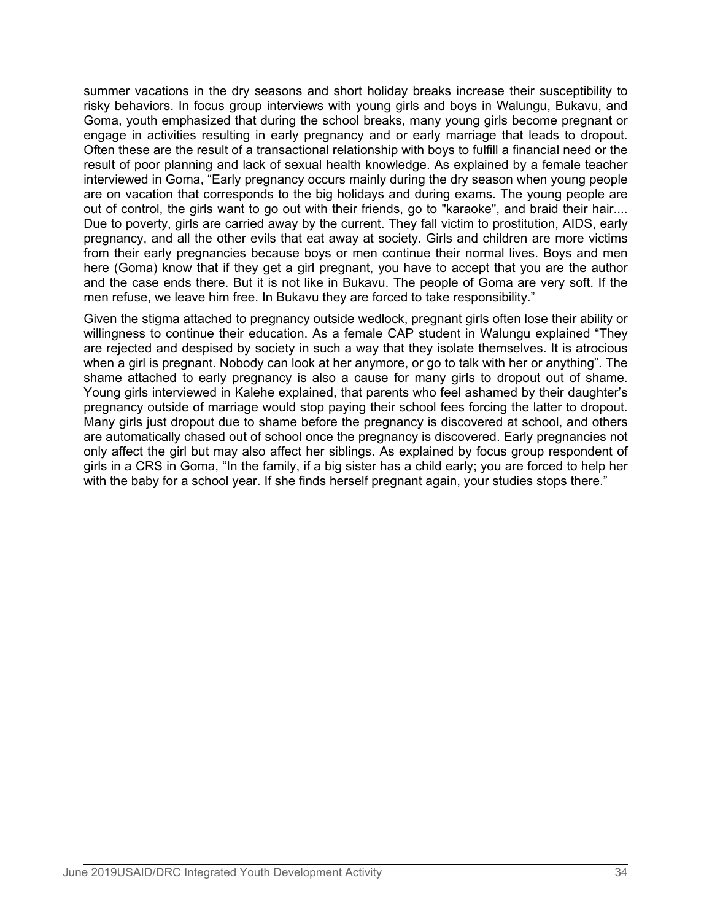summer vacations in the dry seasons and short holiday breaks increase their susceptibility to risky behaviors. In focus group interviews with young girls and boys in Walungu, Bukavu, and Goma, youth emphasized that during the school breaks, many young girls become pregnant or engage in activities resulting in early pregnancy and or early marriage that leads to dropout. Often these are the result of a transactional relationship with boys to fulfill a financial need or the result of poor planning and lack of sexual health knowledge. As explained by a female teacher interviewed in Goma, "Early pregnancy occurs mainly during the dry season when young people are on vacation that corresponds to the big holidays and during exams. The young people are out of control, the girls want to go out with their friends, go to "karaoke", and braid their hair.... Due to poverty, girls are carried away by the current. They fall victim to prostitution, AIDS, early pregnancy, and all the other evils that eat away at society. Girls and children are more victims from their early pregnancies because boys or men continue their normal lives. Boys and men here (Goma) know that if they get a girl pregnant, you have to accept that you are the author and the case ends there. But it is not like in Bukavu. The people of Goma are very soft. If the men refuse, we leave him free. In Bukavu they are forced to take responsibility."

Given the stigma attached to pregnancy outside wedlock, pregnant girls often lose their ability or willingness to continue their education. As a female CAP student in Walungu explained "They are rejected and despised by society in such a way that they isolate themselves. It is atrocious when a girl is pregnant. Nobody can look at her anymore, or go to talk with her or anything". The shame attached to early pregnancy is also a cause for many girls to dropout out of shame. Young girls interviewed in Kalehe explained, that parents who feel ashamed by their daughter's pregnancy outside of marriage would stop paying their school fees forcing the latter to dropout. Many girls just dropout due to shame before the pregnancy is discovered at school, and others are automatically chased out of school once the pregnancy is discovered. Early pregnancies not only affect the girl but may also affect her siblings. As explained by focus group respondent of girls in a CRS in Goma, "In the family, if a big sister has a child early; you are forced to help her with the baby for a school year. If she finds herself pregnant again, your studies stops there."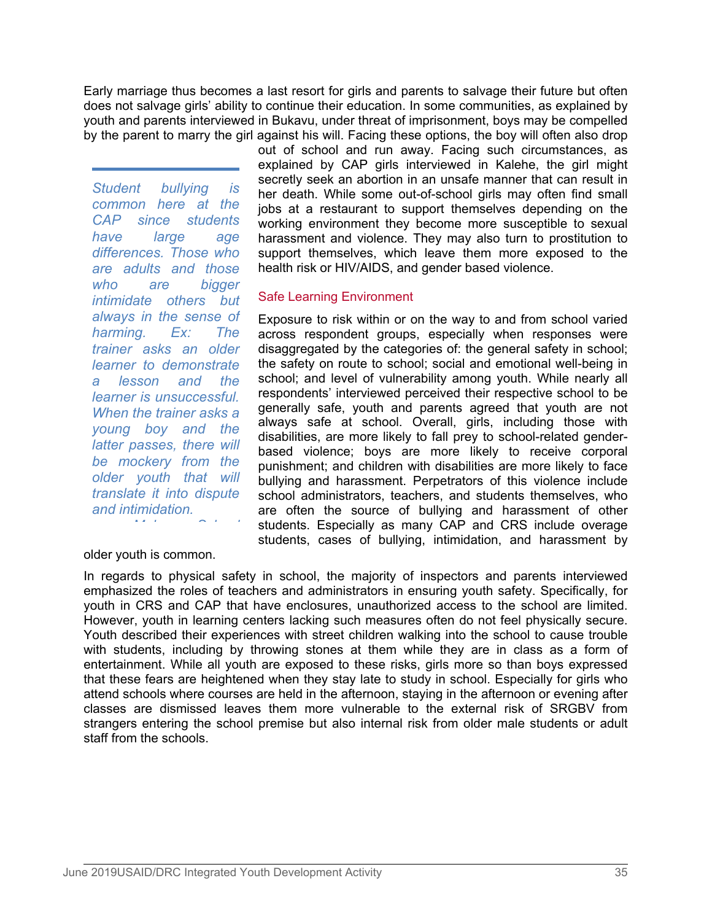Early marriage thus becomes a last resort for girls and parents to salvage their future but often does not salvage girls' ability to continue their education. In some communities, as explained by youth and parents interviewed in Bukavu, under threat of imprisonment, boys may be compelled by the parent to marry the girl against his will. Facing these options, the boy will often also drop

*Student bullying is common here at the CAP since students differences. Those who are adults and those who are bigger intimidate others but always in the sense of trainer asks an older learner to demonstrate learner is unsuccessful. When the trainer asks a young boy and the latter passes, there will be mockery from the older youth that will translate it into dispute and intimidation.* 

out of school and run away. Facing such circumstances, as explained by CAP girls interviewed in Kalehe, the girl might secretly seek an abortion in an unsafe manner that can result in her death. While some out-of-school girls may often find small jobs at a restaurant to support themselves depending on the working environment they become more susceptible to sexual have large age harassment and violence. They may also turn to prostitution to support themselves, which leave them more exposed to the health risk or HIV/AIDS, and gender based violence.

#### Safe Learning Environment

Exposure to risk within or on the way to and from school varied harming. Ex: The across respondent groups, especially when responses were disaggregated by the categories of: the general safety in school; the safety on route to school; social and emotional well-being in a lesson and the school; and level of vulnerability among youth. While nearly all respondents' interviewed perceived their respective school to be generally safe, youth and parents agreed that youth are not always safe at school. Overall, girls, including those with disabilities, are more likely to fall prey to school-related genderbased violence; boys are more likely to receive corporal punishment; and children with disabilities are more likely to face bullying and harassment. Perpetrators of this violence include school administrators, teachers, and students themselves, who are often the source of bullying and harassment of other *MA l* **<b>***l l l students. Especially as many CAP and CRS include overage* students, cases of bullying, intimidation, and harassment by

older youth is common.

In regards to physical safety in school, the majority of inspectors and parents interviewed emphasized the roles of teachers and administrators in ensuring youth safety. Specifically, for youth in CRS and CAP that have enclosures, unauthorized access to the school are limited. However, youth in learning centers lacking such measures often do not feel physically secure. Youth described their experiences with street children walking into the school to cause trouble with students, including by throwing stones at them while they are in class as a form of entertainment. While all youth are exposed to these risks, girls more so than boys expressed that these fears are heightened when they stay late to study in school. Especially for girls who attend schools where courses are held in the afternoon, staying in the afternoon or evening after classes are dismissed leaves them more vulnerable to the external risk of SRGBV from strangers entering the school premise but also internal risk from older male students or adult staff from the schools.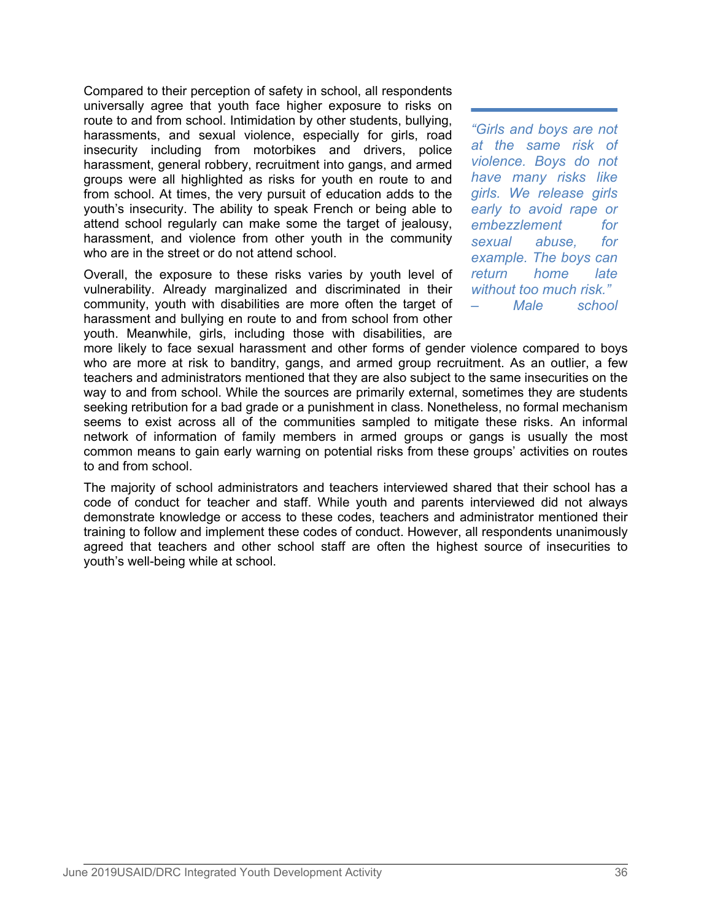Compared to their perception of safety in school, all respondents universally agree that youth face higher exposure to risks on route to and from school. Intimidation by other students, bullying, harassments, and sexual violence, especially for girls, road insecurity including from motorbikes and drivers, police harassment, general robbery, recruitment into gangs, and armed groups were all highlighted as risks for youth en route to and from school. At times, the very pursuit of education adds to the youth's insecurity. The ability to speak French or being able to attend school regularly can make some the target of jealousy, harassment, and violence from other youth in the community who are in the street or do not attend school.

Overall, the exposure to these risks varies by youth level of vulnerability. Already marginalized and discriminated in their community, youth with disabilities are more often the target of harassment and bullying en route to and from school from other youth. Meanwhile, girls, including those with disabilities, are *"Girls and boys are not at the same risk of violence. Boys do not have many risks like girls. We release girls early to avoid rape or embezzlement for sexual abuse, for example. The boys can return home late without too much risk." – Male school* 

more likely to face sexual harassment and other forms of gender violence compared to boys who are more at risk to banditry, gangs, and armed group recruitment. As an outlier, a few teachers and administrators mentioned that they are also subject to the same insecurities on the way to and from school. While the sources are primarily external, sometimes they are students seeking retribution for a bad grade or a punishment in class. Nonetheless, no formal mechanism seems to exist across all of the communities sampled to mitigate these risks. An informal network of information of family members in armed groups or gangs is usually the most common means to gain early warning on potential risks from these groups' activities on routes to and from school.

The majority of school administrators and teachers interviewed shared that their school has a code of conduct for teacher and staff. While youth and parents interviewed did not always demonstrate knowledge or access to these codes, teachers and administrator mentioned their training to follow and implement these codes of conduct. However, all respondents unanimously agreed that teachers and other school staff are often the highest source of insecurities to youth's well-being while at school.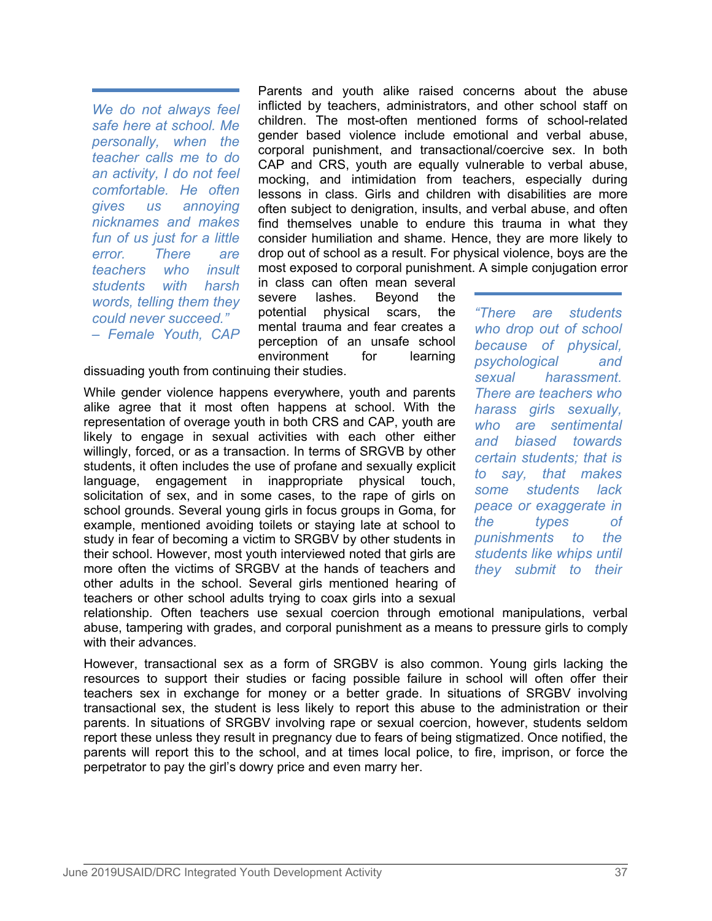*We do not always feel safe here at school. Me personally, when the teacher calls me to do an activity, I do not feel comfortable. He often gives us annoying nicknames and makes fun of us just for a little teachers who insult students with harsh words, telling them they*

Parents and youth alike raised concerns about the abuse inflicted by teachers, administrators, and other school staff on children. The most-often mentioned forms of school-related gender based violence include emotional and verbal abuse, corporal punishment, and transactional/coercive sex. In both CAP and CRS, youth are equally vulnerable to verbal abuse, mocking, and intimidation from teachers, especially during lessons in class. Girls and children with disabilities are more often subject to denigration, insults, and verbal abuse, and often find themselves unable to endure this trauma in what they consider humiliation and shame. Hence, they are more likely to error. There are drop out of school as a result. For physical violence, boys are the most exposed to corporal punishment. A simple conjugation error

in class can often mean several severe lashes. Beyond the potential physical scars, the "There mental trauma and fear creates a *could never succeed." – Female Youth, CAP* perception of an unsafe school environment for learning

dissuading youth from continuing their studies.

While gender violence happens everywhere, youth and parents alike agree that it most often happens at school. With the representation of overage youth in both CRS and CAP, youth are likely to engage in sexual activities with each other either willingly, forced, or as a transaction. In terms of SRGVB by other students, it often includes the use of profane and sexually explicit  $\frac{1}{10}$ language, engagement in inappropriate physical touch,  $^{10}$  sd solicitation of sex, and in some cases, to the rape of girls on school grounds. Several young girls in focus groups in Goma, for pearliers are not in the starting late at school to the example, mentioned avoiding toilets or staying late at school to study in fear of becoming a victim to SRGBV by other students in their school. However, most youth interviewed noted that girls are more often the victims of SRGBV at the hands of teachers and other adults in the school. Several girls mentioned hearing of teachers or other school adults trying to coax girls into a sexual

 $are$  students *who drop out of school because of physical, psychological and sexual harassment. There are teachers who harass girls sexually, who are sentimental and biased towards certain students; that is*  say, that makes *some students lack peace or exaggerate in the types of punishments to the students like whips until they submit to their*

relationship. Often teachers use sexual coercion through emotional manipulations, verbal abuse, tampering with grades, and corporal punishment as a means to pressure girls to comply with their advances.

However, transactional sex as a form of SRGBV is also common. Young girls lacking the resources to support their studies or facing possible failure in school will often offer their teachers sex in exchange for money or a better grade. In situations of SRGBV involving transactional sex, the student is less likely to report this abuse to the administration or their parents. In situations of SRGBV involving rape or sexual coercion, however, students seldom report these unless they result in pregnancy due to fears of being stigmatized. Once notified, the parents will report this to the school, and at times local police, to fire, imprison, or force the perpetrator to pay the girl's dowry price and even marry her.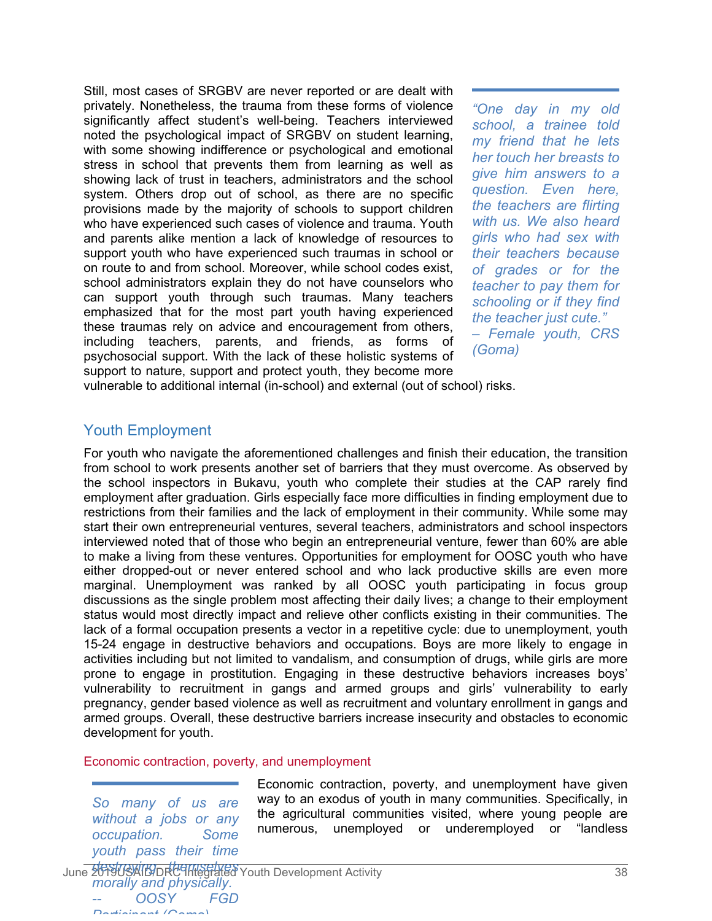Still, most cases of SRGBV are never reported or are dealt with privately. Nonetheless, the trauma from these forms of violence significantly affect student's well-being. Teachers interviewed noted the psychological impact of SRGBV on student learning, with some showing indifference or psychological and emotional stress in school that prevents them from learning as well as showing lack of trust in teachers, administrators and the school system. Others drop out of school, as there are no specific provisions made by the majority of schools to support children who have experienced such cases of violence and trauma. Youth and parents alike mention a lack of knowledge of resources to support youth who have experienced such traumas in school or on route to and from school. Moreover, while school codes exist, school administrators explain they do not have counselors who can support youth through such traumas. Many teachers emphasized that for the most part youth having experienced these traumas rely on advice and encouragement from others, including teachers, parents, and friends, as forms of psychosocial support. With the lack of these holistic systems of support to nature, support and protect youth, they become more

*"One day in my old school, a trainee told my friend that he lets her touch her breasts to give him answers to a question. Even here, the teachers are flirting with us. We also heard girls who had sex with their teachers because of grades or for the teacher to pay them for schooling or if they find the teacher just cute." – Female youth, CRS (Goma)*

vulnerable to additional internal (in-school) and external (out of school) risks.

# Youth Employment

For youth who navigate the aforementioned challenges and finish their education, the transition from school to work presents another set of barriers that they must overcome. As observed by the school inspectors in Bukavu, youth who complete their studies at the CAP rarely find employment after graduation. Girls especially face more difficulties in finding employment due to restrictions from their families and the lack of employment in their community. While some may start their own entrepreneurial ventures, several teachers, administrators and school inspectors interviewed noted that of those who begin an entrepreneurial venture, fewer than 60% are able to make a living from these ventures. Opportunities for employment for OOSC youth who have either dropped-out or never entered school and who lack productive skills are even more marginal. Unemployment was ranked by all OOSC youth participating in focus group discussions as the single problem most affecting their daily lives; a change to their employment status would most directly impact and relieve other conflicts existing in their communities. The lack of a formal occupation presents a vector in a repetitive cycle: due to unemployment, youth 15-24 engage in destructive behaviors and occupations. Boys are more likely to engage in activities including but not limited to vandalism, and consumption of drugs, while girls are more prone to engage in prostitution. Engaging in these destructive behaviors increases boys' vulnerability to recruitment in gangs and armed groups and girls' vulnerability to early pregnancy, gender based violence as well as recruitment and voluntary enrollment in gangs and armed groups. Overall, these destructive barriers increase insecurity and obstacles to economic development for youth.

#### Economic contraction, poverty, and unemployment

*So many of us are without a jobs or any occupation. Some youth pass their time*

Economic contraction, poverty, and unemployment have given way to an exodus of youth in many communities. Specifically, in the agricultural communities visited, where young people are numerous, unemployed or underemployed or "landless

June 2019USAIDDRC Integrated Youth Development Activity 38 *morally and physically. -- OOSY FGD Participant (Goma)*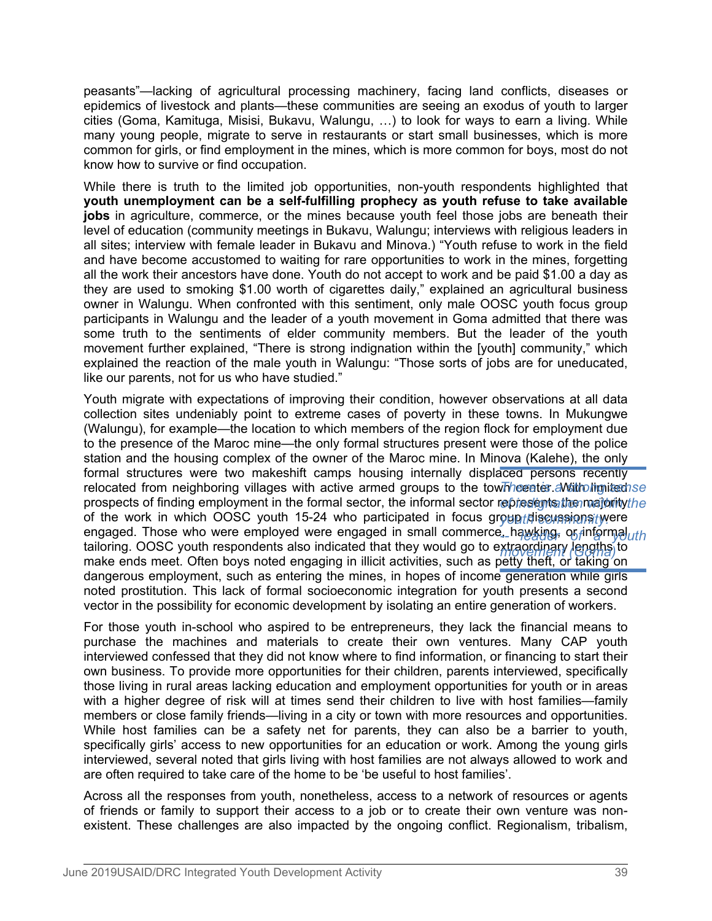peasants"—lacking of agricultural processing machinery, facing land conflicts, diseases or epidemics of livestock and plants—these communities are seeing an exodus of youth to larger cities (Goma, Kamituga, Misisi, Bukavu, Walungu, …) to look for ways to earn a living. While many young people, migrate to serve in restaurants or start small businesses, which is more common for girls, or find employment in the mines, which is more common for boys, most do not know how to survive or find occupation.

While there is truth to the limited job opportunities, non-youth respondents highlighted that **youth unemployment can be a self-fulfilling prophecy as youth refuse to take available jobs** in agriculture, commerce, or the mines because youth feel those jobs are beneath their level of education (community meetings in Bukavu, Walungu; interviews with religious leaders in all sites; interview with female leader in Bukavu and Minova.) "Youth refuse to work in the field and have become accustomed to waiting for rare opportunities to work in the mines, forgetting all the work their ancestors have done. Youth do not accept to work and be paid \$1.00 a day as they are used to smoking \$1.00 worth of cigarettes daily," explained an agricultural business owner in Walungu. When confronted with this sentiment, only male OOSC youth focus group participants in Walungu and the leader of a youth movement in Goma admitted that there was some truth to the sentiments of elder community members. But the leader of the youth movement further explained, "There is strong indignation within the [youth] community," which explained the reaction of the male youth in Walungu: "Those sorts of jobs are for uneducated, like our parents, not for us who have studied."

Youth migrate with expectations of improving their condition, however observations at all data collection sites undeniably point to extreme cases of poverty in these towns. In Mukungwe (Walungu), for example—the location to which members of the region flock for employment due to the presence of the Maroc mine—the only formal structures present were those of the police station and the housing complex of the owner of the Maroc mine. In Minova (Kalehe), the only formal structures were two makeshift camps housing internally displaced persons recently relocated from neighboring villages with active armed groups to the town hereties. A vith limitesh se prospects of finding employment in the formal sector, the informal sector represe<del>nts the majority the</del> of the work in which OOSC youth 15-24 who participated in focus group telis analy were engaged. Those who were employed were engaged in small commerce, hawking, or inform*aluth* tailoring. OOSC youth respondents also indicated that they would go to extraordinary lengths to *movement (Goma)*make ends meet. Often boys noted engaging in illicit activities, such as petty theft, or taking on dangerous employment, such as entering the mines, in hopes of income generation while girls noted prostitution. This lack of formal socioeconomic integration for youth presents a second vector in the possibility for economic development by isolating an entire generation of workers.

For those youth in-school who aspired to be entrepreneurs, they lack the financial means to purchase the machines and materials to create their own ventures. Many CAP youth interviewed confessed that they did not know where to find information, or financing to start their own business. To provide more opportunities for their children, parents interviewed, specifically those living in rural areas lacking education and employment opportunities for youth or in areas with a higher degree of risk will at times send their children to live with host families—family members or close family friends—living in a city or town with more resources and opportunities. While host families can be a safety net for parents, they can also be a barrier to youth, specifically girls' access to new opportunities for an education or work. Among the young girls interviewed, several noted that girls living with host families are not always allowed to work and are often required to take care of the home to be 'be useful to host families'.

Across all the responses from youth, nonetheless, access to a network of resources or agents of friends or family to support their access to a job or to create their own venture was nonexistent. These challenges are also impacted by the ongoing conflict. Regionalism, tribalism,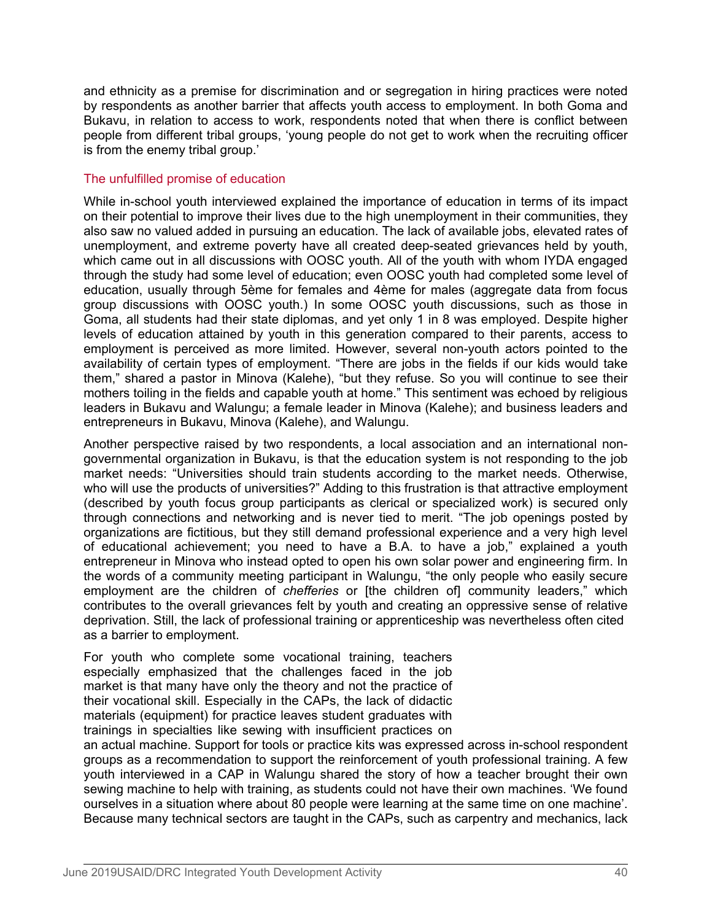and ethnicity as a premise for discrimination and or segregation in hiring practices were noted by respondents as another barrier that affects youth access to employment. In both Goma and Bukavu, in relation to access to work, respondents noted that when there is conflict between people from different tribal groups, 'young people do not get to work when the recruiting officer is from the enemy tribal group.'

# The unfulfilled promise of education

While in-school youth interviewed explained the importance of education in terms of its impact on their potential to improve their lives due to the high unemployment in their communities, they also saw no valued added in pursuing an education. The lack of available jobs, elevated rates of unemployment, and extreme poverty have all created deep-seated grievances held by youth, which came out in all discussions with OOSC youth. All of the youth with whom IYDA engaged through the study had some level of education; even OOSC youth had completed some level of education, usually through 5ème for females and 4ème for males (aggregate data from focus group discussions with OOSC youth.) In some OOSC youth discussions, such as those in Goma, all students had their state diplomas, and yet only 1 in 8 was employed. Despite higher levels of education attained by youth in this generation compared to their parents, access to employment is perceived as more limited. However, several non-youth actors pointed to the availability of certain types of employment. "There are jobs in the fields if our kids would take them," shared a pastor in Minova (Kalehe), "but they refuse. So you will continue to see their mothers toiling in the fields and capable youth at home." This sentiment was echoed by religious leaders in Bukavu and Walungu; a female leader in Minova (Kalehe); and business leaders and entrepreneurs in Bukavu, Minova (Kalehe), and Walungu.

Another perspective raised by two respondents, a local association and an international nongovernmental organization in Bukavu, is that the education system is not responding to the job market needs: "Universities should train students according to the market needs. Otherwise, who will use the products of universities?" Adding to this frustration is that attractive employment (described by youth focus group participants as clerical or specialized work) is secured only through connections and networking and is never tied to merit. "The job openings posted by organizations are fictitious, but they still demand professional experience and a very high level of educational achievement; you need to have a B.A. to have a job," explained a youth entrepreneur in Minova who instead opted to open his own solar power and engineering firm. In the words of a community meeting participant in Walungu, "the only people who easily secure employment are the children of *chefferies* or [the children of] community leaders," which contributes to the overall grievances felt by youth and creating an oppressive sense of relative deprivation. Still, the lack of professional training or apprenticeship was nevertheless often cited as a barrier to employment.

For youth who complete some vocational training, teachers especially emphasized that the challenges faced in the job market is that many have only the theory and not the practice of their vocational skill. Especially in the CAPs, the lack of didactic materials (equipment) for practice leaves student graduates with trainings in specialties like sewing with insufficient practices on

an actual machine. Support for tools or practice kits was expressed across in-school respondent groups as a recommendation to support the reinforcement of youth professional training. A few youth interviewed in a CAP in Walungu shared the story of how a teacher brought their own sewing machine to help with training, as students could not have their own machines. 'We found ourselves in a situation where about 80 people were learning at the same time on one machine'. Because many technical sectors are taught in the CAPs, such as carpentry and mechanics, lack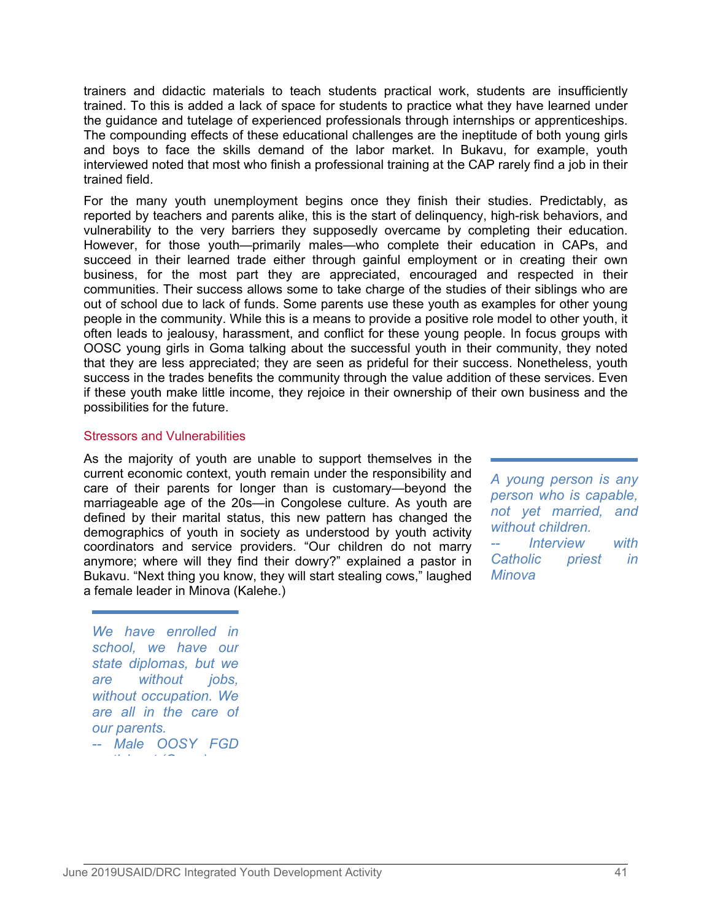trainers and didactic materials to teach students practical work, students are insufficiently trained. To this is added a lack of space for students to practice what they have learned under the guidance and tutelage of experienced professionals through internships or apprenticeships. The compounding effects of these educational challenges are the ineptitude of both young girls and boys to face the skills demand of the labor market. In Bukavu, for example, youth interviewed noted that most who finish a professional training at the CAP rarely find a job in their trained field.

For the many youth unemployment begins once they finish their studies. Predictably, as reported by teachers and parents alike, this is the start of delinquency, high-risk behaviors, and vulnerability to the very barriers they supposedly overcame by completing their education. However, for those youth—primarily males—who complete their education in CAPs, and succeed in their learned trade either through gainful employment or in creating their own business, for the most part they are appreciated, encouraged and respected in their communities. Their success allows some to take charge of the studies of their siblings who are out of school due to lack of funds. Some parents use these youth as examples for other young people in the community. While this is a means to provide a positive role model to other youth, it often leads to jealousy, harassment, and conflict for these young people. In focus groups with OOSC young girls in Goma talking about the successful youth in their community, they noted that they are less appreciated; they are seen as prideful for their success. Nonetheless, youth success in the trades benefits the community through the value addition of these services. Even if these youth make little income, they rejoice in their ownership of their own business and the possibilities for the future.

#### Stressors and Vulnerabilities

As the majority of youth are unable to support themselves in the current economic context, youth remain under the responsibility and care of their parents for longer than is customary—beyond the marriageable age of the 20s—in Congolese culture. As youth are defined by their marital status, this new pattern has changed the demographics of youth in society as understood by youth activity coordinators and service providers. "Our children do not marry anymore; where will they find their dowry?" explained a pastor in Bukavu. "Next thing you know, they will start stealing cows," laughed a female leader in Minova (Kalehe.)

*A young person is any person who is capable, not yet married, and without children. Interview with Catholic priest in Minova*

*We have enrolled in school, we have our state diplomas, but we are without jobs, without occupation. We are all in the care of our parents. -- Male OOSY FGD ti i t (G )*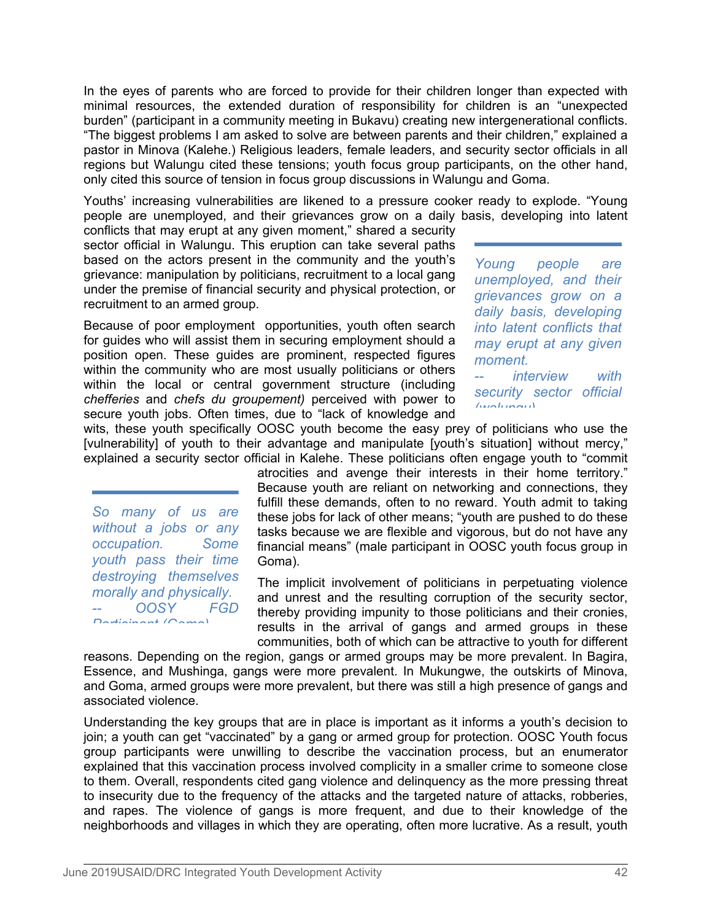In the eyes of parents who are forced to provide for their children longer than expected with minimal resources, the extended duration of responsibility for children is an "unexpected burden" (participant in a community meeting in Bukavu) creating new intergenerational conflicts. "The biggest problems I am asked to solve are between parents and their children," explained a pastor in Minova (Kalehe.) Religious leaders, female leaders, and security sector officials in all regions but Walungu cited these tensions; youth focus group participants, on the other hand, only cited this source of tension in focus group discussions in Walungu and Goma.

Youths' increasing vulnerabilities are likened to a pressure cooker ready to explode. "Young people are unemployed, and their grievances grow on a daily basis, developing into latent

conflicts that may erupt at any given moment," shared a security sector official in Walungu. This eruption can take several paths based on the actors present in the community and the youth's  $Y<sub>ound</sub>$ grievance: manipulation by politicians, recruitment to a local gang under the premise of financial security and physical protection, or recruitment to an armed group.

Because of poor employment opportunities, youth often search for guides who will assist them in securing employment should a position open. These guides are prominent, respected figures within the community who are most usually politicians or others  $\frac{1}{2}$ within the local or central government structure (including *chefferies* and *chefs du groupement)* perceived with power to secure youth jobs. Often times, due to "lack of knowledge and

*people are unemployed, and their grievances grow on a daily basis, developing into latent conflicts that may erupt at any given moment.*

*interview with security sector official (walungu)*

wits, these youth specifically OOSC youth become the easy prey of politicians who use the [vulnerability] of youth to their advantage and manipulate [youth's situation] without mercy," explained a security sector official in Kalehe. These politicians often engage youth to "commit

*So many of us are without a jobs or any occupation. Some youth pass their time destroying themselves morally and physically. -- OOSY FGD Participant (Goma)*

atrocities and avenge their interests in their home territory." Because youth are reliant on networking and connections, they fulfill these demands, often to no reward. Youth admit to taking these jobs for lack of other means; "youth are pushed to do these tasks because we are flexible and vigorous, but do not have any financial means" (male participant in OOSC youth focus group in Goma).

The implicit involvement of politicians in perpetuating violence and unrest and the resulting corruption of the security sector, thereby providing impunity to those politicians and their cronies, results in the arrival of gangs and armed groups in these communities, both of which can be attractive to youth for different

reasons. Depending on the region, gangs or armed groups may be more prevalent. In Bagira, Essence, and Mushinga, gangs were more prevalent. In Mukungwe, the outskirts of Minova, and Goma, armed groups were more prevalent, but there was still a high presence of gangs and associated violence.

Understanding the key groups that are in place is important as it informs a youth's decision to join; a youth can get "vaccinated" by a gang or armed group for protection. OOSC Youth focus group participants were unwilling to describe the vaccination process, but an enumerator explained that this vaccination process involved complicity in a smaller crime to someone close to them. Overall, respondents cited gang violence and delinquency as the more pressing threat to insecurity due to the frequency of the attacks and the targeted nature of attacks, robberies, and rapes. The violence of gangs is more frequent, and due to their knowledge of the neighborhoods and villages in which they are operating, often more lucrative. As a result, youth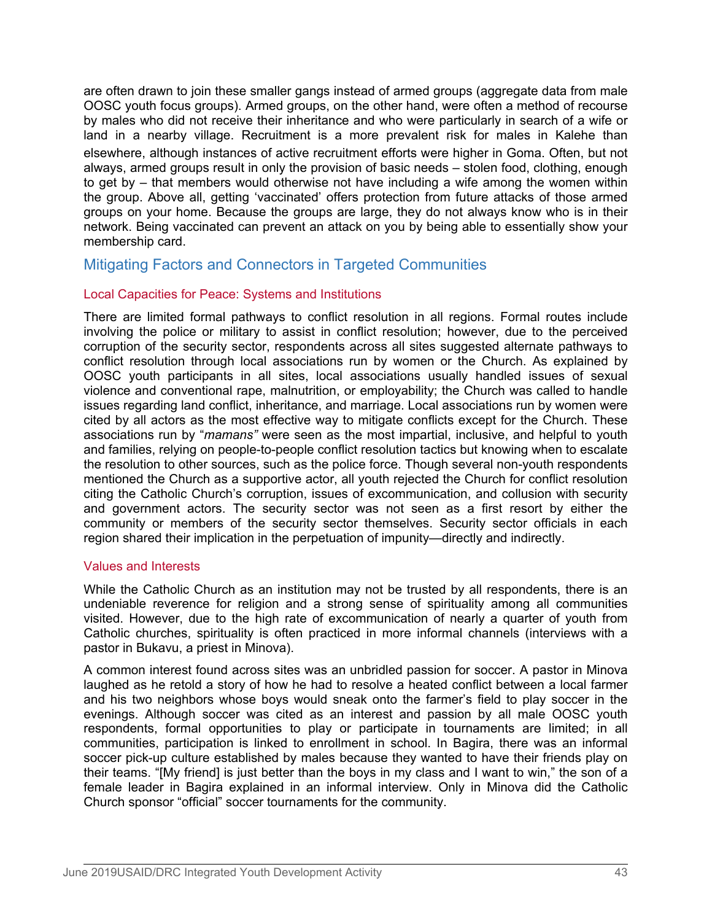are often drawn to join these smaller gangs instead of armed groups (aggregate data from male OOSC youth focus groups). Armed groups, on the other hand, were often a method of recourse by males who did not receive their inheritance and who were particularly in search of a wife or land in a nearby village. Recruitment is a more prevalent risk for males in Kalehe than elsewhere, although instances of active recruitment efforts were higher in Goma. Often, but not always, armed groups result in only the provision of basic needs – stolen food, clothing, enough to get by – that members would otherwise not have including a wife among the women within the group. Above all, getting 'vaccinated' offers protection from future attacks of those armed groups on your home. Because the groups are large, they do not always know who is in their network. Being vaccinated can prevent an attack on you by being able to essentially show your membership card.

# Mitigating Factors and Connectors in Targeted Communities

# Local Capacities for Peace: Systems and Institutions

There are limited formal pathways to conflict resolution in all regions. Formal routes include involving the police or military to assist in conflict resolution; however, due to the perceived corruption of the security sector, respondents across all sites suggested alternate pathways to conflict resolution through local associations run by women or the Church. As explained by OOSC youth participants in all sites, local associations usually handled issues of sexual violence and conventional rape, malnutrition, or employability; the Church was called to handle issues regarding land conflict, inheritance, and marriage. Local associations run by women were cited by all actors as the most effective way to mitigate conflicts except for the Church. These associations run by "*mamans"* were seen as the most impartial, inclusive, and helpful to youth and families, relying on people-to-people conflict resolution tactics but knowing when to escalate the resolution to other sources, such as the police force. Though several non-youth respondents mentioned the Church as a supportive actor, all youth rejected the Church for conflict resolution citing the Catholic Church's corruption, issues of excommunication, and collusion with security and government actors. The security sector was not seen as a first resort by either the community or members of the security sector themselves. Security sector officials in each region shared their implication in the perpetuation of impunity—directly and indirectly.

# Values and Interests

While the Catholic Church as an institution may not be trusted by all respondents, there is an undeniable reverence for religion and a strong sense of spirituality among all communities visited. However, due to the high rate of excommunication of nearly a quarter of youth from Catholic churches, spirituality is often practiced in more informal channels (interviews with a pastor in Bukavu, a priest in Minova).

A common interest found across sites was an unbridled passion for soccer. A pastor in Minova laughed as he retold a story of how he had to resolve a heated conflict between a local farmer and his two neighbors whose boys would sneak onto the farmer's field to play soccer in the evenings. Although soccer was cited as an interest and passion by all male OOSC youth respondents, formal opportunities to play or participate in tournaments are limited; in all communities, participation is linked to enrollment in school. In Bagira, there was an informal soccer pick-up culture established by males because they wanted to have their friends play on their teams. "[My friend] is just better than the boys in my class and I want to win," the son of a female leader in Bagira explained in an informal interview. Only in Minova did the Catholic Church sponsor "official" soccer tournaments for the community.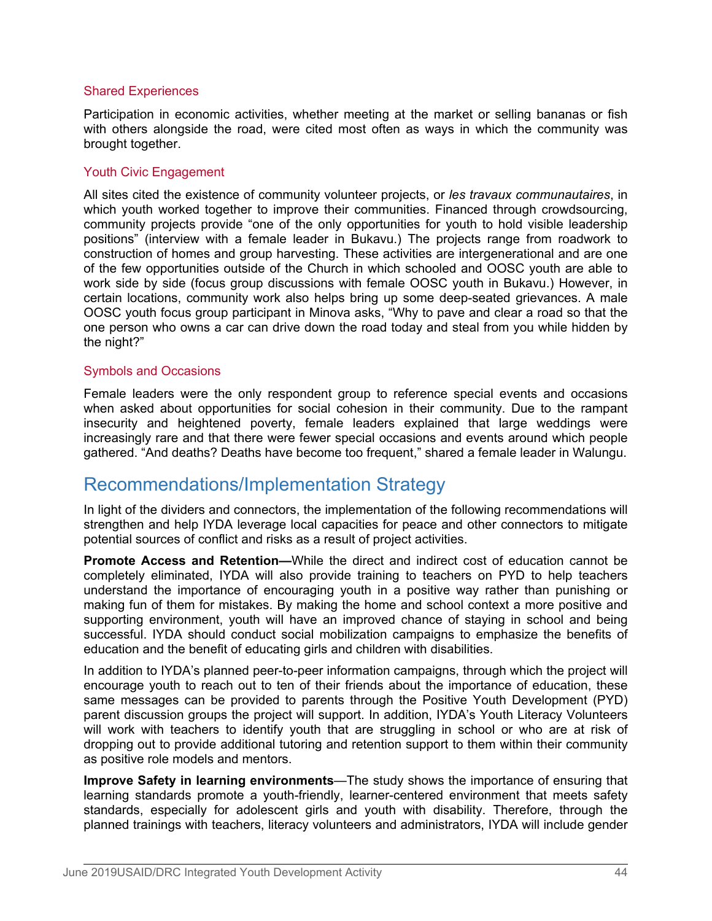#### Shared Experiences

Participation in economic activities, whether meeting at the market or selling bananas or fish with others alongside the road, were cited most often as ways in which the community was brought together.

## Youth Civic Engagement

All sites cited the existence of community volunteer projects, or *les travaux communautaires*, in which youth worked together to improve their communities. Financed through crowdsourcing, community projects provide "one of the only opportunities for youth to hold visible leadership positions" (interview with a female leader in Bukavu.) The projects range from roadwork to construction of homes and group harvesting. These activities are intergenerational and are one of the few opportunities outside of the Church in which schooled and OOSC youth are able to work side by side (focus group discussions with female OOSC youth in Bukavu.) However, in certain locations, community work also helps bring up some deep-seated grievances. A male OOSC youth focus group participant in Minova asks, "Why to pave and clear a road so that the one person who owns a car can drive down the road today and steal from you while hidden by the night?"

## Symbols and Occasions

Female leaders were the only respondent group to reference special events and occasions when asked about opportunities for social cohesion in their community. Due to the rampant insecurity and heightened poverty, female leaders explained that large weddings were increasingly rare and that there were fewer special occasions and events around which people gathered. "And deaths? Deaths have become too frequent," shared a female leader in Walungu.

# Recommendations/Implementation Strategy

In light of the dividers and connectors, the implementation of the following recommendations will strengthen and help IYDA leverage local capacities for peace and other connectors to mitigate potential sources of conflict and risks as a result of project activities.

**Promote Access and Retention—**While the direct and indirect cost of education cannot be completely eliminated, IYDA will also provide training to teachers on PYD to help teachers understand the importance of encouraging youth in a positive way rather than punishing or making fun of them for mistakes. By making the home and school context a more positive and supporting environment, youth will have an improved chance of staying in school and being successful. IYDA should conduct social mobilization campaigns to emphasize the benefits of education and the benefit of educating girls and children with disabilities.

In addition to IYDA's planned peer-to-peer information campaigns, through which the project will encourage youth to reach out to ten of their friends about the importance of education, these same messages can be provided to parents through the Positive Youth Development (PYD) parent discussion groups the project will support. In addition, IYDA's Youth Literacy Volunteers will work with teachers to identify youth that are struggling in school or who are at risk of dropping out to provide additional tutoring and retention support to them within their community as positive role models and mentors.

**Improve Safety in learning environments**—The study shows the importance of ensuring that learning standards promote a youth-friendly, learner-centered environment that meets safety standards, especially for adolescent girls and youth with disability. Therefore, through the planned trainings with teachers, literacy volunteers and administrators, IYDA will include gender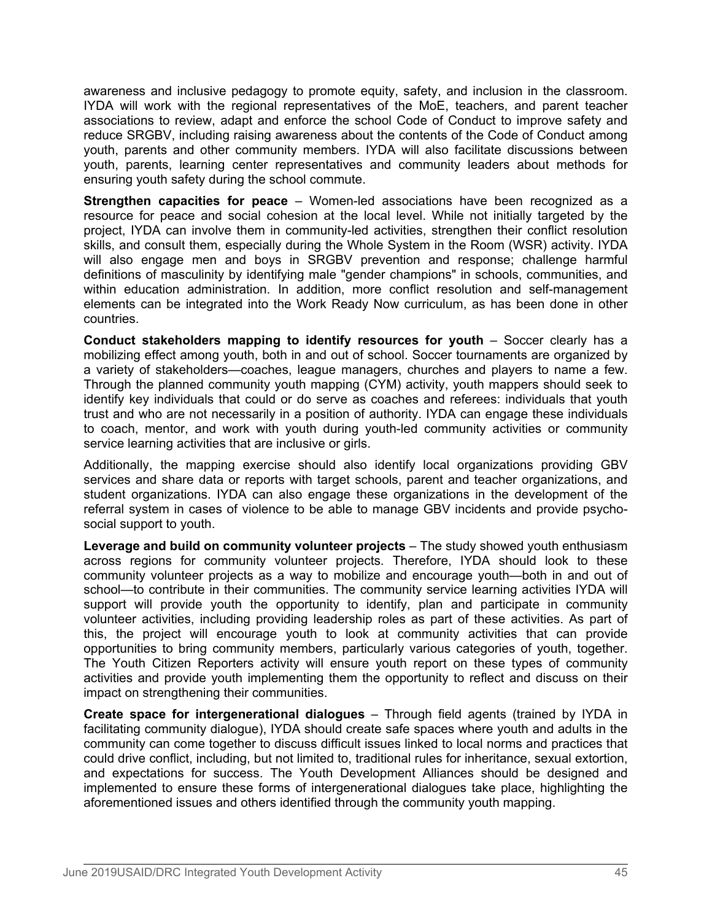awareness and inclusive pedagogy to promote equity, safety, and inclusion in the classroom. IYDA will work with the regional representatives of the MoE, teachers, and parent teacher associations to review, adapt and enforce the school Code of Conduct to improve safety and reduce SRGBV, including raising awareness about the contents of the Code of Conduct among youth, parents and other community members. IYDA will also facilitate discussions between youth, parents, learning center representatives and community leaders about methods for ensuring youth safety during the school commute.

**Strengthen capacities for peace** – Women-led associations have been recognized as a resource for peace and social cohesion at the local level. While not initially targeted by the project, IYDA can involve them in community-led activities, strengthen their conflict resolution skills, and consult them, especially during the Whole System in the Room (WSR) activity. IYDA will also engage men and boys in SRGBV prevention and response; challenge harmful definitions of masculinity by identifying male "gender champions" in schools, communities, and within education administration. In addition, more conflict resolution and self-management elements can be integrated into the Work Ready Now curriculum, as has been done in other countries.

**Conduct stakeholders mapping to identify resources for youth** – Soccer clearly has a mobilizing effect among youth, both in and out of school. Soccer tournaments are organized by a variety of stakeholders—coaches, league managers, churches and players to name a few. Through the planned community youth mapping (CYM) activity, youth mappers should seek to identify key individuals that could or do serve as coaches and referees: individuals that youth trust and who are not necessarily in a position of authority. IYDA can engage these individuals to coach, mentor, and work with youth during youth-led community activities or community service learning activities that are inclusive or girls.

Additionally, the mapping exercise should also identify local organizations providing GBV services and share data or reports with target schools, parent and teacher organizations, and student organizations. IYDA can also engage these organizations in the development of the referral system in cases of violence to be able to manage GBV incidents and provide psychosocial support to youth.

**Leverage and build on community volunteer projects** – The study showed youth enthusiasm across regions for community volunteer projects. Therefore, IYDA should look to these community volunteer projects as a way to mobilize and encourage youth—both in and out of school—to contribute in their communities. The community service learning activities IYDA will support will provide youth the opportunity to identify, plan and participate in community volunteer activities, including providing leadership roles as part of these activities. As part of this, the project will encourage youth to look at community activities that can provide opportunities to bring community members, particularly various categories of youth, together. The Youth Citizen Reporters activity will ensure youth report on these types of community activities and provide youth implementing them the opportunity to reflect and discuss on their impact on strengthening their communities.

**Create space for intergenerational dialogues** – Through field agents (trained by IYDA in facilitating community dialogue), IYDA should create safe spaces where youth and adults in the community can come together to discuss difficult issues linked to local norms and practices that could drive conflict, including, but not limited to, traditional rules for inheritance, sexual extortion, and expectations for success. The Youth Development Alliances should be designed and implemented to ensure these forms of intergenerational dialogues take place, highlighting the aforementioned issues and others identified through the community youth mapping.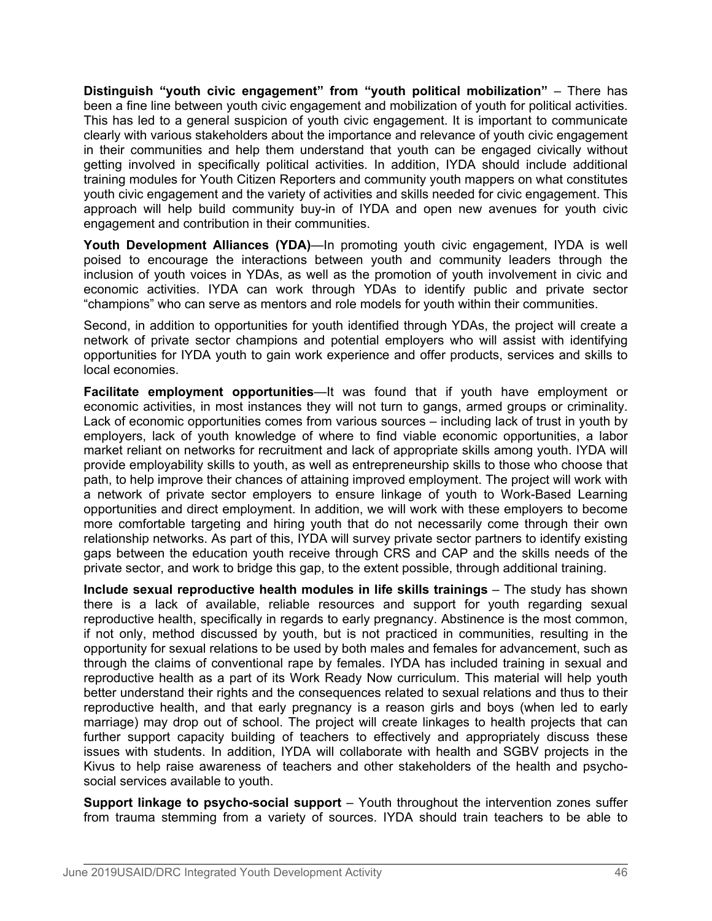**Distinguish "youth civic engagement" from "youth political mobilization"** – There has been a fine line between youth civic engagement and mobilization of youth for political activities. This has led to a general suspicion of youth civic engagement. It is important to communicate clearly with various stakeholders about the importance and relevance of youth civic engagement in their communities and help them understand that youth can be engaged civically without getting involved in specifically political activities. In addition, IYDA should include additional training modules for Youth Citizen Reporters and community youth mappers on what constitutes youth civic engagement and the variety of activities and skills needed for civic engagement. This approach will help build community buy-in of IYDA and open new avenues for youth civic engagement and contribution in their communities.

**Youth Development Alliances (YDA)—In promoting youth civic engagement, IYDA is well** poised to encourage the interactions between youth and community leaders through the inclusion of youth voices in YDAs, as well as the promotion of youth involvement in civic and economic activities. IYDA can work through YDAs to identify public and private sector "champions" who can serve as mentors and role models for youth within their communities.

Second, in addition to opportunities for youth identified through YDAs, the project will create a network of private sector champions and potential employers who will assist with identifying opportunities for IYDA youth to gain work experience and offer products, services and skills to local economies.

**Facilitate employment opportunities**—It was found that if youth have employment or economic activities, in most instances they will not turn to gangs, armed groups or criminality. Lack of economic opportunities comes from various sources – including lack of trust in youth by employers, lack of youth knowledge of where to find viable economic opportunities, a labor market reliant on networks for recruitment and lack of appropriate skills among youth. IYDA will provide employability skills to youth, as well as entrepreneurship skills to those who choose that path, to help improve their chances of attaining improved employment. The project will work with a network of private sector employers to ensure linkage of youth to Work-Based Learning opportunities and direct employment. In addition, we will work with these employers to become more comfortable targeting and hiring youth that do not necessarily come through their own relationship networks. As part of this, IYDA will survey private sector partners to identify existing gaps between the education youth receive through CRS and CAP and the skills needs of the private sector, and work to bridge this gap, to the extent possible, through additional training.

**Include sexual reproductive health modules in life skills trainings** – The study has shown there is a lack of available, reliable resources and support for youth regarding sexual reproductive health, specifically in regards to early pregnancy. Abstinence is the most common, if not only, method discussed by youth, but is not practiced in communities, resulting in the opportunity for sexual relations to be used by both males and females for advancement, such as through the claims of conventional rape by females. IYDA has included training in sexual and reproductive health as a part of its Work Ready Now curriculum. This material will help youth better understand their rights and the consequences related to sexual relations and thus to their reproductive health, and that early pregnancy is a reason girls and boys (when led to early marriage) may drop out of school. The project will create linkages to health projects that can further support capacity building of teachers to effectively and appropriately discuss these issues with students. In addition, IYDA will collaborate with health and SGBV projects in the Kivus to help raise awareness of teachers and other stakeholders of the health and psychosocial services available to youth.

**Support linkage to psycho-social support** – Youth throughout the intervention zones suffer from trauma stemming from a variety of sources. IYDA should train teachers to be able to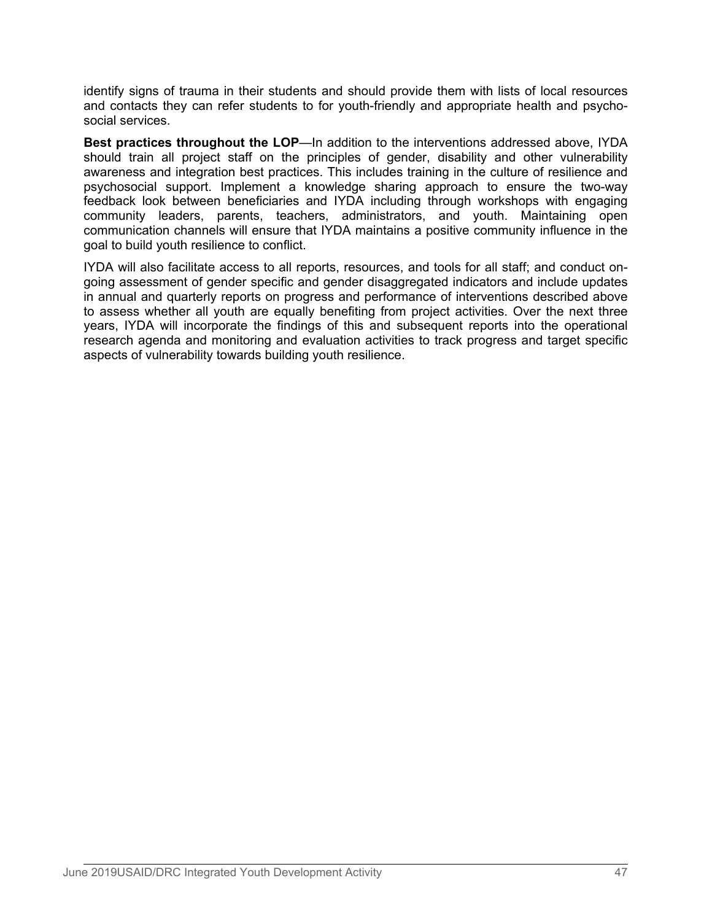identify signs of trauma in their students and should provide them with lists of local resources and contacts they can refer students to for youth-friendly and appropriate health and psychosocial services.

**Best practices throughout the LOP**—In addition to the interventions addressed above, IYDA should train all project staff on the principles of gender, disability and other vulnerability awareness and integration best practices. This includes training in the culture of resilience and psychosocial support. Implement a knowledge sharing approach to ensure the two-way feedback look between beneficiaries and IYDA including through workshops with engaging community leaders, parents, teachers, administrators, and youth. Maintaining open communication channels will ensure that IYDA maintains a positive community influence in the goal to build youth resilience to conflict.

IYDA will also facilitate access to all reports, resources, and tools for all staff; and conduct ongoing assessment of gender specific and gender disaggregated indicators and include updates in annual and quarterly reports on progress and performance of interventions described above to assess whether all youth are equally benefiting from project activities. Over the next three years, IYDA will incorporate the findings of this and subsequent reports into the operational research agenda and monitoring and evaluation activities to track progress and target specific aspects of vulnerability towards building youth resilience.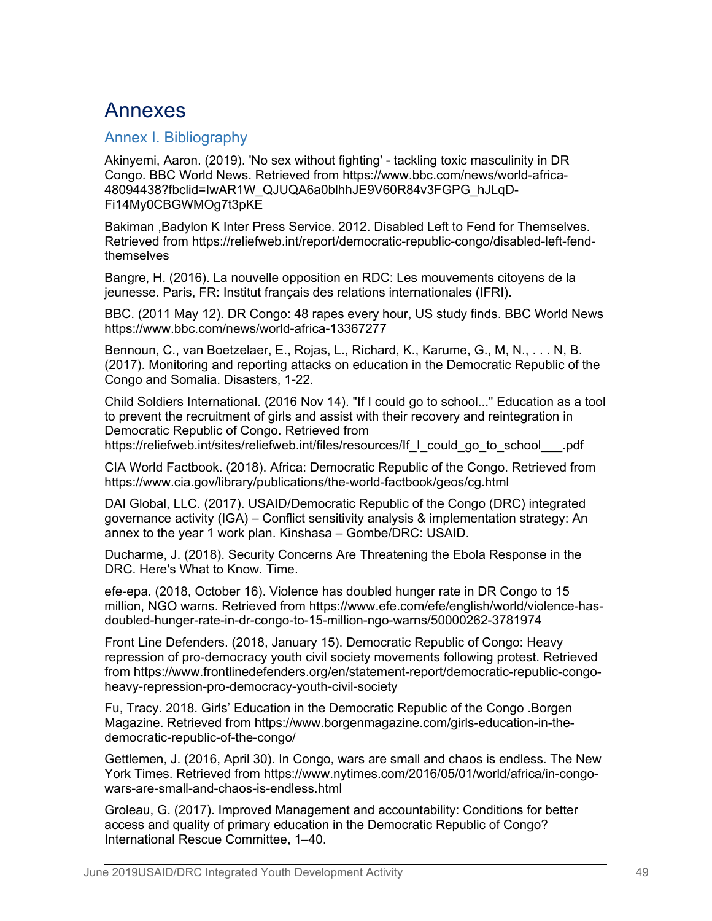# Annexes

# Annex I. Bibliography

Akinyemi, Aaron. (2019). 'No sex without fighting' - tackling toxic masculinity in DR Congo. BBC World News. Retrieved from https://www.bbc.com/news/world-africa-48094438?fbclid=IwAR1W\_QJUQA6a0blhhJE9V60R84v3FGPG\_hJLqD-Fi14My0CBGWMOg7t3pKE

Bakiman ,Badylon K Inter Press Service. 2012. Disabled Left to Fend for Themselves. Retrieved from https://reliefweb.int/report/democratic-republic-congo/disabled-left-fendthemselves

Bangre, H. (2016). La nouvelle opposition en RDC: Les mouvements citoyens de la jeunesse. Paris, FR: Institut français des relations internationales (IFRI).

BBC. (2011 May 12). DR Congo: 48 rapes every hour, US study finds. BBC World News https://www.bbc.com/news/world-africa-13367277

Bennoun, C., van Boetzelaer, E., Rojas, L., Richard, K., Karume, G., M, N., . . . N, B. (2017). Monitoring and reporting attacks on education in the Democratic Republic of the Congo and Somalia. Disasters, 1-22.

Child Soldiers International. (2016 Nov 14). "If I could go to school..." Education as a tool to prevent the recruitment of girls and assist with their recovery and reintegration in Democratic Republic of Congo. Retrieved from

https://reliefweb.int/sites/reliefweb.int/files/resources/If\_I\_could\_go\_to\_school\_\_\_.pdf

CIA World Factbook. (2018). Africa: Democratic Republic of the Congo. Retrieved from https://www.cia.gov/library/publications/the-world-factbook/geos/cg.html

DAI Global, LLC. (2017). USAID/Democratic Republic of the Congo (DRC) integrated governance activity (IGA) – Conflict sensitivity analysis & implementation strategy: An annex to the year 1 work plan. Kinshasa – Gombe/DRC: USAID.

Ducharme, J. (2018). Security Concerns Are Threatening the Ebola Response in the DRC. Here's What to Know. Time.

efe-epa. (2018, October 16). Violence has doubled hunger rate in DR Congo to 15 million, NGO warns. Retrieved from https://www.efe.com/efe/english/world/violence-hasdoubled-hunger-rate-in-dr-congo-to-15-million-ngo-warns/50000262-3781974

Front Line Defenders. (2018, January 15). Democratic Republic of Congo: Heavy repression of pro-democracy youth civil society movements following protest. Retrieved from https://www.frontlinedefenders.org/en/statement-report/democratic-republic-congoheavy-repression-pro-democracy-youth-civil-society

Fu, Tracy. 2018. Girls' Education in the Democratic Republic of the Congo .Borgen Magazine. Retrieved from https://www.borgenmagazine.com/girls-education-in-thedemocratic-republic-of-the-congo/

Gettlemen, J. (2016, April 30). In Congo, wars are small and chaos is endless. The New York Times. Retrieved from https://www.nytimes.com/2016/05/01/world/africa/in-congowars-are-small-and-chaos-is-endless.html

Groleau, G. (2017). Improved Management and accountability: Conditions for better access and quality of primary education in the Democratic Republic of Congo? International Rescue Committee, 1–40.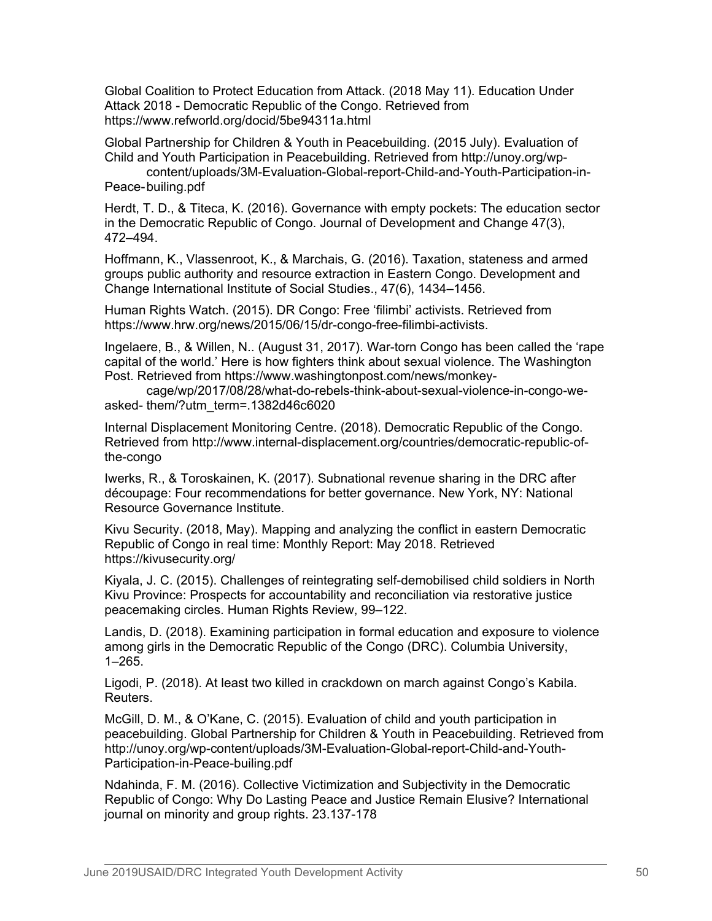Global Coalition to Protect Education from Attack. (2018 May 11). Education Under Attack 2018 - Democratic Republic of the Congo. Retrieved from https://www.refworld.org/docid/5be94311a.html

Global Partnership for Children & Youth in Peacebuilding. (2015 July). Evaluation of Child and Youth Participation in Peacebuilding. Retrieved from http://unoy.org/wp-

content/uploads/3M-Evaluation-Global-report-Child-and-Youth-Participation-in-Peace-builing.pdf

Herdt, T. D., & Titeca, K. (2016). Governance with empty pockets: The education sector in the Democratic Republic of Congo. Journal of Development and Change 47(3), 472–494.

Hoffmann, K., Vlassenroot, K., & Marchais, G. (2016). Taxation, stateness and armed groups public authority and resource extraction in Eastern Congo. Development and Change International Institute of Social Studies., 47(6), 1434–1456.

Human Rights Watch. (2015). DR Congo: Free 'filimbi' activists. Retrieved from https://www.hrw.org/news/2015/06/15/dr-congo-free-filimbi-activists.

Ingelaere, B., & Willen, N.. (August 31, 2017). War-torn Congo has been called the 'rape capital of the world.' Here is how fighters think about sexual violence. The Washington Post. Retrieved from https://www.washingtonpost.com/news/monkey-

cage/wp/2017/08/28/what-do-rebels-think-about-sexual-violence-in-congo-weasked- them/?utm\_term=.1382d46c6020

Internal Displacement Monitoring Centre. (2018). Democratic Republic of the Congo. Retrieved from http://www.internal-displacement.org/countries/democratic-republic-ofthe-congo

Iwerks, R., & Toroskainen, K. (2017). Subnational revenue sharing in the DRC after découpage: Four recommendations for better governance. New York, NY: National Resource Governance Institute.

Kivu Security. (2018, May). Mapping and analyzing the conflict in eastern Democratic Republic of Congo in real time: Monthly Report: May 2018. Retrieved https://kivusecurity.org/

Kiyala, J. C. (2015). Challenges of reintegrating self-demobilised child soldiers in North Kivu Province: Prospects for accountability and reconciliation via restorative justice peacemaking circles. Human Rights Review, 99–122.

Landis, D. (2018). Examining participation in formal education and exposure to violence among girls in the Democratic Republic of the Congo (DRC). Columbia University, 1–265.

Ligodi, P. (2018). At least two killed in crackdown on march against Congo's Kabila. Reuters.

McGill, D. M., & O'Kane, C. (2015). Evaluation of child and youth participation in peacebuilding. Global Partnership for Children & Youth in Peacebuilding. Retrieved from http://unoy.org/wp-content/uploads/3M-Evaluation-Global-report-Child-and-Youth-Participation-in-Peace-builing.pdf

Ndahinda, F. M. (2016). Collective Victimization and Subjectivity in the Democratic Republic of Congo: Why Do Lasting Peace and Justice Remain Elusive? International journal on minority and group rights. 23.137-178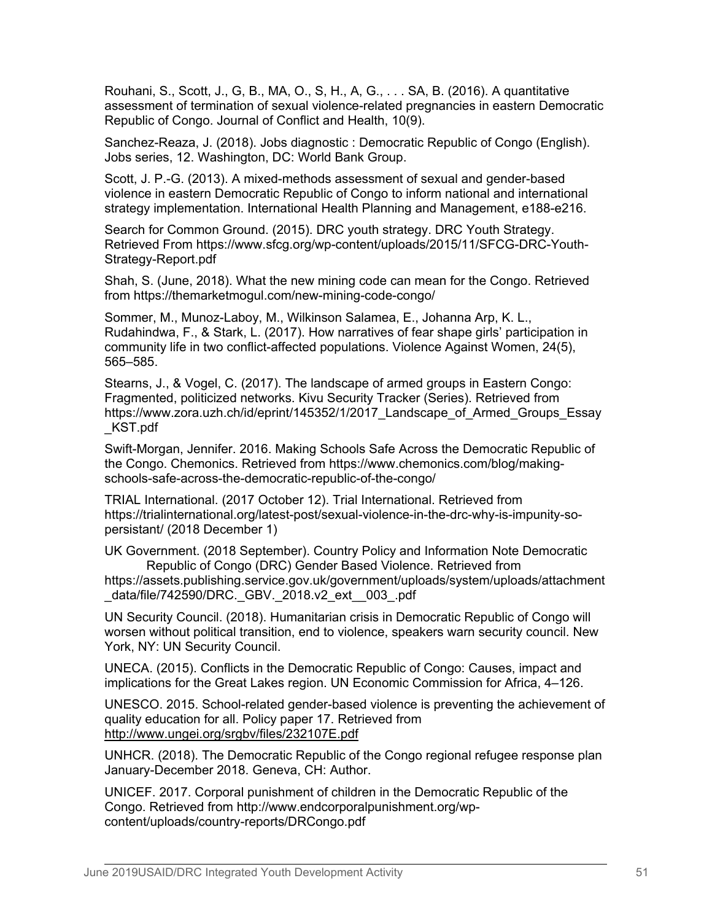Rouhani, S., Scott, J., G, B., MA, O., S, H., A, G., . . . SA, B. (2016). A quantitative assessment of termination of sexual violence-related pregnancies in eastern Democratic Republic of Congo. Journal of Conflict and Health, 10(9).

Sanchez-Reaza, J. (2018). Jobs diagnostic : Democratic Republic of Congo (English). Jobs series, 12. Washington, DC: World Bank Group.

Scott, J. P.-G. (2013). A mixed-methods assessment of sexual and gender-based violence in eastern Democratic Republic of Congo to inform national and international strategy implementation. International Health Planning and Management, e188-e216.

Search for Common Ground. (2015). DRC youth strategy. DRC Youth Strategy. Retrieved From https://www.sfcg.org/wp-content/uploads/2015/11/SFCG-DRC-Youth-Strategy-Report.pdf

Shah, S. (June, 2018). What the new mining code can mean for the Congo. Retrieved from https://themarketmogul.com/new-mining-code-congo/

Sommer, M., Munoz-Laboy, M., Wilkinson Salamea, E., Johanna Arp, K. L., Rudahindwa, F., & Stark, L. (2017). How narratives of fear shape girls' participation in community life in two conflict-affected populations. Violence Against Women, 24(5), 565–585.

Stearns, J., & Vogel, C. (2017). The landscape of armed groups in Eastern Congo: Fragmented, politicized networks. Kivu Security Tracker (Series). Retrieved from https://www.zora.uzh.ch/id/eprint/145352/1/2017 Landscape of Armed Groups Essay \_KST.pdf

Swift-Morgan, Jennifer. 2016. Making Schools Safe Across the Democratic Republic of the Congo. Chemonics. Retrieved from https://www.chemonics.com/blog/makingschools-safe-across-the-democratic-republic-of-the-congo/

TRIAL International. (2017 October 12). Trial International. Retrieved from https://trialinternational.org/latest-post/sexual-violence-in-the-drc-why-is-impunity-sopersistant/ (2018 December 1)

UK Government. (2018 September). Country Policy and Information Note Democratic Republic of Congo (DRC) Gender Based Violence. Retrieved from

https://assets.publishing.service.gov.uk/government/uploads/system/uploads/attachment \_data/file/742590/DRC.\_GBV.\_2018.v2\_ext\_\_003\_.pdf

UN Security Council. (2018). Humanitarian crisis in Democratic Republic of Congo will worsen without political transition, end to violence, speakers warn security council. New York, NY: UN Security Council.

UNECA. (2015). Conflicts in the Democratic Republic of Congo: Causes, impact and implications for the Great Lakes region. UN Economic Commission for Africa, 4–126.

UNESCO. 2015. School-related gender-based violence is preventing the achievement of quality education for all. Policy paper 17. Retrieved from <http://www.ungei.org/srgbv/files/232107E.pdf>

UNHCR. (2018). The Democratic Republic of the Congo regional refugee response plan January-December 2018. Geneva, CH: Author.

UNICEF. 2017. Corporal punishment of children in the Democratic Republic of the Congo. Retrieved from http://www.endcorporalpunishment.org/wpcontent/uploads/country-reports/DRCongo.pdf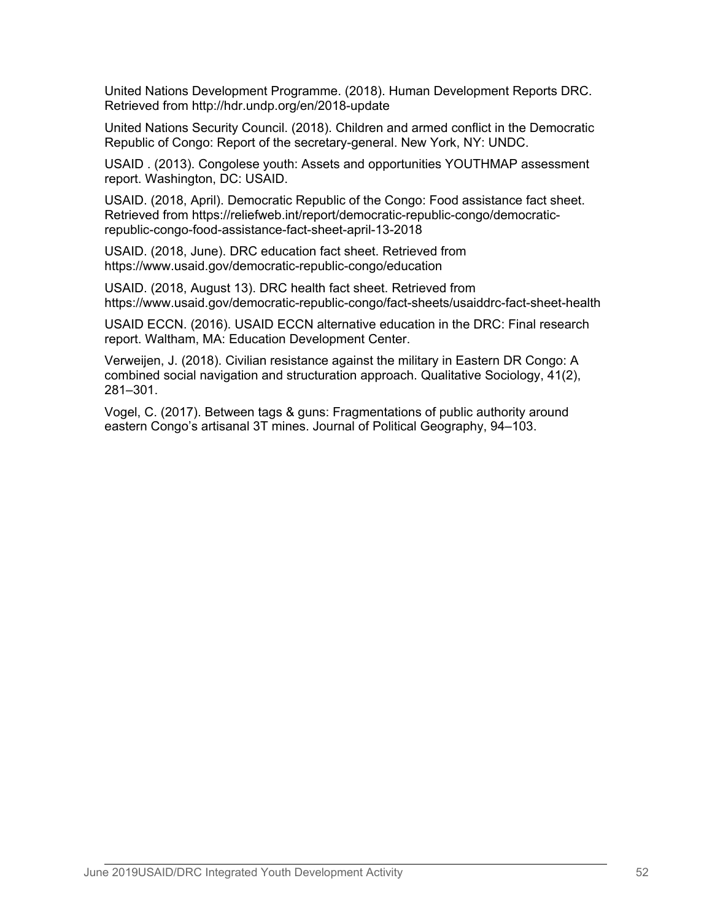United Nations Development Programme. (2018). Human Development Reports DRC. Retrieved from http://hdr.undp.org/en/2018-update

United Nations Security Council. (2018). Children and armed conflict in the Democratic Republic of Congo: Report of the secretary-general. New York, NY: UNDC.

USAID . (2013). Congolese youth: Assets and opportunities YOUTHMAP assessment report. Washington, DC: USAID.

USAID. (2018, April). Democratic Republic of the Congo: Food assistance fact sheet. Retrieved from https://reliefweb.int/report/democratic-republic-congo/democraticrepublic-congo-food-assistance-fact-sheet-april-13-2018

USAID. (2018, June). DRC education fact sheet. Retrieved from https://www.usaid.gov/democratic-republic-congo/education

USAID. (2018, August 13). DRC health fact sheet. Retrieved from https://www.usaid.gov/democratic-republic-congo/fact-sheets/usaiddrc-fact-sheet-health

USAID ECCN. (2016). USAID ECCN alternative education in the DRC: Final research report. Waltham, MA: Education Development Center.

Verweijen, J. (2018). Civilian resistance against the military in Eastern DR Congo: A combined social navigation and structuration approach. Qualitative Sociology, 41(2), 281–301.

Vogel, C. (2017). Between tags & guns: Fragmentations of public authority around eastern Congo's artisanal 3T mines. Journal of Political Geography, 94–103.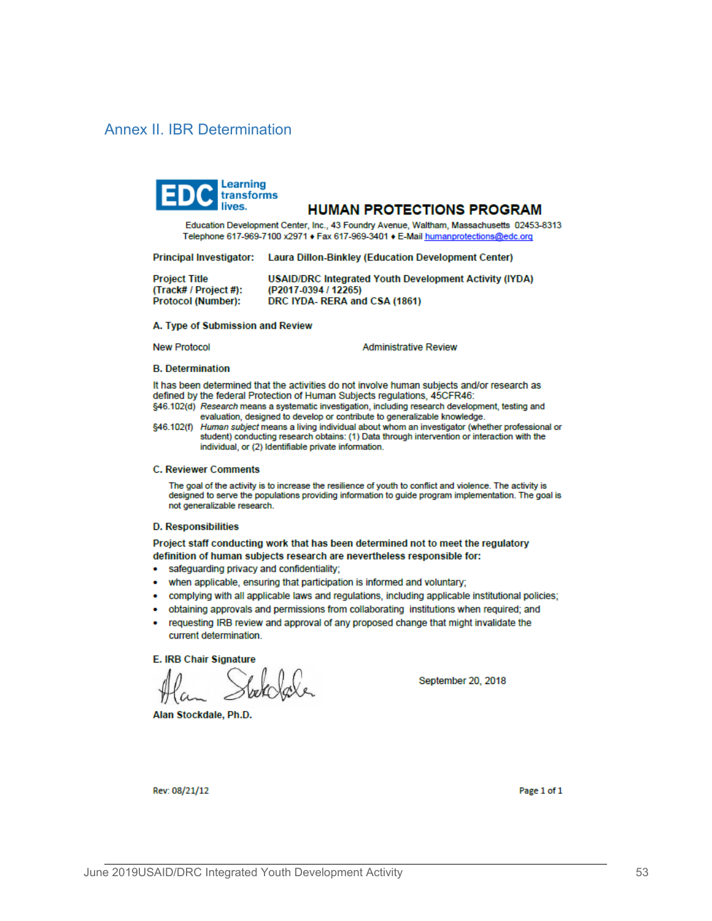# Annex II. IBR Determination



#### **HUMAN PROTECTIONS PROGRAM**

Education Development Center, Inc., 43 Foundry Avenue, Waltham, Massachusetts 02453-8313 Telephone 617-969-7100 x2971 + Fax 617-969-3401 + E-Mail humanprotections@edc.org

Principal Investigator: Laura Dillon-Binkley (Education Development Center)

| <b>Project Title</b>  | USAID/DRC Integrated Youth Development Activity (IYDA) |
|-----------------------|--------------------------------------------------------|
| (Track# / Project #): | (P2017-0394 / 12265)                                   |
| Protocol (Number):    | DRC IYDA-RERA and CSA (1861)                           |

#### A. Type of Submission and Review

**New Protocol** 

**Administrative Review** 

#### **B.** Determination

It has been determined that the activities do not involve human subjects and/or research as defined by the federal Protection of Human Subjects regulations, 45CFR46: §46.102(d) Research means a systematic investigation, including research development, testing and

evaluation, designed to develop or contribute to generalizable knowledge.

§46.102(f) Human subject means a living individual about whom an investigator (whether professional or student) conducting research obtains: (1) Data through intervention or interaction with the individual, or (2) Identifiable private information.

#### **C. Reviewer Comments**

The goal of the activity is to increase the resilience of youth to conflict and violence. The activity is designed to serve the populations providing information to quide program implementation. The goal is not generalizable research.

#### **D. Responsibilities**

Project staff conducting work that has been determined not to meet the regulatory definition of human subjects research are nevertheless responsible for:

- safeguarding privacy and confidentiality;
- when applicable, ensuring that participation is informed and voluntary;
- complying with all applicable laws and regulations, including applicable institutional policies;
- obtaining approvals and permissions from collaborating institutions when required; and  $\bullet$
- requesting IRB review and approval of any proposed change that might invalidate the current determination.

**E. IRB Chair Signature** 

Alan Stockdale, Ph.D.

September 20, 2018

Rev: 08/21/12

Page 1 of 1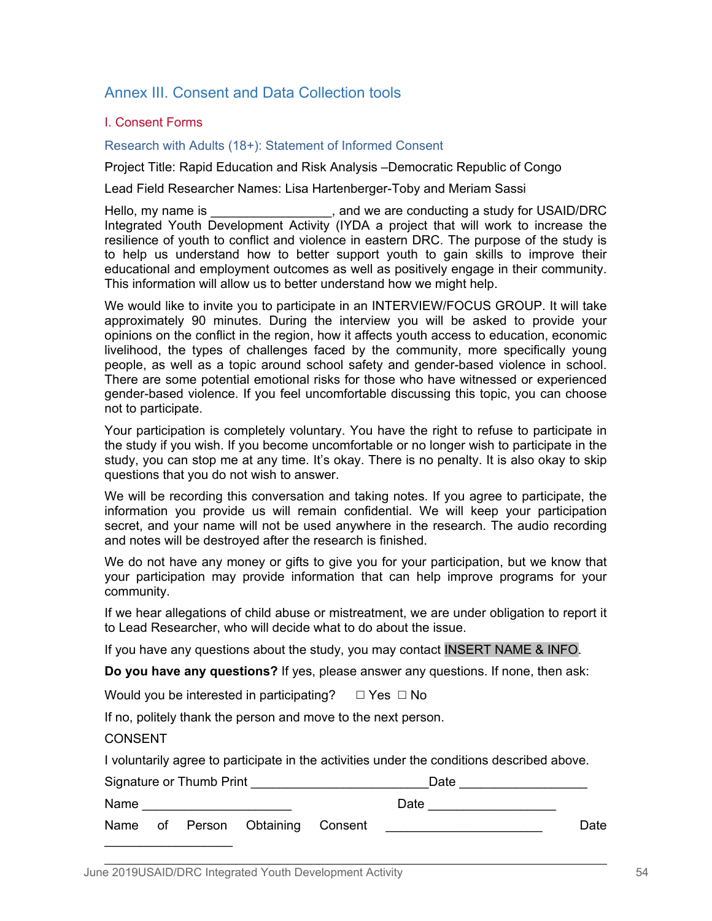# Annex III. Consent and Data Collection tools

# I. Consent Forms

Research with Adults (18+): Statement of Informed Consent

Project Title: Rapid Education and Risk Analysis –Democratic Republic of Congo

Lead Field Researcher Names: Lisa Hartenberger-Toby and Meriam Sassi

Hello, my name is Theorem is the same is the same conducting a study for USAID/DRC Integrated Youth Development Activity (IYDA a project that will work to increase the resilience of youth to conflict and violence in eastern DRC. The purpose of the study is to help us understand how to better support youth to gain skills to improve their educational and employment outcomes as well as positively engage in their community. This information will allow us to better understand how we might help.

We would like to invite you to participate in an INTERVIEW/FOCUS GROUP. It will take approximately 90 minutes. During the interview you will be asked to provide your opinions on the conflict in the region, how it affects youth access to education, economic livelihood, the types of challenges faced by the community, more specifically young people, as well as a topic around school safety and gender-based violence in school. There are some potential emotional risks for those who have witnessed or experienced gender-based violence. If you feel uncomfortable discussing this topic, you can choose not to participate.

Your participation is completely voluntary. You have the right to refuse to participate in the study if you wish. If you become uncomfortable or no longer wish to participate in the study, you can stop me at any time. It's okay. There is no penalty. It is also okay to skip questions that you do not wish to answer.

We will be recording this conversation and taking notes. If you agree to participate, the information you provide us will remain confidential. We will keep your participation secret, and your name will not be used anywhere in the research. The audio recording and notes will be destroyed after the research is finished.

We do not have any money or gifts to give you for your participation, but we know that your participation may provide information that can help improve programs for your community.

If we hear allegations of child abuse or mistreatment, we are under obligation to report it to Lead Researcher, who will decide what to do about the issue.

If you have any questions about the study, you may contact INSERT NAME & INFO.

**Do you have any questions?** If yes, please answer any questions. If none, then ask:

Would you be interested in participating?  $□$  Yes  $□$  No

If no, politely thank the person and move to the next person.

# **CONSENT**

I voluntarily agree to participate in the activities under the conditions described above.

| Signature or Thumb Print |  |  |                                  | Date |      |
|--------------------------|--|--|----------------------------------|------|------|
| Name                     |  |  |                                  | Date |      |
|                          |  |  | Name of Person Obtaining Consent |      | Date |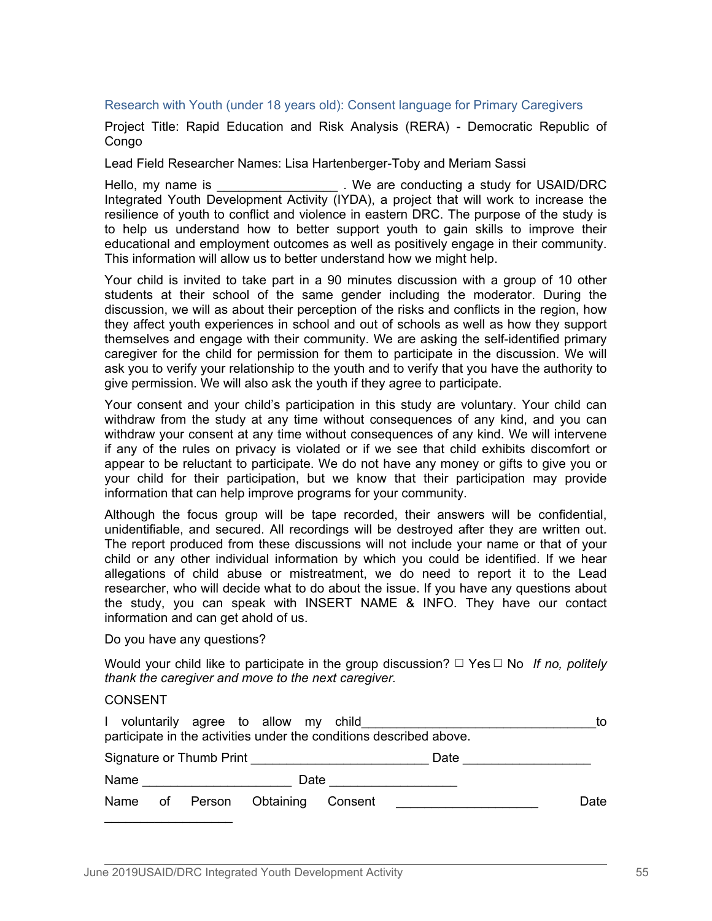#### Research with Youth (under 18 years old): Consent language for Primary Caregivers

Project Title: Rapid Education and Risk Analysis (RERA) - Democratic Republic of **Congo** 

Lead Field Researcher Names: Lisa Hartenberger-Toby and Meriam Sassi

Hello, my name is The study is the seconducting a study for USAID/DRC Integrated Youth Development Activity (IYDA), a project that will work to increase the resilience of youth to conflict and violence in eastern DRC. The purpose of the study is to help us understand how to better support youth to gain skills to improve their educational and employment outcomes as well as positively engage in their community. This information will allow us to better understand how we might help.

Your child is invited to take part in a 90 minutes discussion with a group of 10 other students at their school of the same gender including the moderator. During the discussion, we will as about their perception of the risks and conflicts in the region, how they affect youth experiences in school and out of schools as well as how they support themselves and engage with their community. We are asking the self-identified primary caregiver for the child for permission for them to participate in the discussion. We will ask you to verify your relationship to the youth and to verify that you have the authority to give permission. We will also ask the youth if they agree to participate.

Your consent and your child's participation in this study are voluntary. Your child can withdraw from the study at any time without consequences of any kind, and you can withdraw your consent at any time without consequences of any kind. We will intervene if any of the rules on privacy is violated or if we see that child exhibits discomfort or appear to be reluctant to participate. We do not have any money or gifts to give you or your child for their participation, but we know that their participation may provide information that can help improve programs for your community.

Although the focus group will be tape recorded, their answers will be confidential, unidentifiable, and secured. All recordings will be destroyed after they are written out. The report produced from these discussions will not include your name or that of your child or any other individual information by which you could be identified. If we hear allegations of child abuse or mistreatment, we do need to report it to the Lead researcher, who will decide what to do about the issue. If you have any questions about the study, you can speak with INSERT NAME & INFO. They have our contact information and can get ahold of us.

Do you have any questions?

Would your child like to participate in the group discussion? ☐ Yes ☐ No *If no, politely thank the caregiver and move to the next caregiver.*

#### CONSENT

|                                                                     |  |  | I voluntarily agree to allow my child |         |      | to   |  |
|---------------------------------------------------------------------|--|--|---------------------------------------|---------|------|------|--|
| participate in the activities under the conditions described above. |  |  |                                       |         |      |      |  |
|                                                                     |  |  | Signature or Thumb Print              |         | Date |      |  |
| Name                                                                |  |  | Date                                  |         |      |      |  |
| Name                                                                |  |  | of Person Obtaining                   | Consent |      | Date |  |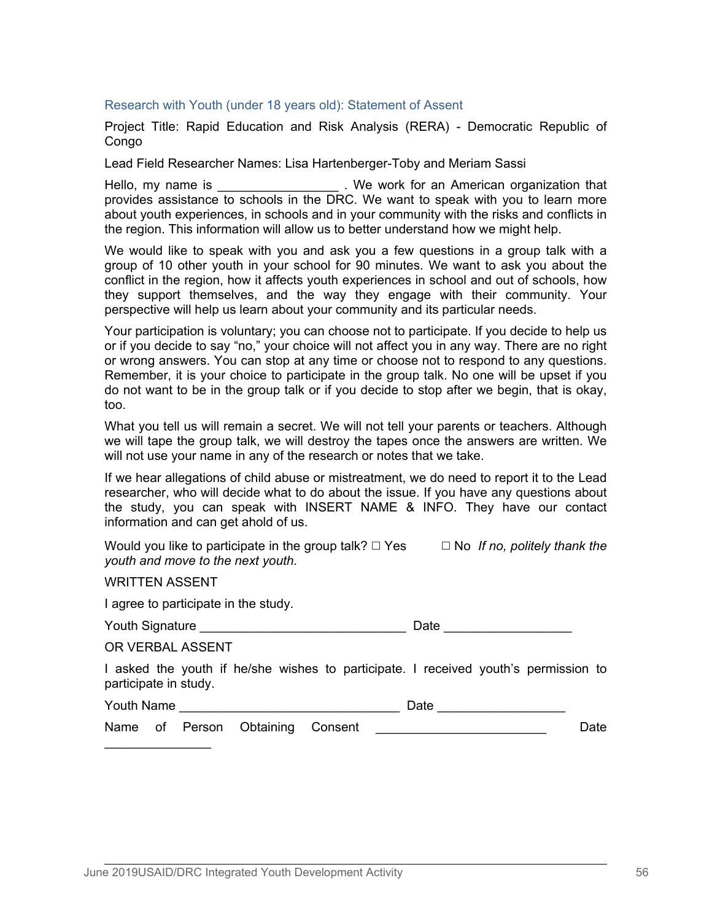#### Research with Youth (under 18 years old): Statement of Assent

Project Title: Rapid Education and Risk Analysis (RERA) - Democratic Republic of **Congo** 

Lead Field Researcher Names: Lisa Hartenberger-Toby and Meriam Sassi

Hello, my name is \_\_\_\_\_\_\_\_\_\_\_\_\_\_\_\_\_\_\_\_. We work for an American organization that provides assistance to schools in the DRC. We want to speak with you to learn more about youth experiences, in schools and in your community with the risks and conflicts in the region. This information will allow us to better understand how we might help.

We would like to speak with you and ask you a few questions in a group talk with a group of 10 other youth in your school for 90 minutes. We want to ask you about the conflict in the region, how it affects youth experiences in school and out of schools, how they support themselves, and the way they engage with their community. Your perspective will help us learn about your community and its particular needs.

Your participation is voluntary; you can choose not to participate. If you decide to help us or if you decide to say "no," your choice will not affect you in any way. There are no right or wrong answers. You can stop at any time or choose not to respond to any questions. Remember, it is your choice to participate in the group talk. No one will be upset if you do not want to be in the group talk or if you decide to stop after we begin, that is okay, too.

What you tell us will remain a secret. We will not tell your parents or teachers. Although we will tape the group talk, we will destroy the tapes once the answers are written. We will not use your name in any of the research or notes that we take.

If we hear allegations of child abuse or mistreatment, we do need to report it to the Lead researcher, who will decide what to do about the issue. If you have any questions about the study, you can speak with INSERT NAME & INFO. They have our contact information and can get ahold of us.

Would you like to participate in the group talk? □ Yes □ No *If no, politely thank the youth and move to the next youth.*

WRITTEN ASSENT

I agree to participate in the study.

| <b>Youth Signature</b> | Date |
|------------------------|------|
|------------------------|------|

OR VERBAL ASSENT

I asked the youth if he/she wishes to participate. I received youth's permission to participate in study.

| Youth Name |  |
|------------|--|
|------------|--|

Name of Person Obtaining Consent \_\_\_\_\_\_\_\_\_\_\_\_\_\_\_\_\_\_\_\_\_\_\_\_\_\_\_\_\_\_\_\_\_\_Date

 $\Box$  Date  $\Box$  Date  $\Box$  Date  $\Box$   $\Box$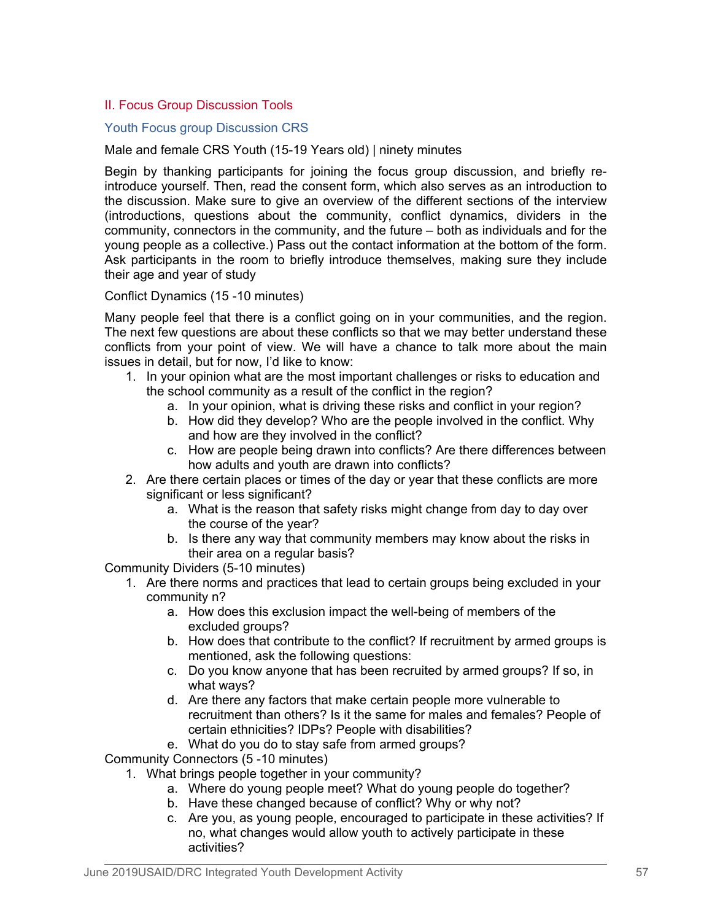# II. Focus Group Discussion Tools

# Youth Focus group Discussion CRS

Male and female CRS Youth (15-19 Years old) | ninety minutes

Begin by thanking participants for joining the focus group discussion, and briefly reintroduce yourself. Then, read the consent form, which also serves as an introduction to the discussion. Make sure to give an overview of the different sections of the interview (introductions, questions about the community, conflict dynamics, dividers in the community, connectors in the community, and the future – both as individuals and for the young people as a collective.) Pass out the contact information at the bottom of the form. Ask participants in the room to briefly introduce themselves, making sure they include their age and year of study

## Conflict Dynamics (15 -10 minutes)

Many people feel that there is a conflict going on in your communities, and the region. The next few questions are about these conflicts so that we may better understand these conflicts from your point of view. We will have a chance to talk more about the main issues in detail, but for now, I'd like to know:

- 1. In your opinion what are the most important challenges or risks to education and the school community as a result of the conflict in the region?
	- a. In your opinion, what is driving these risks and conflict in your region?
	- b. How did they develop? Who are the people involved in the conflict. Why and how are they involved in the conflict?
	- c. How are people being drawn into conflicts? Are there differences between how adults and youth are drawn into conflicts?
- 2. Are there certain places or times of the day or year that these conflicts are more significant or less significant?
	- a. What is the reason that safety risks might change from day to day over the course of the year?
	- b. Is there any way that community members may know about the risks in their area on a regular basis?

Community Dividers (5-10 minutes)

- 1. Are there norms and practices that lead to certain groups being excluded in your community n?
	- a. How does this exclusion impact the well-being of members of the excluded groups?
	- b. How does that contribute to the conflict? If recruitment by armed groups is mentioned, ask the following questions:
	- c. Do you know anyone that has been recruited by armed groups? If so, in what ways?
	- d. Are there any factors that make certain people more vulnerable to recruitment than others? Is it the same for males and females? People of certain ethnicities? IDPs? People with disabilities?
	- e. What do you do to stay safe from armed groups?

Community Connectors (5 -10 minutes)

- 1. What brings people together in your community?
	- a. Where do young people meet? What do young people do together?
	- b. Have these changed because of conflict? Why or why not?
	- c. Are you, as young people, encouraged to participate in these activities? If no, what changes would allow youth to actively participate in these activities?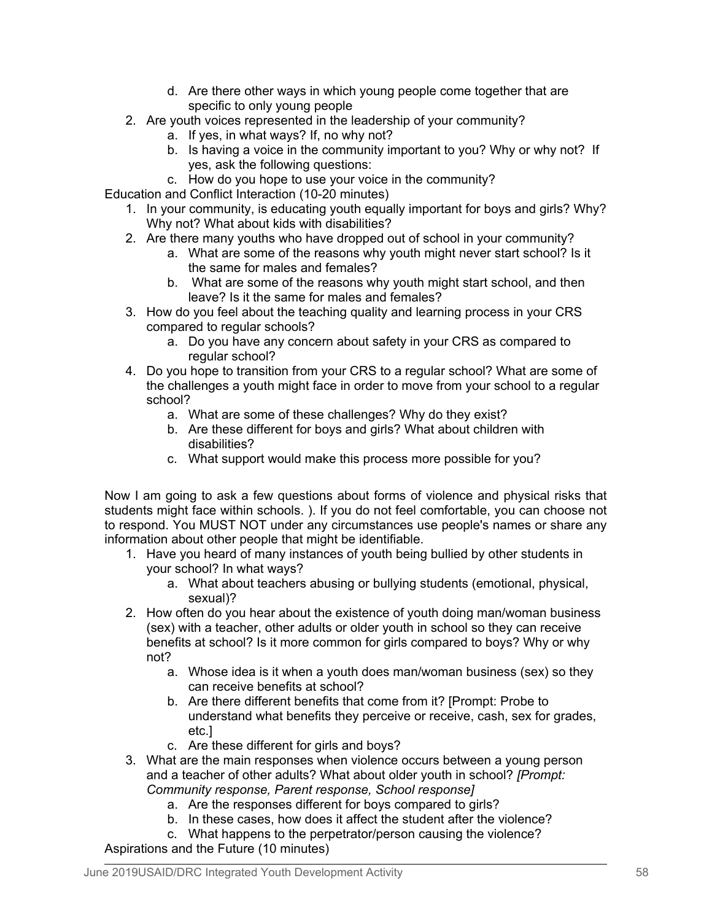- d. Are there other ways in which young people come together that are specific to only young people
- 2. Are youth voices represented in the leadership of your community?
	- a. If yes, in what ways? If, no why not?
	- b. Is having a voice in the community important to you? Why or why not? If yes, ask the following questions:
	- c. How do you hope to use your voice in the community?

Education and Conflict Interaction (10-20 minutes)

- 1. In your community, is educating youth equally important for boys and girls? Why? Why not? What about kids with disabilities?
- 2. Are there many youths who have dropped out of school in your community?
	- a. What are some of the reasons why youth might never start school? Is it the same for males and females?
	- b. What are some of the reasons why youth might start school, and then leave? Is it the same for males and females?
- 3. How do you feel about the teaching quality and learning process in your CRS compared to regular schools?
	- a. Do you have any concern about safety in your CRS as compared to regular school?
- 4. Do you hope to transition from your CRS to a regular school? What are some of the challenges a youth might face in order to move from your school to a regular school?
	- a. What are some of these challenges? Why do they exist?
	- b. Are these different for boys and girls? What about children with disabilities?
	- c. What support would make this process more possible for you?

Now I am going to ask a few questions about forms of violence and physical risks that students might face within schools. ). If you do not feel comfortable, you can choose not to respond. You MUST NOT under any circumstances use people's names or share any information about other people that might be identifiable.

- 1. Have you heard of many instances of youth being bullied by other students in your school? In what ways?
	- a. What about teachers abusing or bullying students (emotional, physical, sexual)?
- 2. How often do you hear about the existence of youth doing man/woman business (sex) with a teacher, other adults or older youth in school so they can receive benefits at school? Is it more common for girls compared to boys? Why or why not?
	- a. Whose idea is it when a youth does man/woman business (sex) so they can receive benefits at school?
	- b. Are there different benefits that come from it? [Prompt: Probe to understand what benefits they perceive or receive, cash, sex for grades, etc.]
	- c. Are these different for girls and boys?
- 3. What are the main responses when violence occurs between a young person and a teacher of other adults? What about older youth in school? *[Prompt: Community response, Parent response, School response]*
	- a. Are the responses different for boys compared to girls?
	- b. In these cases, how does it affect the student after the violence?
- c. What happens to the perpetrator/person causing the violence? Aspirations and the Future (10 minutes)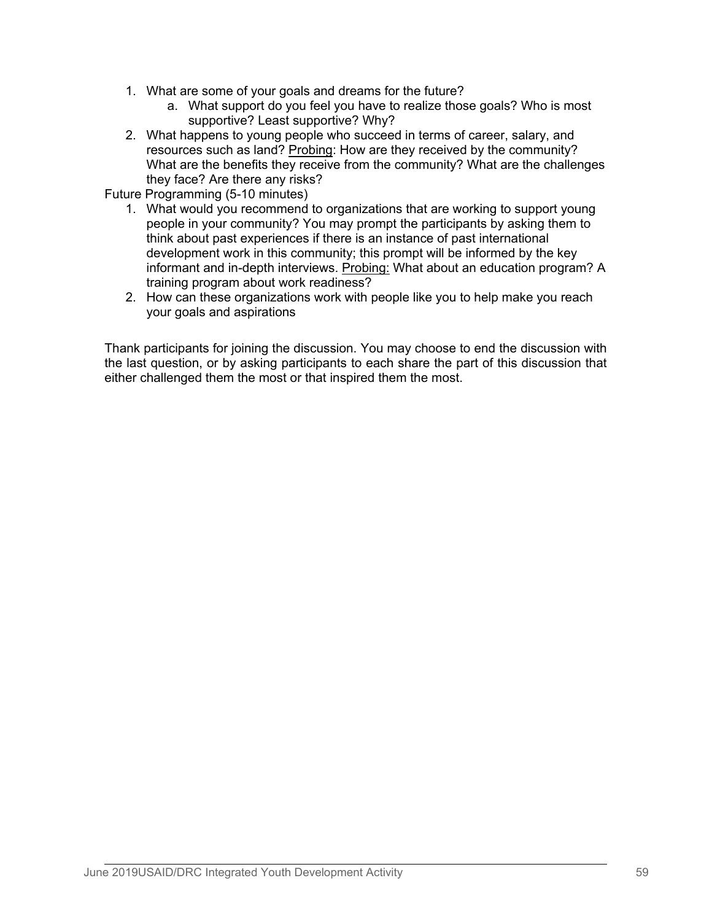- 1. What are some of your goals and dreams for the future?
	- a. What support do you feel you have to realize those goals? Who is most supportive? Least supportive? Why?
- 2. What happens to young people who succeed in terms of career, salary, and resources such as land? Probing: How are they received by the community? What are the benefits they receive from the community? What are the challenges they face? Are there any risks?

Future Programming (5-10 minutes)

- 1. What would you recommend to organizations that are working to support young people in your community? You may prompt the participants by asking them to think about past experiences if there is an instance of past international development work in this community; this prompt will be informed by the key informant and in-depth interviews. Probing: What about an education program? A training program about work readiness?
- 2. How can these organizations work with people like you to help make you reach your goals and aspirations

Thank participants for joining the discussion. You may choose to end the discussion with the last question, or by asking participants to each share the part of this discussion that either challenged them the most or that inspired them the most.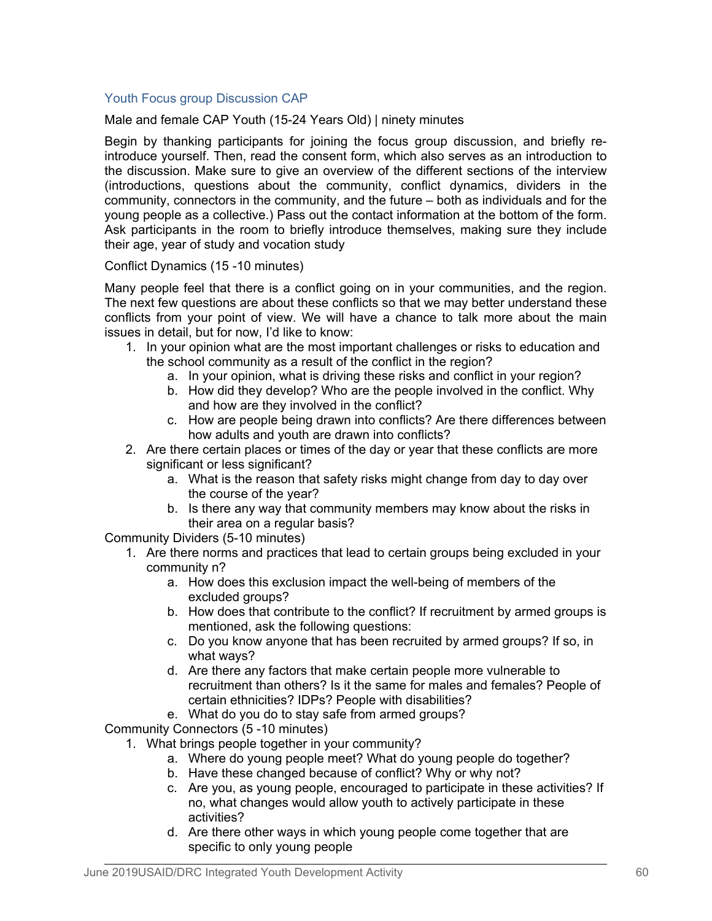# Youth Focus group Discussion CAP

Male and female CAP Youth (15-24 Years Old) | ninety minutes

Begin by thanking participants for joining the focus group discussion, and briefly reintroduce yourself. Then, read the consent form, which also serves as an introduction to the discussion. Make sure to give an overview of the different sections of the interview (introductions, questions about the community, conflict dynamics, dividers in the community, connectors in the community, and the future – both as individuals and for the young people as a collective.) Pass out the contact information at the bottom of the form. Ask participants in the room to briefly introduce themselves, making sure they include their age, year of study and vocation study

# Conflict Dynamics (15 -10 minutes)

Many people feel that there is a conflict going on in your communities, and the region. The next few questions are about these conflicts so that we may better understand these conflicts from your point of view. We will have a chance to talk more about the main issues in detail, but for now, I'd like to know:

- 1. In your opinion what are the most important challenges or risks to education and the school community as a result of the conflict in the region?
	- a. In your opinion, what is driving these risks and conflict in your region?
	- b. How did they develop? Who are the people involved in the conflict. Why and how are they involved in the conflict?
	- c. How are people being drawn into conflicts? Are there differences between how adults and youth are drawn into conflicts?
- 2. Are there certain places or times of the day or year that these conflicts are more significant or less significant?
	- a. What is the reason that safety risks might change from day to day over the course of the year?
	- b. Is there any way that community members may know about the risks in their area on a regular basis?

Community Dividers (5-10 minutes)

- 1. Are there norms and practices that lead to certain groups being excluded in your community n?
	- a. How does this exclusion impact the well-being of members of the excluded groups?
	- b. How does that contribute to the conflict? If recruitment by armed groups is mentioned, ask the following questions:
	- c. Do you know anyone that has been recruited by armed groups? If so, in what ways?
	- d. Are there any factors that make certain people more vulnerable to recruitment than others? Is it the same for males and females? People of certain ethnicities? IDPs? People with disabilities?
	- e. What do you do to stay safe from armed groups?

Community Connectors (5 -10 minutes)

- 1. What brings people together in your community?
	- a. Where do young people meet? What do young people do together?
	- b. Have these changed because of conflict? Why or why not?
	- c. Are you, as young people, encouraged to participate in these activities? If no, what changes would allow youth to actively participate in these activities?
	- d. Are there other ways in which young people come together that are specific to only young people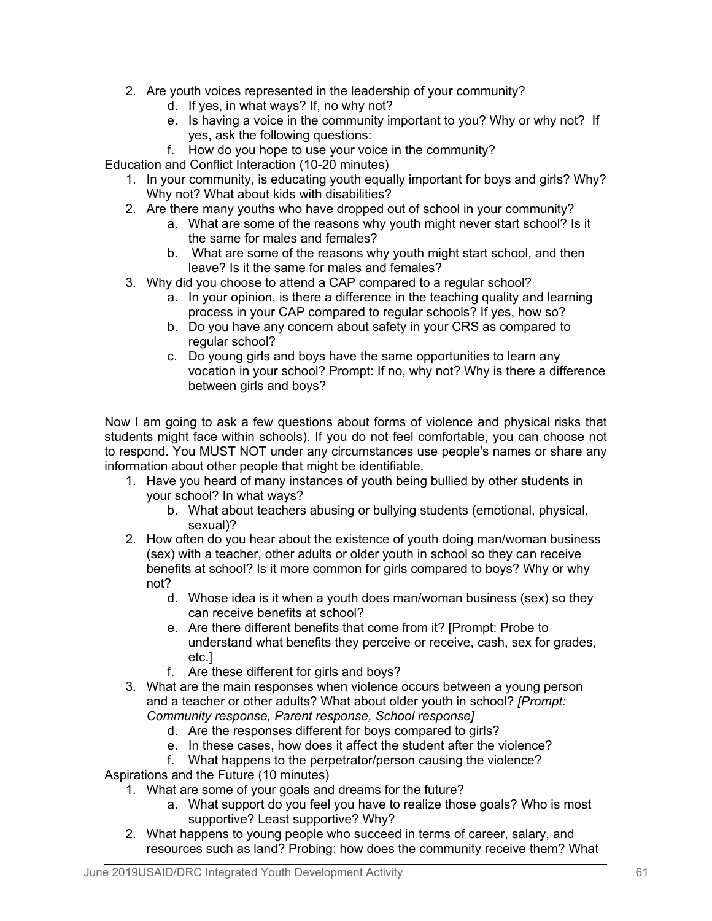- 2. Are youth voices represented in the leadership of your community?
	- d. If yes, in what ways? If, no why not?
	- e. Is having a voice in the community important to you? Why or why not? If yes, ask the following questions:
	- f. How do you hope to use your voice in the community?

Education and Conflict Interaction (10-20 minutes)

- 1. In your community, is educating youth equally important for boys and girls? Why? Why not? What about kids with disabilities?
- 2. Are there many youths who have dropped out of school in your community?
	- a. What are some of the reasons why youth might never start school? Is it the same for males and females?
	- b. What are some of the reasons why youth might start school, and then leave? Is it the same for males and females?
- 3. Why did you choose to attend a CAP compared to a regular school?
	- a. In your opinion, is there a difference in the teaching quality and learning process in your CAP compared to regular schools? If yes, how so?
	- b. Do you have any concern about safety in your CRS as compared to regular school?
	- c. Do young girls and boys have the same opportunities to learn any vocation in your school? Prompt: If no, why not? Why is there a difference between girls and boys?

Now I am going to ask a few questions about forms of violence and physical risks that students might face within schools). If you do not feel comfortable, you can choose not to respond. You MUST NOT under any circumstances use people's names or share any information about other people that might be identifiable.

- 1. Have you heard of many instances of youth being bullied by other students in your school? In what ways?
	- b. What about teachers abusing or bullying students (emotional, physical, sexual)?
- 2. How often do you hear about the existence of youth doing man/woman business (sex) with a teacher, other adults or older youth in school so they can receive benefits at school? Is it more common for girls compared to boys? Why or why not?
	- d. Whose idea is it when a youth does man/woman business (sex) so they can receive benefits at school?
	- e. Are there different benefits that come from it? [Prompt: Probe to understand what benefits they perceive or receive, cash, sex for grades, etc.]
	- f. Are these different for girls and boys?
- 3. What are the main responses when violence occurs between a young person and a teacher or other adults? What about older youth in school? *[Prompt: Community response, Parent response, School response]*
	- d. Are the responses different for boys compared to girls?
	- e. In these cases, how does it affect the student after the violence?
	- f. What happens to the perpetrator/person causing the violence?
- Aspirations and the Future (10 minutes)
	- 1. What are some of your goals and dreams for the future?
		- a. What support do you feel you have to realize those goals? Who is most supportive? Least supportive? Why?
	- 2. What happens to young people who succeed in terms of career, salary, and resources such as land? Probing: how does the community receive them? What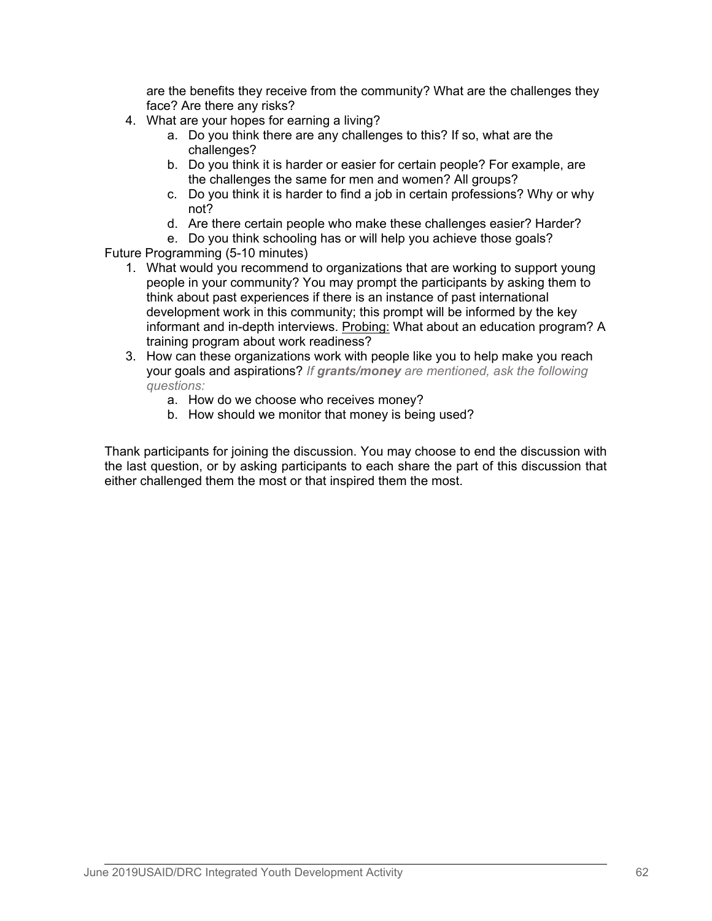are the benefits they receive from the community? What are the challenges they face? Are there any risks?

- 4. What are your hopes for earning a living?
	- a. Do you think there are any challenges to this? If so, what are the challenges?
	- b. Do you think it is harder or easier for certain people? For example, are the challenges the same for men and women? All groups?
	- c. Do you think it is harder to find a job in certain professions? Why or why not?
	- d. Are there certain people who make these challenges easier? Harder?
- e. Do you think schooling has or will help you achieve those goals? Future Programming (5-10 minutes)
	- 1. What would you recommend to organizations that are working to support young people in your community? You may prompt the participants by asking them to think about past experiences if there is an instance of past international development work in this community; this prompt will be informed by the key informant and in-depth interviews. Probing: What about an education program? A training program about work readiness?
	- 3. How can these organizations work with people like you to help make you reach your goals and aspirations? *If grants/money are mentioned, ask the following questions:*
		- a. How do we choose who receives money?
		- b. How should we monitor that money is being used?

Thank participants for joining the discussion. You may choose to end the discussion with the last question, or by asking participants to each share the part of this discussion that either challenged them the most or that inspired them the most.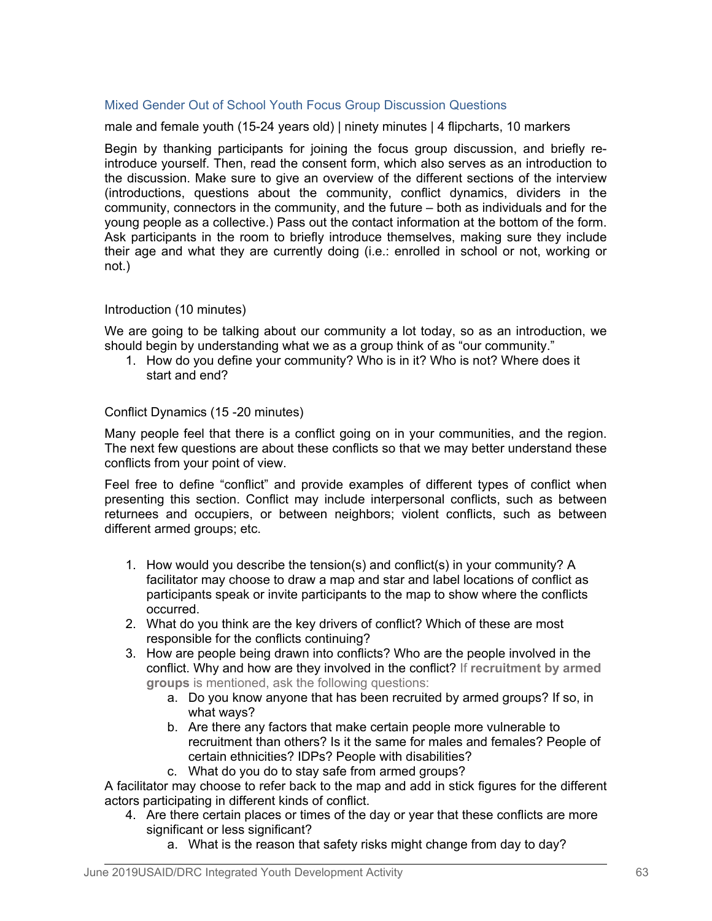# Mixed Gender Out of School Youth Focus Group Discussion Questions

male and female youth (15-24 years old) | ninety minutes | 4 flipcharts, 10 markers

Begin by thanking participants for joining the focus group discussion, and briefly reintroduce yourself. Then, read the consent form, which also serves as an introduction to the discussion. Make sure to give an overview of the different sections of the interview (introductions, questions about the community, conflict dynamics, dividers in the community, connectors in the community, and the future – both as individuals and for the young people as a collective.) Pass out the contact information at the bottom of the form. Ask participants in the room to briefly introduce themselves, making sure they include their age and what they are currently doing (i.e.: enrolled in school or not, working or not.)

#### Introduction (10 minutes)

We are going to be talking about our community a lot today, so as an introduction, we should begin by understanding what we as a group think of as "our community."

1. How do you define your community? Who is in it? Who is not? Where does it start and end?

#### Conflict Dynamics (15 -20 minutes)

Many people feel that there is a conflict going on in your communities, and the region. The next few questions are about these conflicts so that we may better understand these conflicts from your point of view.

Feel free to define "conflict" and provide examples of different types of conflict when presenting this section. Conflict may include interpersonal conflicts, such as between returnees and occupiers, or between neighbors; violent conflicts, such as between different armed groups; etc.

- 1. How would you describe the tension(s) and conflict(s) in your community? A facilitator may choose to draw a map and star and label locations of conflict as participants speak or invite participants to the map to show where the conflicts occurred.
- 2. What do you think are the key drivers of conflict? Which of these are most responsible for the conflicts continuing?
- 3. How are people being drawn into conflicts? Who are the people involved in the conflict. Why and how are they involved in the conflict? If **recruitment by armed groups** is mentioned, ask the following questions:
	- a. Do you know anyone that has been recruited by armed groups? If so, in what ways?
	- b. Are there any factors that make certain people more vulnerable to recruitment than others? Is it the same for males and females? People of certain ethnicities? IDPs? People with disabilities?
	- c. What do you do to stay safe from armed groups?

A facilitator may choose to refer back to the map and add in stick figures for the different actors participating in different kinds of conflict.

- 4. Are there certain places or times of the day or year that these conflicts are more significant or less significant?
	- a. What is the reason that safety risks might change from day to day?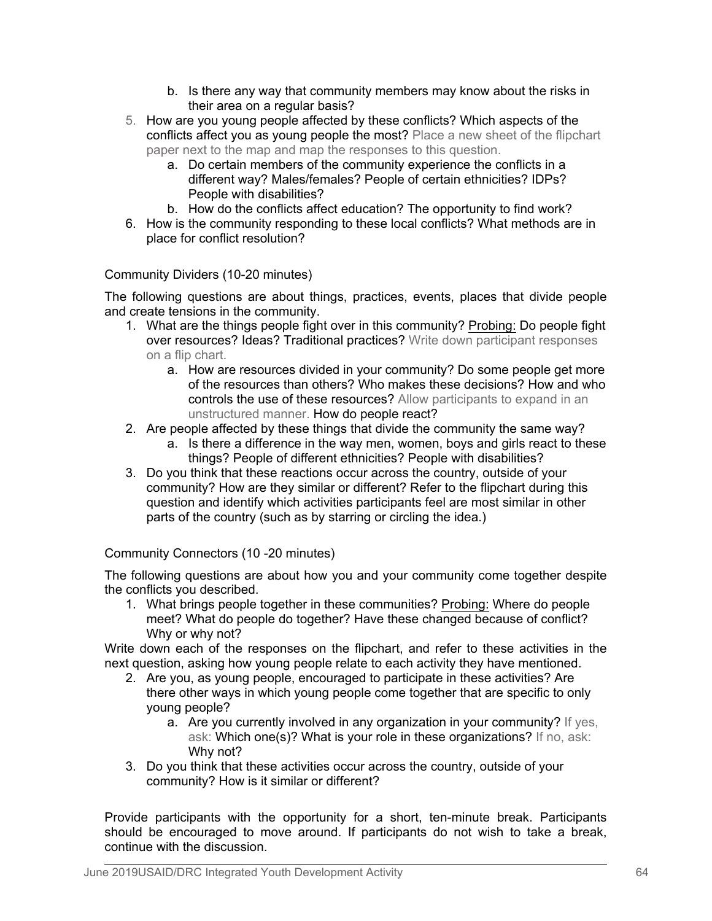- b. Is there any way that community members may know about the risks in their area on a regular basis?
- 5. How are you young people affected by these conflicts? Which aspects of the conflicts affect you as young people the most? Place a new sheet of the flipchart paper next to the map and map the responses to this question.
	- a. Do certain members of the community experience the conflicts in a different way? Males/females? People of certain ethnicities? IDPs? People with disabilities?
	- b. How do the conflicts affect education? The opportunity to find work?
- 6. How is the community responding to these local conflicts? What methods are in place for conflict resolution?

Community Dividers (10-20 minutes)

The following questions are about things, practices, events, places that divide people and create tensions in the community.

- 1. What are the things people fight over in this community? Probing: Do people fight over resources? Ideas? Traditional practices? Write down participant responses on a flip chart.
	- a. How are resources divided in your community? Do some people get more of the resources than others? Who makes these decisions? How and who controls the use of these resources? Allow participants to expand in an unstructured manner. How do people react?
- 2. Are people affected by these things that divide the community the same way?
	- a. Is there a difference in the way men, women, boys and girls react to these things? People of different ethnicities? People with disabilities?
- 3. Do you think that these reactions occur across the country, outside of your community? How are they similar or different? Refer to the flipchart during this question and identify which activities participants feel are most similar in other parts of the country (such as by starring or circling the idea.)

Community Connectors (10 -20 minutes)

The following questions are about how you and your community come together despite the conflicts you described.

1. What brings people together in these communities? Probing: Where do people meet? What do people do together? Have these changed because of conflict? Why or why not?

Write down each of the responses on the flipchart, and refer to these activities in the next question, asking how young people relate to each activity they have mentioned.

- 2. Are you, as young people, encouraged to participate in these activities? Are there other ways in which young people come together that are specific to only young people?
	- a. Are you currently involved in any organization in your community? If yes, ask: Which one(s)? What is your role in these organizations? If no, ask: Why not?
- 3. Do you think that these activities occur across the country, outside of your community? How is it similar or different?

Provide participants with the opportunity for a short, ten-minute break. Participants should be encouraged to move around. If participants do not wish to take a break, continue with the discussion.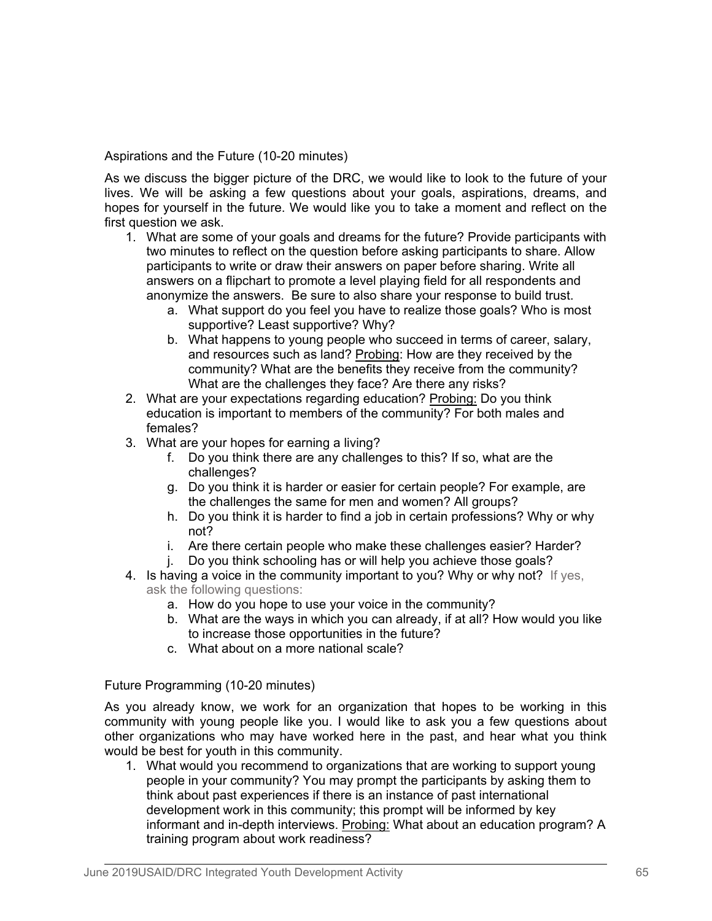Aspirations and the Future (10-20 minutes)

As we discuss the bigger picture of the DRC, we would like to look to the future of your lives. We will be asking a few questions about your goals, aspirations, dreams, and hopes for yourself in the future. We would like you to take a moment and reflect on the first question we ask.

- 1. What are some of your goals and dreams for the future? Provide participants with two minutes to reflect on the question before asking participants to share. Allow participants to write or draw their answers on paper before sharing. Write all answers on a flipchart to promote a level playing field for all respondents and anonymize the answers. Be sure to also share your response to build trust.
	- a. What support do you feel you have to realize those goals? Who is most supportive? Least supportive? Why?
	- b. What happens to young people who succeed in terms of career, salary, and resources such as land? Probing: How are they received by the community? What are the benefits they receive from the community? What are the challenges they face? Are there any risks?
- 2. What are your expectations regarding education? Probing: Do you think education is important to members of the community? For both males and females?
- 3. What are your hopes for earning a living?
	- f. Do you think there are any challenges to this? If so, what are the challenges?
	- g. Do you think it is harder or easier for certain people? For example, are the challenges the same for men and women? All groups?
	- h. Do you think it is harder to find a job in certain professions? Why or why not?
	- i. Are there certain people who make these challenges easier? Harder?
	- j. Do you think schooling has or will help you achieve those goals?
- 4. Is having a voice in the community important to you? Why or why not? If yes, ask the following questions:
	- a. How do you hope to use your voice in the community?
	- b. What are the ways in which you can already, if at all? How would you like to increase those opportunities in the future?
	- c. What about on a more national scale?

Future Programming (10-20 minutes)

As you already know, we work for an organization that hopes to be working in this community with young people like you. I would like to ask you a few questions about other organizations who may have worked here in the past, and hear what you think would be best for youth in this community.

1. What would you recommend to organizations that are working to support young people in your community? You may prompt the participants by asking them to think about past experiences if there is an instance of past international development work in this community; this prompt will be informed by key informant and in-depth interviews. Probing: What about an education program? A training program about work readiness?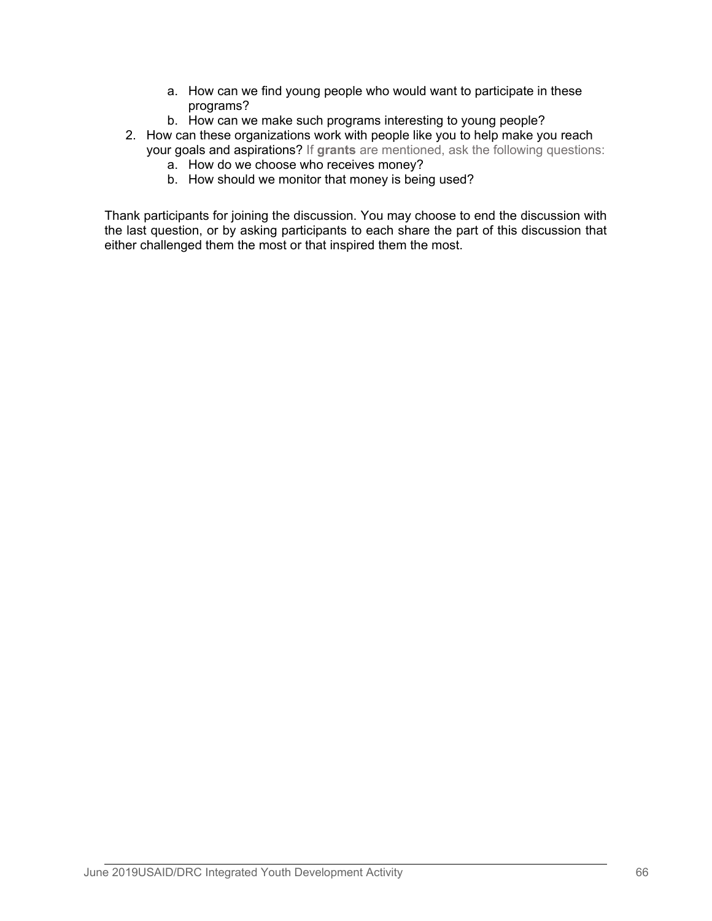- a. How can we find young people who would want to participate in these programs?
- b. How can we make such programs interesting to young people?
- 2. How can these organizations work with people like you to help make you reach your goals and aspirations? If **grants** are mentioned, ask the following questions:
	- a. How do we choose who receives money?
	- b. How should we monitor that money is being used?

Thank participants for joining the discussion. You may choose to end the discussion with the last question, or by asking participants to each share the part of this discussion that either challenged them the most or that inspired them the most.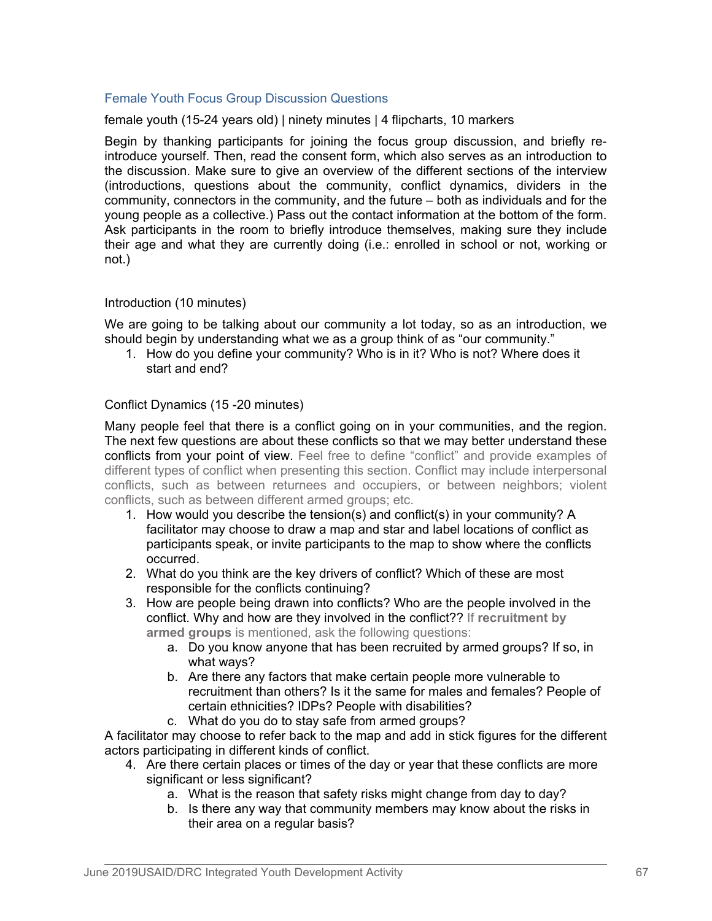# Female Youth Focus Group Discussion Questions

female youth (15-24 years old) | ninety minutes | 4 flipcharts, 10 markers

Begin by thanking participants for joining the focus group discussion, and briefly reintroduce yourself. Then, read the consent form, which also serves as an introduction to the discussion. Make sure to give an overview of the different sections of the interview (introductions, questions about the community, conflict dynamics, dividers in the community, connectors in the community, and the future – both as individuals and for the young people as a collective.) Pass out the contact information at the bottom of the form. Ask participants in the room to briefly introduce themselves, making sure they include their age and what they are currently doing (i.e.: enrolled in school or not, working or not.)

## Introduction (10 minutes)

We are going to be talking about our community a lot today, so as an introduction, we should begin by understanding what we as a group think of as "our community."

1. How do you define your community? Who is in it? Who is not? Where does it start and end?

## Conflict Dynamics (15 -20 minutes)

Many people feel that there is a conflict going on in your communities, and the region. The next few questions are about these conflicts so that we may better understand these conflicts from your point of view. Feel free to define "conflict" and provide examples of different types of conflict when presenting this section. Conflict may include interpersonal conflicts, such as between returnees and occupiers, or between neighbors; violent conflicts, such as between different armed groups; etc.

- 1. How would you describe the tension(s) and conflict(s) in your community? A facilitator may choose to draw a map and star and label locations of conflict as participants speak, or invite participants to the map to show where the conflicts occurred.
- 2. What do you think are the key drivers of conflict? Which of these are most responsible for the conflicts continuing?
- 3. How are people being drawn into conflicts? Who are the people involved in the conflict. Why and how are they involved in the conflict?? If **recruitment by armed groups** is mentioned, ask the following questions:
	- a. Do you know anyone that has been recruited by armed groups? If so, in what ways?
	- b. Are there any factors that make certain people more vulnerable to recruitment than others? Is it the same for males and females? People of certain ethnicities? IDPs? People with disabilities?
	- c. What do you do to stay safe from armed groups?

A facilitator may choose to refer back to the map and add in stick figures for the different actors participating in different kinds of conflict.

- 4. Are there certain places or times of the day or year that these conflicts are more significant or less significant?
	- a. What is the reason that safety risks might change from day to day?
	- b. Is there any way that community members may know about the risks in their area on a regular basis?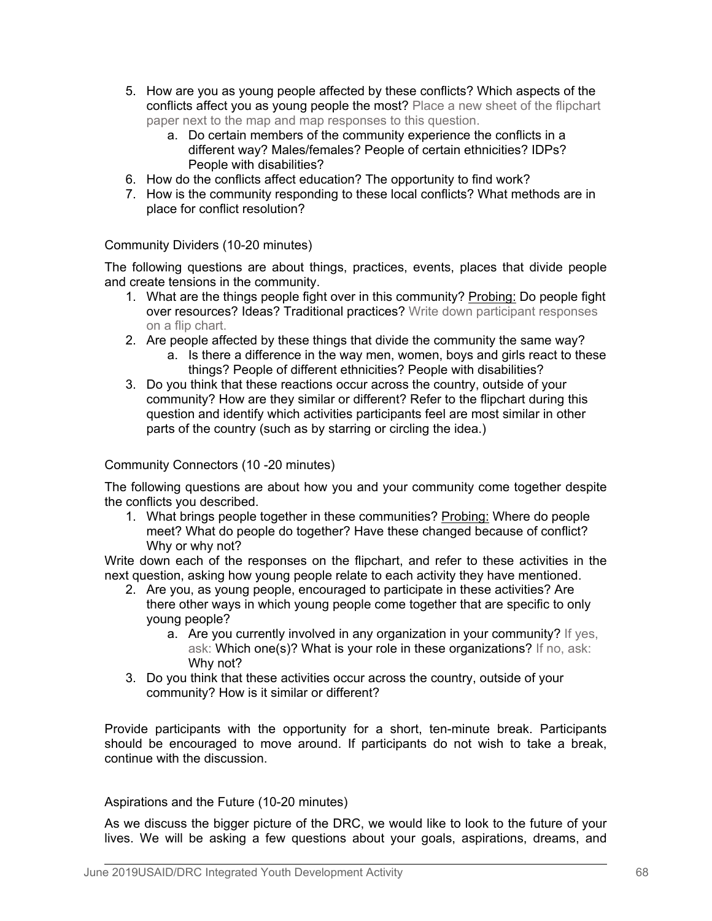- 5. How are you as young people affected by these conflicts? Which aspects of the conflicts affect you as young people the most? Place a new sheet of the flipchart paper next to the map and map responses to this question.
	- a. Do certain members of the community experience the conflicts in a different way? Males/females? People of certain ethnicities? IDPs? People with disabilities?
- 6. How do the conflicts affect education? The opportunity to find work?
- 7. How is the community responding to these local conflicts? What methods are in place for conflict resolution?

# Community Dividers (10-20 minutes)

The following questions are about things, practices, events, places that divide people and create tensions in the community.

- 1. What are the things people fight over in this community? Probing: Do people fight over resources? Ideas? Traditional practices? Write down participant responses on a flip chart.
- 2. Are people affected by these things that divide the community the same way?
	- a. Is there a difference in the way men, women, boys and girls react to these things? People of different ethnicities? People with disabilities?
- 3. Do you think that these reactions occur across the country, outside of your community? How are they similar or different? Refer to the flipchart during this question and identify which activities participants feel are most similar in other parts of the country (such as by starring or circling the idea.)

# Community Connectors (10 -20 minutes)

The following questions are about how you and your community come together despite the conflicts you described.

1. What brings people together in these communities? Probing: Where do people meet? What do people do together? Have these changed because of conflict? Why or why not?

Write down each of the responses on the flipchart, and refer to these activities in the next question, asking how young people relate to each activity they have mentioned.

- 2. Are you, as young people, encouraged to participate in these activities? Are there other ways in which young people come together that are specific to only young people?
	- a. Are you currently involved in any organization in your community? If yes, ask: Which one(s)? What is your role in these organizations? If no, ask: Why not?
- 3. Do you think that these activities occur across the country, outside of your community? How is it similar or different?

Provide participants with the opportunity for a short, ten-minute break. Participants should be encouraged to move around. If participants do not wish to take a break, continue with the discussion.

# Aspirations and the Future (10-20 minutes)

As we discuss the bigger picture of the DRC, we would like to look to the future of your lives. We will be asking a few questions about your goals, aspirations, dreams, and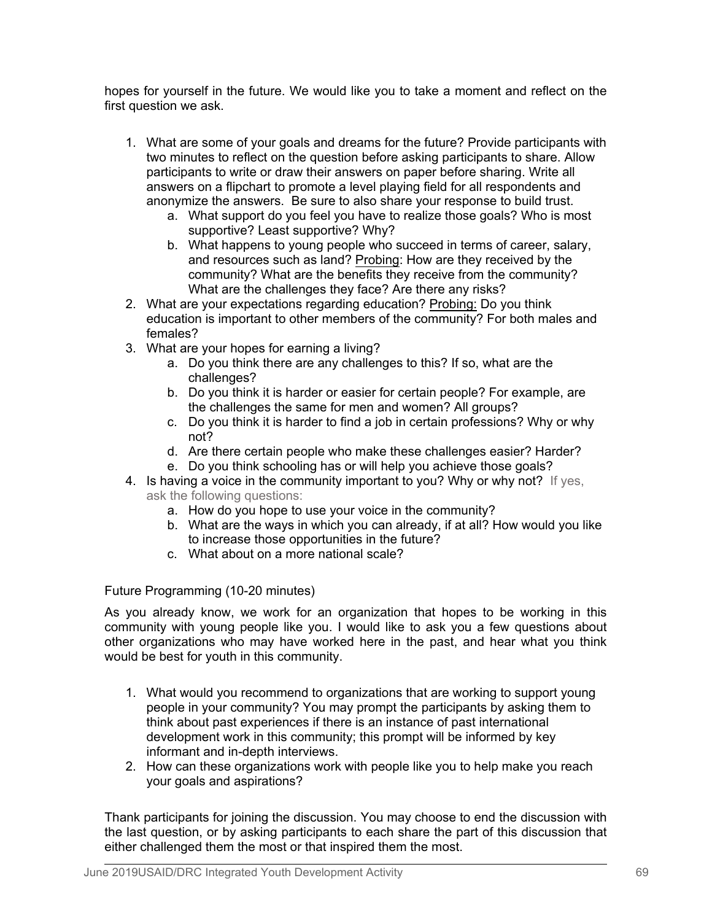hopes for yourself in the future. We would like you to take a moment and reflect on the first question we ask.

- 1. What are some of your goals and dreams for the future? Provide participants with two minutes to reflect on the question before asking participants to share. Allow participants to write or draw their answers on paper before sharing. Write all answers on a flipchart to promote a level playing field for all respondents and anonymize the answers. Be sure to also share your response to build trust.
	- a. What support do you feel you have to realize those goals? Who is most supportive? Least supportive? Why?
	- b. What happens to young people who succeed in terms of career, salary, and resources such as land? Probing: How are they received by the community? What are the benefits they receive from the community? What are the challenges they face? Are there any risks?
- 2. What are your expectations regarding education? Probing: Do you think education is important to other members of the community? For both males and females?
- 3. What are your hopes for earning a living?
	- a. Do you think there are any challenges to this? If so, what are the challenges?
	- b. Do you think it is harder or easier for certain people? For example, are the challenges the same for men and women? All groups?
	- c. Do you think it is harder to find a job in certain professions? Why or why not?
	- d. Are there certain people who make these challenges easier? Harder?
	- e. Do you think schooling has or will help you achieve those goals?
- 4. Is having a voice in the community important to you? Why or why not? If yes, ask the following questions:
	- a. How do you hope to use your voice in the community?
	- b. What are the ways in which you can already, if at all? How would you like to increase those opportunities in the future?
	- c. What about on a more national scale?

Future Programming (10-20 minutes)

As you already know, we work for an organization that hopes to be working in this community with young people like you. I would like to ask you a few questions about other organizations who may have worked here in the past, and hear what you think would be best for youth in this community.

- 1. What would you recommend to organizations that are working to support young people in your community? You may prompt the participants by asking them to think about past experiences if there is an instance of past international development work in this community; this prompt will be informed by key informant and in-depth interviews.
- 2. How can these organizations work with people like you to help make you reach your goals and aspirations?

Thank participants for joining the discussion. You may choose to end the discussion with the last question, or by asking participants to each share the part of this discussion that either challenged them the most or that inspired them the most.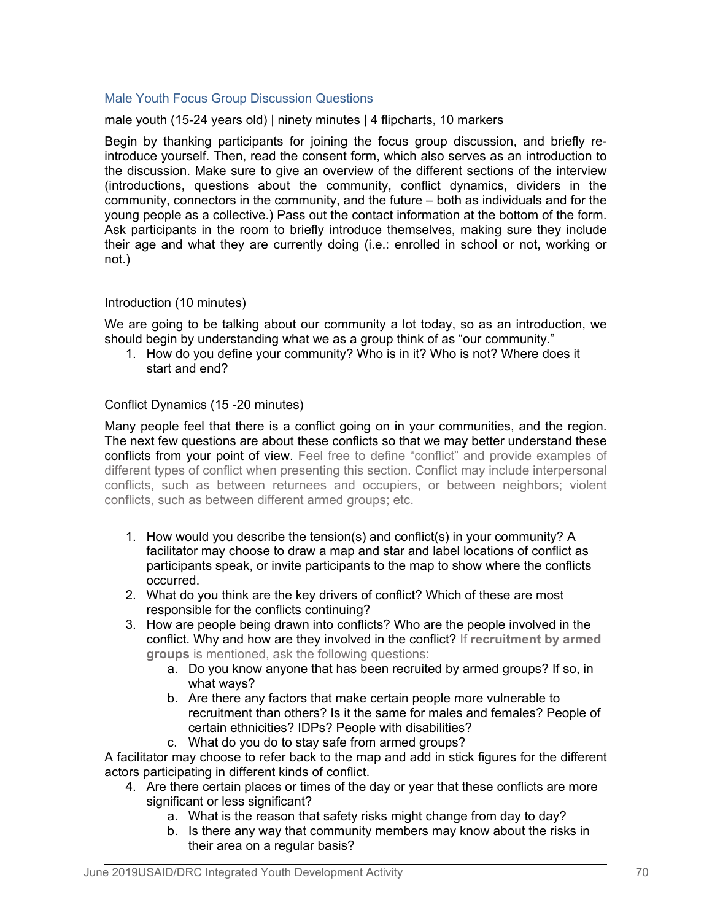# Male Youth Focus Group Discussion Questions

male youth (15-24 years old) | ninety minutes | 4 flipcharts, 10 markers

Begin by thanking participants for joining the focus group discussion, and briefly reintroduce yourself. Then, read the consent form, which also serves as an introduction to the discussion. Make sure to give an overview of the different sections of the interview (introductions, questions about the community, conflict dynamics, dividers in the community, connectors in the community, and the future – both as individuals and for the young people as a collective.) Pass out the contact information at the bottom of the form. Ask participants in the room to briefly introduce themselves, making sure they include their age and what they are currently doing (i.e.: enrolled in school or not, working or not.)

# Introduction (10 minutes)

We are going to be talking about our community a lot today, so as an introduction, we should begin by understanding what we as a group think of as "our community."

1. How do you define your community? Who is in it? Who is not? Where does it start and end?

## Conflict Dynamics (15 -20 minutes)

Many people feel that there is a conflict going on in your communities, and the region. The next few questions are about these conflicts so that we may better understand these conflicts from your point of view. Feel free to define "conflict" and provide examples of different types of conflict when presenting this section. Conflict may include interpersonal conflicts, such as between returnees and occupiers, or between neighbors; violent conflicts, such as between different armed groups; etc.

- 1. How would you describe the tension(s) and conflict(s) in your community? A facilitator may choose to draw a map and star and label locations of conflict as participants speak, or invite participants to the map to show where the conflicts occurred.
- 2. What do you think are the key drivers of conflict? Which of these are most responsible for the conflicts continuing?
- 3. How are people being drawn into conflicts? Who are the people involved in the conflict. Why and how are they involved in the conflict? If **recruitment by armed groups** is mentioned, ask the following questions:
	- a. Do you know anyone that has been recruited by armed groups? If so, in what ways?
	- b. Are there any factors that make certain people more vulnerable to recruitment than others? Is it the same for males and females? People of certain ethnicities? IDPs? People with disabilities?
	- c. What do you do to stay safe from armed groups?

A facilitator may choose to refer back to the map and add in stick figures for the different actors participating in different kinds of conflict.

- 4. Are there certain places or times of the day or year that these conflicts are more significant or less significant?
	- a. What is the reason that safety risks might change from day to day?
	- b. Is there any way that community members may know about the risks in their area on a regular basis?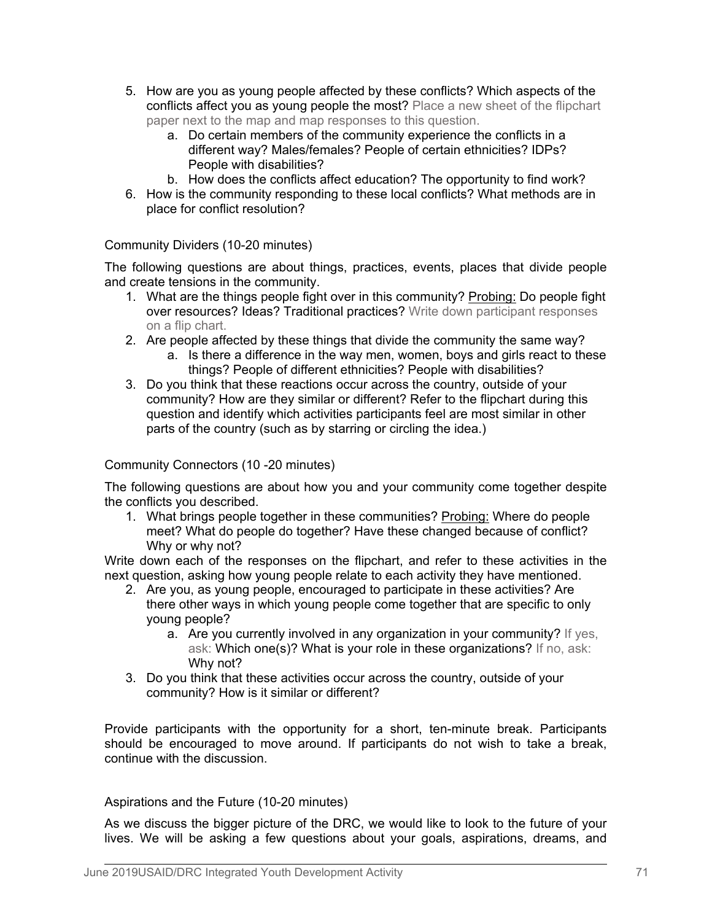- 5. How are you as young people affected by these conflicts? Which aspects of the conflicts affect you as young people the most? Place a new sheet of the flipchart paper next to the map and map responses to this question.
	- a. Do certain members of the community experience the conflicts in a different way? Males/females? People of certain ethnicities? IDPs? People with disabilities?
	- b. How does the conflicts affect education? The opportunity to find work?
- 6. How is the community responding to these local conflicts? What methods are in place for conflict resolution?

# Community Dividers (10-20 minutes)

The following questions are about things, practices, events, places that divide people and create tensions in the community.

- 1. What are the things people fight over in this community? Probing: Do people fight over resources? Ideas? Traditional practices? Write down participant responses on a flip chart.
- 2. Are people affected by these things that divide the community the same way?
	- a. Is there a difference in the way men, women, boys and girls react to these things? People of different ethnicities? People with disabilities?
- 3. Do you think that these reactions occur across the country, outside of your community? How are they similar or different? Refer to the flipchart during this question and identify which activities participants feel are most similar in other parts of the country (such as by starring or circling the idea.)

# Community Connectors (10 -20 minutes)

The following questions are about how you and your community come together despite the conflicts you described.

1. What brings people together in these communities? Probing: Where do people meet? What do people do together? Have these changed because of conflict? Why or why not?

Write down each of the responses on the flipchart, and refer to these activities in the next question, asking how young people relate to each activity they have mentioned.

- 2. Are you, as young people, encouraged to participate in these activities? Are there other ways in which young people come together that are specific to only young people?
	- a. Are you currently involved in any organization in your community? If yes, ask: Which one(s)? What is your role in these organizations? If no, ask: Why not?
- 3. Do you think that these activities occur across the country, outside of your community? How is it similar or different?

Provide participants with the opportunity for a short, ten-minute break. Participants should be encouraged to move around. If participants do not wish to take a break, continue with the discussion.

#### Aspirations and the Future (10-20 minutes)

As we discuss the bigger picture of the DRC, we would like to look to the future of your lives. We will be asking a few questions about your goals, aspirations, dreams, and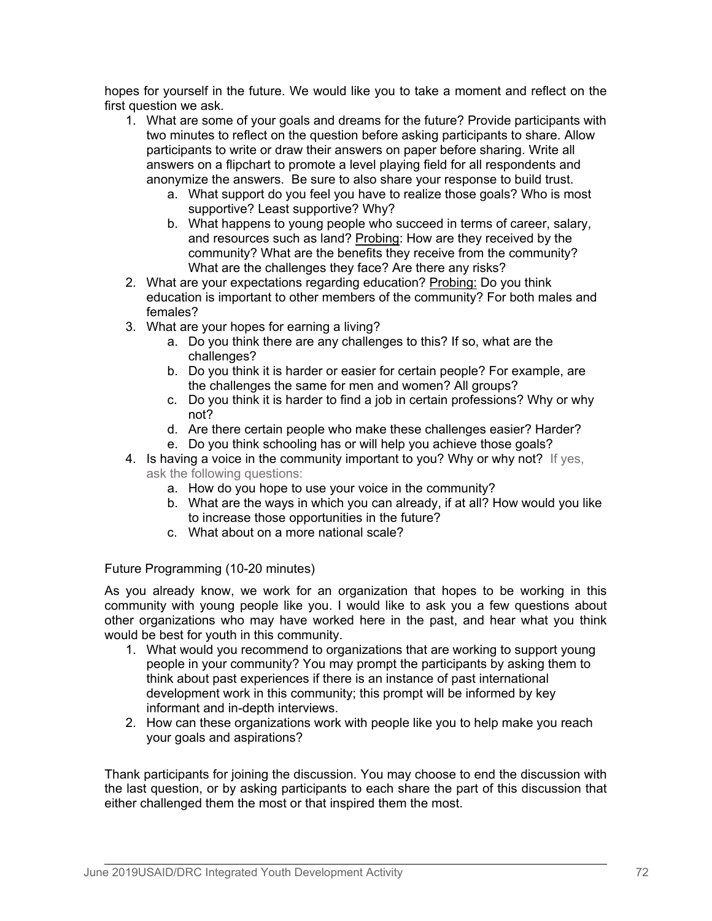hopes for yourself in the future. We would like you to take a moment and reflect on the first question we ask.

- 1. What are some of your goals and dreams for the future? Provide participants with two minutes to reflect on the question before asking participants to share. Allow participants to write or draw their answers on paper before sharing. Write all answers on a flipchart to promote a level playing field for all respondents and anonymize the answers. Be sure to also share your response to build trust.
	- a. What support do you feel you have to realize those goals? Who is most supportive? Least supportive? Why?
	- b. What happens to young people who succeed in terms of career, salary, and resources such as land? Probing: How are they received by the community? What are the benefits they receive from the community? What are the challenges they face? Are there any risks?
- 2. What are your expectations regarding education? Probing: Do you think education is important to other members of the community? For both males and females?
- 3. What are your hopes for earning a living?
	- a. Do you think there are any challenges to this? If so, what are the challenges?
	- b. Do you think it is harder or easier for certain people? For example, are the challenges the same for men and women? All groups?
	- c. Do you think it is harder to find a job in certain professions? Why or why not?
	- d. Are there certain people who make these challenges easier? Harder?
	- e. Do you think schooling has or will help you achieve those goals?
- 4. Is having a voice in the community important to you? Why or why not? If yes, ask the following questions:
	- a. How do you hope to use your voice in the community?
	- b. What are the ways in which you can already, if at all? How would you like to increase those opportunities in the future?
	- c. What about on a more national scale?

Future Programming (10-20 minutes)

As you already know, we work for an organization that hopes to be working in this community with young people like you. I would like to ask you a few questions about other organizations who may have worked here in the past, and hear what you think would be best for youth in this community.

- 1. What would you recommend to organizations that are working to support young people in your community? You may prompt the participants by asking them to think about past experiences if there is an instance of past international development work in this community; this prompt will be informed by key informant and in-depth interviews.
- 2. How can these organizations work with people like you to help make you reach your goals and aspirations?

Thank participants for joining the discussion. You may choose to end the discussion with the last question, or by asking participants to each share the part of this discussion that either challenged them the most or that inspired them the most.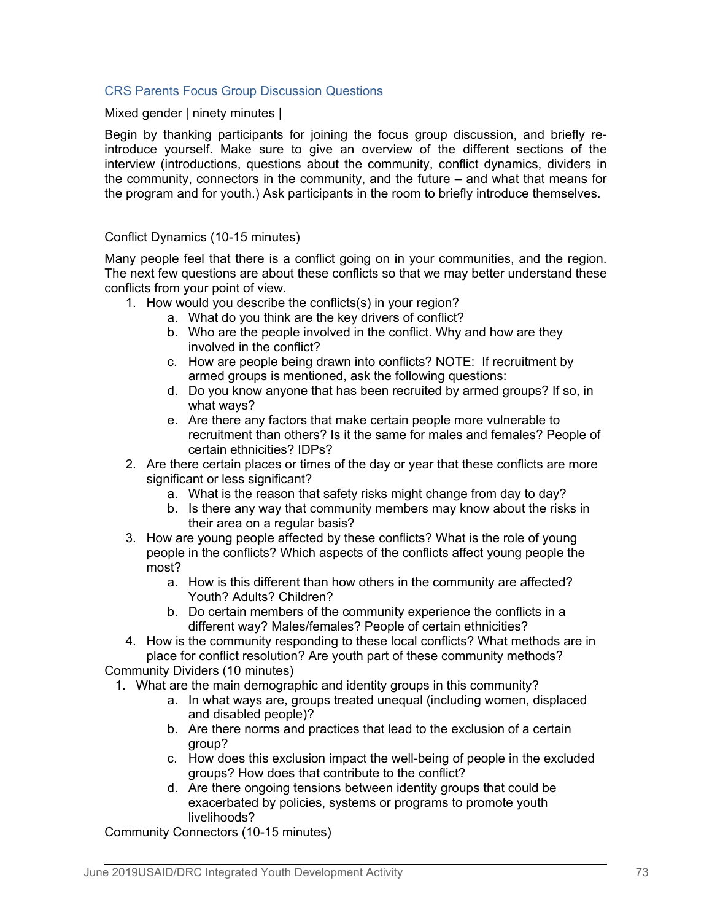## CRS Parents Focus Group Discussion Questions

Mixed gender | ninety minutes |

Begin by thanking participants for joining the focus group discussion, and briefly reintroduce yourself. Make sure to give an overview of the different sections of the interview (introductions, questions about the community, conflict dynamics, dividers in the community, connectors in the community, and the future – and what that means for the program and for youth.) Ask participants in the room to briefly introduce themselves.

## Conflict Dynamics (10-15 minutes)

Many people feel that there is a conflict going on in your communities, and the region. The next few questions are about these conflicts so that we may better understand these conflicts from your point of view.

- 1. How would you describe the conflicts(s) in your region?
	- a. What do you think are the key drivers of conflict?
	- b. Who are the people involved in the conflict. Why and how are they involved in the conflict?
	- c. How are people being drawn into conflicts? NOTE: If recruitment by armed groups is mentioned, ask the following questions:
	- d. Do you know anyone that has been recruited by armed groups? If so, in what ways?
	- e. Are there any factors that make certain people more vulnerable to recruitment than others? Is it the same for males and females? People of certain ethnicities? IDPs?
- 2. Are there certain places or times of the day or year that these conflicts are more significant or less significant?
	- a. What is the reason that safety risks might change from day to day?
	- b. Is there any way that community members may know about the risks in their area on a regular basis?
- 3. How are young people affected by these conflicts? What is the role of young people in the conflicts? Which aspects of the conflicts affect young people the most?
	- a. How is this different than how others in the community are affected? Youth? Adults? Children?
	- b. Do certain members of the community experience the conflicts in a different way? Males/females? People of certain ethnicities?
- 4. How is the community responding to these local conflicts? What methods are in place for conflict resolution? Are youth part of these community methods?

Community Dividers (10 minutes)

- 1. What are the main demographic and identity groups in this community?
	- a. In what ways are, groups treated unequal (including women, displaced and disabled people)?
	- b. Are there norms and practices that lead to the exclusion of a certain group?
	- c. How does this exclusion impact the well-being of people in the excluded groups? How does that contribute to the conflict?
	- d. Are there ongoing tensions between identity groups that could be exacerbated by policies, systems or programs to promote youth livelihoods?

Community Connectors (10-15 minutes)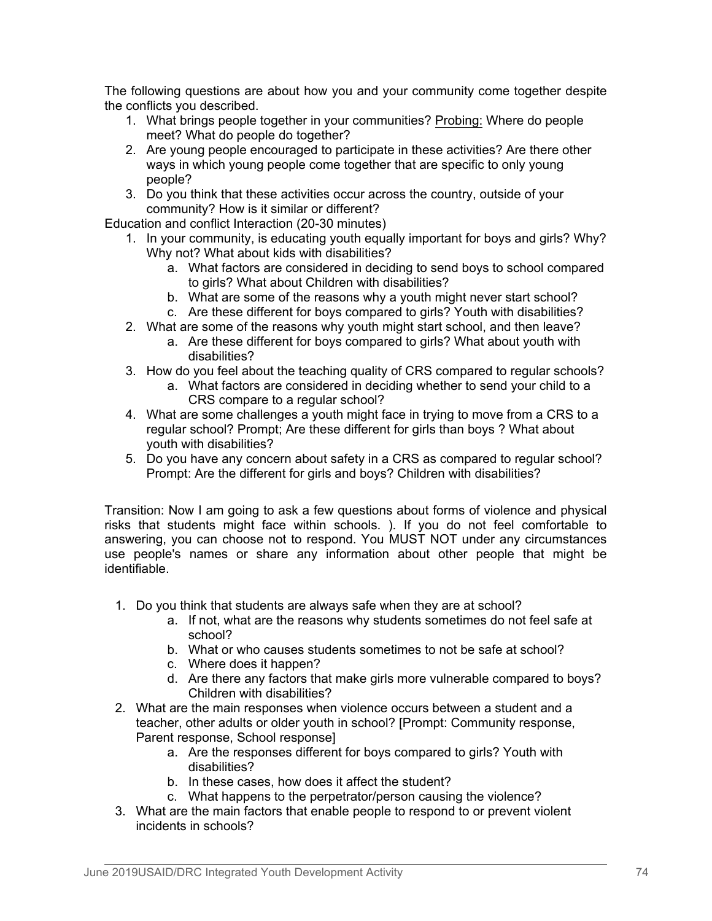The following questions are about how you and your community come together despite the conflicts you described.

- 1. What brings people together in your communities? Probing: Where do people meet? What do people do together?
- 2. Are young people encouraged to participate in these activities? Are there other ways in which young people come together that are specific to only young people?
- 3. Do you think that these activities occur across the country, outside of your community? How is it similar or different?

Education and conflict Interaction (20-30 minutes)

- 1. In your community, is educating youth equally important for boys and girls? Why? Why not? What about kids with disabilities?
	- a. What factors are considered in deciding to send boys to school compared to girls? What about Children with disabilities?
	- b. What are some of the reasons why a youth might never start school?
	- c. Are these different for boys compared to girls? Youth with disabilities?
- 2. What are some of the reasons why youth might start school, and then leave?
	- a. Are these different for boys compared to girls? What about youth with disabilities?
- 3. How do you feel about the teaching quality of CRS compared to regular schools?
	- a. What factors are considered in deciding whether to send your child to a CRS compare to a regular school?
- 4. What are some challenges a youth might face in trying to move from a CRS to a regular school? Prompt; Are these different for girls than boys ? What about youth with disabilities?
- 5. Do you have any concern about safety in a CRS as compared to regular school? Prompt: Are the different for girls and boys? Children with disabilities?

Transition: Now I am going to ask a few questions about forms of violence and physical risks that students might face within schools. ). If you do not feel comfortable to answering, you can choose not to respond. You MUST NOT under any circumstances use people's names or share any information about other people that might be identifiable.

- 1. Do you think that students are always safe when they are at school?
	- a. If not, what are the reasons why students sometimes do not feel safe at school?
	- b. What or who causes students sometimes to not be safe at school?
	- c. Where does it happen?
	- d. Are there any factors that make girls more vulnerable compared to boys? Children with disabilities?
- 2. What are the main responses when violence occurs between a student and a teacher, other adults or older youth in school? [Prompt: Community response, Parent response, School response]
	- a. Are the responses different for boys compared to girls? Youth with disabilities?
	- b. In these cases, how does it affect the student?
	- c. What happens to the perpetrator/person causing the violence?
- 3. What are the main factors that enable people to respond to or prevent violent incidents in schools?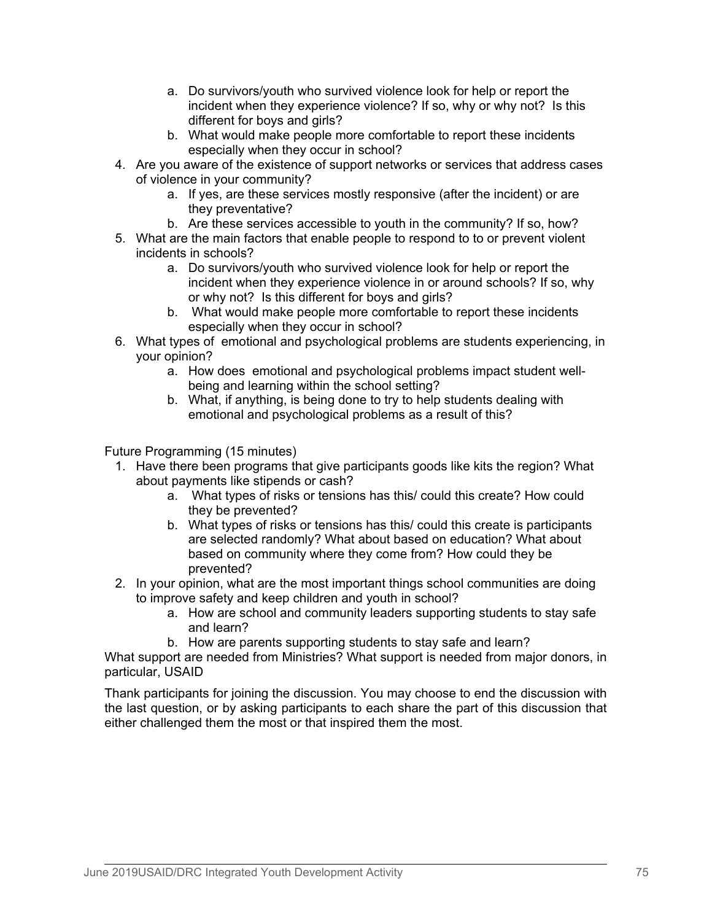- a. Do survivors/youth who survived violence look for help or report the incident when they experience violence? If so, why or why not? Is this different for boys and girls?
- b. What would make people more comfortable to report these incidents especially when they occur in school?
- 4. Are you aware of the existence of support networks or services that address cases of violence in your community?
	- a. If yes, are these services mostly responsive (after the incident) or are they preventative?
	- b. Are these services accessible to youth in the community? If so, how?
- 5. What are the main factors that enable people to respond to to or prevent violent incidents in schools?
	- a. Do survivors/youth who survived violence look for help or report the incident when they experience violence in or around schools? If so, why or why not? Is this different for boys and girls?
	- b. What would make people more comfortable to report these incidents especially when they occur in school?
- 6. What types of emotional and psychological problems are students experiencing, in your opinion?
	- a. How does emotional and psychological problems impact student wellbeing and learning within the school setting?
	- b. What, if anything, is being done to try to help students dealing with emotional and psychological problems as a result of this?

Future Programming (15 minutes)

- 1. Have there been programs that give participants goods like kits the region? What about payments like stipends or cash?
	- a. What types of risks or tensions has this/ could this create? How could they be prevented?
	- b. What types of risks or tensions has this/ could this create is participants are selected randomly? What about based on education? What about based on community where they come from? How could they be prevented?
- 2. In your opinion, what are the most important things school communities are doing to improve safety and keep children and youth in school?
	- a. How are school and community leaders supporting students to stay safe and learn?
	- b. How are parents supporting students to stay safe and learn?

What support are needed from Ministries? What support is needed from major donors, in particular, USAID

Thank participants for joining the discussion. You may choose to end the discussion with the last question, or by asking participants to each share the part of this discussion that either challenged them the most or that inspired them the most.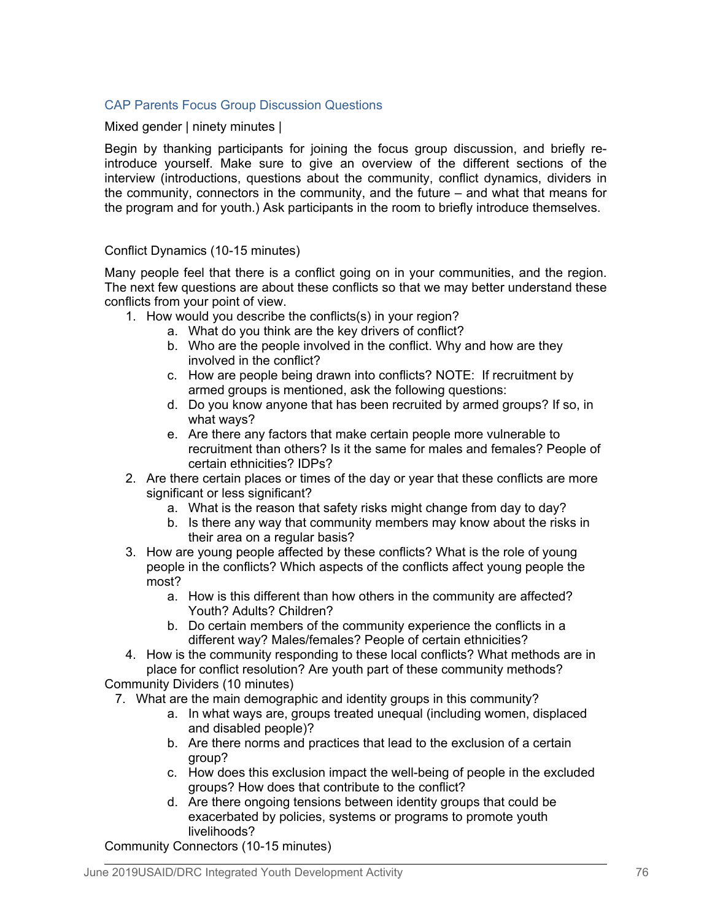# CAP Parents Focus Group Discussion Questions

## Mixed gender | ninety minutes |

Begin by thanking participants for joining the focus group discussion, and briefly reintroduce yourself. Make sure to give an overview of the different sections of the interview (introductions, questions about the community, conflict dynamics, dividers in the community, connectors in the community, and the future – and what that means for the program and for youth.) Ask participants in the room to briefly introduce themselves.

## Conflict Dynamics (10-15 minutes)

Many people feel that there is a conflict going on in your communities, and the region. The next few questions are about these conflicts so that we may better understand these conflicts from your point of view.

- 1. How would you describe the conflicts(s) in your region?
	- a. What do you think are the key drivers of conflict?
	- b. Who are the people involved in the conflict. Why and how are they involved in the conflict?
	- c. How are people being drawn into conflicts? NOTE: If recruitment by armed groups is mentioned, ask the following questions:
	- d. Do you know anyone that has been recruited by armed groups? If so, in what ways?
	- e. Are there any factors that make certain people more vulnerable to recruitment than others? Is it the same for males and females? People of certain ethnicities? IDPs?
- 2. Are there certain places or times of the day or year that these conflicts are more significant or less significant?
	- a. What is the reason that safety risks might change from day to day?
	- b. Is there any way that community members may know about the risks in their area on a regular basis?
- 3. How are young people affected by these conflicts? What is the role of young people in the conflicts? Which aspects of the conflicts affect young people the most?
	- a. How is this different than how others in the community are affected? Youth? Adults? Children?
	- b. Do certain members of the community experience the conflicts in a different way? Males/females? People of certain ethnicities?
- 4. How is the community responding to these local conflicts? What methods are in place for conflict resolution? Are youth part of these community methods?

Community Dividers (10 minutes)

- 7. What are the main demographic and identity groups in this community?
	- a. In what ways are, groups treated unequal (including women, displaced and disabled people)?
	- b. Are there norms and practices that lead to the exclusion of a certain group?
	- c. How does this exclusion impact the well-being of people in the excluded groups? How does that contribute to the conflict?
	- d. Are there ongoing tensions between identity groups that could be exacerbated by policies, systems or programs to promote youth livelihoods?

Community Connectors (10-15 minutes)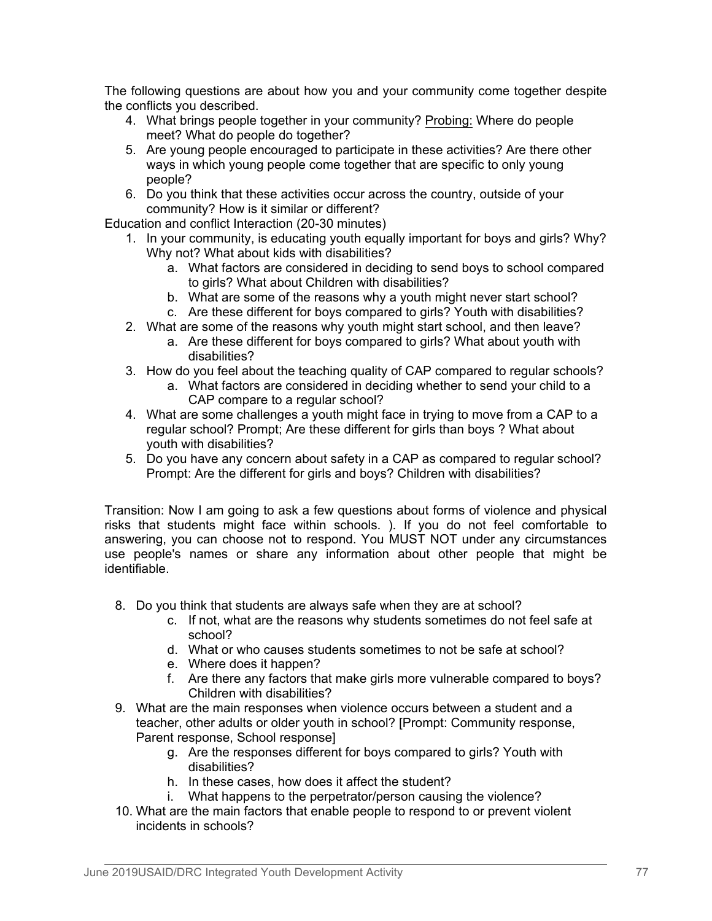The following questions are about how you and your community come together despite the conflicts you described.

- 4. What brings people together in your community? Probing: Where do people meet? What do people do together?
- 5. Are young people encouraged to participate in these activities? Are there other ways in which young people come together that are specific to only young people?
- 6. Do you think that these activities occur across the country, outside of your community? How is it similar or different?

Education and conflict Interaction (20-30 minutes)

- 1. In your community, is educating youth equally important for boys and girls? Why? Why not? What about kids with disabilities?
	- a. What factors are considered in deciding to send boys to school compared to girls? What about Children with disabilities?
	- b. What are some of the reasons why a youth might never start school?
	- c. Are these different for boys compared to girls? Youth with disabilities?
- 2. What are some of the reasons why youth might start school, and then leave?
	- a. Are these different for boys compared to girls? What about youth with disabilities?
- 3. How do you feel about the teaching quality of CAP compared to regular schools?
	- a. What factors are considered in deciding whether to send your child to a CAP compare to a regular school?
- 4. What are some challenges a youth might face in trying to move from a CAP to a regular school? Prompt; Are these different for girls than boys ? What about youth with disabilities?
- 5. Do you have any concern about safety in a CAP as compared to regular school? Prompt: Are the different for girls and boys? Children with disabilities?

Transition: Now I am going to ask a few questions about forms of violence and physical risks that students might face within schools. ). If you do not feel comfortable to answering, you can choose not to respond. You MUST NOT under any circumstances use people's names or share any information about other people that might be identifiable.

- 8. Do you think that students are always safe when they are at school?
	- c. If not, what are the reasons why students sometimes do not feel safe at school?
	- d. What or who causes students sometimes to not be safe at school?
	- e. Where does it happen?
	- f. Are there any factors that make girls more vulnerable compared to boys? Children with disabilities?
- 9. What are the main responses when violence occurs between a student and a teacher, other adults or older youth in school? [Prompt: Community response, Parent response, School response]
	- g. Are the responses different for boys compared to girls? Youth with disabilities?
	- h. In these cases, how does it affect the student?
	- i. What happens to the perpetrator/person causing the violence?
- 10. What are the main factors that enable people to respond to or prevent violent incidents in schools?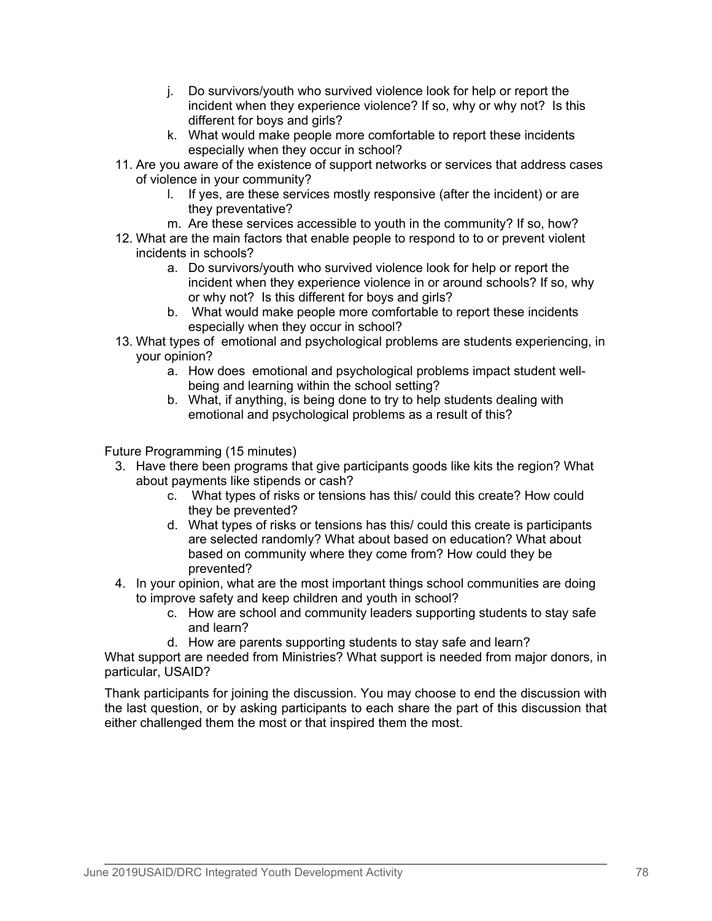- j. Do survivors/youth who survived violence look for help or report the incident when they experience violence? If so, why or why not? Is this different for boys and girls?
- k. What would make people more comfortable to report these incidents especially when they occur in school?
- 11. Are you aware of the existence of support networks or services that address cases of violence in your community?
	- l. If yes, are these services mostly responsive (after the incident) or are they preventative?
	- m. Are these services accessible to youth in the community? If so, how?
- 12. What are the main factors that enable people to respond to to or prevent violent incidents in schools?
	- a. Do survivors/youth who survived violence look for help or report the incident when they experience violence in or around schools? If so, why or why not? Is this different for boys and girls?
	- b. What would make people more comfortable to report these incidents especially when they occur in school?
- 13. What types of emotional and psychological problems are students experiencing, in your opinion?
	- a. How does emotional and psychological problems impact student wellbeing and learning within the school setting?
	- b. What, if anything, is being done to try to help students dealing with emotional and psychological problems as a result of this?

Future Programming (15 minutes)

- 3. Have there been programs that give participants goods like kits the region? What about payments like stipends or cash?
	- c. What types of risks or tensions has this/ could this create? How could they be prevented?
	- d. What types of risks or tensions has this/ could this create is participants are selected randomly? What about based on education? What about based on community where they come from? How could they be prevented?
- 4. In your opinion, what are the most important things school communities are doing to improve safety and keep children and youth in school?
	- c. How are school and community leaders supporting students to stay safe and learn?
	- d. How are parents supporting students to stay safe and learn?

What support are needed from Ministries? What support is needed from major donors, in particular, USAID?

Thank participants for joining the discussion. You may choose to end the discussion with the last question, or by asking participants to each share the part of this discussion that either challenged them the most or that inspired them the most.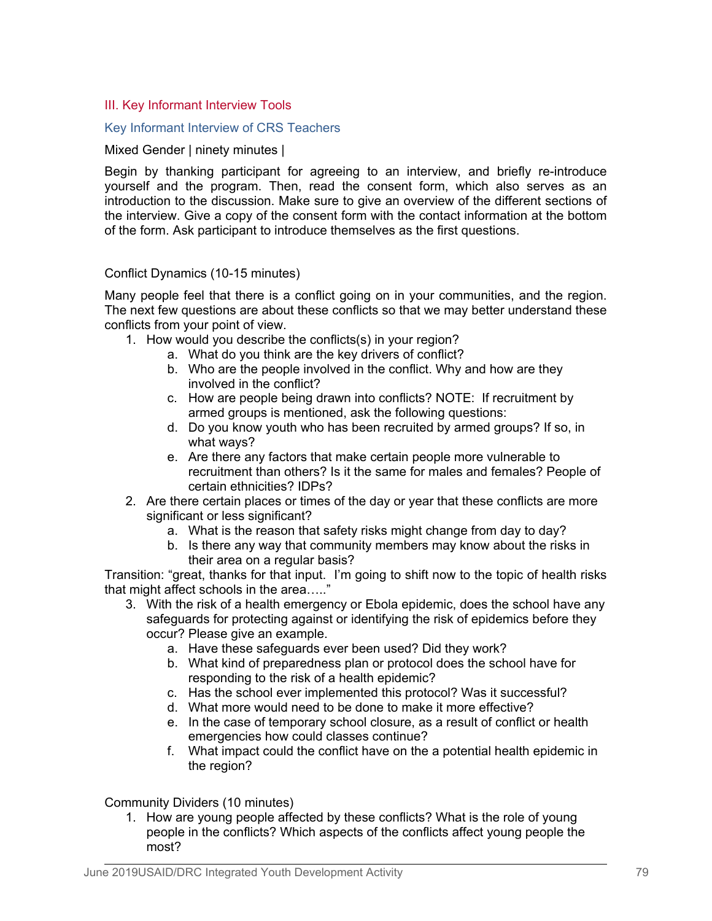# III. Key Informant Interview Tools

## Key Informant Interview of CRS Teachers

### Mixed Gender | ninety minutes |

Begin by thanking participant for agreeing to an interview, and briefly re-introduce yourself and the program. Then, read the consent form, which also serves as an introduction to the discussion. Make sure to give an overview of the different sections of the interview. Give a copy of the consent form with the contact information at the bottom of the form. Ask participant to introduce themselves as the first questions.

## Conflict Dynamics (10-15 minutes)

Many people feel that there is a conflict going on in your communities, and the region. The next few questions are about these conflicts so that we may better understand these conflicts from your point of view.

- 1. How would you describe the conflicts(s) in your region?
	- a. What do you think are the key drivers of conflict?
	- b. Who are the people involved in the conflict. Why and how are they involved in the conflict?
	- c. How are people being drawn into conflicts? NOTE: If recruitment by armed groups is mentioned, ask the following questions:
	- d. Do you know youth who has been recruited by armed groups? If so, in what ways?
	- e. Are there any factors that make certain people more vulnerable to recruitment than others? Is it the same for males and females? People of certain ethnicities? IDPs?
- 2. Are there certain places or times of the day or year that these conflicts are more significant or less significant?
	- a. What is the reason that safety risks might change from day to day?
	- b. Is there any way that community members may know about the risks in their area on a regular basis?

Transition: "great, thanks for that input. I'm going to shift now to the topic of health risks that might affect schools in the area….."

- 3. With the risk of a health emergency or Ebola epidemic, does the school have any safeguards for protecting against or identifying the risk of epidemics before they occur? Please give an example.
	- a. Have these safeguards ever been used? Did they work?
	- b. What kind of preparedness plan or protocol does the school have for responding to the risk of a health epidemic?
	- c. Has the school ever implemented this protocol? Was it successful?
	- d. What more would need to be done to make it more effective?
	- e. In the case of temporary school closure, as a result of conflict or health emergencies how could classes continue?
	- f. What impact could the conflict have on the a potential health epidemic in the region?

Community Dividers (10 minutes)

1. How are young people affected by these conflicts? What is the role of young people in the conflicts? Which aspects of the conflicts affect young people the most?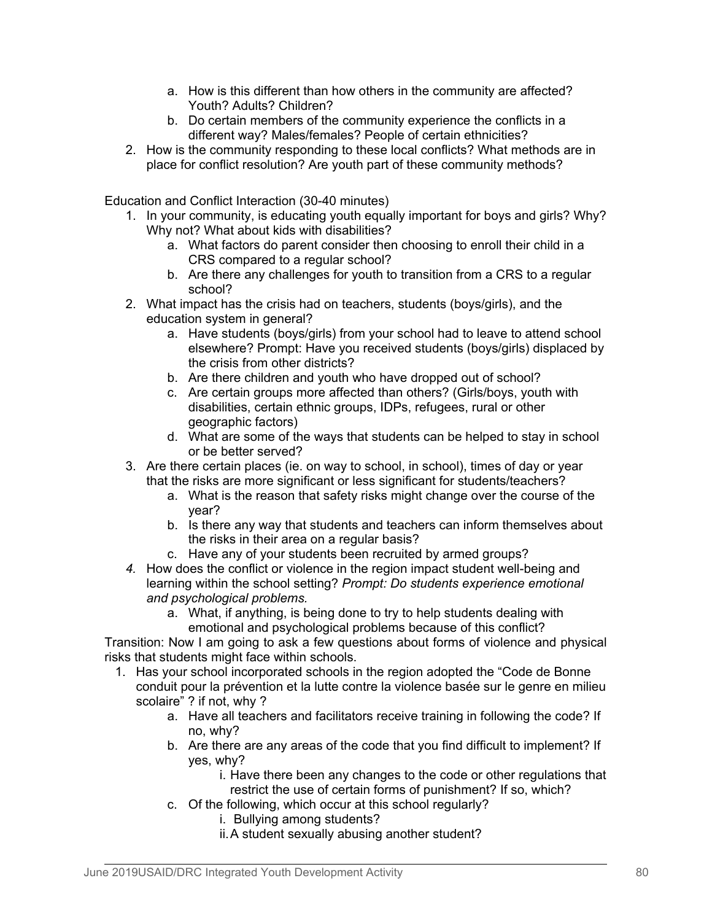- a. How is this different than how others in the community are affected? Youth? Adults? Children?
- b. Do certain members of the community experience the conflicts in a different way? Males/females? People of certain ethnicities?
- 2. How is the community responding to these local conflicts? What methods are in place for conflict resolution? Are youth part of these community methods?

Education and Conflict Interaction (30-40 minutes)

- 1. In your community, is educating youth equally important for boys and girls? Why? Why not? What about kids with disabilities?
	- a. What factors do parent consider then choosing to enroll their child in a CRS compared to a regular school?
	- b. Are there any challenges for youth to transition from a CRS to a regular school?
- 2. What impact has the crisis had on teachers, students (boys/girls), and the education system in general?
	- a. Have students (boys/girls) from your school had to leave to attend school elsewhere? Prompt: Have you received students (boys/girls) displaced by the crisis from other districts?
	- b. Are there children and youth who have dropped out of school?
	- c. Are certain groups more affected than others? (Girls/boys, youth with disabilities, certain ethnic groups, IDPs, refugees, rural or other geographic factors)
	- d. What are some of the ways that students can be helped to stay in school or be better served?
- 3. Are there certain places (ie. on way to school, in school), times of day or year that the risks are more significant or less significant for students/teachers?
	- a. What is the reason that safety risks might change over the course of the year?
	- b. Is there any way that students and teachers can inform themselves about the risks in their area on a regular basis?
	- c. Have any of your students been recruited by armed groups?
- *4.* How does the conflict or violence in the region impact student well-being and learning within the school setting? *Prompt: Do students experience emotional and psychological problems.*
	- a. What, if anything, is being done to try to help students dealing with emotional and psychological problems because of this conflict?

Transition: Now I am going to ask a few questions about forms of violence and physical risks that students might face within schools.

- 1. Has your school incorporated schools in the region adopted the "Code de Bonne conduit pour la prévention et la lutte contre la violence basée sur le genre en milieu scolaire" ? if not, why ?
	- a. Have all teachers and facilitators receive training in following the code? If no, why?
	- b. Are there are any areas of the code that you find difficult to implement? If yes, why?
		- i. Have there been any changes to the code or other regulations that restrict the use of certain forms of punishment? If so, which?
	- c. Of the following, which occur at this school regularly?
		- i. Bullying among students?
		- ii.A student sexually abusing another student?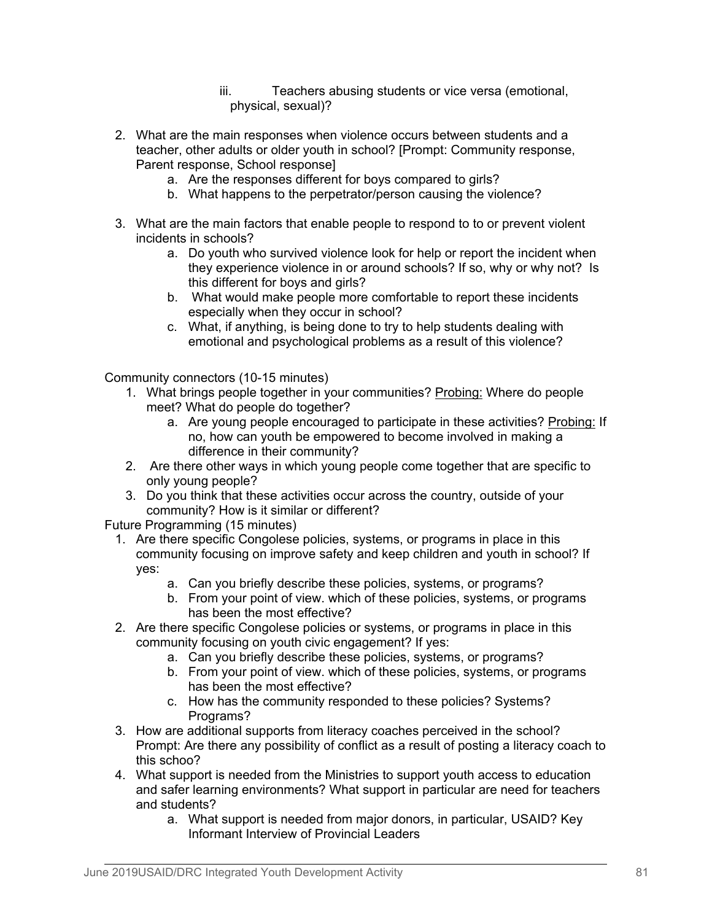iii. Teachers abusing students or vice versa (emotional, physical, sexual)?

- 2. What are the main responses when violence occurs between students and a teacher, other adults or older youth in school? [Prompt: Community response, Parent response, School response]
	- a. Are the responses different for boys compared to girls?
	- b. What happens to the perpetrator/person causing the violence?
- 3. What are the main factors that enable people to respond to to or prevent violent incidents in schools?
	- a. Do youth who survived violence look for help or report the incident when they experience violence in or around schools? If so, why or why not? Is this different for boys and girls?
	- b. What would make people more comfortable to report these incidents especially when they occur in school?
	- c. What, if anything, is being done to try to help students dealing with emotional and psychological problems as a result of this violence?

Community connectors (10-15 minutes)

- 1. What brings people together in your communities? Probing: Where do people meet? What do people do together?
	- a. Are young people encouraged to participate in these activities? Probing: If no, how can youth be empowered to become involved in making a difference in their community?
- 2. Are there other ways in which young people come together that are specific to only young people?
- 3. Do you think that these activities occur across the country, outside of your community? How is it similar or different?

Future Programming (15 minutes)

- 1. Are there specific Congolese policies, systems, or programs in place in this community focusing on improve safety and keep children and youth in school? If yes:
	- a. Can you briefly describe these policies, systems, or programs?
	- b. From your point of view. which of these policies, systems, or programs has been the most effective?
- 2. Are there specific Congolese policies or systems, or programs in place in this community focusing on youth civic engagement? If yes:
	- a. Can you briefly describe these policies, systems, or programs?
	- b. From your point of view. which of these policies, systems, or programs has been the most effective?
	- c. How has the community responded to these policies? Systems? Programs?
- 3. How are additional supports from literacy coaches perceived in the school? Prompt: Are there any possibility of conflict as a result of posting a literacy coach to this schoo?
- 4. What support is needed from the Ministries to support youth access to education and safer learning environments? What support in particular are need for teachers and students?
	- a. What support is needed from major donors, in particular, USAID? Key Informant Interview of Provincial Leaders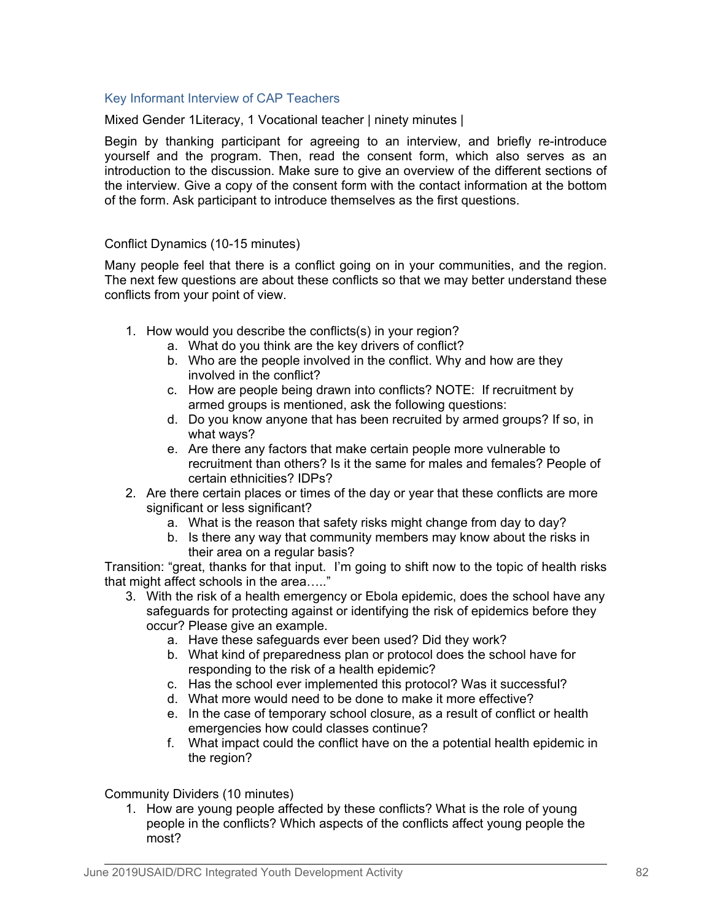## Key Informant Interview of CAP Teachers

Mixed Gender 1Literacy, 1 Vocational teacher | ninety minutes |

Begin by thanking participant for agreeing to an interview, and briefly re-introduce yourself and the program. Then, read the consent form, which also serves as an introduction to the discussion. Make sure to give an overview of the different sections of the interview. Give a copy of the consent form with the contact information at the bottom of the form. Ask participant to introduce themselves as the first questions.

## Conflict Dynamics (10-15 minutes)

Many people feel that there is a conflict going on in your communities, and the region. The next few questions are about these conflicts so that we may better understand these conflicts from your point of view.

- 1. How would you describe the conflicts(s) in your region?
	- a. What do you think are the key drivers of conflict?
	- b. Who are the people involved in the conflict. Why and how are they involved in the conflict?
	- c. How are people being drawn into conflicts? NOTE: If recruitment by armed groups is mentioned, ask the following questions:
	- d. Do you know anyone that has been recruited by armed groups? If so, in what ways?
	- e. Are there any factors that make certain people more vulnerable to recruitment than others? Is it the same for males and females? People of certain ethnicities? IDPs?
- 2. Are there certain places or times of the day or year that these conflicts are more significant or less significant?
	- a. What is the reason that safety risks might change from day to day?
	- b. Is there any way that community members may know about the risks in their area on a regular basis?

Transition: "great, thanks for that input. I'm going to shift now to the topic of health risks that might affect schools in the area….."

- 3. With the risk of a health emergency or Ebola epidemic, does the school have any safeguards for protecting against or identifying the risk of epidemics before they occur? Please give an example.
	- a. Have these safeguards ever been used? Did they work?
	- b. What kind of preparedness plan or protocol does the school have for responding to the risk of a health epidemic?
	- c. Has the school ever implemented this protocol? Was it successful?
	- d. What more would need to be done to make it more effective?
	- e. In the case of temporary school closure, as a result of conflict or health emergencies how could classes continue?
	- f. What impact could the conflict have on the a potential health epidemic in the region?

Community Dividers (10 minutes)

1. How are young people affected by these conflicts? What is the role of young people in the conflicts? Which aspects of the conflicts affect young people the most?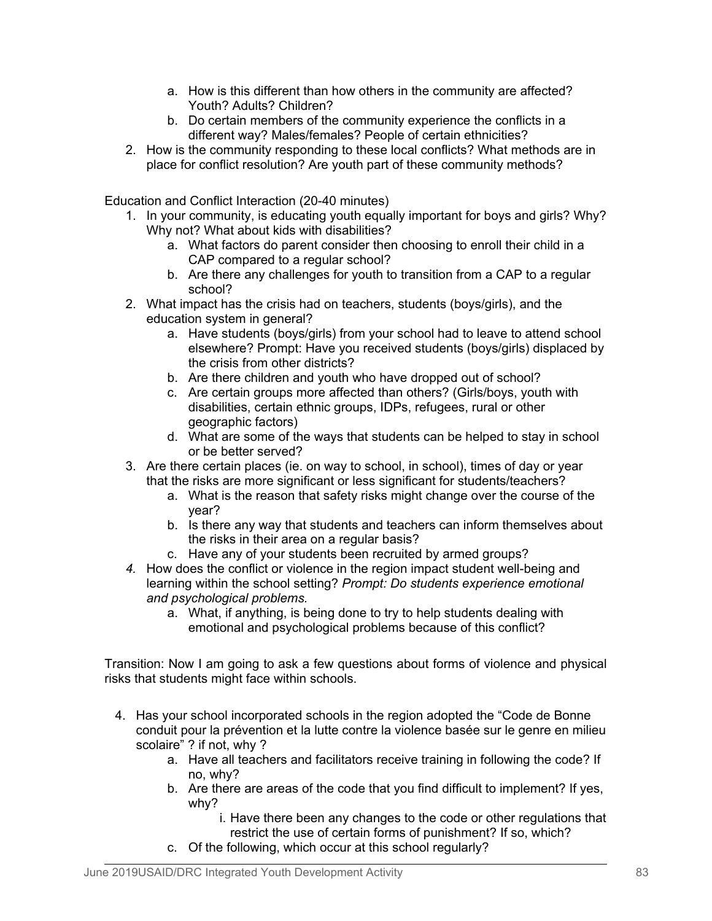- a. How is this different than how others in the community are affected? Youth? Adults? Children?
- b. Do certain members of the community experience the conflicts in a different way? Males/females? People of certain ethnicities?
- 2. How is the community responding to these local conflicts? What methods are in place for conflict resolution? Are youth part of these community methods?

Education and Conflict Interaction (20-40 minutes)

- 1. In your community, is educating youth equally important for boys and girls? Why? Why not? What about kids with disabilities?
	- a. What factors do parent consider then choosing to enroll their child in a CAP compared to a regular school?
	- b. Are there any challenges for youth to transition from a CAP to a regular school?
- 2. What impact has the crisis had on teachers, students (boys/girls), and the education system in general?
	- a. Have students (boys/girls) from your school had to leave to attend school elsewhere? Prompt: Have you received students (boys/girls) displaced by the crisis from other districts?
	- b. Are there children and youth who have dropped out of school?
	- c. Are certain groups more affected than others? (Girls/boys, youth with disabilities, certain ethnic groups, IDPs, refugees, rural or other geographic factors)
	- d. What are some of the ways that students can be helped to stay in school or be better served?
- 3. Are there certain places (ie. on way to school, in school), times of day or year that the risks are more significant or less significant for students/teachers?
	- a. What is the reason that safety risks might change over the course of the year?
	- b. Is there any way that students and teachers can inform themselves about the risks in their area on a regular basis?
	- c. Have any of your students been recruited by armed groups?
- *4.* How does the conflict or violence in the region impact student well-being and learning within the school setting? *Prompt: Do students experience emotional and psychological problems.*
	- a. What, if anything, is being done to try to help students dealing with emotional and psychological problems because of this conflict?

Transition: Now I am going to ask a few questions about forms of violence and physical risks that students might face within schools.

- 4. Has your school incorporated schools in the region adopted the "Code de Bonne conduit pour la prévention et la lutte contre la violence basée sur le genre en milieu scolaire" ? if not, why ?
	- a. Have all teachers and facilitators receive training in following the code? If no, why?
	- b. Are there are areas of the code that you find difficult to implement? If yes, why?
		- i. Have there been any changes to the code or other regulations that restrict the use of certain forms of punishment? If so, which?
	- c. Of the following, which occur at this school regularly?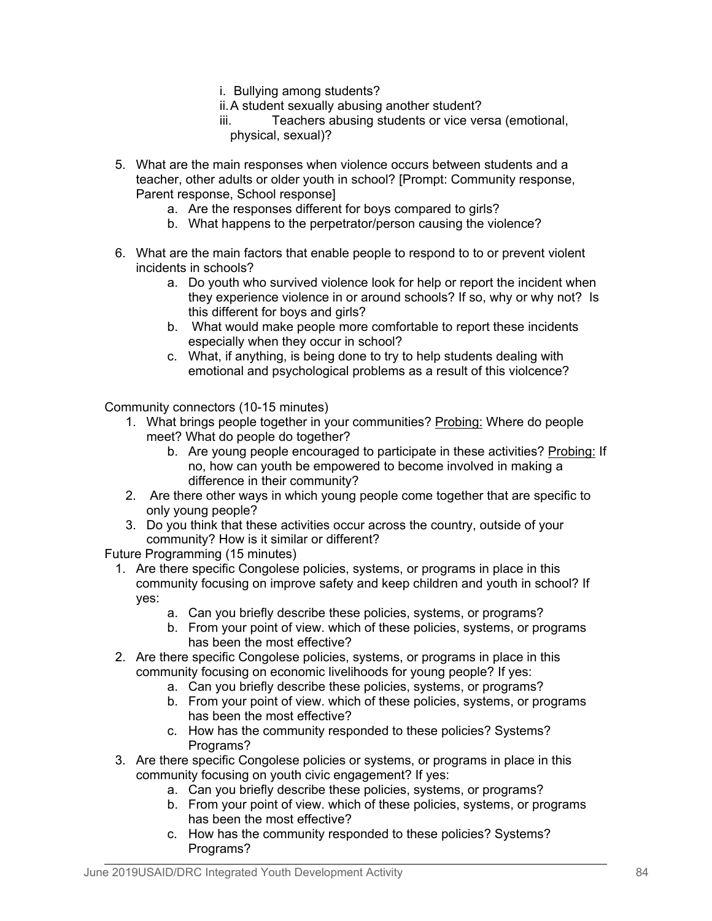- i. Bullying among students?
- ii.A student sexually abusing another student?
- iii. Teachers abusing students or vice versa (emotional, physical, sexual)?
- 5. What are the main responses when violence occurs between students and a teacher, other adults or older youth in school? [Prompt: Community response, Parent response, School response]
	- a. Are the responses different for boys compared to girls?
	- b. What happens to the perpetrator/person causing the violence?
- 6. What are the main factors that enable people to respond to to or prevent violent incidents in schools?
	- a. Do youth who survived violence look for help or report the incident when they experience violence in or around schools? If so, why or why not? Is this different for boys and girls?
	- b. What would make people more comfortable to report these incidents especially when they occur in school?
	- c. What, if anything, is being done to try to help students dealing with emotional and psychological problems as a result of this violcence?

Community connectors (10-15 minutes)

- 1. What brings people together in your communities? Probing: Where do people meet? What do people do together?
	- b. Are young people encouraged to participate in these activities? Probing: If no, how can youth be empowered to become involved in making a difference in their community?
- 2. Are there other ways in which young people come together that are specific to only young people?
- 3. Do you think that these activities occur across the country, outside of your community? How is it similar or different?

Future Programming (15 minutes)

- 1. Are there specific Congolese policies, systems, or programs in place in this community focusing on improve safety and keep children and youth in school? If yes:
	- a. Can you briefly describe these policies, systems, or programs?
	- b. From your point of view. which of these policies, systems, or programs has been the most effective?
- 2. Are there specific Congolese policies, systems, or programs in place in this community focusing on economic livelihoods for young people? If yes:
	- a. Can you briefly describe these policies, systems, or programs?
	- b. From your point of view. which of these policies, systems, or programs has been the most effective?
	- c. How has the community responded to these policies? Systems? Programs?
- 3. Are there specific Congolese policies or systems, or programs in place in this community focusing on youth civic engagement? If yes:
	- a. Can you briefly describe these policies, systems, or programs?
	- b. From your point of view. which of these policies, systems, or programs has been the most effective?
	- c. How has the community responded to these policies? Systems? Programs?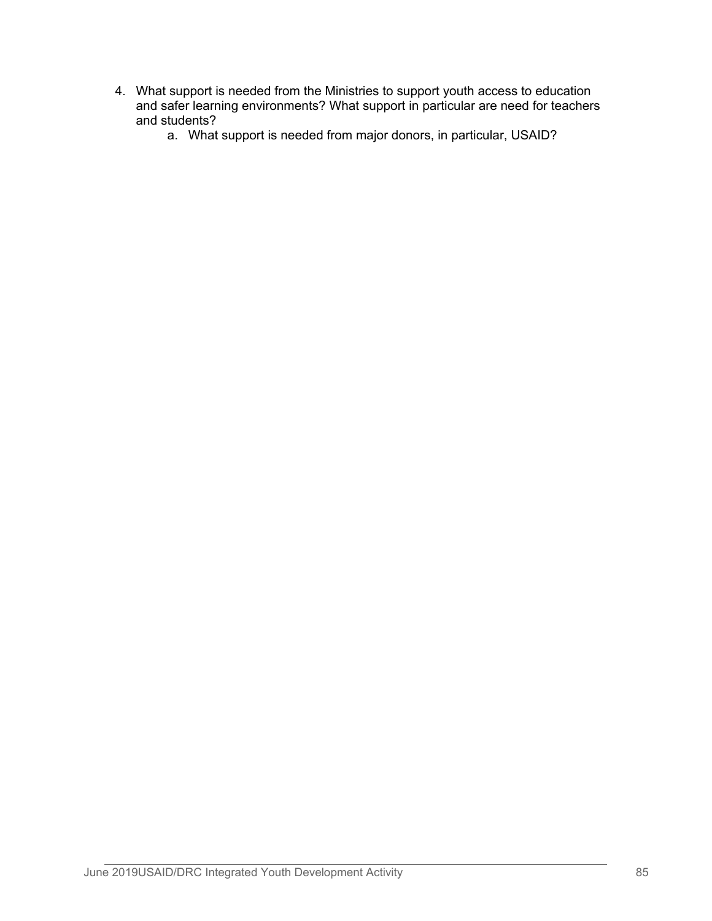- 4. What support is needed from the Ministries to support youth access to education and safer learning environments? What support in particular are need for teachers and students?
	- a. What support is needed from major donors, in particular, USAID?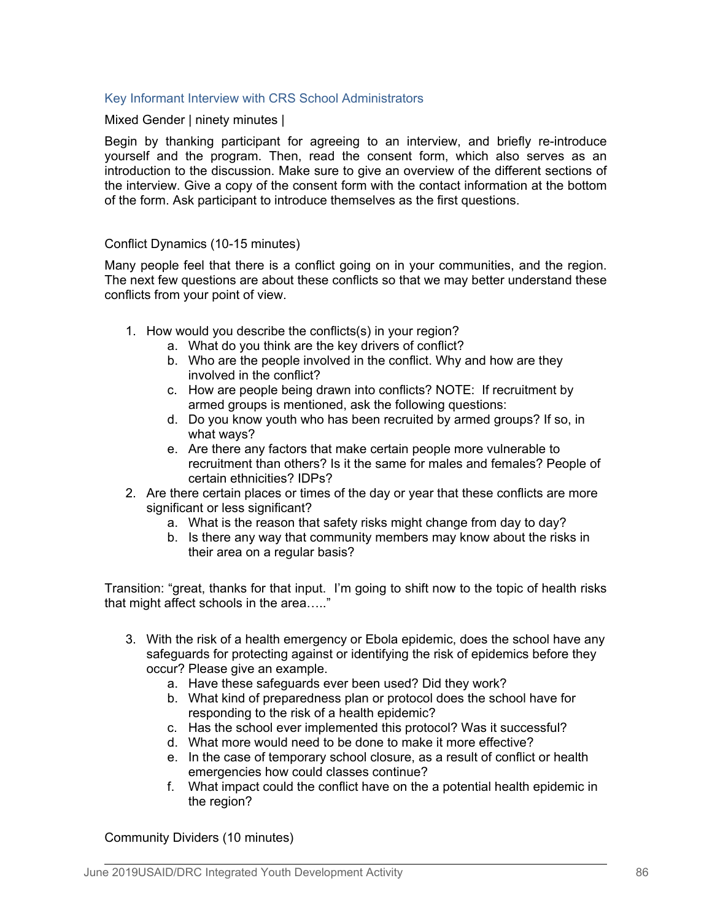# Key Informant Interview with CRS School Administrators

Mixed Gender | ninety minutes |

Begin by thanking participant for agreeing to an interview, and briefly re-introduce yourself and the program. Then, read the consent form, which also serves as an introduction to the discussion. Make sure to give an overview of the different sections of the interview. Give a copy of the consent form with the contact information at the bottom of the form. Ask participant to introduce themselves as the first questions.

## Conflict Dynamics (10-15 minutes)

Many people feel that there is a conflict going on in your communities, and the region. The next few questions are about these conflicts so that we may better understand these conflicts from your point of view.

- 1. How would you describe the conflicts(s) in your region?
	- a. What do you think are the key drivers of conflict?
	- b. Who are the people involved in the conflict. Why and how are they involved in the conflict?
	- c. How are people being drawn into conflicts? NOTE: If recruitment by armed groups is mentioned, ask the following questions:
	- d. Do you know youth who has been recruited by armed groups? If so, in what ways?
	- e. Are there any factors that make certain people more vulnerable to recruitment than others? Is it the same for males and females? People of certain ethnicities? IDPs?
- 2. Are there certain places or times of the day or year that these conflicts are more significant or less significant?
	- a. What is the reason that safety risks might change from day to day?
	- b. Is there any way that community members may know about the risks in their area on a regular basis?

Transition: "great, thanks for that input. I'm going to shift now to the topic of health risks that might affect schools in the area….."

- 3. With the risk of a health emergency or Ebola epidemic, does the school have any safeguards for protecting against or identifying the risk of epidemics before they occur? Please give an example.
	- a. Have these safeguards ever been used? Did they work?
	- b. What kind of preparedness plan or protocol does the school have for responding to the risk of a health epidemic?
	- c. Has the school ever implemented this protocol? Was it successful?
	- d. What more would need to be done to make it more effective?
	- e. In the case of temporary school closure, as a result of conflict or health emergencies how could classes continue?
	- f. What impact could the conflict have on the a potential health epidemic in the region?

Community Dividers (10 minutes)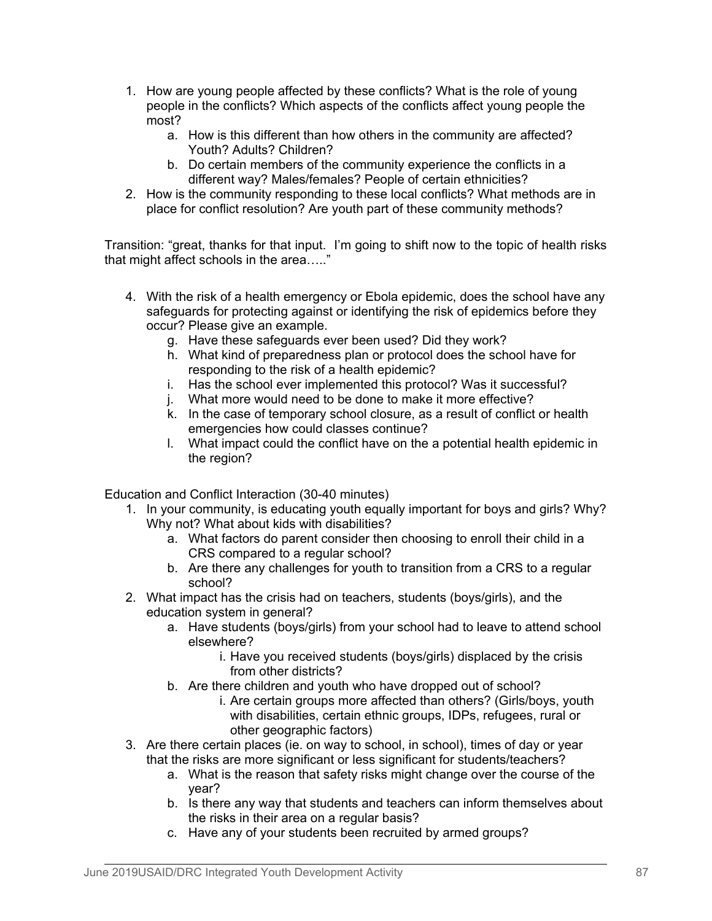- 1. How are young people affected by these conflicts? What is the role of young people in the conflicts? Which aspects of the conflicts affect young people the most?
	- a. How is this different than how others in the community are affected? Youth? Adults? Children?
	- b. Do certain members of the community experience the conflicts in a different way? Males/females? People of certain ethnicities?
- 2. How is the community responding to these local conflicts? What methods are in place for conflict resolution? Are youth part of these community methods?

Transition: "great, thanks for that input. I'm going to shift now to the topic of health risks that might affect schools in the area….."

- 4. With the risk of a health emergency or Ebola epidemic, does the school have any safeguards for protecting against or identifying the risk of epidemics before they occur? Please give an example.
	- g. Have these safeguards ever been used? Did they work?
	- h. What kind of preparedness plan or protocol does the school have for responding to the risk of a health epidemic?
	- i. Has the school ever implemented this protocol? Was it successful?
	- j. What more would need to be done to make it more effective?
	- k. In the case of temporary school closure, as a result of conflict or health emergencies how could classes continue?
	- l. What impact could the conflict have on the a potential health epidemic in the region?

Education and Conflict Interaction (30-40 minutes)

- 1. In your community, is educating youth equally important for boys and girls? Why? Why not? What about kids with disabilities?
	- a. What factors do parent consider then choosing to enroll their child in a CRS compared to a regular school?
	- b. Are there any challenges for youth to transition from a CRS to a regular school?
- 2. What impact has the crisis had on teachers, students (boys/girls), and the education system in general?
	- a. Have students (boys/girls) from your school had to leave to attend school elsewhere?
		- i. Have you received students (boys/girls) displaced by the crisis from other districts?
	- b. Are there children and youth who have dropped out of school?
		- i. Are certain groups more affected than others? (Girls/boys, youth with disabilities, certain ethnic groups, IDPs, refugees, rural or other geographic factors)
- 3. Are there certain places (ie. on way to school, in school), times of day or year that the risks are more significant or less significant for students/teachers?
	- a. What is the reason that safety risks might change over the course of the year?
	- b. Is there any way that students and teachers can inform themselves about the risks in their area on a regular basis?
	- c. Have any of your students been recruited by armed groups?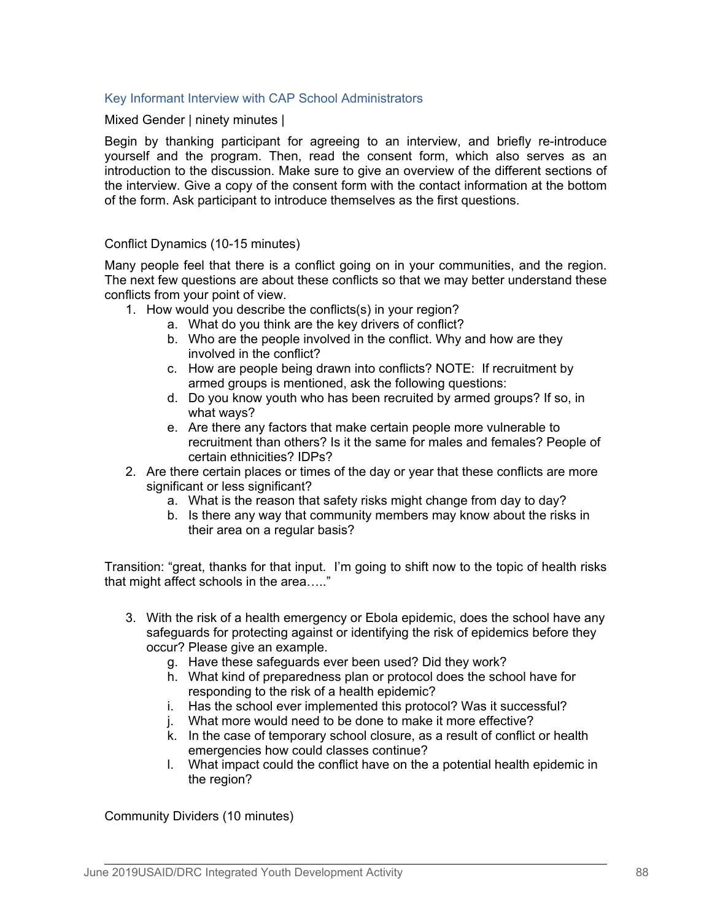## Key Informant Interview with CAP School Administrators

Mixed Gender | ninety minutes |

Begin by thanking participant for agreeing to an interview, and briefly re-introduce yourself and the program. Then, read the consent form, which also serves as an introduction to the discussion. Make sure to give an overview of the different sections of the interview. Give a copy of the consent form with the contact information at the bottom of the form. Ask participant to introduce themselves as the first questions.

## Conflict Dynamics (10-15 minutes)

Many people feel that there is a conflict going on in your communities, and the region. The next few questions are about these conflicts so that we may better understand these conflicts from your point of view.

- 1. How would you describe the conflicts(s) in your region?
	- a. What do you think are the key drivers of conflict?
	- b. Who are the people involved in the conflict. Why and how are they involved in the conflict?
	- c. How are people being drawn into conflicts? NOTE: If recruitment by armed groups is mentioned, ask the following questions:
	- d. Do you know youth who has been recruited by armed groups? If so, in what ways?
	- e. Are there any factors that make certain people more vulnerable to recruitment than others? Is it the same for males and females? People of certain ethnicities? IDPs?
- 2. Are there certain places or times of the day or year that these conflicts are more significant or less significant?
	- a. What is the reason that safety risks might change from day to day?
	- b. Is there any way that community members may know about the risks in their area on a regular basis?

Transition: "great, thanks for that input. I'm going to shift now to the topic of health risks that might affect schools in the area….."

- 3. With the risk of a health emergency or Ebola epidemic, does the school have any safeguards for protecting against or identifying the risk of epidemics before they occur? Please give an example.
	- g. Have these safeguards ever been used? Did they work?
	- h. What kind of preparedness plan or protocol does the school have for responding to the risk of a health epidemic?
	- i. Has the school ever implemented this protocol? Was it successful?
	- j. What more would need to be done to make it more effective?
	- k. In the case of temporary school closure, as a result of conflict or health emergencies how could classes continue?
	- l. What impact could the conflict have on the a potential health epidemic in the region?

Community Dividers (10 minutes)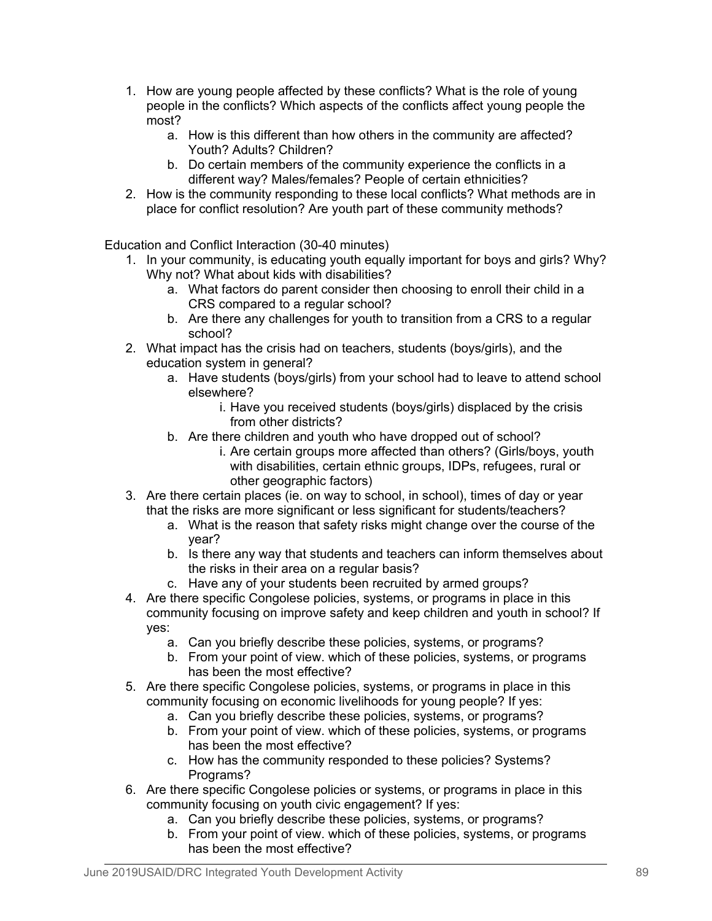- 1. How are young people affected by these conflicts? What is the role of young people in the conflicts? Which aspects of the conflicts affect young people the most?
	- a. How is this different than how others in the community are affected? Youth? Adults? Children?
	- b. Do certain members of the community experience the conflicts in a different way? Males/females? People of certain ethnicities?
- 2. How is the community responding to these local conflicts? What methods are in place for conflict resolution? Are youth part of these community methods?

Education and Conflict Interaction (30-40 minutes)

- 1. In your community, is educating youth equally important for boys and girls? Why? Why not? What about kids with disabilities?
	- a. What factors do parent consider then choosing to enroll their child in a CRS compared to a regular school?
	- b. Are there any challenges for youth to transition from a CRS to a regular school?
- 2. What impact has the crisis had on teachers, students (boys/girls), and the education system in general?
	- a. Have students (boys/girls) from your school had to leave to attend school elsewhere?
		- i. Have you received students (boys/girls) displaced by the crisis from other districts?
	- b. Are there children and youth who have dropped out of school?
		- i. Are certain groups more affected than others? (Girls/boys, youth with disabilities, certain ethnic groups, IDPs, refugees, rural or other geographic factors)
- 3. Are there certain places (ie. on way to school, in school), times of day or year that the risks are more significant or less significant for students/teachers?
	- a. What is the reason that safety risks might change over the course of the year?
	- b. Is there any way that students and teachers can inform themselves about the risks in their area on a regular basis?
	- c. Have any of your students been recruited by armed groups?
- 4. Are there specific Congolese policies, systems, or programs in place in this community focusing on improve safety and keep children and youth in school? If yes:
	- a. Can you briefly describe these policies, systems, or programs?
	- b. From your point of view. which of these policies, systems, or programs has been the most effective?
- 5. Are there specific Congolese policies, systems, or programs in place in this community focusing on economic livelihoods for young people? If yes:
	- a. Can you briefly describe these policies, systems, or programs?
	- b. From your point of view. which of these policies, systems, or programs has been the most effective?
	- c. How has the community responded to these policies? Systems? Programs?
- 6. Are there specific Congolese policies or systems, or programs in place in this community focusing on youth civic engagement? If yes:
	- a. Can you briefly describe these policies, systems, or programs?
	- b. From your point of view. which of these policies, systems, or programs has been the most effective?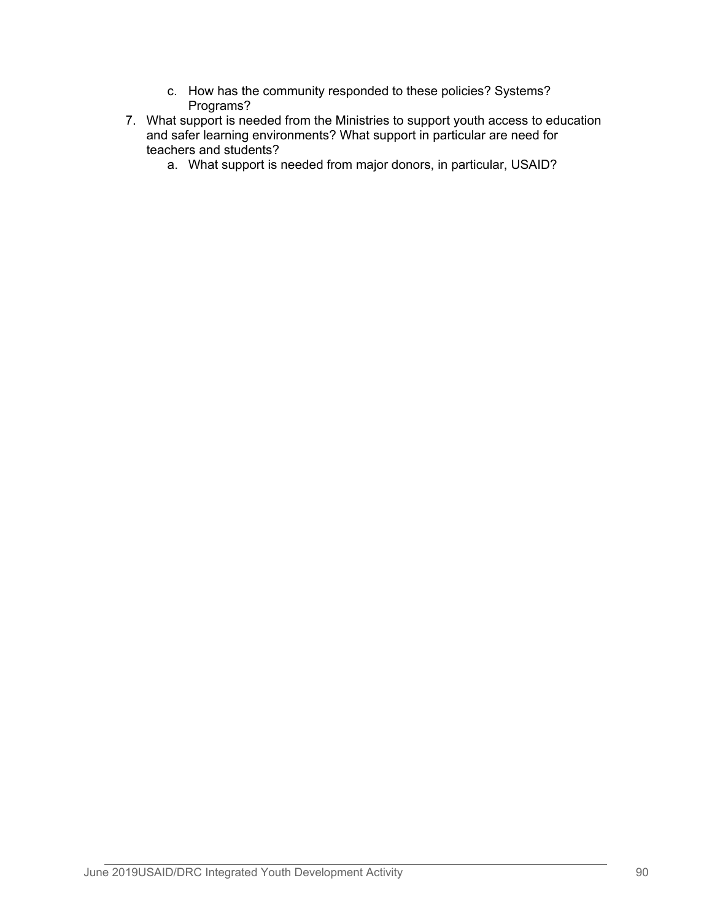- c. How has the community responded to these policies? Systems? Programs?
- 7. What support is needed from the Ministries to support youth access to education and safer learning environments? What support in particular are need for teachers and students?
	- a. What support is needed from major donors, in particular, USAID?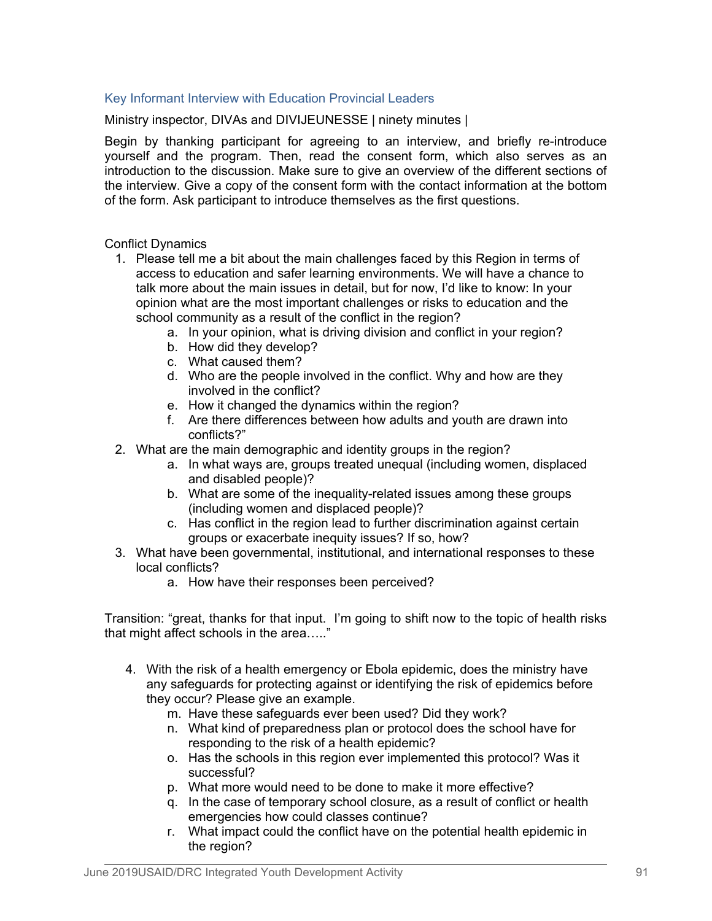# Key Informant Interview with Education Provincial Leaders

Ministry inspector, DIVAs and DIVIJEUNESSE | ninety minutes |

Begin by thanking participant for agreeing to an interview, and briefly re-introduce yourself and the program. Then, read the consent form, which also serves as an introduction to the discussion. Make sure to give an overview of the different sections of the interview. Give a copy of the consent form with the contact information at the bottom of the form. Ask participant to introduce themselves as the first questions.

Conflict Dynamics

- 1. Please tell me a bit about the main challenges faced by this Region in terms of access to education and safer learning environments. We will have a chance to talk more about the main issues in detail, but for now, I'd like to know: In your opinion what are the most important challenges or risks to education and the school community as a result of the conflict in the region?
	- a. In your opinion, what is driving division and conflict in your region?
	- b. How did they develop?
	- c. What caused them?
	- d. Who are the people involved in the conflict. Why and how are they involved in the conflict?
	- e. How it changed the dynamics within the region?
	- f. Are there differences between how adults and youth are drawn into conflicts?"
- 2. What are the main demographic and identity groups in the region?
	- a. In what ways are, groups treated unequal (including women, displaced and disabled people)?
	- b. What are some of the inequality-related issues among these groups (including women and displaced people)?
	- c. Has conflict in the region lead to further discrimination against certain groups or exacerbate inequity issues? If so, how?
- 3. What have been governmental, institutional, and international responses to these local conflicts?
	- a. How have their responses been perceived?

Transition: "great, thanks for that input. I'm going to shift now to the topic of health risks that might affect schools in the area….."

- 4. With the risk of a health emergency or Ebola epidemic, does the ministry have any safeguards for protecting against or identifying the risk of epidemics before they occur? Please give an example.
	- m. Have these safeguards ever been used? Did they work?
	- n. What kind of preparedness plan or protocol does the school have for responding to the risk of a health epidemic?
	- o. Has the schools in this region ever implemented this protocol? Was it successful?
	- p. What more would need to be done to make it more effective?
	- q. In the case of temporary school closure, as a result of conflict or health emergencies how could classes continue?
	- r. What impact could the conflict have on the potential health epidemic in the region?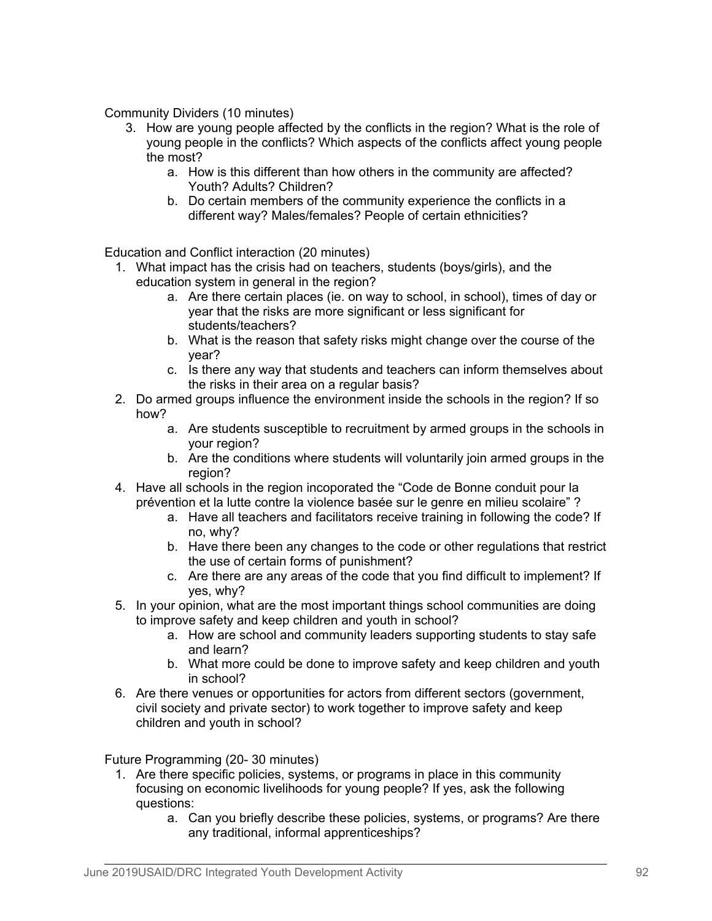Community Dividers (10 minutes)

- 3. How are young people affected by the conflicts in the region? What is the role of young people in the conflicts? Which aspects of the conflicts affect young people the most?
	- a. How is this different than how others in the community are affected? Youth? Adults? Children?
	- b. Do certain members of the community experience the conflicts in a different way? Males/females? People of certain ethnicities?

Education and Conflict interaction (20 minutes)

- 1. What impact has the crisis had on teachers, students (boys/girls), and the education system in general in the region?
	- a. Are there certain places (ie. on way to school, in school), times of day or year that the risks are more significant or less significant for students/teachers?
	- b. What is the reason that safety risks might change over the course of the year?
	- c. Is there any way that students and teachers can inform themselves about the risks in their area on a regular basis?
- 2. Do armed groups influence the environment inside the schools in the region? If so how?
	- a. Are students susceptible to recruitment by armed groups in the schools in your region?
	- b. Are the conditions where students will voluntarily join armed groups in the region?
- 4. Have all schools in the region incoporated the "Code de Bonne conduit pour la prévention et la lutte contre la violence basée sur le genre en milieu scolaire" ?
	- a. Have all teachers and facilitators receive training in following the code? If no, why?
	- b. Have there been any changes to the code or other regulations that restrict the use of certain forms of punishment?
	- c. Are there are any areas of the code that you find difficult to implement? If yes, why?
- 5. In your opinion, what are the most important things school communities are doing to improve safety and keep children and youth in school?
	- a. How are school and community leaders supporting students to stay safe and learn?
	- b. What more could be done to improve safety and keep children and youth in school?
- 6. Are there venues or opportunities for actors from different sectors (government, civil society and private sector) to work together to improve safety and keep children and youth in school?

Future Programming (20- 30 minutes)

- 1. Are there specific policies, systems, or programs in place in this community focusing on economic livelihoods for young people? If yes, ask the following questions:
	- a. Can you briefly describe these policies, systems, or programs? Are there any traditional, informal apprenticeships?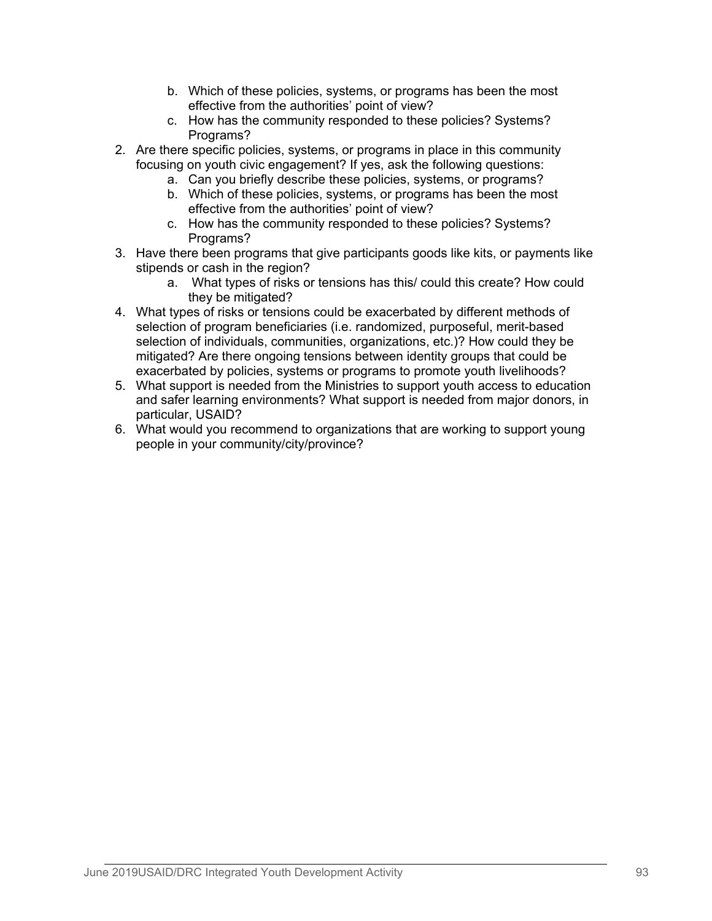- b. Which of these policies, systems, or programs has been the most effective from the authorities' point of view?
- c. How has the community responded to these policies? Systems? Programs?
- 2. Are there specific policies, systems, or programs in place in this community focusing on youth civic engagement? If yes, ask the following questions:
	- a. Can you briefly describe these policies, systems, or programs?
	- b. Which of these policies, systems, or programs has been the most effective from the authorities' point of view?
	- c. How has the community responded to these policies? Systems? Programs?
- 3. Have there been programs that give participants goods like kits, or payments like stipends or cash in the region?
	- a. What types of risks or tensions has this/ could this create? How could they be mitigated?
- 4. What types of risks or tensions could be exacerbated by different methods of selection of program beneficiaries (i.e. randomized, purposeful, merit-based selection of individuals, communities, organizations, etc.)? How could they be mitigated? Are there ongoing tensions between identity groups that could be exacerbated by policies, systems or programs to promote youth livelihoods?
- 5. What support is needed from the Ministries to support youth access to education and safer learning environments? What support is needed from major donors, in particular, USAID?
- 6. What would you recommend to organizations that are working to support young people in your community/city/province?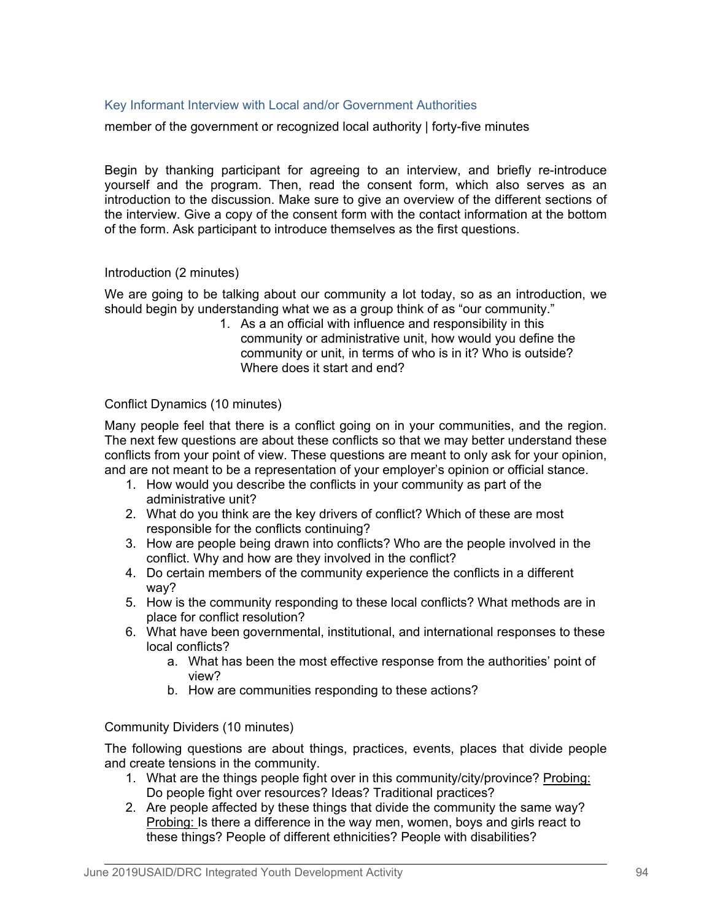# Key Informant Interview with Local and/or Government Authorities

member of the government or recognized local authority | forty-five minutes

Begin by thanking participant for agreeing to an interview, and briefly re-introduce yourself and the program. Then, read the consent form, which also serves as an introduction to the discussion. Make sure to give an overview of the different sections of the interview. Give a copy of the consent form with the contact information at the bottom of the form. Ask participant to introduce themselves as the first questions.

## Introduction (2 minutes)

We are going to be talking about our community a lot today, so as an introduction, we should begin by understanding what we as a group think of as "our community."

1. As a an official with influence and responsibility in this community or administrative unit, how would you define the community or unit, in terms of who is in it? Who is outside? Where does it start and end?

## Conflict Dynamics (10 minutes)

Many people feel that there is a conflict going on in your communities, and the region. The next few questions are about these conflicts so that we may better understand these conflicts from your point of view. These questions are meant to only ask for your opinion, and are not meant to be a representation of your employer's opinion or official stance.

- 1. How would you describe the conflicts in your community as part of the administrative unit?
- 2. What do you think are the key drivers of conflict? Which of these are most responsible for the conflicts continuing?
- 3. How are people being drawn into conflicts? Who are the people involved in the conflict. Why and how are they involved in the conflict?
- 4. Do certain members of the community experience the conflicts in a different way?
- 5. How is the community responding to these local conflicts? What methods are in place for conflict resolution?
- 6. What have been governmental, institutional, and international responses to these local conflicts?
	- a. What has been the most effective response from the authorities' point of view?
	- b. How are communities responding to these actions?

Community Dividers (10 minutes)

The following questions are about things, practices, events, places that divide people and create tensions in the community.

- 1. What are the things people fight over in this community/city/province? Probing: Do people fight over resources? Ideas? Traditional practices?
- 2. Are people affected by these things that divide the community the same way? Probing: Is there a difference in the way men, women, boys and girls react to these things? People of different ethnicities? People with disabilities?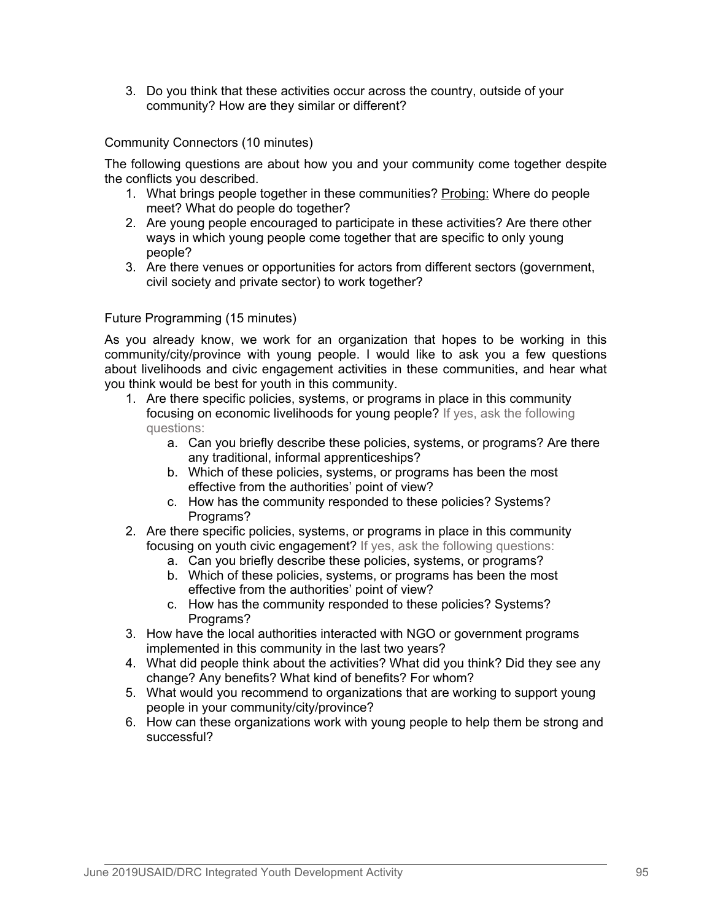3. Do you think that these activities occur across the country, outside of your community? How are they similar or different?

Community Connectors (10 minutes)

The following questions are about how you and your community come together despite the conflicts you described.

- 1. What brings people together in these communities? Probing: Where do people meet? What do people do together?
- 2. Are young people encouraged to participate in these activities? Are there other ways in which young people come together that are specific to only young people?
- 3. Are there venues or opportunities for actors from different sectors (government, civil society and private sector) to work together?

Future Programming (15 minutes)

As you already know, we work for an organization that hopes to be working in this community/city/province with young people. I would like to ask you a few questions about livelihoods and civic engagement activities in these communities, and hear what you think would be best for youth in this community.

- 1. Are there specific policies, systems, or programs in place in this community focusing on economic livelihoods for young people? If yes, ask the following questions:
	- a. Can you briefly describe these policies, systems, or programs? Are there any traditional, informal apprenticeships?
	- b. Which of these policies, systems, or programs has been the most effective from the authorities' point of view?
	- c. How has the community responded to these policies? Systems? Programs?
- 2. Are there specific policies, systems, or programs in place in this community focusing on youth civic engagement? If yes, ask the following questions:
	- a. Can you briefly describe these policies, systems, or programs?
	- b. Which of these policies, systems, or programs has been the most effective from the authorities' point of view?
	- c. How has the community responded to these policies? Systems? Programs?
- 3. How have the local authorities interacted with NGO or government programs implemented in this community in the last two years?
- 4. What did people think about the activities? What did you think? Did they see any change? Any benefits? What kind of benefits? For whom?
- 5. What would you recommend to organizations that are working to support young people in your community/city/province?
- 6. How can these organizations work with young people to help them be strong and successful?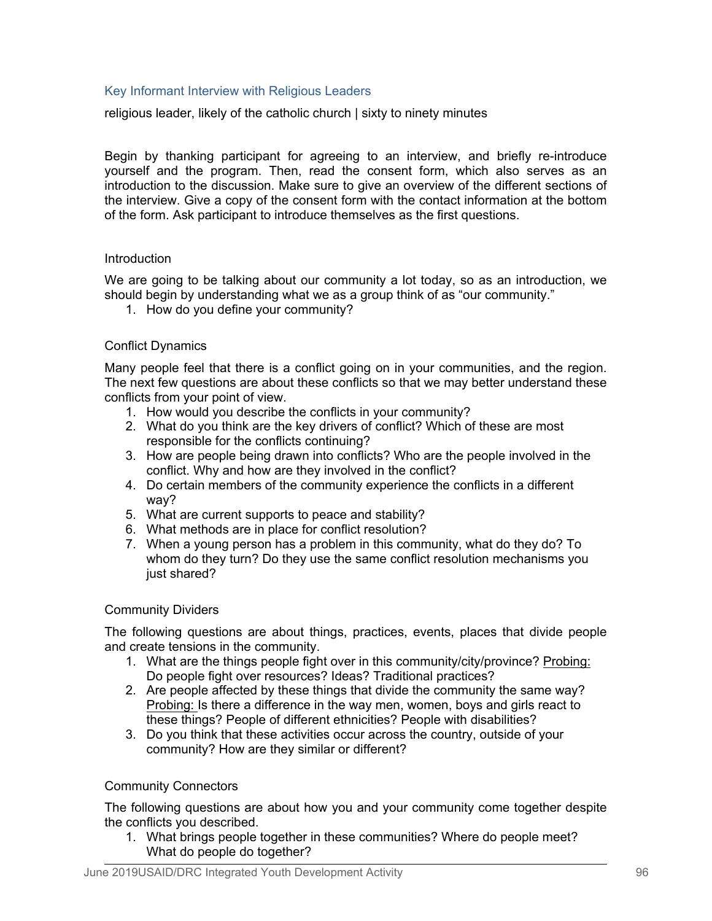## Key Informant Interview with Religious Leaders

religious leader, likely of the catholic church | sixty to ninety minutes

Begin by thanking participant for agreeing to an interview, and briefly re-introduce yourself and the program. Then, read the consent form, which also serves as an introduction to the discussion. Make sure to give an overview of the different sections of the interview. Give a copy of the consent form with the contact information at the bottom of the form. Ask participant to introduce themselves as the first questions.

### Introduction

We are going to be talking about our community a lot today, so as an introduction, we should begin by understanding what we as a group think of as "our community."

1. How do you define your community?

## Conflict Dynamics

Many people feel that there is a conflict going on in your communities, and the region. The next few questions are about these conflicts so that we may better understand these conflicts from your point of view.

- 1. How would you describe the conflicts in your community?
- 2. What do you think are the key drivers of conflict? Which of these are most responsible for the conflicts continuing?
- 3. How are people being drawn into conflicts? Who are the people involved in the conflict. Why and how are they involved in the conflict?
- 4. Do certain members of the community experience the conflicts in a different way?
- 5. What are current supports to peace and stability?
- 6. What methods are in place for conflict resolution?
- 7. When a young person has a problem in this community, what do they do? To whom do they turn? Do they use the same conflict resolution mechanisms you just shared?

### Community Dividers

The following questions are about things, practices, events, places that divide people and create tensions in the community.

- 1. What are the things people fight over in this community/city/province? Probing: Do people fight over resources? Ideas? Traditional practices?
- 2. Are people affected by these things that divide the community the same way? Probing: Is there a difference in the way men, women, boys and girls react to these things? People of different ethnicities? People with disabilities?
- 3. Do you think that these activities occur across the country, outside of your community? How are they similar or different?

### Community Connectors

The following questions are about how you and your community come together despite the conflicts you described.

1. What brings people together in these communities? Where do people meet? What do people do together?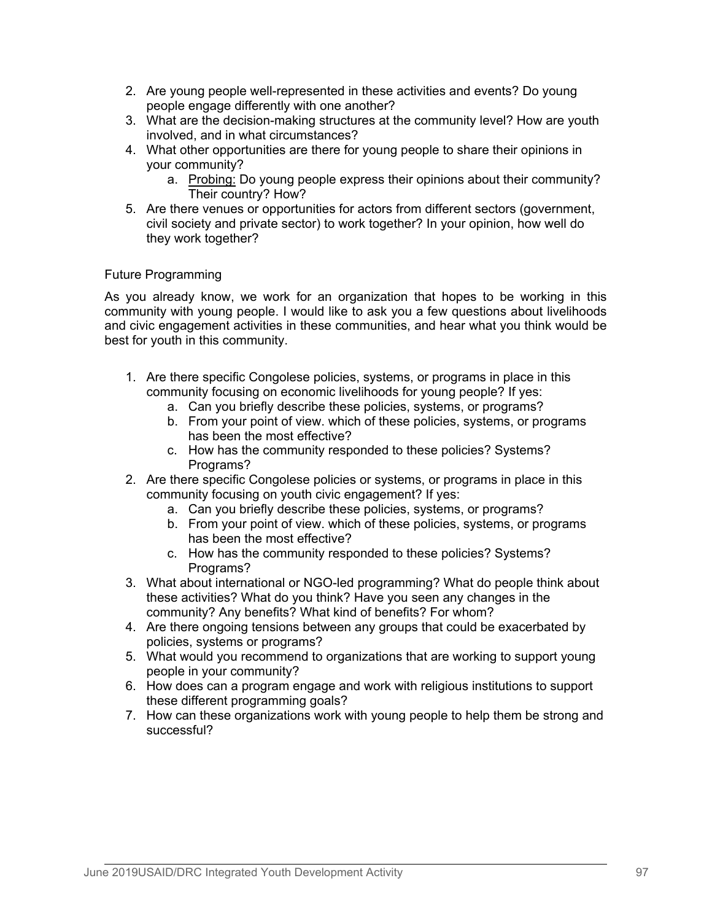- 2. Are young people well-represented in these activities and events? Do young people engage differently with one another?
- 3. What are the decision-making structures at the community level? How are youth involved, and in what circumstances?
- 4. What other opportunities are there for young people to share their opinions in your community?
	- a. Probing: Do young people express their opinions about their community? Their country? How?
- 5. Are there venues or opportunities for actors from different sectors (government, civil society and private sector) to work together? In your opinion, how well do they work together?

# Future Programming

As you already know, we work for an organization that hopes to be working in this community with young people. I would like to ask you a few questions about livelihoods and civic engagement activities in these communities, and hear what you think would be best for youth in this community.

- 1. Are there specific Congolese policies, systems, or programs in place in this community focusing on economic livelihoods for young people? If yes:
	- a. Can you briefly describe these policies, systems, or programs?
	- b. From your point of view. which of these policies, systems, or programs has been the most effective?
	- c. How has the community responded to these policies? Systems? Programs?
- 2. Are there specific Congolese policies or systems, or programs in place in this community focusing on youth civic engagement? If yes:
	- a. Can you briefly describe these policies, systems, or programs?
	- b. From your point of view. which of these policies, systems, or programs has been the most effective?
	- c. How has the community responded to these policies? Systems? Programs?
- 3. What about international or NGO-led programming? What do people think about these activities? What do you think? Have you seen any changes in the community? Any benefits? What kind of benefits? For whom?
- 4. Are there ongoing tensions between any groups that could be exacerbated by policies, systems or programs?
- 5. What would you recommend to organizations that are working to support young people in your community?
- 6. How does can a program engage and work with religious institutions to support these different programming goals?
- 7. How can these organizations work with young people to help them be strong and successful?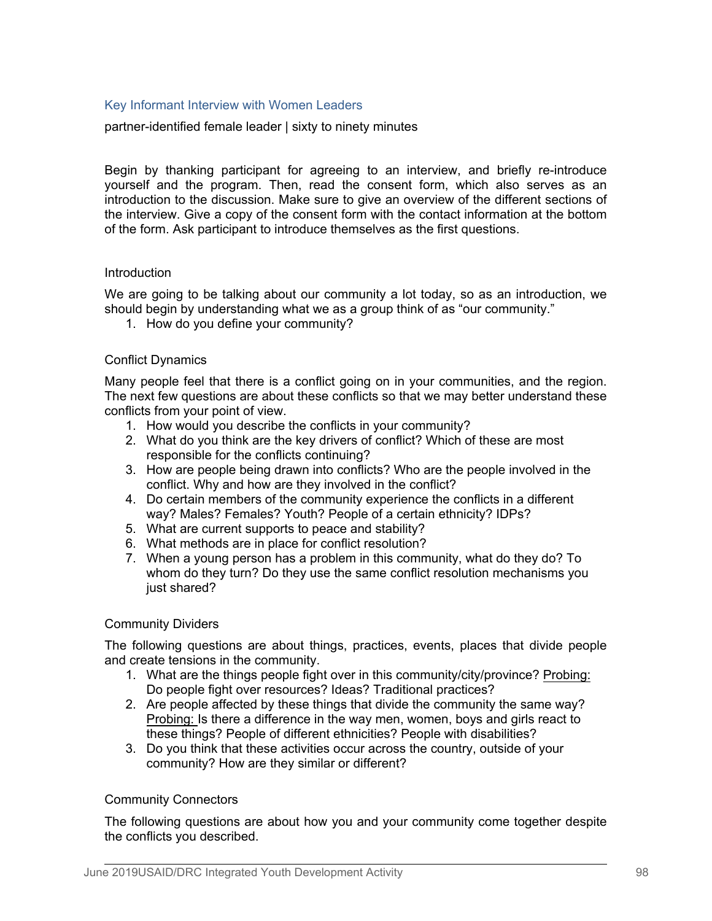## Key Informant Interview with Women Leaders

partner-identified female leader | sixty to ninety minutes

Begin by thanking participant for agreeing to an interview, and briefly re-introduce yourself and the program. Then, read the consent form, which also serves as an introduction to the discussion. Make sure to give an overview of the different sections of the interview. Give a copy of the consent form with the contact information at the bottom of the form. Ask participant to introduce themselves as the first questions.

## Introduction

We are going to be talking about our community a lot today, so as an introduction, we should begin by understanding what we as a group think of as "our community."

1. How do you define your community?

## Conflict Dynamics

Many people feel that there is a conflict going on in your communities, and the region. The next few questions are about these conflicts so that we may better understand these conflicts from your point of view.

- 1. How would you describe the conflicts in your community?
- 2. What do you think are the key drivers of conflict? Which of these are most responsible for the conflicts continuing?
- 3. How are people being drawn into conflicts? Who are the people involved in the conflict. Why and how are they involved in the conflict?
- 4. Do certain members of the community experience the conflicts in a different way? Males? Females? Youth? People of a certain ethnicity? IDPs?
- 5. What are current supports to peace and stability?
- 6. What methods are in place for conflict resolution?
- 7. When a young person has a problem in this community, what do they do? To whom do they turn? Do they use the same conflict resolution mechanisms you just shared?

### Community Dividers

The following questions are about things, practices, events, places that divide people and create tensions in the community.

- 1. What are the things people fight over in this community/city/province? Probing: Do people fight over resources? Ideas? Traditional practices?
- 2. Are people affected by these things that divide the community the same way? Probing: Is there a difference in the way men, women, boys and girls react to these things? People of different ethnicities? People with disabilities?
- 3. Do you think that these activities occur across the country, outside of your community? How are they similar or different?

## Community Connectors

The following questions are about how you and your community come together despite the conflicts you described.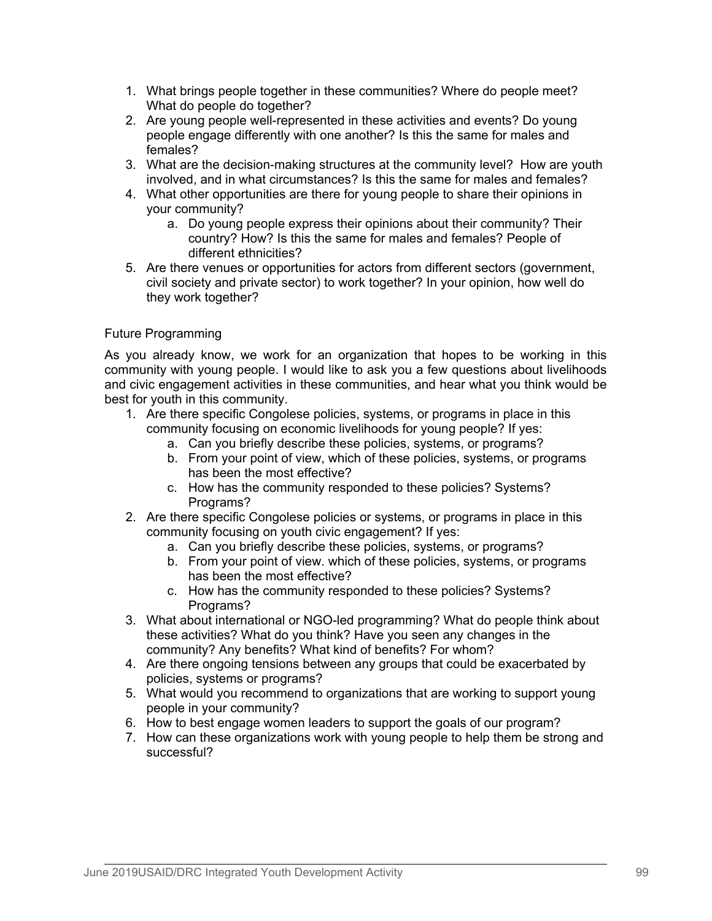- 1. What brings people together in these communities? Where do people meet? What do people do together?
- 2. Are young people well-represented in these activities and events? Do young people engage differently with one another? Is this the same for males and females?
- 3. What are the decision-making structures at the community level? How are youth involved, and in what circumstances? Is this the same for males and females?
- 4. What other opportunities are there for young people to share their opinions in your community?
	- a. Do young people express their opinions about their community? Their country? How? Is this the same for males and females? People of different ethnicities?
- 5. Are there venues or opportunities for actors from different sectors (government, civil society and private sector) to work together? In your opinion, how well do they work together?

# Future Programming

As you already know, we work for an organization that hopes to be working in this community with young people. I would like to ask you a few questions about livelihoods and civic engagement activities in these communities, and hear what you think would be best for youth in this community.

- 1. Are there specific Congolese policies, systems, or programs in place in this community focusing on economic livelihoods for young people? If yes:
	- a. Can you briefly describe these policies, systems, or programs?
	- b. From your point of view, which of these policies, systems, or programs has been the most effective?
	- c. How has the community responded to these policies? Systems? Programs?
- 2. Are there specific Congolese policies or systems, or programs in place in this community focusing on youth civic engagement? If yes:
	- a. Can you briefly describe these policies, systems, or programs?
	- b. From your point of view. which of these policies, systems, or programs has been the most effective?
	- c. How has the community responded to these policies? Systems? Programs?
- 3. What about international or NGO-led programming? What do people think about these activities? What do you think? Have you seen any changes in the community? Any benefits? What kind of benefits? For whom?
- 4. Are there ongoing tensions between any groups that could be exacerbated by policies, systems or programs?
- 5. What would you recommend to organizations that are working to support young people in your community?
- 6. How to best engage women leaders to support the goals of our program?
- 7. How can these organizations work with young people to help them be strong and successful?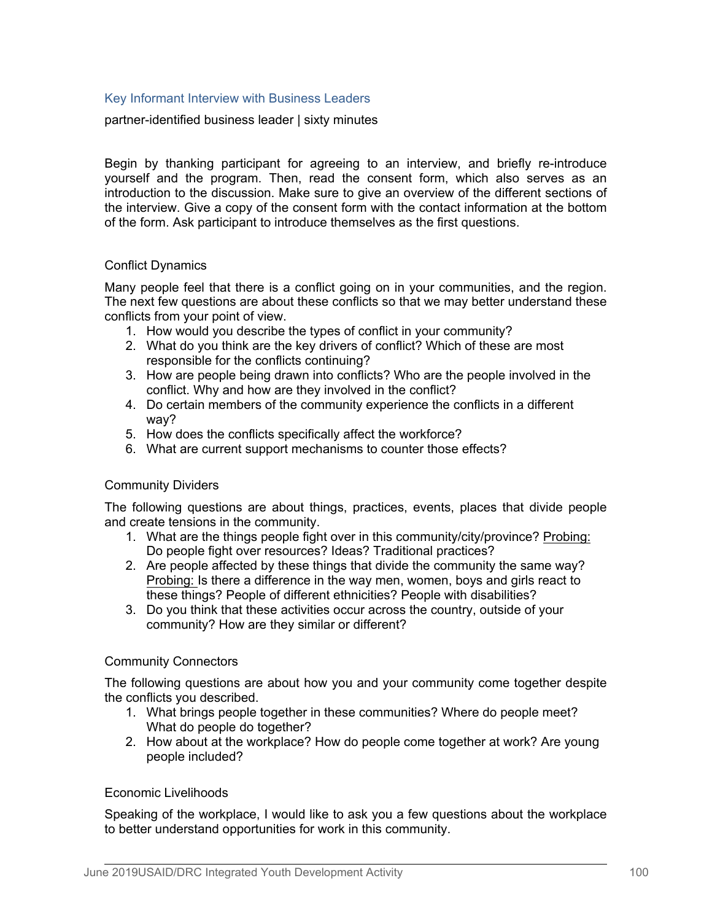## Key Informant Interview with Business Leaders

partner-identified business leader | sixty minutes

Begin by thanking participant for agreeing to an interview, and briefly re-introduce yourself and the program. Then, read the consent form, which also serves as an introduction to the discussion. Make sure to give an overview of the different sections of the interview. Give a copy of the consent form with the contact information at the bottom of the form. Ask participant to introduce themselves as the first questions.

## Conflict Dynamics

Many people feel that there is a conflict going on in your communities, and the region. The next few questions are about these conflicts so that we may better understand these conflicts from your point of view.

- 1. How would you describe the types of conflict in your community?
- 2. What do you think are the key drivers of conflict? Which of these are most responsible for the conflicts continuing?
- 3. How are people being drawn into conflicts? Who are the people involved in the conflict. Why and how are they involved in the conflict?
- 4. Do certain members of the community experience the conflicts in a different way?
- 5. How does the conflicts specifically affect the workforce?
- 6. What are current support mechanisms to counter those effects?

### Community Dividers

The following questions are about things, practices, events, places that divide people and create tensions in the community.

- 1. What are the things people fight over in this community/city/province? Probing: Do people fight over resources? Ideas? Traditional practices?
- 2. Are people affected by these things that divide the community the same way? Probing: Is there a difference in the way men, women, boys and girls react to these things? People of different ethnicities? People with disabilities?
- 3. Do you think that these activities occur across the country, outside of your community? How are they similar or different?

### Community Connectors

The following questions are about how you and your community come together despite the conflicts you described.

- 1. What brings people together in these communities? Where do people meet? What do people do together?
- 2. How about at the workplace? How do people come together at work? Are young people included?

### Economic Livelihoods

Speaking of the workplace, I would like to ask you a few questions about the workplace to better understand opportunities for work in this community.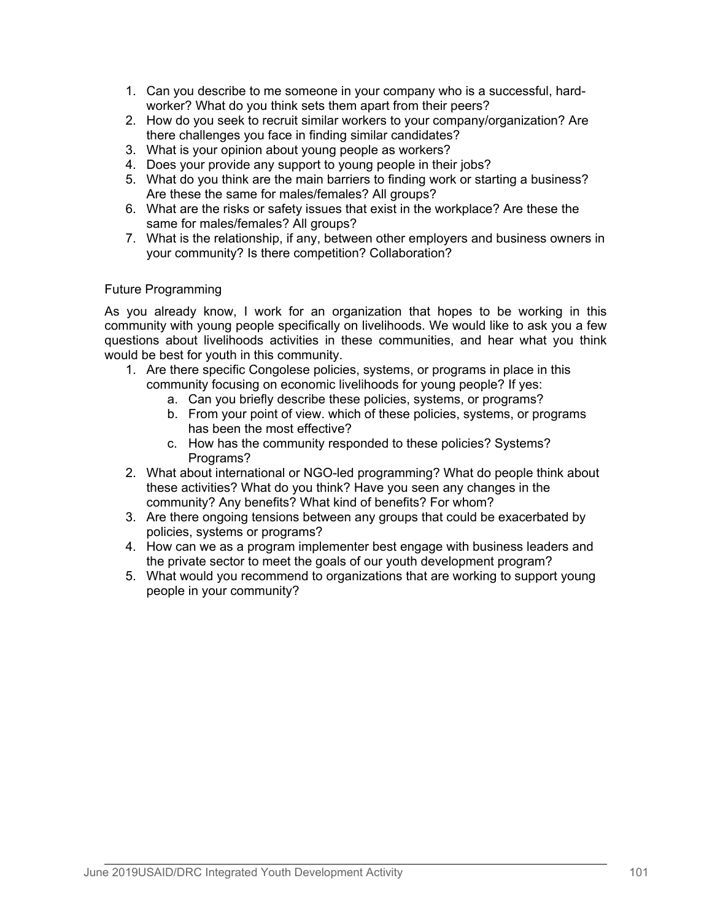- 1. Can you describe to me someone in your company who is a successful, hardworker? What do you think sets them apart from their peers?
- 2. How do you seek to recruit similar workers to your company/organization? Are there challenges you face in finding similar candidates?
- 3. What is your opinion about young people as workers?
- 4. Does your provide any support to young people in their jobs?
- 5. What do you think are the main barriers to finding work or starting a business? Are these the same for males/females? All groups?
- 6. What are the risks or safety issues that exist in the workplace? Are these the same for males/females? All groups?
- 7. What is the relationship, if any, between other employers and business owners in your community? Is there competition? Collaboration?

## Future Programming

As you already know, I work for an organization that hopes to be working in this community with young people specifically on livelihoods. We would like to ask you a few questions about livelihoods activities in these communities, and hear what you think would be best for youth in this community.

- 1. Are there specific Congolese policies, systems, or programs in place in this community focusing on economic livelihoods for young people? If yes:
	- a. Can you briefly describe these policies, systems, or programs?
	- b. From your point of view. which of these policies, systems, or programs has been the most effective?
	- c. How has the community responded to these policies? Systems? Programs?
- 2. What about international or NGO-led programming? What do people think about these activities? What do you think? Have you seen any changes in the community? Any benefits? What kind of benefits? For whom?
- 3. Are there ongoing tensions between any groups that could be exacerbated by policies, systems or programs?
- 4. How can we as a program implementer best engage with business leaders and the private sector to meet the goals of our youth development program?
- 5. What would you recommend to organizations that are working to support young people in your community?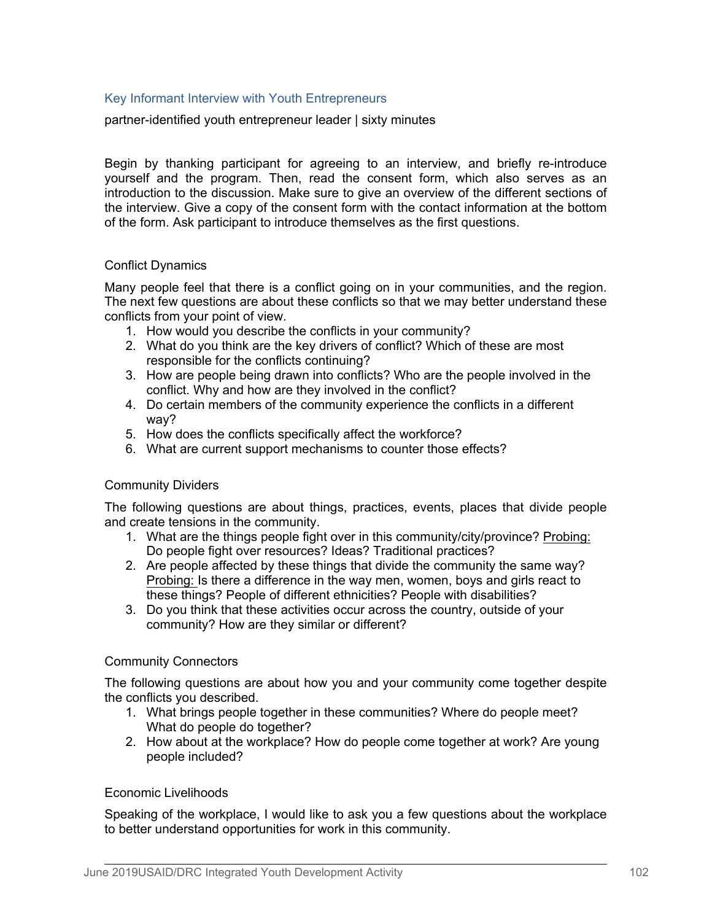## Key Informant Interview with Youth Entrepreneurs

partner-identified youth entrepreneur leader | sixty minutes

Begin by thanking participant for agreeing to an interview, and briefly re-introduce yourself and the program. Then, read the consent form, which also serves as an introduction to the discussion. Make sure to give an overview of the different sections of the interview. Give a copy of the consent form with the contact information at the bottom of the form. Ask participant to introduce themselves as the first questions.

## Conflict Dynamics

Many people feel that there is a conflict going on in your communities, and the region. The next few questions are about these conflicts so that we may better understand these conflicts from your point of view.

- 1. How would you describe the conflicts in your community?
- 2. What do you think are the key drivers of conflict? Which of these are most responsible for the conflicts continuing?
- 3. How are people being drawn into conflicts? Who are the people involved in the conflict. Why and how are they involved in the conflict?
- 4. Do certain members of the community experience the conflicts in a different way?
- 5. How does the conflicts specifically affect the workforce?
- 6. What are current support mechanisms to counter those effects?

### Community Dividers

The following questions are about things, practices, events, places that divide people and create tensions in the community.

- 1. What are the things people fight over in this community/city/province? Probing: Do people fight over resources? Ideas? Traditional practices?
- 2. Are people affected by these things that divide the community the same way? Probing: Is there a difference in the way men, women, boys and girls react to these things? People of different ethnicities? People with disabilities?
- 3. Do you think that these activities occur across the country, outside of your community? How are they similar or different?

### Community Connectors

The following questions are about how you and your community come together despite the conflicts you described.

- 1. What brings people together in these communities? Where do people meet? What do people do together?
- 2. How about at the workplace? How do people come together at work? Are young people included?

### Economic Livelihoods

Speaking of the workplace, I would like to ask you a few questions about the workplace to better understand opportunities for work in this community.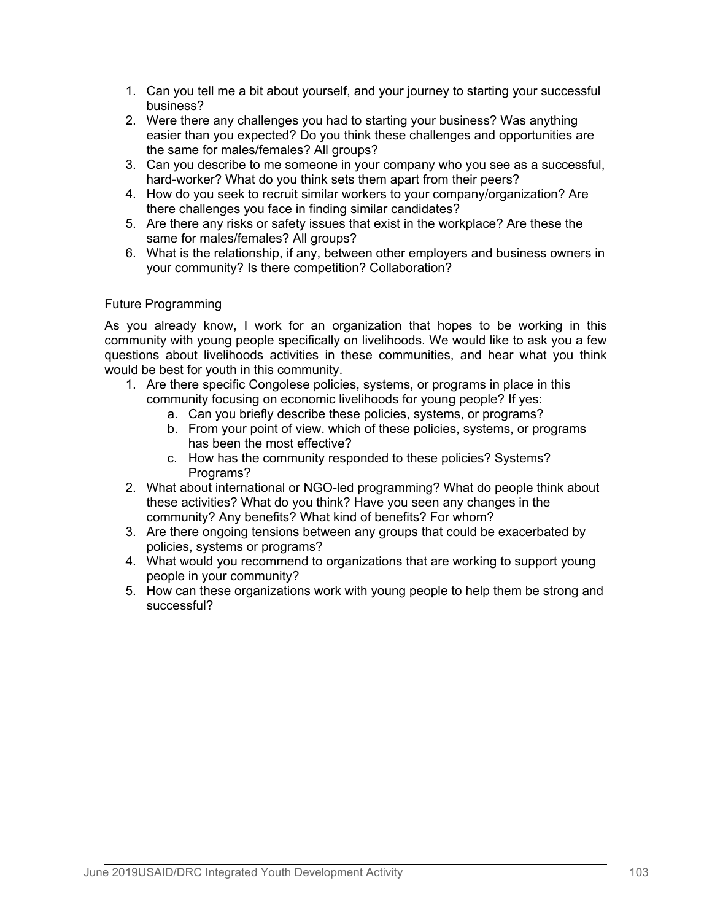- 1. Can you tell me a bit about yourself, and your journey to starting your successful business?
- 2. Were there any challenges you had to starting your business? Was anything easier than you expected? Do you think these challenges and opportunities are the same for males/females? All groups?
- 3. Can you describe to me someone in your company who you see as a successful, hard-worker? What do you think sets them apart from their peers?
- 4. How do you seek to recruit similar workers to your company/organization? Are there challenges you face in finding similar candidates?
- 5. Are there any risks or safety issues that exist in the workplace? Are these the same for males/females? All groups?
- 6. What is the relationship, if any, between other employers and business owners in your community? Is there competition? Collaboration?

## Future Programming

As you already know, I work for an organization that hopes to be working in this community with young people specifically on livelihoods. We would like to ask you a few questions about livelihoods activities in these communities, and hear what you think would be best for youth in this community.

- 1. Are there specific Congolese policies, systems, or programs in place in this community focusing on economic livelihoods for young people? If yes:
	- a. Can you briefly describe these policies, systems, or programs?
	- b. From your point of view. which of these policies, systems, or programs has been the most effective?
	- c. How has the community responded to these policies? Systems? Programs?
- 2. What about international or NGO-led programming? What do people think about these activities? What do you think? Have you seen any changes in the community? Any benefits? What kind of benefits? For whom?
- 3. Are there ongoing tensions between any groups that could be exacerbated by policies, systems or programs?
- 4. What would you recommend to organizations that are working to support young people in your community?
- 5. How can these organizations work with young people to help them be strong and successful?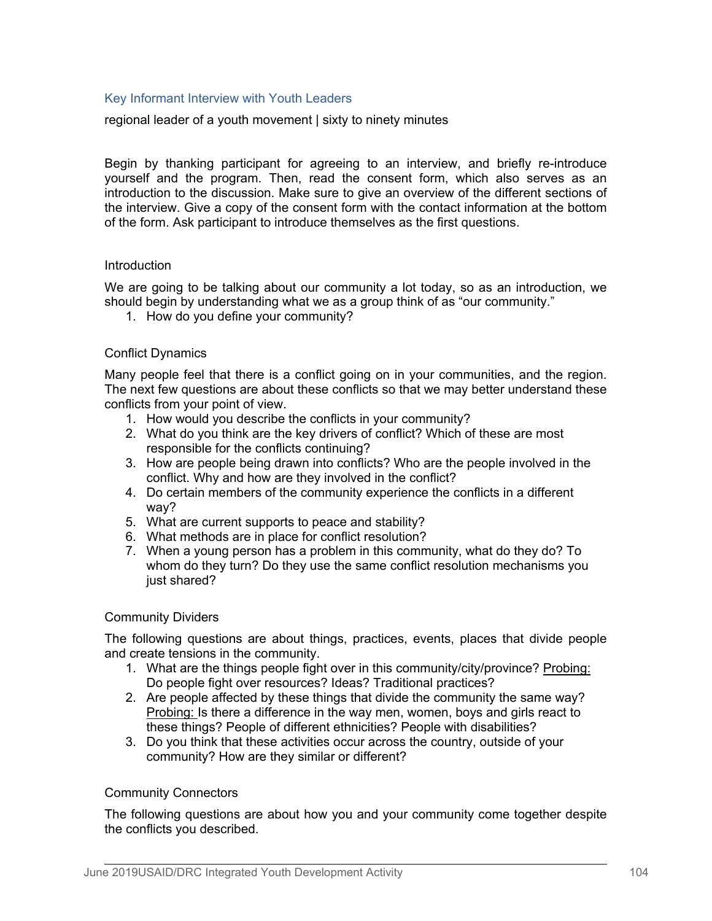## Key Informant Interview with Youth Leaders

regional leader of a youth movement | sixty to ninety minutes

Begin by thanking participant for agreeing to an interview, and briefly re-introduce yourself and the program. Then, read the consent form, which also serves as an introduction to the discussion. Make sure to give an overview of the different sections of the interview. Give a copy of the consent form with the contact information at the bottom of the form. Ask participant to introduce themselves as the first questions.

### Introduction

We are going to be talking about our community a lot today, so as an introduction, we should begin by understanding what we as a group think of as "our community."

1. How do you define your community?

### Conflict Dynamics

Many people feel that there is a conflict going on in your communities, and the region. The next few questions are about these conflicts so that we may better understand these conflicts from your point of view.

- 1. How would you describe the conflicts in your community?
- 2. What do you think are the key drivers of conflict? Which of these are most responsible for the conflicts continuing?
- 3. How are people being drawn into conflicts? Who are the people involved in the conflict. Why and how are they involved in the conflict?
- 4. Do certain members of the community experience the conflicts in a different way?
- 5. What are current supports to peace and stability?
- 6. What methods are in place for conflict resolution?
- 7. When a young person has a problem in this community, what do they do? To whom do they turn? Do they use the same conflict resolution mechanisms you just shared?

### Community Dividers

The following questions are about things, practices, events, places that divide people and create tensions in the community.

- 1. What are the things people fight over in this community/city/province? Probing: Do people fight over resources? Ideas? Traditional practices?
- 2. Are people affected by these things that divide the community the same way? Probing: Is there a difference in the way men, women, boys and girls react to these things? People of different ethnicities? People with disabilities?
- 3. Do you think that these activities occur across the country, outside of your community? How are they similar or different?

### Community Connectors

The following questions are about how you and your community come together despite the conflicts you described.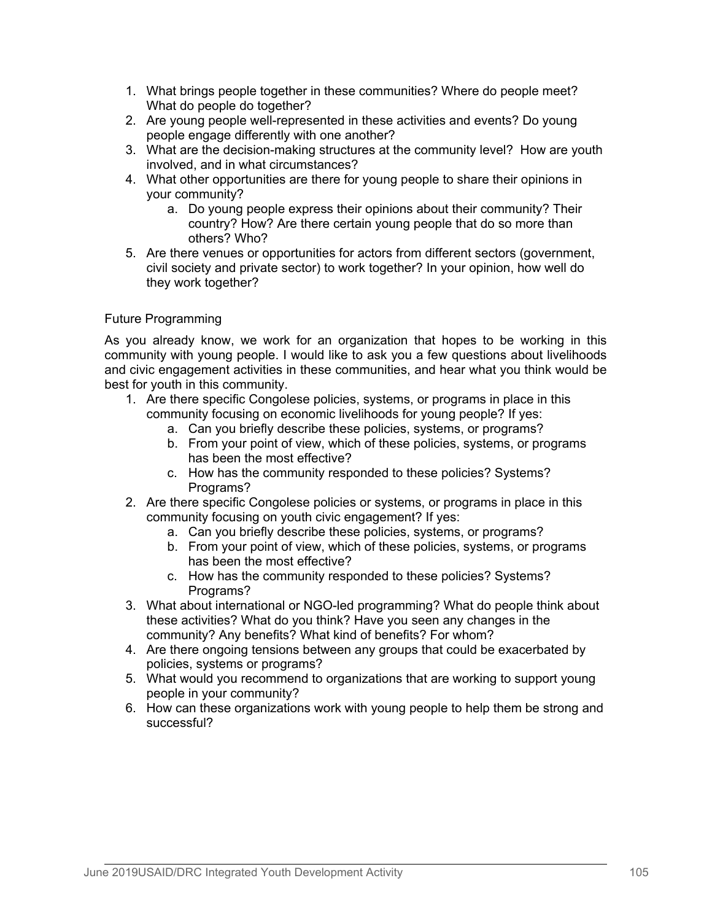- 1. What brings people together in these communities? Where do people meet? What do people do together?
- 2. Are young people well-represented in these activities and events? Do young people engage differently with one another?
- 3. What are the decision-making structures at the community level? How are youth involved, and in what circumstances?
- 4. What other opportunities are there for young people to share their opinions in your community?
	- a. Do young people express their opinions about their community? Their country? How? Are there certain young people that do so more than others? Who?
- 5. Are there venues or opportunities for actors from different sectors (government, civil society and private sector) to work together? In your opinion, how well do they work together?

# Future Programming

As you already know, we work for an organization that hopes to be working in this community with young people. I would like to ask you a few questions about livelihoods and civic engagement activities in these communities, and hear what you think would be best for youth in this community.

- 1. Are there specific Congolese policies, systems, or programs in place in this community focusing on economic livelihoods for young people? If yes:
	- a. Can you briefly describe these policies, systems, or programs?
	- b. From your point of view, which of these policies, systems, or programs has been the most effective?
	- c. How has the community responded to these policies? Systems? Programs?
- 2. Are there specific Congolese policies or systems, or programs in place in this community focusing on youth civic engagement? If yes:
	- a. Can you briefly describe these policies, systems, or programs?
	- b. From your point of view, which of these policies, systems, or programs has been the most effective?
	- c. How has the community responded to these policies? Systems? Programs?
- 3. What about international or NGO-led programming? What do people think about these activities? What do you think? Have you seen any changes in the community? Any benefits? What kind of benefits? For whom?
- 4. Are there ongoing tensions between any groups that could be exacerbated by policies, systems or programs?
- 5. What would you recommend to organizations that are working to support young people in your community?
- 6. How can these organizations work with young people to help them be strong and successful?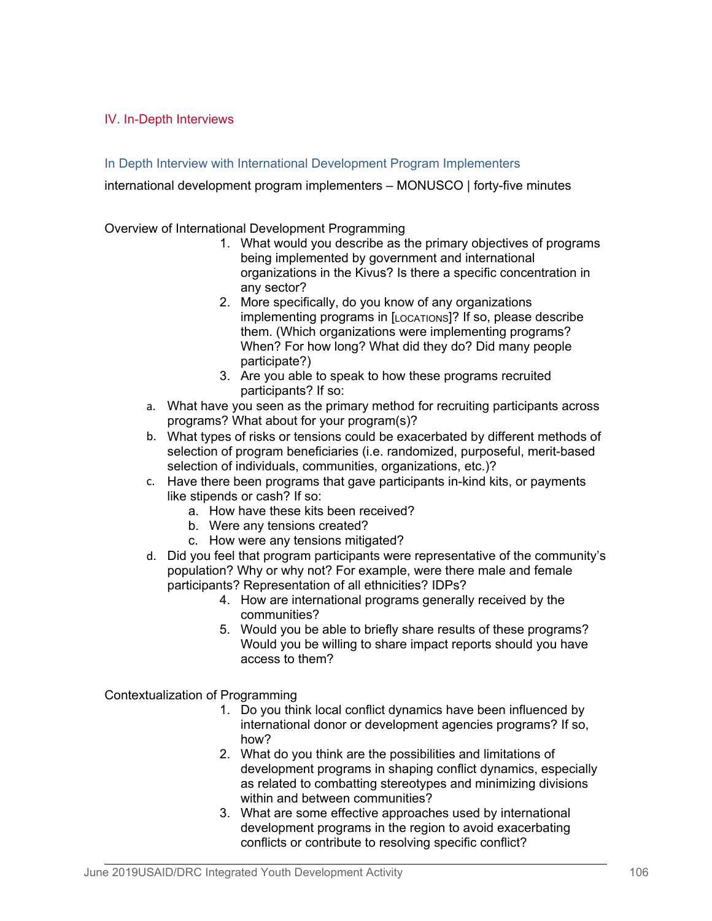# IV. In-Depth Interviews

# In Depth Interview with International Development Program Implementers

international development program implementers – MONUSCO | forty-five minutes

Overview of International Development Programming

- 1. What would you describe as the primary objectives of programs being implemented by government and international organizations in the Kivus? Is there a specific concentration in any sector?
- 2. More specifically, do you know of any organizations implementing programs in [LOCATIONS]? If so, please describe them. (Which organizations were implementing programs? When? For how long? What did they do? Did many people participate?)
- 3. Are you able to speak to how these programs recruited participants? If so:
- a. What have you seen as the primary method for recruiting participants across programs? What about for your program(s)?
- b. What types of risks or tensions could be exacerbated by different methods of selection of program beneficiaries (i.e. randomized, purposeful, merit-based selection of individuals, communities, organizations, etc.)?
- c. Have there been programs that gave participants in-kind kits, or payments like stipends or cash? If so:
	- a. How have these kits been received?
	- b. Were any tensions created?
	- c. How were any tensions mitigated?
- d. Did you feel that program participants were representative of the community's population? Why or why not? For example, were there male and female participants? Representation of all ethnicities? IDPs?
	- 4. How are international programs generally received by the communities?
	- 5. Would you be able to briefly share results of these programs? Would you be willing to share impact reports should you have access to them?

Contextualization of Programming

- 1. Do you think local conflict dynamics have been influenced by international donor or development agencies programs? If so, how?
- 2. What do you think are the possibilities and limitations of development programs in shaping conflict dynamics, especially as related to combatting stereotypes and minimizing divisions within and between communities?
- 3. What are some effective approaches used by international development programs in the region to avoid exacerbating conflicts or contribute to resolving specific conflict?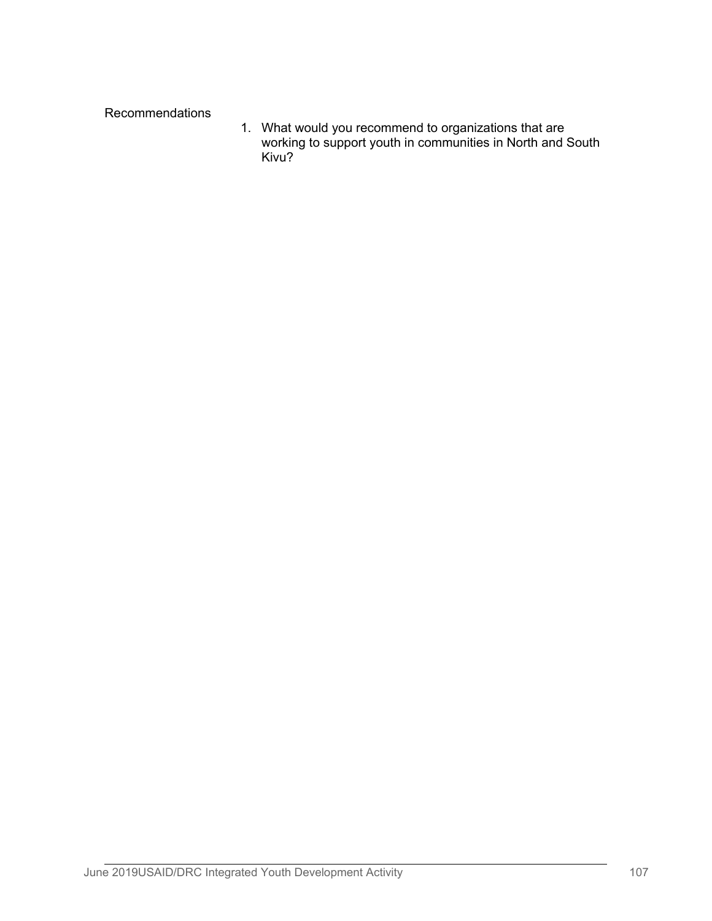Recommendations

1. What would you recommend to organizations that are working to support youth in communities in North and South Kivu?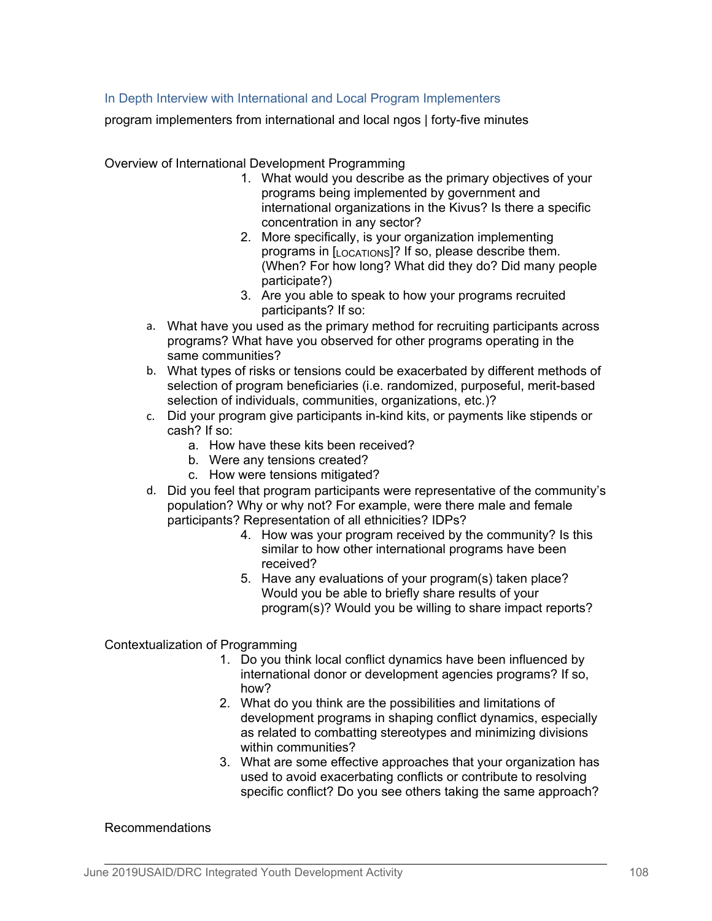# In Depth Interview with International and Local Program Implementers

program implementers from international and local ngos | forty-five minutes

Overview of International Development Programming

- 1. What would you describe as the primary objectives of your programs being implemented by government and international organizations in the Kivus? Is there a specific concentration in any sector?
- 2. More specifically, is your organization implementing programs in [LOCATIONS]? If so, please describe them. (When? For how long? What did they do? Did many people participate?)
- 3. Are you able to speak to how your programs recruited participants? If so:
- a. What have you used as the primary method for recruiting participants across programs? What have you observed for other programs operating in the same communities?
- b. What types of risks or tensions could be exacerbated by different methods of selection of program beneficiaries (i.e. randomized, purposeful, merit-based selection of individuals, communities, organizations, etc.)?
- c. Did your program give participants in-kind kits, or payments like stipends or cash? If so:
	- a. How have these kits been received?
	- b. Were any tensions created?
	- c. How were tensions mitigated?
- d. Did you feel that program participants were representative of the community's population? Why or why not? For example, were there male and female participants? Representation of all ethnicities? IDPs?
	- 4. How was your program received by the community? Is this similar to how other international programs have been received?
	- 5. Have any evaluations of your program(s) taken place? Would you be able to briefly share results of your program(s)? Would you be willing to share impact reports?

Contextualization of Programming

- 1. Do you think local conflict dynamics have been influenced by international donor or development agencies programs? If so, how?
- 2. What do you think are the possibilities and limitations of development programs in shaping conflict dynamics, especially as related to combatting stereotypes and minimizing divisions within communities?
- 3. What are some effective approaches that your organization has used to avoid exacerbating conflicts or contribute to resolving specific conflict? Do you see others taking the same approach?

### Recommendations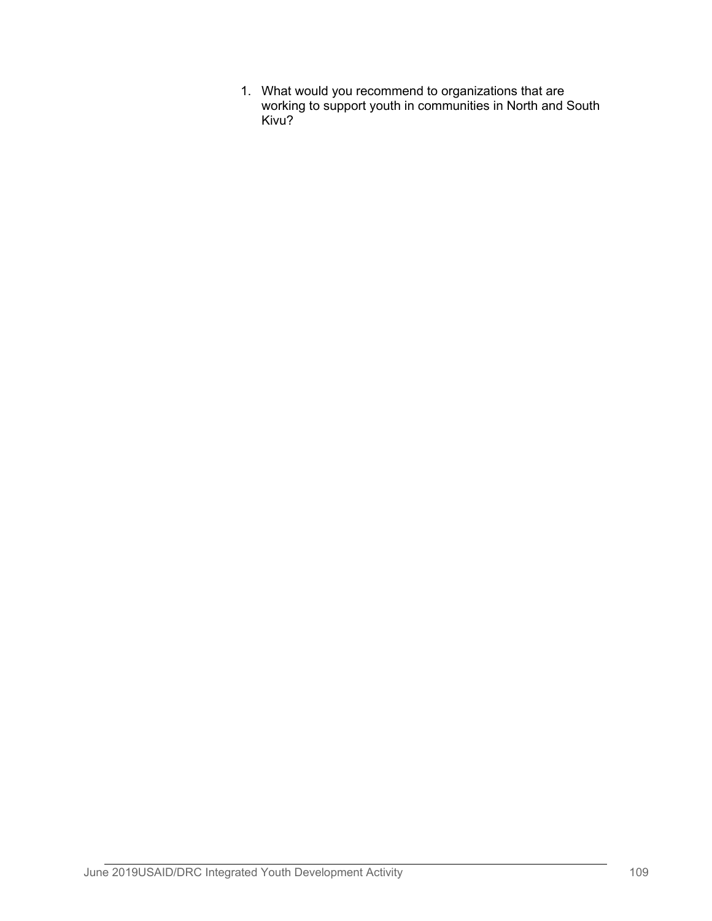1. What would you recommend to organizations that are working to support youth in communities in North and South Kivu?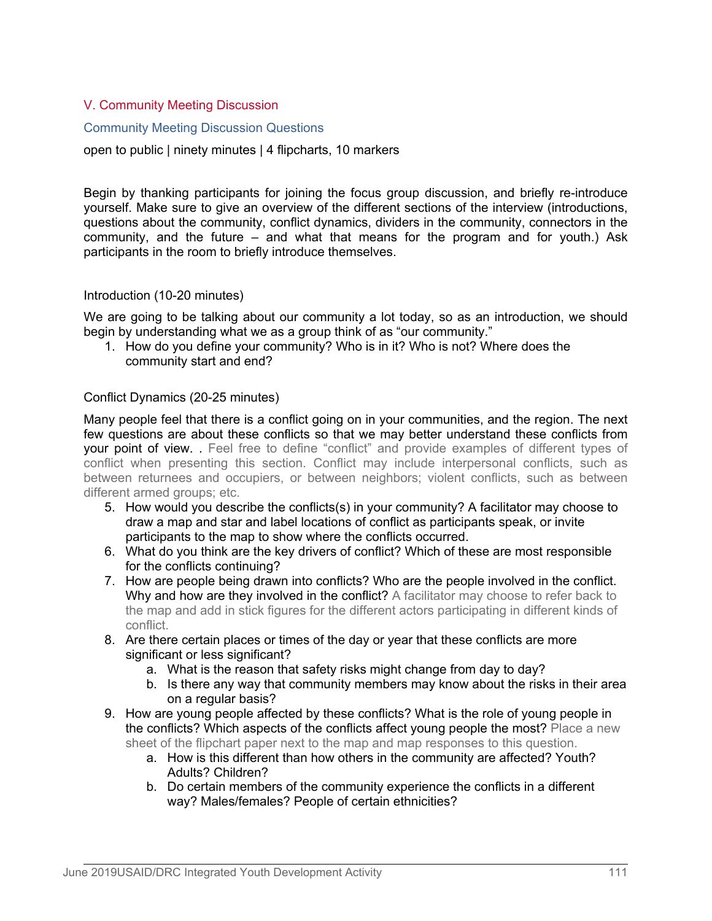# V. Community Meeting Discussion

#### Community Meeting Discussion Questions

open to public | ninety minutes | 4 flipcharts, 10 markers

Begin by thanking participants for joining the focus group discussion, and briefly re-introduce yourself. Make sure to give an overview of the different sections of the interview (introductions, questions about the community, conflict dynamics, dividers in the community, connectors in the community, and the future – and what that means for the program and for youth.) Ask participants in the room to briefly introduce themselves.

#### Introduction (10-20 minutes)

We are going to be talking about our community a lot today, so as an introduction, we should begin by understanding what we as a group think of as "our community."

1. How do you define your community? Who is in it? Who is not? Where does the community start and end?

#### Conflict Dynamics (20-25 minutes)

Many people feel that there is a conflict going on in your communities, and the region. The next few questions are about these conflicts so that we may better understand these conflicts from your point of view. . Feel free to define "conflict" and provide examples of different types of conflict when presenting this section. Conflict may include interpersonal conflicts, such as between returnees and occupiers, or between neighbors; violent conflicts, such as between different armed groups; etc.

- 5. How would you describe the conflicts(s) in your community? A facilitator may choose to draw a map and star and label locations of conflict as participants speak, or invite participants to the map to show where the conflicts occurred.
- 6. What do you think are the key drivers of conflict? Which of these are most responsible for the conflicts continuing?
- 7. How are people being drawn into conflicts? Who are the people involved in the conflict. Why and how are they involved in the conflict? A facilitator may choose to refer back to the map and add in stick figures for the different actors participating in different kinds of conflict.
- 8. Are there certain places or times of the day or year that these conflicts are more significant or less significant?
	- a. What is the reason that safety risks might change from day to day?
	- b. Is there any way that community members may know about the risks in their area on a regular basis?
- 9. How are young people affected by these conflicts? What is the role of young people in the conflicts? Which aspects of the conflicts affect young people the most? Place a new sheet of the flipchart paper next to the map and map responses to this question.
	- a. How is this different than how others in the community are affected? Youth? Adults? Children?
	- b. Do certain members of the community experience the conflicts in a different way? Males/females? People of certain ethnicities?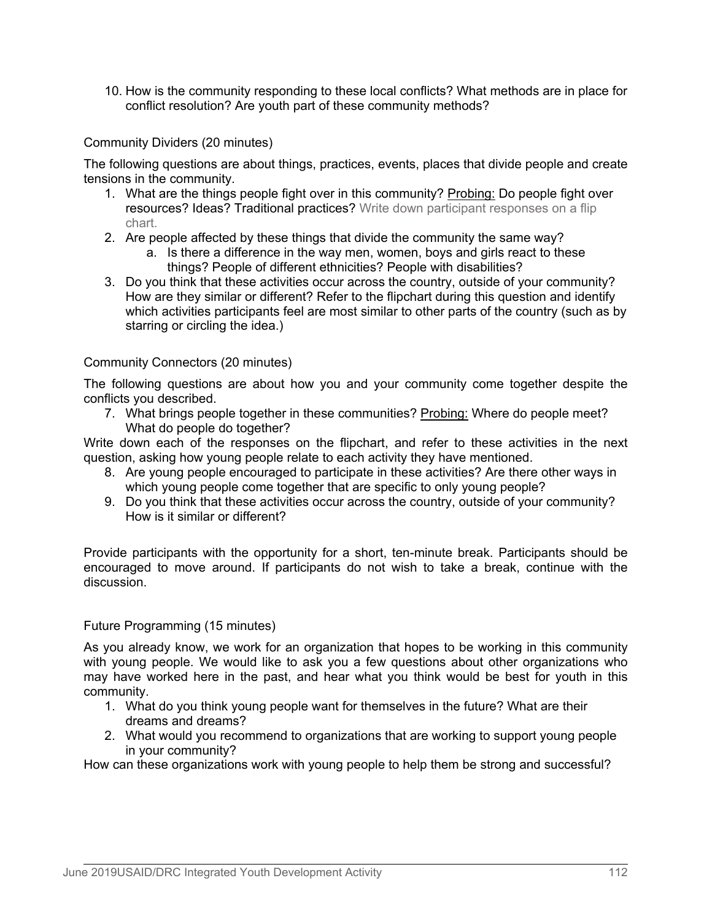10. How is the community responding to these local conflicts? What methods are in place for conflict resolution? Are youth part of these community methods?

# Community Dividers (20 minutes)

The following questions are about things, practices, events, places that divide people and create tensions in the community.

- 1. What are the things people fight over in this community? Probing: Do people fight over resources? Ideas? Traditional practices? Write down participant responses on a flip chart.
- 2. Are people affected by these things that divide the community the same way?
	- a. Is there a difference in the way men, women, boys and girls react to these things? People of different ethnicities? People with disabilities?
- 3. Do you think that these activities occur across the country, outside of your community? How are they similar or different? Refer to the flipchart during this question and identify which activities participants feel are most similar to other parts of the country (such as by starring or circling the idea.)

## Community Connectors (20 minutes)

The following questions are about how you and your community come together despite the conflicts you described.

7. What brings people together in these communities? Probing: Where do people meet? What do people do together?

Write down each of the responses on the flipchart, and refer to these activities in the next question, asking how young people relate to each activity they have mentioned.

- 8. Are young people encouraged to participate in these activities? Are there other ways in which young people come together that are specific to only young people?
- 9. Do you think that these activities occur across the country, outside of your community? How is it similar or different?

Provide participants with the opportunity for a short, ten-minute break. Participants should be encouraged to move around. If participants do not wish to take a break, continue with the discussion.

## Future Programming (15 minutes)

As you already know, we work for an organization that hopes to be working in this community with young people. We would like to ask you a few questions about other organizations who may have worked here in the past, and hear what you think would be best for youth in this community.

- 1. What do you think young people want for themselves in the future? What are their dreams and dreams?
- 2. What would you recommend to organizations that are working to support young people in your community?

How can these organizations work with young people to help them be strong and successful?